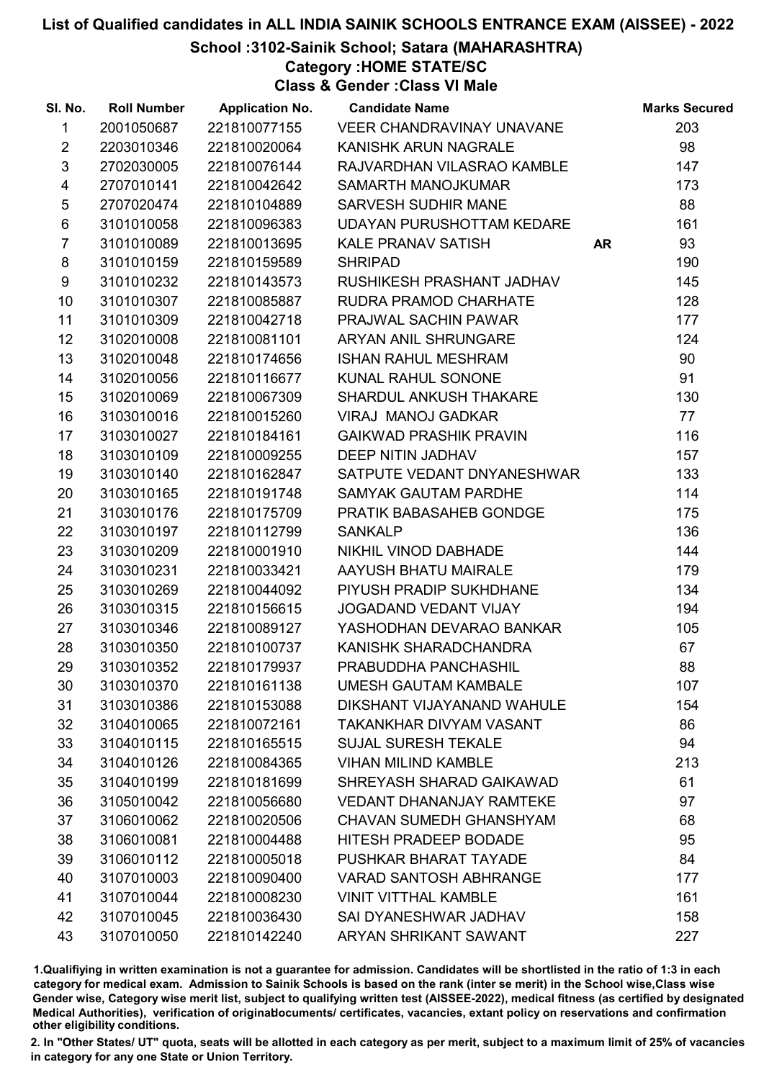School :3102-Sainik School; Satara (MAHARASHTRA)

Category :HOME STATE/SC

Class & Gender :Class VI Male

| SI. No.                 | <b>Roll Number</b> | <b>Application No.</b> | <b>Candidate Name</b>            |           | <b>Marks Secured</b> |
|-------------------------|--------------------|------------------------|----------------------------------|-----------|----------------------|
| $\mathbf{1}$            | 2001050687         | 221810077155           | VEER CHANDRAVINAY UNAVANE        |           | 203                  |
| $\overline{2}$          | 2203010346         | 221810020064           | KANISHK ARUN NAGRALE             |           | 98                   |
| $\mathfrak{S}$          | 2702030005         | 221810076144           | RAJVARDHAN VILASRAO KAMBLE       |           | 147                  |
| $\overline{\mathbf{4}}$ | 2707010141         | 221810042642           | SAMARTH MANOJKUMAR               |           | 173                  |
| $\sqrt{5}$              | 2707020474         | 221810104889           | <b>SARVESH SUDHIR MANE</b>       |           | 88                   |
| 6                       | 3101010058         | 221810096383           | <b>UDAYAN PURUSHOTTAM KEDARE</b> |           | 161                  |
| $\overline{7}$          | 3101010089         | 221810013695           | KALE PRANAV SATISH               | <b>AR</b> | 93                   |
| 8                       | 3101010159         | 221810159589           | <b>SHRIPAD</b>                   |           | 190                  |
| 9                       | 3101010232         | 221810143573           | RUSHIKESH PRASHANT JADHAV        |           | 145                  |
| 10                      | 3101010307         | 221810085887           | RUDRA PRAMOD CHARHATE            |           | 128                  |
| 11                      | 3101010309         | 221810042718           | PRAJWAL SACHIN PAWAR             |           | 177                  |
| 12                      | 3102010008         | 221810081101           | ARYAN ANIL SHRUNGARE             |           | 124                  |
| 13                      | 3102010048         | 221810174656           | <b>ISHAN RAHUL MESHRAM</b>       |           | 90                   |
| 14                      | 3102010056         | 221810116677           | <b>KUNAL RAHUL SONONE</b>        |           | 91                   |
| 15                      | 3102010069         | 221810067309           | SHARDUL ANKUSH THAKARE           |           | 130                  |
| 16                      | 3103010016         | 221810015260           | <b>VIRAJ MANOJ GADKAR</b>        |           | 77                   |
| 17                      | 3103010027         | 221810184161           | <b>GAIKWAD PRASHIK PRAVIN</b>    |           | 116                  |
| 18                      | 3103010109         | 221810009255           | <b>DEEP NITIN JADHAV</b>         |           | 157                  |
| 19                      | 3103010140         | 221810162847           | SATPUTE VEDANT DNYANESHWAR       |           | 133                  |
| 20                      | 3103010165         | 221810191748           | SAMYAK GAUTAM PARDHE             |           | 114                  |
| 21                      | 3103010176         | 221810175709           | PRATIK BABASAHEB GONDGE          |           | 175                  |
| 22                      | 3103010197         | 221810112799           | <b>SANKALP</b>                   |           | 136                  |
| 23                      | 3103010209         | 221810001910           | NIKHIL VINOD DABHADE             |           | 144                  |
| 24                      | 3103010231         | 221810033421           | AAYUSH BHATU MAIRALE             |           | 179                  |
| 25                      | 3103010269         | 221810044092           | PIYUSH PRADIP SUKHDHANE          |           | 134                  |
| 26                      | 3103010315         | 221810156615           | <b>JOGADAND VEDANT VIJAY</b>     |           | 194                  |
| 27                      | 3103010346         | 221810089127           | YASHODHAN DEVARAO BANKAR         |           | 105                  |
| 28                      | 3103010350         | 221810100737           | KANISHK SHARADCHANDRA            |           | 67                   |
| 29                      | 3103010352         | 221810179937           | PRABUDDHA PANCHASHIL             |           | 88                   |
| 30                      | 3103010370         | 221810161138           | <b>UMESH GAUTAM KAMBALE</b>      |           | 107                  |
| 31                      | 3103010386         | 221810153088           | DIKSHANT VIJAYANAND WAHULE       |           | 154                  |
| 32                      | 3104010065         | 221810072161           | TAKANKHAR DIVYAM VASANT          |           | 86                   |
| 33                      | 3104010115         | 221810165515           | <b>SUJAL SURESH TEKALE</b>       |           | 94                   |
| 34                      | 3104010126         | 221810084365           | <b>VIHAN MILIND KAMBLE</b>       |           | 213                  |
| 35                      | 3104010199         | 221810181699           | SHREYASH SHARAD GAIKAWAD         |           | 61                   |
| 36                      | 3105010042         | 221810056680           | <b>VEDANT DHANANJAY RAMTEKE</b>  |           | 97                   |
| 37                      | 3106010062         | 221810020506           | <b>CHAVAN SUMEDH GHANSHYAM</b>   |           | 68                   |
| 38                      | 3106010081         | 221810004488           | <b>HITESH PRADEEP BODADE</b>     |           | 95                   |
| 39                      | 3106010112         | 221810005018           | PUSHKAR BHARAT TAYADE            |           | 84                   |
| 40                      | 3107010003         | 221810090400           | <b>VARAD SANTOSH ABHRANGE</b>    |           | 177                  |
| 41                      | 3107010044         | 221810008230           | <b>VINIT VITTHAL KAMBLE</b>      |           | 161                  |
| 42                      | 3107010045         | 221810036430           | SAI DYANESHWAR JADHAV            |           | 158                  |
| 43                      | 3107010050         | 221810142240           | ARYAN SHRIKANT SAWANT            |           | 227                  |

1.Qualifiying in written examination is not a guarantee for admission. Candidates will be shortlisted in the ratio of 1:3 in each category for medical exam. Admission to Sainik Schools is based on the rank (inter se merit) in the School wise,Class wise Gender wise, Category wise merit list, subject to qualifying written test (AISSEE-2022), medical fitness (as certified by designated Medical Authorities), verification of originablocuments/ certificates, vacancies, extant policy on reservations and confirmation other eligibility conditions.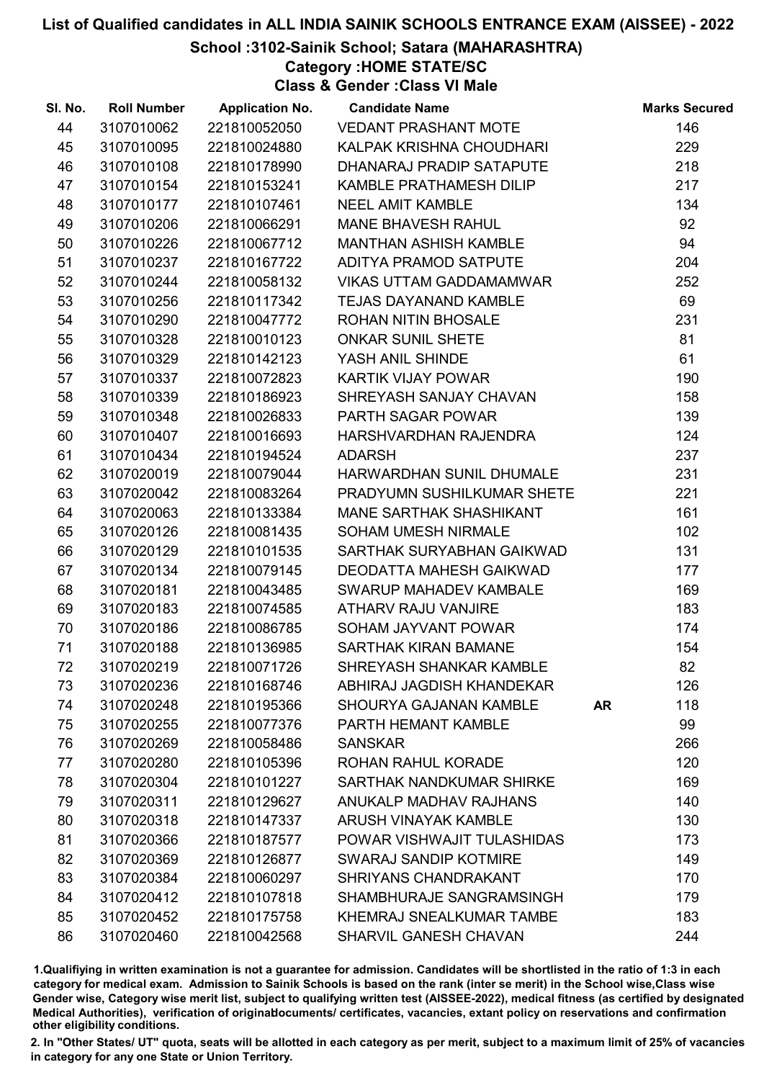## School :3102-Sainik School; Satara (MAHARASHTRA)

Category :HOME STATE/SC

Class & Gender :Class VI Male

| SI. No. | <b>Roll Number</b> | <b>Application No.</b> | <b>Candidate Name</b>           |           | <b>Marks Secured</b> |
|---------|--------------------|------------------------|---------------------------------|-----------|----------------------|
| 44      | 3107010062         | 221810052050           | <b>VEDANT PRASHANT MOTE</b>     |           | 146                  |
| 45      | 3107010095         | 221810024880           | KALPAK KRISHNA CHOUDHARI        |           | 229                  |
| 46      | 3107010108         | 221810178990           | DHANARAJ PRADIP SATAPUTE        |           | 218                  |
| 47      | 3107010154         | 221810153241           | KAMBLE PRATHAMESH DILIP         |           | 217                  |
| 48      | 3107010177         | 221810107461           | <b>NEEL AMIT KAMBLE</b>         |           | 134                  |
| 49      | 3107010206         | 221810066291           | <b>MANE BHAVESH RAHUL</b>       |           | 92                   |
| 50      | 3107010226         | 221810067712           | <b>MANTHAN ASHISH KAMBLE</b>    |           | 94                   |
| 51      | 3107010237         | 221810167722           | <b>ADITYA PRAMOD SATPUTE</b>    |           | 204                  |
| 52      | 3107010244         | 221810058132           | <b>VIKAS UTTAM GADDAMAMWAR</b>  |           | 252                  |
| 53      | 3107010256         | 221810117342           | <b>TEJAS DAYANAND KAMBLE</b>    |           | 69                   |
| 54      | 3107010290         | 221810047772           | <b>ROHAN NITIN BHOSALE</b>      |           | 231                  |
| 55      | 3107010328         | 221810010123           | <b>ONKAR SUNIL SHETE</b>        |           | 81                   |
| 56      | 3107010329         | 221810142123           | YASH ANIL SHINDE                |           | 61                   |
| 57      | 3107010337         | 221810072823           | <b>KARTIK VIJAY POWAR</b>       |           | 190                  |
| 58      | 3107010339         | 221810186923           | SHREYASH SANJAY CHAVAN          |           | 158                  |
| 59      | 3107010348         | 221810026833           | PARTH SAGAR POWAR               |           | 139                  |
| 60      | 3107010407         | 221810016693           | HARSHVARDHAN RAJENDRA           |           | 124                  |
| 61      | 3107010434         | 221810194524           | <b>ADARSH</b>                   |           | 237                  |
| 62      | 3107020019         | 221810079044           | HARWARDHAN SUNIL DHUMALE        |           | 231                  |
| 63      | 3107020042         | 221810083264           | PRADYUMN SUSHILKUMAR SHETE      |           | 221                  |
| 64      | 3107020063         | 221810133384           | MANE SARTHAK SHASHIKANT         |           | 161                  |
| 65      | 3107020126         | 221810081435           | <b>SOHAM UMESH NIRMALE</b>      |           | 102                  |
| 66      | 3107020129         | 221810101535           | SARTHAK SURYABHAN GAIKWAD       |           | 131                  |
| 67      | 3107020134         | 221810079145           | <b>DEODATTA MAHESH GAIKWAD</b>  |           | 177                  |
| 68      | 3107020181         | 221810043485           | SWARUP MAHADEV KAMBALE          |           | 169                  |
| 69      | 3107020183         | 221810074585           | <b>ATHARV RAJU VANJIRE</b>      |           | 183                  |
| 70      | 3107020186         | 221810086785           | SOHAM JAYVANT POWAR             |           | 174                  |
| 71      | 3107020188         | 221810136985           | <b>SARTHAK KIRAN BAMANE</b>     |           | 154                  |
| 72      | 3107020219         | 221810071726           | SHREYASH SHANKAR KAMBLE         |           | 82                   |
| 73      | 3107020236         | 221810168746           | ABHIRAJ JAGDISH KHANDEKAR       |           | 126                  |
| 74      | 3107020248         | 221810195366           | <b>SHOURYA GAJANAN KAMBLE</b>   | <b>AR</b> | 118                  |
| 75      | 3107020255         | 221810077376           | PARTH HEMANT KAMBLE             |           | 99                   |
| 76      | 3107020269         | 221810058486           | <b>SANSKAR</b>                  |           | 266                  |
| 77      | 3107020280         | 221810105396           | ROHAN RAHUL KORADE              |           | 120                  |
| 78      | 3107020304         | 221810101227           | SARTHAK NANDKUMAR SHIRKE        |           | 169                  |
| 79      | 3107020311         | 221810129627           | <b>ANUKALP MADHAV RAJHANS</b>   |           | 140                  |
| 80      | 3107020318         | 221810147337           | <b>ARUSH VINAYAK KAMBLE</b>     |           | 130                  |
| 81      | 3107020366         | 221810187577           | POWAR VISHWAJIT TULASHIDAS      |           | 173                  |
| 82      | 3107020369         | 221810126877           | <b>SWARAJ SANDIP KOTMIRE</b>    |           | 149                  |
| 83      | 3107020384         | 221810060297           | <b>SHRIYANS CHANDRAKANT</b>     |           | 170                  |
| 84      | 3107020412         | 221810107818           | SHAMBHURAJE SANGRAMSINGH        |           | 179                  |
| 85      | 3107020452         | 221810175758           | <b>KHEMRAJ SNEALKUMAR TAMBE</b> |           | 183                  |
| 86      | 3107020460         | 221810042568           | SHARVIL GANESH CHAVAN           |           | 244                  |

1.Qualifiying in written examination is not a guarantee for admission. Candidates will be shortlisted in the ratio of 1:3 in each category for medical exam. Admission to Sainik Schools is based on the rank (inter se merit) in the School wise,Class wise Gender wise, Category wise merit list, subject to qualifying written test (AISSEE-2022), medical fitness (as certified by designated Medical Authorities), verification of originablocuments/ certificates, vacancies, extant policy on reservations and confirmation other eligibility conditions.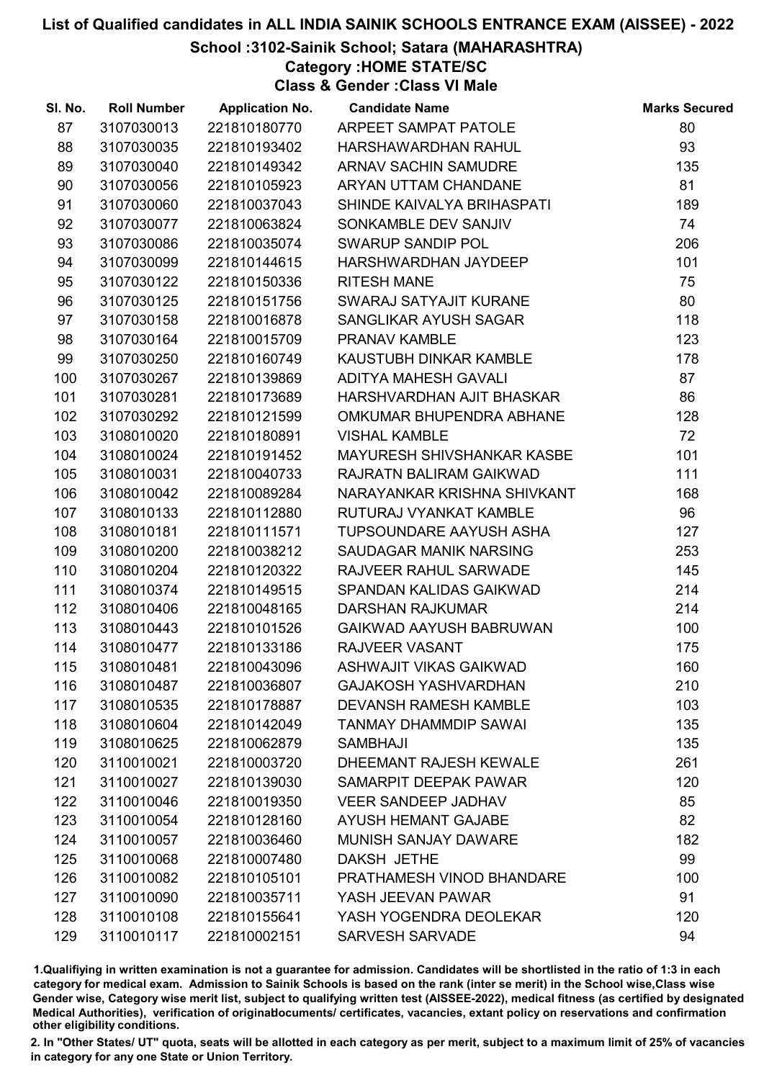#### School :3102-Sainik School; Satara (MAHARASHTRA)

Category :HOME STATE/SC

Class & Gender :Class VI Male

| SI. No. | <b>Roll Number</b> | <b>Application No.</b> | <b>Candidate Name</b>          | <b>Marks Secured</b> |
|---------|--------------------|------------------------|--------------------------------|----------------------|
| 87      | 3107030013         | 221810180770           | ARPEET SAMPAT PATOLE           | 80                   |
| 88      | 3107030035         | 221810193402           | HARSHAWARDHAN RAHUL            | 93                   |
| 89      | 3107030040         | 221810149342           | ARNAV SACHIN SAMUDRE           | 135                  |
| 90      | 3107030056         | 221810105923           | ARYAN UTTAM CHANDANE           | 81                   |
| 91      | 3107030060         | 221810037043           | SHINDE KAIVALYA BRIHASPATI     | 189                  |
| 92      | 3107030077         | 221810063824           | SONKAMBLE DEV SANJIV           | 74                   |
| 93      | 3107030086         | 221810035074           | SWARUP SANDIP POL              | 206                  |
| 94      | 3107030099         | 221810144615           | HARSHWARDHAN JAYDEEP           | 101                  |
| 95      | 3107030122         | 221810150336           | <b>RITESH MANE</b>             | 75                   |
| 96      | 3107030125         | 221810151756           | SWARAJ SATYAJIT KURANE         | 80                   |
| 97      | 3107030158         | 221810016878           | SANGLIKAR AYUSH SAGAR          | 118                  |
| 98      | 3107030164         | 221810015709           | <b>PRANAV KAMBLE</b>           | 123                  |
| 99      | 3107030250         | 221810160749           | KAUSTUBH DINKAR KAMBLE         | 178                  |
| 100     | 3107030267         | 221810139869           | <b>ADITYA MAHESH GAVALI</b>    | 87                   |
| 101     | 3107030281         | 221810173689           | HARSHVARDHAN AJIT BHASKAR      | 86                   |
| 102     | 3107030292         | 221810121599           | OMKUMAR BHUPENDRA ABHANE       | 128                  |
| 103     | 3108010020         | 221810180891           | <b>VISHAL KAMBLE</b>           | 72                   |
| 104     | 3108010024         | 221810191452           | MAYURESH SHIVSHANKAR KASBE     | 101                  |
| 105     | 3108010031         | 221810040733           | RAJRATN BALIRAM GAIKWAD        | 111                  |
| 106     | 3108010042         | 221810089284           | NARAYANKAR KRISHNA SHIVKANT    | 168                  |
| 107     | 3108010133         | 221810112880           | RUTURAJ VYANKAT KAMBLE         | 96                   |
| 108     | 3108010181         | 221810111571           | TUPSOUNDARE AAYUSH ASHA        | 127                  |
| 109     | 3108010200         | 221810038212           | SAUDAGAR MANIK NARSING         | 253                  |
| 110     | 3108010204         | 221810120322           | RAJVEER RAHUL SARWADE          | 145                  |
| 111     | 3108010374         | 221810149515           | SPANDAN KALIDAS GAIKWAD        | 214                  |
| 112     | 3108010406         | 221810048165           | <b>DARSHAN RAJKUMAR</b>        | 214                  |
| 113     | 3108010443         | 221810101526           | <b>GAIKWAD AAYUSH BABRUWAN</b> | 100                  |
| 114     | 3108010477         | 221810133186           | RAJVEER VASANT                 | 175                  |
| 115     | 3108010481         | 221810043096           | ASHWAJIT VIKAS GAIKWAD         | 160                  |
| 116     | 3108010487         | 221810036807           | <b>GAJAKOSH YASHVARDHAN</b>    | 210                  |
| 117     | 3108010535         | 221810178887           | <b>DEVANSH RAMESH KAMBLE</b>   | 103                  |
| 118     | 3108010604         | 221810142049           | TANMAY DHAMMDIP SAWAI          | 135                  |
| 119     | 3108010625         | 221810062879           | <b>SAMBHAJI</b>                | 135                  |
| 120     | 3110010021         | 221810003720           | DHEEMANT RAJESH KEWALE         | 261                  |
| 121     | 3110010027         | 221810139030           | SAMARPIT DEEPAK PAWAR          | 120                  |
| 122     | 3110010046         | 221810019350           | <b>VEER SANDEEP JADHAV</b>     | 85                   |
| 123     | 3110010054         | 221810128160           | <b>AYUSH HEMANT GAJABE</b>     | 82                   |
| 124     | 3110010057         | 221810036460           | MUNISH SANJAY DAWARE           | 182                  |
| 125     | 3110010068         | 221810007480           | DAKSH JETHE                    | 99                   |
| 126     | 3110010082         | 221810105101           | PRATHAMESH VINOD BHANDARE      | 100                  |
| 127     | 3110010090         | 221810035711           | YASH JEEVAN PAWAR              | 91                   |
| 128     | 3110010108         | 221810155641           | YASH YOGENDRA DEOLEKAR         | 120                  |
| 129     | 3110010117         | 221810002151           | <b>SARVESH SARVADE</b>         | 94                   |

1.Qualifiying in written examination is not a guarantee for admission. Candidates will be shortlisted in the ratio of 1:3 in each category for medical exam. Admission to Sainik Schools is based on the rank (inter se merit) in the School wise,Class wise Gender wise, Category wise merit list, subject to qualifying written test (AISSEE-2022), medical fitness (as certified by designated Medical Authorities), verification of originablocuments/ certificates, vacancies, extant policy on reservations and confirmation other eligibility conditions.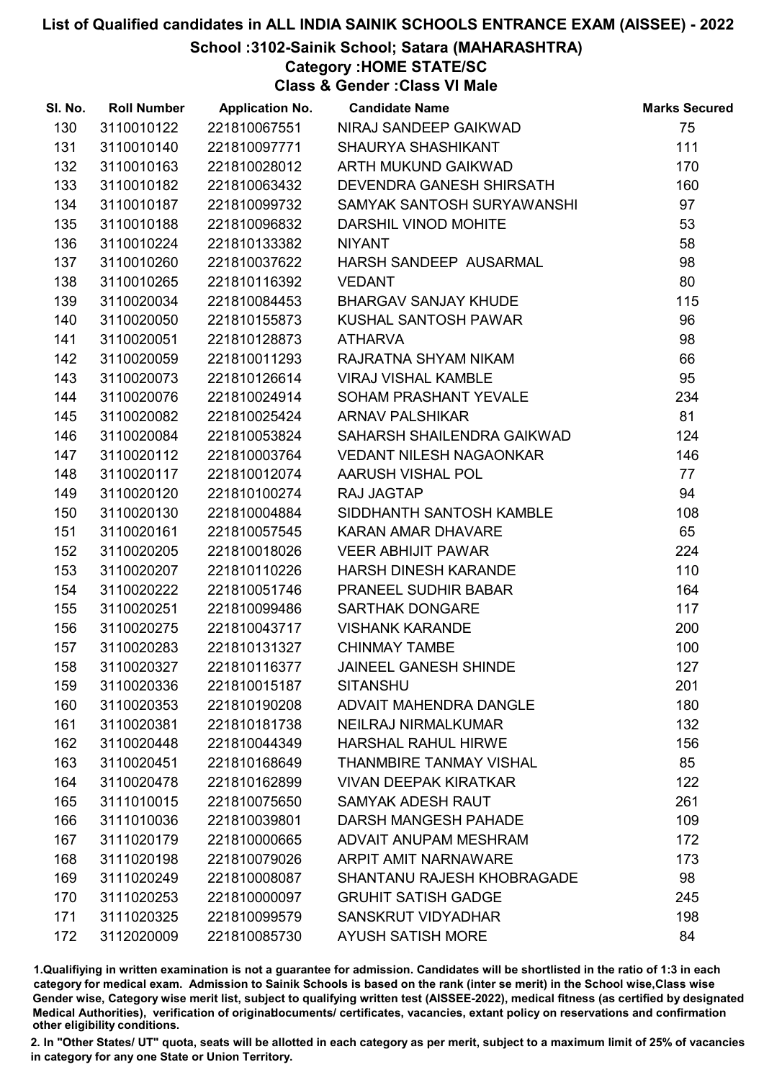School :3102-Sainik School; Satara (MAHARASHTRA)

Category :HOME STATE/SC

Class & Gender :Class VI Male

| SI. No. | <b>Roll Number</b> | <b>Application No.</b> | <b>Candidate Name</b>          | <b>Marks Secured</b> |
|---------|--------------------|------------------------|--------------------------------|----------------------|
| 130     | 3110010122         | 221810067551           | NIRAJ SANDEEP GAIKWAD          | 75                   |
| 131     | 3110010140         | 221810097771           | <b>SHAURYA SHASHIKANT</b>      | 111                  |
| 132     | 3110010163         | 221810028012           | ARTH MUKUND GAIKWAD            | 170                  |
| 133     | 3110010182         | 221810063432           | DEVENDRA GANESH SHIRSATH       | 160                  |
| 134     | 3110010187         | 221810099732           | SAMYAK SANTOSH SURYAWANSHI     | 97                   |
| 135     | 3110010188         | 221810096832           | DARSHIL VINOD MOHITE           | 53                   |
| 136     | 3110010224         | 221810133382           | <b>NIYANT</b>                  | 58                   |
| 137     | 3110010260         | 221810037622           | HARSH SANDEEP AUSARMAL         | 98                   |
| 138     | 3110010265         | 221810116392           | <b>VEDANT</b>                  | 80                   |
| 139     | 3110020034         | 221810084453           | <b>BHARGAV SANJAY KHUDE</b>    | 115                  |
| 140     | 3110020050         | 221810155873           | KUSHAL SANTOSH PAWAR           | 96                   |
| 141     | 3110020051         | 221810128873           | <b>ATHARVA</b>                 | 98                   |
| 142     | 3110020059         | 221810011293           | RAJRATNA SHYAM NIKAM           | 66                   |
| 143     | 3110020073         | 221810126614           | <b>VIRAJ VISHAL KAMBLE</b>     | 95                   |
| 144     | 3110020076         | 221810024914           | SOHAM PRASHANT YEVALE          | 234                  |
| 145     | 3110020082         | 221810025424           | <b>ARNAV PALSHIKAR</b>         | 81                   |
| 146     | 3110020084         | 221810053824           | SAHARSH SHAILENDRA GAIKWAD     | 124                  |
| 147     | 3110020112         | 221810003764           | <b>VEDANT NILESH NAGAONKAR</b> | 146                  |
| 148     | 3110020117         | 221810012074           | AARUSH VISHAL POL              | 77                   |
| 149     | 3110020120         | 221810100274           | RAJ JAGTAP                     | 94                   |
| 150     | 3110020130         | 221810004884           | SIDDHANTH SANTOSH KAMBLE       | 108                  |
| 151     | 3110020161         | 221810057545           | KARAN AMAR DHAVARE             | 65                   |
| 152     | 3110020205         | 221810018026           | <b>VEER ABHIJIT PAWAR</b>      | 224                  |
| 153     | 3110020207         | 221810110226           | HARSH DINESH KARANDE           | 110                  |
| 154     | 3110020222         | 221810051746           | PRANEEL SUDHIR BABAR           | 164                  |
| 155     | 3110020251         | 221810099486           | SARTHAK DONGARE                | 117                  |
| 156     | 3110020275         | 221810043717           | <b>VISHANK KARANDE</b>         | 200                  |
| 157     | 3110020283         | 221810131327           | <b>CHINMAY TAMBE</b>           | 100                  |
| 158     | 3110020327         | 221810116377           | <b>JAINEEL GANESH SHINDE</b>   | 127                  |
| 159     | 3110020336         | 221810015187           | <b>SITANSHU</b>                | 201                  |
| 160     | 3110020353         | 221810190208           | ADVAIT MAHENDRA DANGLE         | 180                  |
| 161     | 3110020381         | 221810181738           | <b>NEILRAJ NIRMALKUMAR</b>     | 132                  |
| 162     | 3110020448         | 221810044349           | <b>HARSHAL RAHUL HIRWE</b>     | 156                  |
| 163     | 3110020451         | 221810168649           | <b>THANMBIRE TANMAY VISHAL</b> | 85                   |
| 164     | 3110020478         | 221810162899           | <b>VIVAN DEEPAK KIRATKAR</b>   | 122                  |
| 165     | 3111010015         | 221810075650           | <b>SAMYAK ADESH RAUT</b>       | 261                  |
| 166     | 3111010036         | 221810039801           | DARSH MANGESH PAHADE           | 109                  |
| 167     | 3111020179         | 221810000665           | ADVAIT ANUPAM MESHRAM          | 172                  |
| 168     | 3111020198         | 221810079026           | <b>ARPIT AMIT NARNAWARE</b>    | 173                  |
| 169     | 3111020249         | 221810008087           | SHANTANU RAJESH KHOBRAGADE     | 98                   |
| 170     | 3111020253         | 221810000097           | <b>GRUHIT SATISH GADGE</b>     | 245                  |
| 171     | 3111020325         | 221810099579           | SANSKRUT VIDYADHAR             | 198                  |
| 172     | 3112020009         | 221810085730           | <b>AYUSH SATISH MORE</b>       | 84                   |

1.Qualifiying in written examination is not a guarantee for admission. Candidates will be shortlisted in the ratio of 1:3 in each category for medical exam. Admission to Sainik Schools is based on the rank (inter se merit) in the School wise,Class wise Gender wise, Category wise merit list, subject to qualifying written test (AISSEE-2022), medical fitness (as certified by designated Medical Authorities), verification of originablocuments/ certificates, vacancies, extant policy on reservations and confirmation other eligibility conditions.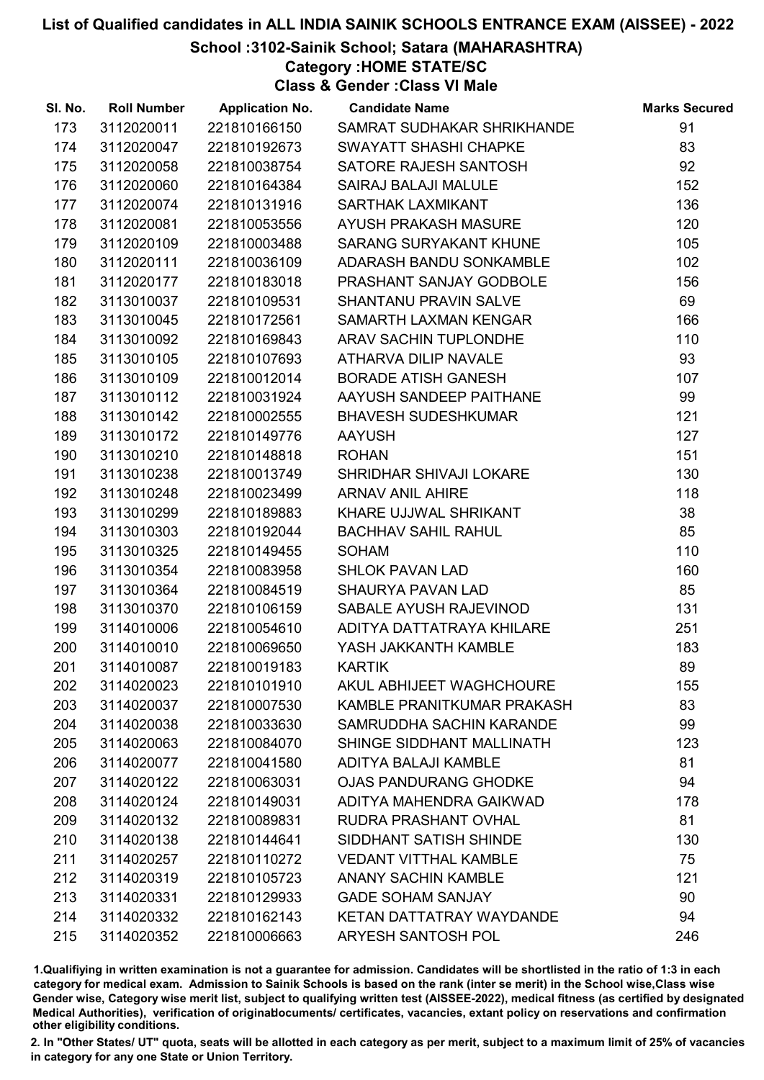## School :3102-Sainik School; Satara (MAHARASHTRA)

Category :HOME STATE/SC

Class & Gender :Class VI Male

| SI. No. | <b>Roll Number</b> | <b>Application No.</b> | <b>Candidate Name</b>           | <b>Marks Secured</b> |
|---------|--------------------|------------------------|---------------------------------|----------------------|
| 173     | 3112020011         | 221810166150           | SAMRAT SUDHAKAR SHRIKHANDE      | 91                   |
| 174     | 3112020047         | 221810192673           | SWAYATT SHASHI CHAPKE           | 83                   |
| 175     | 3112020058         | 221810038754           | SATORE RAJESH SANTOSH           | 92                   |
| 176     | 3112020060         | 221810164384           | <b>SAIRAJ BALAJI MALULE</b>     | 152                  |
| 177     | 3112020074         | 221810131916           | <b>SARTHAK LAXMIKANT</b>        | 136                  |
| 178     | 3112020081         | 221810053556           | <b>AYUSH PRAKASH MASURE</b>     | 120                  |
| 179     | 3112020109         | 221810003488           | SARANG SURYAKANT KHUNE          | 105                  |
| 180     | 3112020111         | 221810036109           | ADARASH BANDU SONKAMBLE         | 102                  |
| 181     | 3112020177         | 221810183018           | PRASHANT SANJAY GODBOLE         | 156                  |
| 182     | 3113010037         | 221810109531           | <b>SHANTANU PRAVIN SALVE</b>    | 69                   |
| 183     | 3113010045         | 221810172561           | <b>SAMARTH LAXMAN KENGAR</b>    | 166                  |
| 184     | 3113010092         | 221810169843           | ARAV SACHIN TUPLONDHE           | 110                  |
| 185     | 3113010105         | 221810107693           | ATHARVA DILIP NAVALE            | 93                   |
| 186     | 3113010109         | 221810012014           | <b>BORADE ATISH GANESH</b>      | 107                  |
| 187     | 3113010112         | 221810031924           | AAYUSH SANDEEP PAITHANE         | 99                   |
| 188     | 3113010142         | 221810002555           | <b>BHAVESH SUDESHKUMAR</b>      | 121                  |
| 189     | 3113010172         | 221810149776           | <b>AAYUSH</b>                   | 127                  |
| 190     | 3113010210         | 221810148818           | <b>ROHAN</b>                    | 151                  |
| 191     | 3113010238         | 221810013749           | SHRIDHAR SHIVAJI LOKARE         | 130                  |
| 192     | 3113010248         | 221810023499           | <b>ARNAV ANIL AHIRE</b>         | 118                  |
| 193     | 3113010299         | 221810189883           | KHARE UJJWAL SHRIKANT           | 38                   |
| 194     | 3113010303         | 221810192044           | <b>BACHHAV SAHIL RAHUL</b>      | 85                   |
| 195     | 3113010325         | 221810149455           | <b>SOHAM</b>                    | 110                  |
| 196     | 3113010354         | 221810083958           | <b>SHLOK PAVAN LAD</b>          | 160                  |
| 197     | 3113010364         | 221810084519           | SHAURYA PAVAN LAD               | 85                   |
| 198     | 3113010370         | 221810106159           | SABALE AYUSH RAJEVINOD          | 131                  |
| 199     | 3114010006         | 221810054610           | ADITYA DATTATRAYA KHILARE       | 251                  |
| 200     | 3114010010         | 221810069650           | YASH JAKKANTH KAMBLE            | 183                  |
| 201     | 3114010087         | 221810019183           | <b>KARTIK</b>                   | 89                   |
| 202     | 3114020023         | 221810101910           | <b>AKUL ABHIJEET WAGHCHOURE</b> | 155                  |
| 203     | 3114020037         | 221810007530           | KAMBLE PRANITKUMAR PRAKASH      | 83                   |
| 204     | 3114020038         | 221810033630           | <b>SAMRUDDHA SACHIN KARANDE</b> | 99                   |
| 205     | 3114020063         | 221810084070           | SHINGE SIDDHANT MALLINATH       | 123                  |
| 206     | 3114020077         | 221810041580           | <b>ADITYA BALAJI KAMBLE</b>     | 81                   |
| 207     | 3114020122         | 221810063031           | <b>OJAS PANDURANG GHODKE</b>    | 94                   |
| 208     | 3114020124         | 221810149031           | ADITYA MAHENDRA GAIKWAD         | 178                  |
| 209     | 3114020132         | 221810089831           | RUDRA PRASHANT OVHAL            | 81                   |
| 210     | 3114020138         | 221810144641           | SIDDHANT SATISH SHINDE          | 130                  |
| 211     | 3114020257         | 221810110272           | <b>VEDANT VITTHAL KAMBLE</b>    | 75                   |
| 212     | 3114020319         | 221810105723           | <b>ANANY SACHIN KAMBLE</b>      | 121                  |
| 213     | 3114020331         | 221810129933           | <b>GADE SOHAM SANJAY</b>        | 90                   |
| 214     | 3114020332         | 221810162143           | KETAN DATTATRAY WAYDANDE        | 94                   |
| 215     | 3114020352         | 221810006663           | ARYESH SANTOSH POL              | 246                  |

1.Qualifiying in written examination is not a guarantee for admission. Candidates will be shortlisted in the ratio of 1:3 in each category for medical exam. Admission to Sainik Schools is based on the rank (inter se merit) in the School wise,Class wise Gender wise, Category wise merit list, subject to qualifying written test (AISSEE-2022), medical fitness (as certified by designated Medical Authorities), verification of originablocuments/ certificates, vacancies, extant policy on reservations and confirmation other eligibility conditions.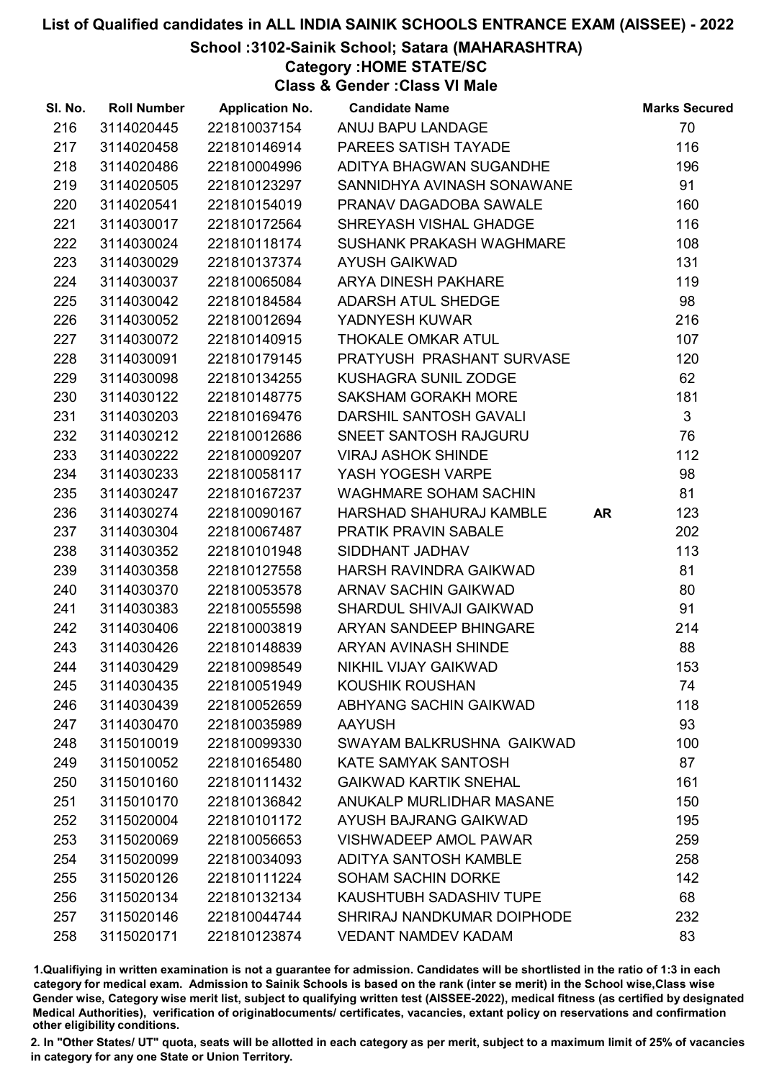#### School :3102-Sainik School; Satara (MAHARASHTRA)

Category :HOME STATE/SC

Class & Gender :Class VI Male

| SI. No. | <b>Roll Number</b> | <b>Application No.</b> | <b>Candidate Name</b>        |           | <b>Marks Secured</b> |
|---------|--------------------|------------------------|------------------------------|-----------|----------------------|
| 216     | 3114020445         | 221810037154           | ANUJ BAPU LANDAGE            |           | 70                   |
| 217     | 3114020458         | 221810146914           | PAREES SATISH TAYADE         |           | 116                  |
| 218     | 3114020486         | 221810004996           | ADITYA BHAGWAN SUGANDHE      |           | 196                  |
| 219     | 3114020505         | 221810123297           | SANNIDHYA AVINASH SONAWANE   |           | 91                   |
| 220     | 3114020541         | 221810154019           | PRANAV DAGADOBA SAWALE       |           | 160                  |
| 221     | 3114030017         | 221810172564           | SHREYASH VISHAL GHADGE       |           | 116                  |
| 222     | 3114030024         | 221810118174           | SUSHANK PRAKASH WAGHMARE     |           | 108                  |
| 223     | 3114030029         | 221810137374           | <b>AYUSH GAIKWAD</b>         |           | 131                  |
| 224     | 3114030037         | 221810065084           | ARYA DINESH PAKHARE          |           | 119                  |
| 225     | 3114030042         | 221810184584           | <b>ADARSH ATUL SHEDGE</b>    |           | 98                   |
| 226     | 3114030052         | 221810012694           | YADNYESH KUWAR               |           | 216                  |
| 227     | 3114030072         | 221810140915           | THOKALE OMKAR ATUL           |           | 107                  |
| 228     | 3114030091         | 221810179145           | PRATYUSH PRASHANT SURVASE    |           | 120                  |
| 229     | 3114030098         | 221810134255           | <b>KUSHAGRA SUNIL ZODGE</b>  |           | 62                   |
| 230     | 3114030122         | 221810148775           | <b>SAKSHAM GORAKH MORE</b>   |           | 181                  |
| 231     | 3114030203         | 221810169476           | DARSHIL SANTOSH GAVALI       |           | $\mathbf{3}$         |
| 232     | 3114030212         | 221810012686           | SNEET SANTOSH RAJGURU        |           | 76                   |
| 233     | 3114030222         | 221810009207           | <b>VIRAJ ASHOK SHINDE</b>    |           | 112                  |
| 234     | 3114030233         | 221810058117           | YASH YOGESH VARPE            |           | 98                   |
| 235     | 3114030247         | 221810167237           | <b>WAGHMARE SOHAM SACHIN</b> |           | 81                   |
| 236     | 3114030274         | 221810090167           | HARSHAD SHAHURAJ KAMBLE      | <b>AR</b> | 123                  |
| 237     | 3114030304         | 221810067487           | PRATIK PRAVIN SABALE         |           | 202                  |
| 238     | 3114030352         | 221810101948           | SIDDHANT JADHAV              |           | 113                  |
| 239     | 3114030358         | 221810127558           | HARSH RAVINDRA GAIKWAD       |           | 81                   |
| 240     | 3114030370         | 221810053578           | ARNAV SACHIN GAIKWAD         |           | 80                   |
| 241     | 3114030383         | 221810055598           | SHARDUL SHIVAJI GAIKWAD      |           | 91                   |
| 242     | 3114030406         | 221810003819           | ARYAN SANDEEP BHINGARE       |           | 214                  |
| 243     | 3114030426         | 221810148839           | ARYAN AVINASH SHINDE         |           | 88                   |
| 244     | 3114030429         | 221810098549           | NIKHIL VIJAY GAIKWAD         |           | 153                  |
| 245     | 3114030435         | 221810051949           | <b>KOUSHIK ROUSHAN</b>       |           | 74                   |
| 246     | 3114030439         | 221810052659           | ABHYANG SACHIN GAIKWAD       |           | 118                  |
| 247     | 3114030470         | 221810035989           | <b>AAYUSH</b>                |           | 93                   |
| 248     | 3115010019         | 221810099330           | SWAYAM BALKRUSHNA GAIKWAD    |           | 100                  |
| 249     | 3115010052         | 221810165480           | KATE SAMYAK SANTOSH          |           | 87                   |
| 250     | 3115010160         | 221810111432           | <b>GAIKWAD KARTIK SNEHAL</b> |           | 161                  |
| 251     | 3115010170         | 221810136842           | ANUKALP MURLIDHAR MASANE     |           | 150                  |
| 252     | 3115020004         | 221810101172           | AYUSH BAJRANG GAIKWAD        |           | 195                  |
| 253     | 3115020069         | 221810056653           | <b>VISHWADEEP AMOL PAWAR</b> |           | 259                  |
| 254     | 3115020099         | 221810034093           | ADITYA SANTOSH KAMBLE        |           | 258                  |
| 255     | 3115020126         | 221810111224           | <b>SOHAM SACHIN DORKE</b>    |           | 142                  |
| 256     | 3115020134         | 221810132134           | KAUSHTUBH SADASHIV TUPE      |           | 68                   |
| 257     | 3115020146         | 221810044744           | SHRIRAJ NANDKUMAR DOIPHODE   |           | 232                  |
| 258     | 3115020171         | 221810123874           | <b>VEDANT NAMDEV KADAM</b>   |           | 83                   |

1.Qualifiying in written examination is not a guarantee for admission. Candidates will be shortlisted in the ratio of 1:3 in each category for medical exam. Admission to Sainik Schools is based on the rank (inter se merit) in the School wise,Class wise Gender wise, Category wise merit list, subject to qualifying written test (AISSEE-2022), medical fitness (as certified by designated Medical Authorities), verification of originablocuments/ certificates, vacancies, extant policy on reservations and confirmation other eligibility conditions.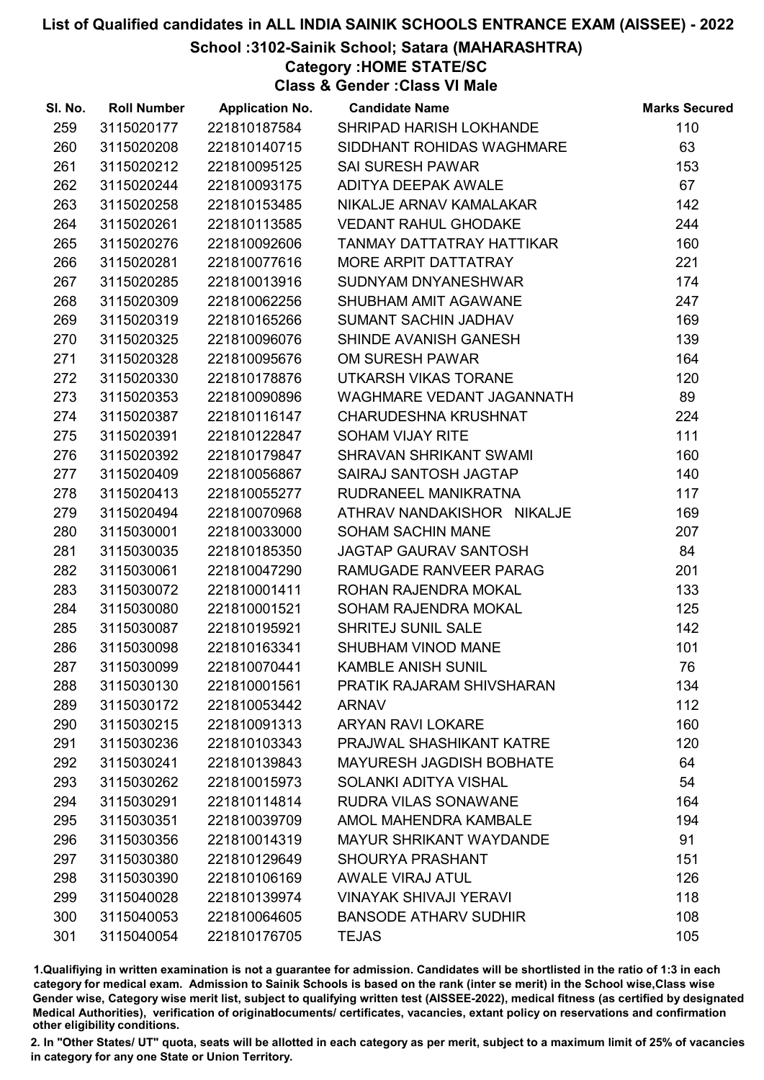#### School :3102-Sainik School; Satara (MAHARASHTRA)

Category :HOME STATE/SC

Class & Gender :Class VI Male

| SI. No. | <b>Roll Number</b> | <b>Application No.</b> | <b>Candidate Name</b>           | <b>Marks Secured</b> |
|---------|--------------------|------------------------|---------------------------------|----------------------|
| 259     | 3115020177         | 221810187584           | SHRIPAD HARISH LOKHANDE         | 110                  |
| 260     | 3115020208         | 221810140715           | SIDDHANT ROHIDAS WAGHMARE       | 63                   |
| 261     | 3115020212         | 221810095125           | <b>SAI SURESH PAWAR</b>         | 153                  |
| 262     | 3115020244         | 221810093175           | ADITYA DEEPAK AWALE             | 67                   |
| 263     | 3115020258         | 221810153485           | NIKALJE ARNAV KAMALAKAR         | 142                  |
| 264     | 3115020261         | 221810113585           | <b>VEDANT RAHUL GHODAKE</b>     | 244                  |
| 265     | 3115020276         | 221810092606           | TANMAY DATTATRAY HATTIKAR       | 160                  |
| 266     | 3115020281         | 221810077616           | MORE ARPIT DATTATRAY            | 221                  |
| 267     | 3115020285         | 221810013916           | SUDNYAM DNYANESHWAR             | 174                  |
| 268     | 3115020309         | 221810062256           | SHUBHAM AMIT AGAWANE            | 247                  |
| 269     | 3115020319         | 221810165266           | SUMANT SACHIN JADHAV            | 169                  |
| 270     | 3115020325         | 221810096076           | SHINDE AVANISH GANESH           | 139                  |
| 271     | 3115020328         | 221810095676           | OM SURESH PAWAR                 | 164                  |
| 272     | 3115020330         | 221810178876           | UTKARSH VIKAS TORANE            | 120                  |
| 273     | 3115020353         | 221810090896           | WAGHMARE VEDANT JAGANNATH       | 89                   |
| 274     | 3115020387         | 221810116147           | <b>CHARUDESHNA KRUSHNAT</b>     | 224                  |
| 275     | 3115020391         | 221810122847           | <b>SOHAM VIJAY RITE</b>         | 111                  |
| 276     | 3115020392         | 221810179847           | SHRAVAN SHRIKANT SWAMI          | 160                  |
| 277     | 3115020409         | 221810056867           | SAIRAJ SANTOSH JAGTAP           | 140                  |
| 278     | 3115020413         | 221810055277           | RUDRANEEL MANIKRATNA            | 117                  |
| 279     | 3115020494         | 221810070968           | ATHRAV NANDAKISHOR NIKALJE      | 169                  |
| 280     | 3115030001         | 221810033000           | <b>SOHAM SACHIN MANE</b>        | 207                  |
| 281     | 3115030035         | 221810185350           | <b>JAGTAP GAURAV SANTOSH</b>    | 84                   |
| 282     | 3115030061         | 221810047290           | RAMUGADE RANVEER PARAG          | 201                  |
| 283     | 3115030072         | 221810001411           | ROHAN RAJENDRA MOKAL            | 133                  |
| 284     | 3115030080         | 221810001521           | SOHAM RAJENDRA MOKAL            | 125                  |
| 285     | 3115030087         | 221810195921           | SHRITEJ SUNIL SALE              | 142                  |
| 286     | 3115030098         | 221810163341           | SHUBHAM VINOD MANE              | 101                  |
| 287     | 3115030099         | 221810070441           | <b>KAMBLE ANISH SUNIL</b>       | 76                   |
| 288     | 3115030130         | 221810001561           | PRATIK RAJARAM SHIVSHARAN       | 134                  |
| 289     | 3115030172         | 221810053442           | <b>ARNAV</b>                    | 112                  |
| 290     | 3115030215         | 221810091313           | <b>ARYAN RAVI LOKARE</b>        | 160                  |
| 291     | 3115030236         | 221810103343           | PRAJWAL SHASHIKANT KATRE        | 120                  |
| 292     | 3115030241         | 221810139843           | <b>MAYURESH JAGDISH BOBHATE</b> | 64                   |
| 293     | 3115030262         | 221810015973           | SOLANKI ADITYA VISHAL           | 54                   |
| 294     | 3115030291         | 221810114814           | RUDRA VILAS SONAWANE            | 164                  |
| 295     | 3115030351         | 221810039709           | AMOL MAHENDRA KAMBALE           | 194                  |
| 296     | 3115030356         | 221810014319           | <b>MAYUR SHRIKANT WAYDANDE</b>  | 91                   |
| 297     | 3115030380         | 221810129649           | <b>SHOURYA PRASHANT</b>         | 151                  |
| 298     | 3115030390         | 221810106169           | <b>AWALE VIRAJ ATUL</b>         | 126                  |
| 299     | 3115040028         | 221810139974           | <b>VINAYAK SHIVAJI YERAVI</b>   | 118                  |
| 300     | 3115040053         | 221810064605           | <b>BANSODE ATHARV SUDHIR</b>    | 108                  |
| 301     | 3115040054         | 221810176705           | <b>TEJAS</b>                    | 105                  |

1.Qualifiying in written examination is not a guarantee for admission. Candidates will be shortlisted in the ratio of 1:3 in each category for medical exam. Admission to Sainik Schools is based on the rank (inter se merit) in the School wise,Class wise Gender wise, Category wise merit list, subject to qualifying written test (AISSEE-2022), medical fitness (as certified by designated Medical Authorities), verification of originablocuments/ certificates, vacancies, extant policy on reservations and confirmation other eligibility conditions.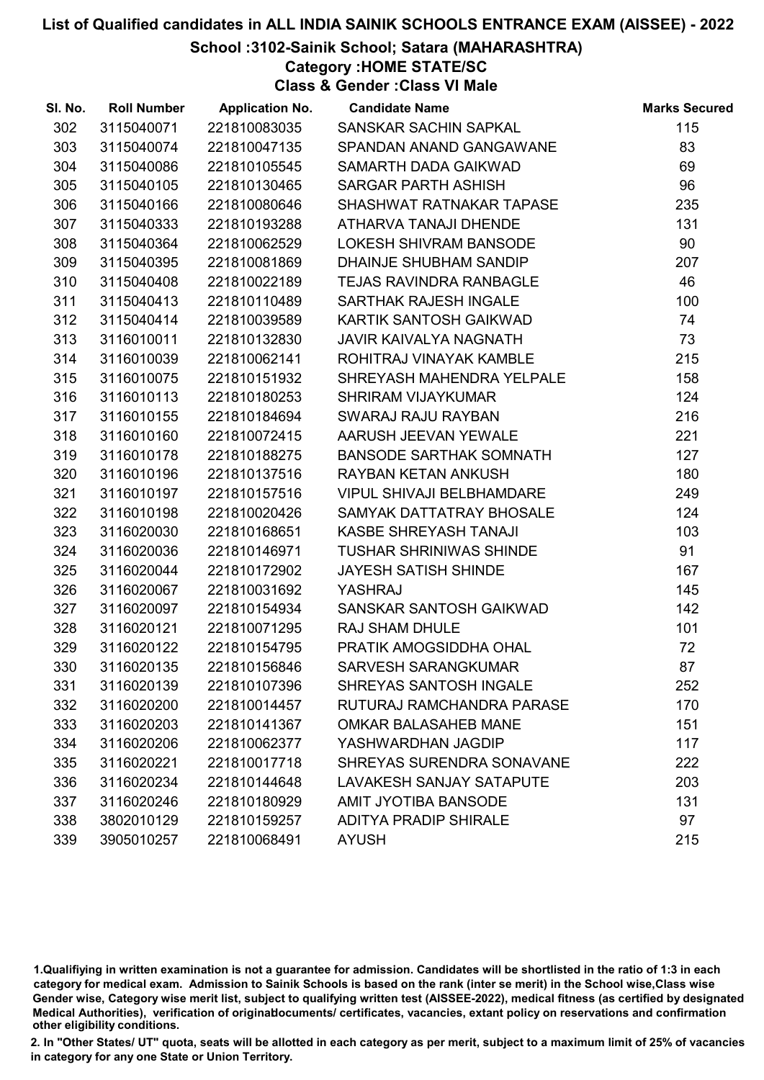#### School :3102-Sainik School; Satara (MAHARASHTRA)

Category :HOME STATE/SC

Class & Gender :Class VI Male

| SI. No. | <b>Roll Number</b> | <b>Application No.</b> | <b>Candidate Name</b>            | <b>Marks Secured</b> |
|---------|--------------------|------------------------|----------------------------------|----------------------|
| 302     | 3115040071         | 221810083035           | SANSKAR SACHIN SAPKAL            | 115                  |
| 303     | 3115040074         | 221810047135           | SPANDAN ANAND GANGAWANE          | 83                   |
| 304     | 3115040086         | 221810105545           | SAMARTH DADA GAIKWAD             | 69                   |
| 305     | 3115040105         | 221810130465           | <b>SARGAR PARTH ASHISH</b>       | 96                   |
| 306     | 3115040166         | 221810080646           | SHASHWAT RATNAKAR TAPASE         | 235                  |
| 307     | 3115040333         | 221810193288           | ATHARVA TANAJI DHENDE            | 131                  |
| 308     | 3115040364         | 221810062529           | LOKESH SHIVRAM BANSODE           | 90                   |
| 309     | 3115040395         | 221810081869           | DHAINJE SHUBHAM SANDIP           | 207                  |
| 310     | 3115040408         | 221810022189           | <b>TEJAS RAVINDRA RANBAGLE</b>   | 46                   |
| 311     | 3115040413         | 221810110489           | SARTHAK RAJESH INGALE            | 100                  |
| 312     | 3115040414         | 221810039589           | KARTIK SANTOSH GAIKWAD           | 74                   |
| 313     | 3116010011         | 221810132830           | <b>JAVIR KAIVALYA NAGNATH</b>    | 73                   |
| 314     | 3116010039         | 221810062141           | ROHITRAJ VINAYAK KAMBLE          | 215                  |
| 315     | 3116010075         | 221810151932           | SHREYASH MAHENDRA YELPALE        | 158                  |
| 316     | 3116010113         | 221810180253           | <b>SHRIRAM VIJAYKUMAR</b>        | 124                  |
| 317     | 3116010155         | 221810184694           | SWARAJ RAJU RAYBAN               | 216                  |
| 318     | 3116010160         | 221810072415           | AARUSH JEEVAN YEWALE             | 221                  |
| 319     | 3116010178         | 221810188275           | <b>BANSODE SARTHAK SOMNATH</b>   | 127                  |
| 320     | 3116010196         | 221810137516           | RAYBAN KETAN ANKUSH              | 180                  |
| 321     | 3116010197         | 221810157516           | <b>VIPUL SHIVAJI BELBHAMDARE</b> | 249                  |
| 322     | 3116010198         | 221810020426           | SAMYAK DATTATRAY BHOSALE         | 124                  |
| 323     | 3116020030         | 221810168651           | KASBE SHREYASH TANAJI            | 103                  |
| 324     | 3116020036         | 221810146971           | <b>TUSHAR SHRINIWAS SHINDE</b>   | 91                   |
| 325     | 3116020044         | 221810172902           | <b>JAYESH SATISH SHINDE</b>      | 167                  |
| 326     | 3116020067         | 221810031692           | YASHRAJ                          | 145                  |
| 327     | 3116020097         | 221810154934           | SANSKAR SANTOSH GAIKWAD          | 142                  |
| 328     | 3116020121         | 221810071295           | RAJ SHAM DHULE                   | 101                  |
| 329     | 3116020122         | 221810154795           | PRATIK AMOGSIDDHA OHAL           | 72                   |
| 330     | 3116020135         | 221810156846           | <b>SARVESH SARANGKUMAR</b>       | 87                   |
| 331     | 3116020139         | 221810107396           | <b>SHREYAS SANTOSH INGALE</b>    | 252                  |
| 332     | 3116020200         | 221810014457           | RUTURAJ RAMCHANDRA PARASE        | 170                  |
| 333     | 3116020203         | 221810141367           | OMKAR BALASAHEB MANE             | 151                  |
| 334     | 3116020206         | 221810062377           | YASHWARDHAN JAGDIP               | 117                  |
| 335     | 3116020221         | 221810017718           | SHREYAS SURENDRA SONAVANE        | 222                  |
| 336     | 3116020234         | 221810144648           | <b>LAVAKESH SANJAY SATAPUTE</b>  | 203                  |
| 337     | 3116020246         | 221810180929           | <b>AMIT JYOTIBA BANSODE</b>      | 131                  |
| 338     | 3802010129         | 221810159257           | <b>ADITYA PRADIP SHIRALE</b>     | 97                   |
| 339     | 3905010257         | 221810068491           | <b>AYUSH</b>                     | 215                  |

1.Qualifiying in written examination is not a guarantee for admission. Candidates will be shortlisted in the ratio of 1:3 in each category for medical exam. Admission to Sainik Schools is based on the rank (inter se merit) in the School wise,Class wise Gender wise, Category wise merit list, subject to qualifying written test (AISSEE-2022), medical fitness (as certified by designated Medical Authorities), verification of originablocuments/ certificates, vacancies, extant policy on reservations and confirmation other eligibility conditions.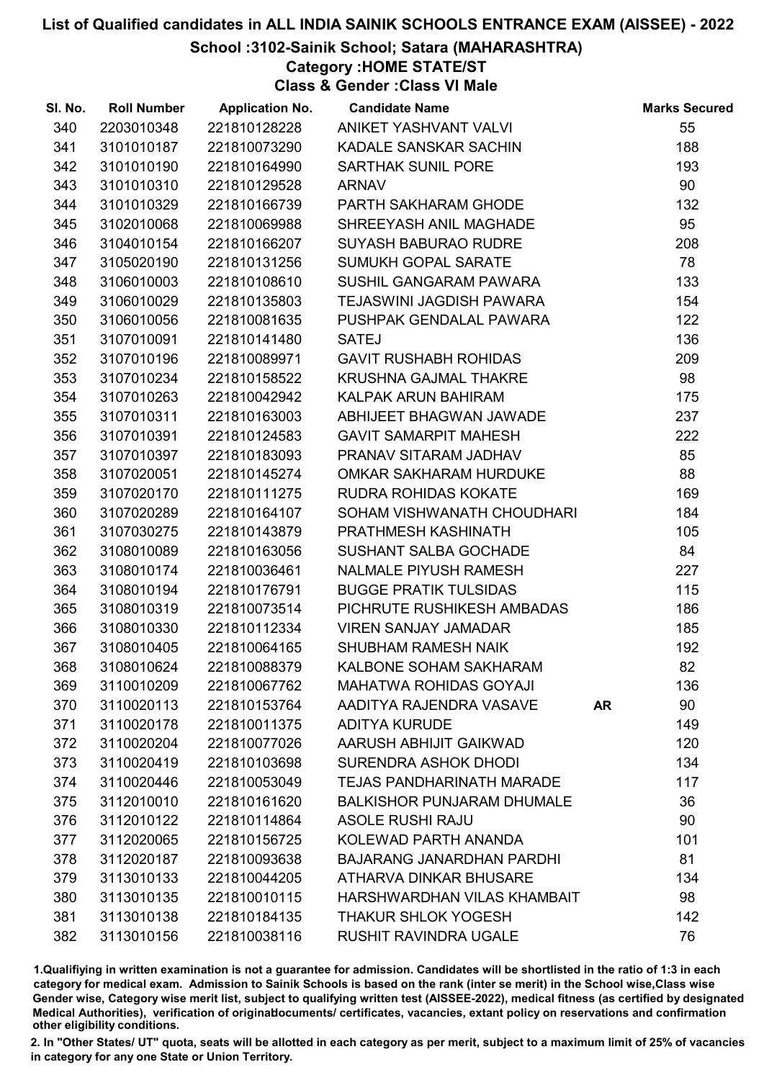## School :3102-Sainik School; Satara (MAHARASHTRA)

# Category :HOME STATE/ST

Class & Gender :Class VI Male

| SI. No. | <b>Roll Number</b> | <b>Application No.</b> | <b>Candidate Name</b>             |           | <b>Marks Secured</b> |
|---------|--------------------|------------------------|-----------------------------------|-----------|----------------------|
| 340     | 2203010348         | 221810128228           | ANIKET YASHVANT VALVI             |           | 55                   |
| 341     | 3101010187         | 221810073290           | KADALE SANSKAR SACHIN             |           | 188                  |
| 342     | 3101010190         | 221810164990           | <b>SARTHAK SUNIL PORE</b>         |           | 193                  |
| 343     | 3101010310         | 221810129528           | <b>ARNAV</b>                      |           | 90                   |
| 344     | 3101010329         | 221810166739           | PARTH SAKHARAM GHODE              |           | 132                  |
| 345     | 3102010068         | 221810069988           | SHREEYASH ANIL MAGHADE            |           | 95                   |
| 346     | 3104010154         | 221810166207           | <b>SUYASH BABURAO RUDRE</b>       |           | 208                  |
| 347     | 3105020190         | 221810131256           | SUMUKH GOPAL SARATE               |           | 78                   |
| 348     | 3106010003         | 221810108610           | SUSHIL GANGARAM PAWARA            |           | 133                  |
| 349     | 3106010029         | 221810135803           | TEJASWINI JAGDISH PAWARA          |           | 154                  |
| 350     | 3106010056         | 221810081635           | PUSHPAK GENDALAL PAWARA           |           | 122                  |
| 351     | 3107010091         | 221810141480           | <b>SATEJ</b>                      |           | 136                  |
| 352     | 3107010196         | 221810089971           | <b>GAVIT RUSHABH ROHIDAS</b>      |           | 209                  |
| 353     | 3107010234         | 221810158522           | <b>KRUSHNA GAJMAL THAKRE</b>      |           | 98                   |
| 354     | 3107010263         | 221810042942           | KALPAK ARUN BAHIRAM               |           | 175                  |
| 355     | 3107010311         | 221810163003           | ABHIJEET BHAGWAN JAWADE           |           | 237                  |
| 356     | 3107010391         | 221810124583           | <b>GAVIT SAMARPIT MAHESH</b>      |           | 222                  |
| 357     | 3107010397         | 221810183093           | PRANAV SITARAM JADHAV             |           | 85                   |
| 358     | 3107020051         | 221810145274           | OMKAR SAKHARAM HURDUKE            |           | 88                   |
| 359     | 3107020170         | 221810111275           | <b>RUDRA ROHIDAS KOKATE</b>       |           | 169                  |
| 360     | 3107020289         | 221810164107           | SOHAM VISHWANATH CHOUDHARI        |           | 184                  |
| 361     | 3107030275         | 221810143879           | PRATHMESH KASHINATH               |           | 105                  |
| 362     | 3108010089         | 221810163056           | SUSHANT SALBA GOCHADE             |           | 84                   |
| 363     | 3108010174         | 221810036461           | NALMALE PIYUSH RAMESH             |           | 227                  |
| 364     | 3108010194         | 221810176791           | <b>BUGGE PRATIK TULSIDAS</b>      |           | 115                  |
| 365     | 3108010319         | 221810073514           | PICHRUTE RUSHIKESH AMBADAS        |           | 186                  |
| 366     | 3108010330         | 221810112334           | <b>VIREN SANJAY JAMADAR</b>       |           | 185                  |
| 367     | 3108010405         | 221810064165           | <b>SHUBHAM RAMESH NAIK</b>        |           | 192                  |
| 368     | 3108010624         | 221810088379           | KALBONE SOHAM SAKHARAM            |           | 82                   |
| 369     | 3110010209         | 221810067762           | <b>MAHATWA ROHIDAS GOYAJI</b>     |           | 136                  |
| 370     | 3110020113         | 221810153764           | AADITYA RAJENDRA VASAVE           | <b>AR</b> | 90                   |
| 371     | 3110020178         | 221810011375           | <b>ADITYA KURUDE</b>              |           | 149                  |
| 372     | 3110020204         | 221810077026           | AARUSH ABHIJIT GAIKWAD            |           | 120                  |
| 373     | 3110020419         | 221810103698           | <b>SURENDRA ASHOK DHODI</b>       |           | 134                  |
| 374     | 3110020446         | 221810053049           | <b>TEJAS PANDHARINATH MARADE</b>  |           | 117                  |
| 375     | 3112010010         | 221810161620           | <b>BALKISHOR PUNJARAM DHUMALE</b> |           | 36                   |
| 376     | 3112010122         | 221810114864           | <b>ASOLE RUSHI RAJU</b>           |           | 90                   |
| 377     | 3112020065         | 221810156725           | KOLEWAD PARTH ANANDA              |           | 101                  |
| 378     | 3112020187         | 221810093638           | <b>BAJARANG JANARDHAN PARDHI</b>  |           | 81                   |
| 379     | 3113010133         | 221810044205           | ATHARVA DINKAR BHUSARE            |           | 134                  |
| 380     | 3113010135         | 221810010115           | HARSHWARDHAN VILAS KHAMBAIT       |           | 98                   |
| 381     | 3113010138         | 221810184135           | <b>THAKUR SHLOK YOGESH</b>        |           | 142                  |
| 382     | 3113010156         | 221810038116           | <b>RUSHIT RAVINDRA UGALE</b>      |           | 76                   |

1.Qualifiying in written examination is not a guarantee for admission. Candidates will be shortlisted in the ratio of 1:3 in each category for medical exam. Admission to Sainik Schools is based on the rank (inter se merit) in the School wise,Class wise Gender wise, Category wise merit list, subject to qualifying written test (AISSEE-2022), medical fitness (as certified by designated Medical Authorities), verification of originablocuments/ certificates, vacancies, extant policy on reservations and confirmation other eligibility conditions.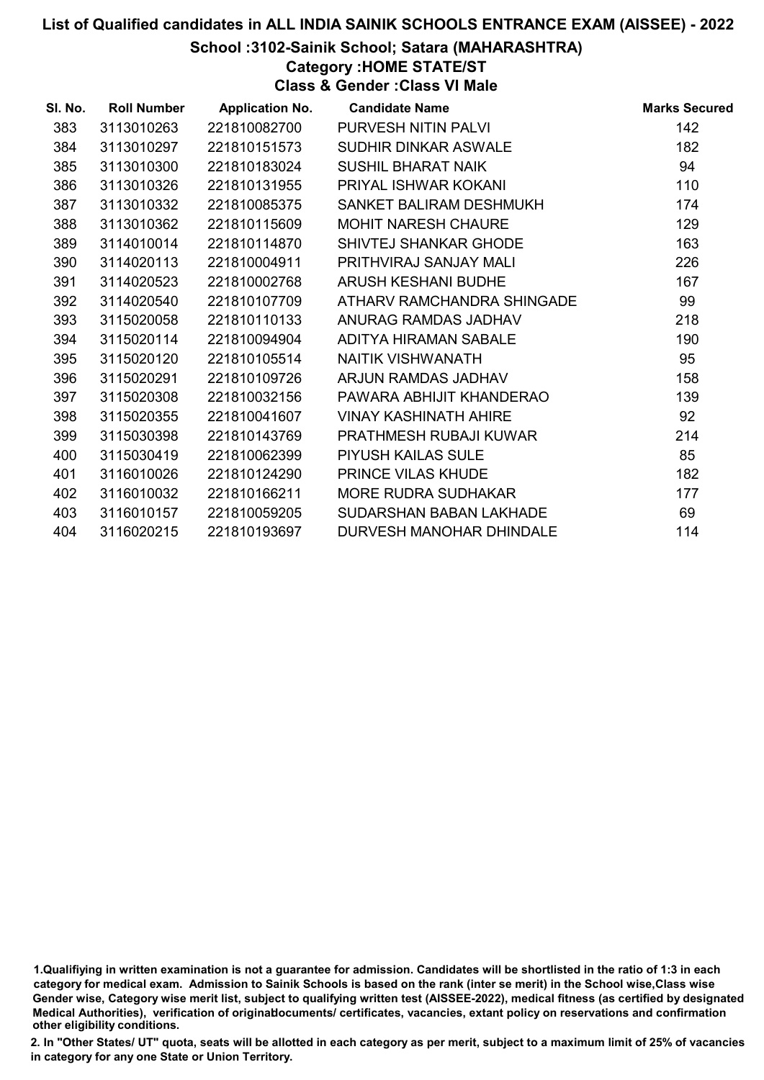## School :3102-Sainik School; Satara (MAHARASHTRA)

Category :HOME STATE/ST

Class & Gender :Class VI Male

| SI. No. | <b>Roll Number</b> | <b>Application No.</b> | <b>Candidate Name</b>         | <b>Marks Secured</b> |
|---------|--------------------|------------------------|-------------------------------|----------------------|
| 383     | 3113010263         | 221810082700           | PURVESH NITIN PALVI           | 142                  |
| 384     | 3113010297         | 221810151573           | SUDHIR DINKAR ASWALE          | 182                  |
| 385     | 3113010300         | 221810183024           | <b>SUSHIL BHARAT NAIK</b>     | 94                   |
| 386     | 3113010326         | 221810131955           | PRIYAL ISHWAR KOKANI          | 110                  |
| 387     | 3113010332         | 221810085375           | SANKET BALIRAM DESHMUKH       | 174                  |
| 388     | 3113010362         | 221810115609           | <b>MOHIT NARESH CHAURE</b>    | 129                  |
| 389     | 3114010014         | 221810114870           | SHIVTEJ SHANKAR GHODE         | 163                  |
| 390     | 3114020113         | 221810004911           | PRITHVIRAJ SANJAY MALI        | 226                  |
| 391     | 3114020523         | 221810002768           | ARUSH KESHANI BUDHE           | 167                  |
| 392     | 3114020540         | 221810107709           | ATHARV RAMCHANDRA SHINGADE    | 99                   |
| 393     | 3115020058         | 221810110133           | ANURAG RAMDAS JADHAV          | 218                  |
| 394     | 3115020114         | 221810094904           | ADITYA HIRAMAN SABALE         | 190                  |
| 395     | 3115020120         | 221810105514           | NAITIK VISHWANATH             | 95                   |
| 396     | 3115020291         | 221810109726           | ARJUN RAMDAS JADHAV           | 158                  |
| 397     | 3115020308         | 221810032156           | PAWARA ABHIJIT KHANDERAO      | 139                  |
| 398     | 3115020355         | 221810041607           | <b>VINAY KASHINATH AHIRE</b>  | 92                   |
| 399     | 3115030398         | 221810143769           | <b>PRATHMESH RUBAJI KUWAR</b> | 214                  |
| 400     | 3115030419         | 221810062399           | <b>PIYUSH KAILAS SULE</b>     | 85                   |
| 401     | 3116010026         | 221810124290           | <b>PRINCE VILAS KHUDE</b>     | 182                  |
| 402     | 3116010032         | 221810166211           | <b>MORE RUDRA SUDHAKAR</b>    | 177                  |
| 403     | 3116010157         | 221810059205           | SUDARSHAN BABAN LAKHADE       | 69                   |
| 404     | 3116020215         | 221810193697           | DURVESH MANOHAR DHINDALE      | 114                  |
|         |                    |                        |                               |                      |

1.Qualifiying in written examination is not a guarantee for admission. Candidates will be shortlisted in the ratio of 1:3 in each category for medical exam. Admission to Sainik Schools is based on the rank (inter se merit) in the School wise,Class wise Gender wise, Category wise merit list, subject to qualifying written test (AISSEE-2022), medical fitness (as certified by designated Medical Authorities), verification of originablocuments/ certificates, vacancies, extant policy on reservations and confirmation other eligibility conditions.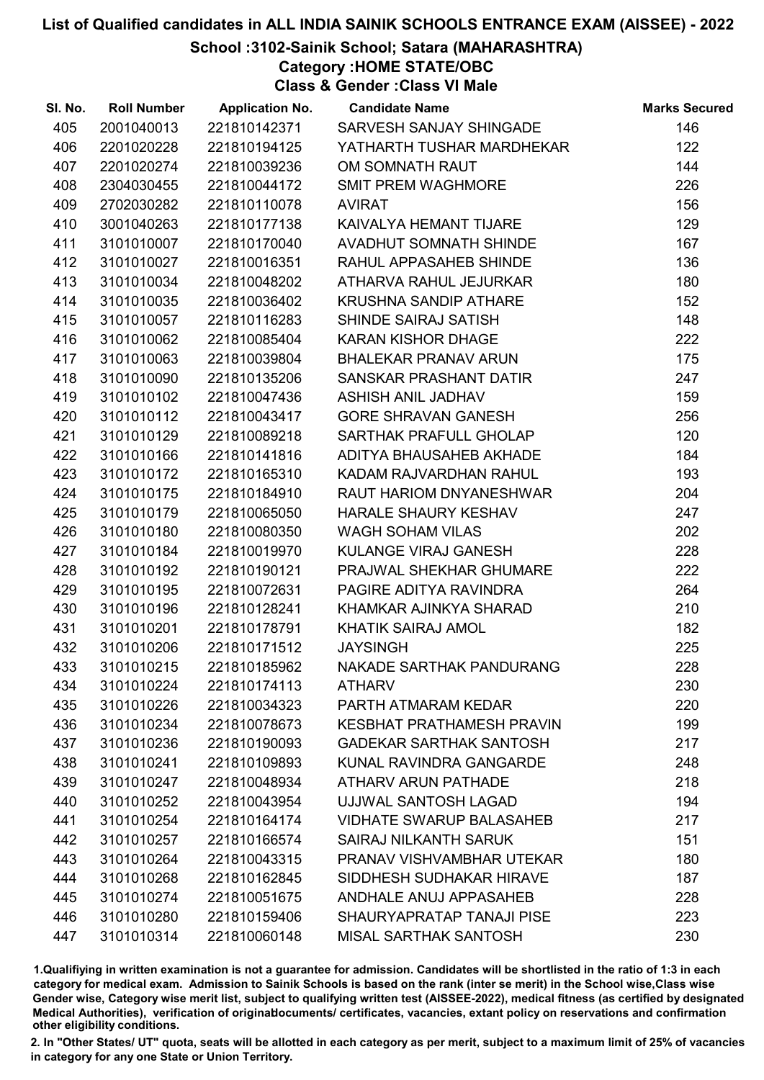#### School :3102-Sainik School; Satara (MAHARASHTRA)

Category :HOME STATE/OBC

Class & Gender :Class VI Male

| SI. No. | <b>Roll Number</b> | <b>Application No.</b> | <b>Candidate Name</b>            | <b>Marks Secured</b> |
|---------|--------------------|------------------------|----------------------------------|----------------------|
| 405     | 2001040013         | 221810142371           | SARVESH SANJAY SHINGADE          | 146                  |
| 406     | 2201020228         | 221810194125           | YATHARTH TUSHAR MARDHEKAR        | 122                  |
| 407     | 2201020274         | 221810039236           | OM SOMNATH RAUT                  | 144                  |
| 408     | 2304030455         | 221810044172           | <b>SMIT PREM WAGHMORE</b>        | 226                  |
| 409     | 2702030282         | 221810110078           | <b>AVIRAT</b>                    | 156                  |
| 410     | 3001040263         | 221810177138           | KAIVALYA HEMANT TIJARE           | 129                  |
| 411     | 3101010007         | 221810170040           | AVADHUT SOMNATH SHINDE           | 167                  |
| 412     | 3101010027         | 221810016351           | RAHUL APPASAHEB SHINDE           | 136                  |
| 413     | 3101010034         | 221810048202           | ATHARVA RAHUL JEJURKAR           | 180                  |
| 414     | 3101010035         | 221810036402           | <b>KRUSHNA SANDIP ATHARE</b>     | 152                  |
| 415     | 3101010057         | 221810116283           | SHINDE SAIRAJ SATISH             | 148                  |
| 416     | 3101010062         | 221810085404           | <b>KARAN KISHOR DHAGE</b>        | 222                  |
| 417     | 3101010063         | 221810039804           | <b>BHALEKAR PRANAV ARUN</b>      | 175                  |
| 418     | 3101010090         | 221810135206           | SANSKAR PRASHANT DATIR           | 247                  |
| 419     | 3101010102         | 221810047436           | <b>ASHISH ANIL JADHAV</b>        | 159                  |
| 420     | 3101010112         | 221810043417           | <b>GORE SHRAVAN GANESH</b>       | 256                  |
| 421     | 3101010129         | 221810089218           | SARTHAK PRAFULL GHOLAP           | 120                  |
| 422     | 3101010166         | 221810141816           | ADITYA BHAUSAHEB AKHADE          | 184                  |
| 423     | 3101010172         | 221810165310           | KADAM RAJVARDHAN RAHUL           | 193                  |
| 424     | 3101010175         | 221810184910           | RAUT HARIOM DNYANESHWAR          | 204                  |
| 425     | 3101010179         | 221810065050           | HARALE SHAURY KESHAV             | 247                  |
| 426     | 3101010180         | 221810080350           | <b>WAGH SOHAM VILAS</b>          | 202                  |
| 427     | 3101010184         | 221810019970           | KULANGE VIRAJ GANESH             | 228                  |
| 428     | 3101010192         | 221810190121           | PRAJWAL SHEKHAR GHUMARE          | 222                  |
| 429     | 3101010195         | 221810072631           | PAGIRE ADITYA RAVINDRA           | 264                  |
| 430     | 3101010196         | 221810128241           | KHAMKAR AJINKYA SHARAD           | 210                  |
| 431     | 3101010201         | 221810178791           | KHATIK SAIRAJ AMOL               | 182                  |
| 432     | 3101010206         | 221810171512           | <b>JAYSINGH</b>                  | 225                  |
| 433     | 3101010215         | 221810185962           | <b>NAKADE SARTHAK PANDURANG</b>  | 228                  |
| 434     | 3101010224         | 221810174113           | <b>ATHARV</b>                    | 230                  |
| 435     | 3101010226         | 221810034323           | PARTH ATMARAM KEDAR              | 220                  |
| 436     | 3101010234         | 221810078673           | <b>KESBHAT PRATHAMESH PRAVIN</b> | 199                  |
| 437     | 3101010236         | 221810190093           | <b>GADEKAR SARTHAK SANTOSH</b>   | 217                  |
| 438     | 3101010241         | 221810109893           | KUNAL RAVINDRA GANGARDE          | 248                  |
| 439     | 3101010247         | 221810048934           | <b>ATHARV ARUN PATHADE</b>       | 218                  |
| 440     | 3101010252         | 221810043954           | UJJWAL SANTOSH LAGAD             | 194                  |
| 441     | 3101010254         | 221810164174           | <b>VIDHATE SWARUP BALASAHEB</b>  | 217                  |
| 442     | 3101010257         | 221810166574           | SAIRAJ NILKANTH SARUK            | 151                  |
| 443     | 3101010264         | 221810043315           | PRANAV VISHVAMBHAR UTEKAR        | 180                  |
| 444     | 3101010268         | 221810162845           | SIDDHESH SUDHAKAR HIRAVE         | 187                  |
| 445     | 3101010274         | 221810051675           | ANDHALE ANUJ APPASAHEB           | 228                  |
| 446     | 3101010280         | 221810159406           | SHAURYAPRATAP TANAJI PISE        | 223                  |
| 447     | 3101010314         | 221810060148           | <b>MISAL SARTHAK SANTOSH</b>     | 230                  |

1.Qualifiying in written examination is not a guarantee for admission. Candidates will be shortlisted in the ratio of 1:3 in each category for medical exam. Admission to Sainik Schools is based on the rank (inter se merit) in the School wise,Class wise Gender wise, Category wise merit list, subject to qualifying written test (AISSEE-2022), medical fitness (as certified by designated Medical Authorities), verification of originablocuments/ certificates, vacancies, extant policy on reservations and confirmation other eligibility conditions.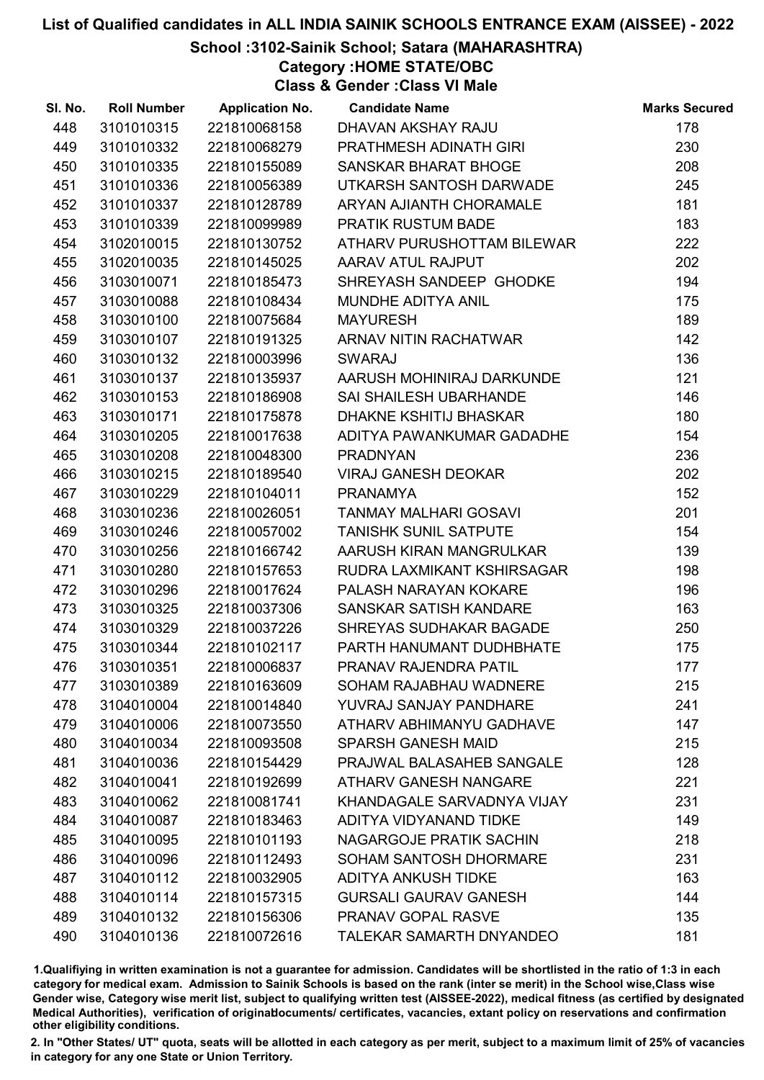## School :3102-Sainik School; Satara (MAHARASHTRA)

Category :HOME STATE/OBC

Class & Gender :Class VI Male

| SI. No. | <b>Roll Number</b> | <b>Application No.</b> | <b>Candidate Name</b>          | <b>Marks Secured</b> |
|---------|--------------------|------------------------|--------------------------------|----------------------|
| 448     | 3101010315         | 221810068158           | DHAVAN AKSHAY RAJU             | 178                  |
| 449     | 3101010332         | 221810068279           | PRATHMESH ADINATH GIRI         | 230                  |
| 450     | 3101010335         | 221810155089           | SANSKAR BHARAT BHOGE           | 208                  |
| 451     | 3101010336         | 221810056389           | UTKARSH SANTOSH DARWADE        | 245                  |
| 452     | 3101010337         | 221810128789           | ARYAN AJIANTH CHORAMALE        | 181                  |
| 453     | 3101010339         | 221810099989           | PRATIK RUSTUM BADE             | 183                  |
| 454     | 3102010015         | 221810130752           | ATHARV PURUSHOTTAM BILEWAR     | 222                  |
| 455     | 3102010035         | 221810145025           | AARAV ATUL RAJPUT              | 202                  |
| 456     | 3103010071         | 221810185473           | SHREYASH SANDEEP GHODKE        | 194                  |
| 457     | 3103010088         | 221810108434           | MUNDHE ADITYA ANIL             | 175                  |
| 458     | 3103010100         | 221810075684           | <b>MAYURESH</b>                | 189                  |
| 459     | 3103010107         | 221810191325           | ARNAV NITIN RACHATWAR          | 142                  |
| 460     | 3103010132         | 221810003996           | <b>SWARAJ</b>                  | 136                  |
| 461     | 3103010137         | 221810135937           | AARUSH MOHINIRAJ DARKUNDE      | 121                  |
| 462     | 3103010153         | 221810186908           | SAI SHAILESH UBARHANDE         | 146                  |
| 463     | 3103010171         | 221810175878           | DHAKNE KSHITIJ BHASKAR         | 180                  |
| 464     | 3103010205         | 221810017638           | ADITYA PAWANKUMAR GADADHE      | 154                  |
| 465     | 3103010208         | 221810048300           | <b>PRADNYAN</b>                | 236                  |
| 466     | 3103010215         | 221810189540           | <b>VIRAJ GANESH DEOKAR</b>     | 202                  |
| 467     | 3103010229         | 221810104011           | <b>PRANAMYA</b>                | 152                  |
| 468     | 3103010236         | 221810026051           | <b>TANMAY MALHARI GOSAVI</b>   | 201                  |
| 469     | 3103010246         | 221810057002           | <b>TANISHK SUNIL SATPUTE</b>   | 154                  |
| 470     | 3103010256         | 221810166742           | AARUSH KIRAN MANGRULKAR        | 139                  |
| 471     | 3103010280         | 221810157653           | RUDRA LAXMIKANT KSHIRSAGAR     | 198                  |
| 472     | 3103010296         | 221810017624           | PALASH NARAYAN KOKARE          | 196                  |
| 473     | 3103010325         | 221810037306           | SANSKAR SATISH KANDARE         | 163                  |
| 474     | 3103010329         | 221810037226           | SHREYAS SUDHAKAR BAGADE        | 250                  |
| 475     | 3103010344         | 221810102117           | PARTH HANUMANT DUDHBHATE       | 175                  |
| 476     | 3103010351         | 221810006837           | PRANAV RAJENDRA PATIL          | 177                  |
| 477     | 3103010389         | 221810163609           | SOHAM RAJABHAU WADNERE         | 215                  |
| 478     | 3104010004         | 221810014840           | YUVRAJ SANJAY PANDHARE         | 241                  |
| 479     | 3104010006         | 221810073550           | ATHARV ABHIMANYU GADHAVE       | 147                  |
| 480     | 3104010034         | 221810093508           | <b>SPARSH GANESH MAID</b>      | 215                  |
| 481     | 3104010036         | 221810154429           | PRAJWAL BALASAHEB SANGALE      | 128                  |
| 482     | 3104010041         | 221810192699           | <b>ATHARV GANESH NANGARE</b>   | 221                  |
| 483     | 3104010062         | 221810081741           | KHANDAGALE SARVADNYA VIJAY     | 231                  |
| 484     | 3104010087         | 221810183463           | ADITYA VIDYANAND TIDKE         | 149                  |
| 485     | 3104010095         | 221810101193           | <b>NAGARGOJE PRATIK SACHIN</b> | 218                  |
| 486     | 3104010096         | 221810112493           | SOHAM SANTOSH DHORMARE         | 231                  |
| 487     | 3104010112         | 221810032905           | <b>ADITYA ANKUSH TIDKE</b>     | 163                  |
| 488     | 3104010114         | 221810157315           | <b>GURSALI GAURAV GANESH</b>   | 144                  |
| 489     | 3104010132         | 221810156306           | PRANAV GOPAL RASVE             | 135                  |
| 490     | 3104010136         | 221810072616           | TALEKAR SAMARTH DNYANDEO       | 181                  |

1.Qualifiying in written examination is not a guarantee for admission. Candidates will be shortlisted in the ratio of 1:3 in each category for medical exam. Admission to Sainik Schools is based on the rank (inter se merit) in the School wise,Class wise Gender wise, Category wise merit list, subject to qualifying written test (AISSEE-2022), medical fitness (as certified by designated Medical Authorities), verification of originablocuments/ certificates, vacancies, extant policy on reservations and confirmation other eligibility conditions.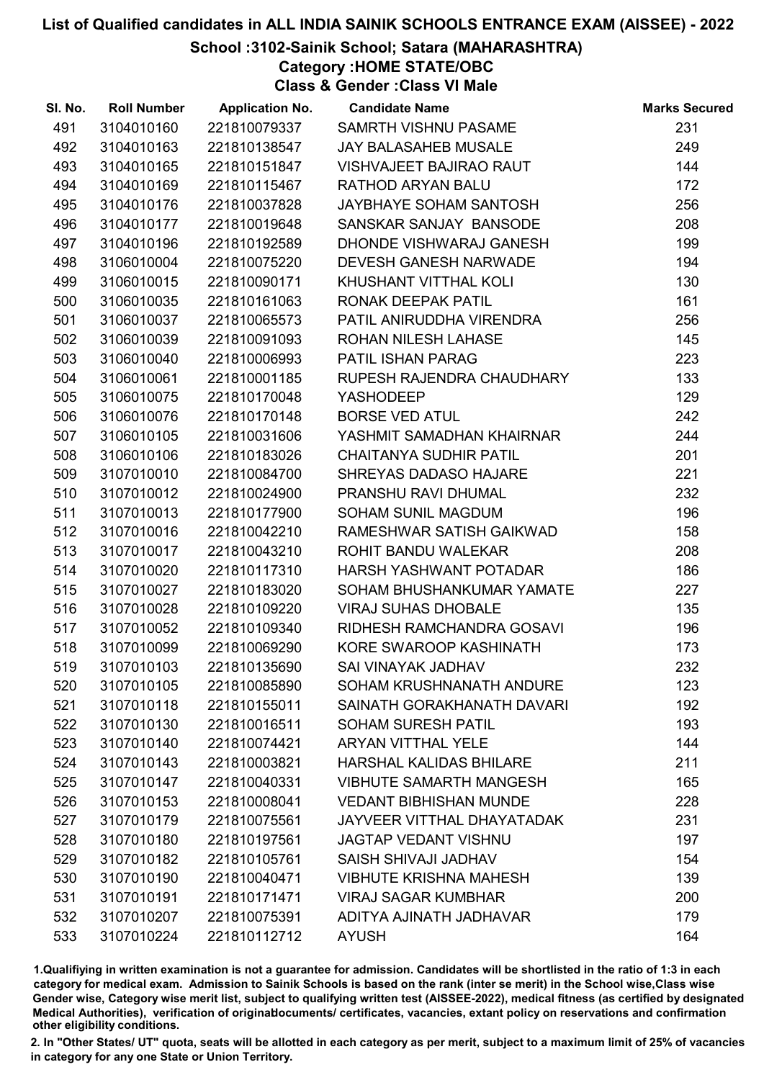## School :3102-Sainik School; Satara (MAHARASHTRA)

Category :HOME STATE/OBC

Class & Gender :Class VI Male

| SI. No. | <b>Roll Number</b> | <b>Application No.</b> | <b>Candidate Name</b>          | <b>Marks Secured</b> |
|---------|--------------------|------------------------|--------------------------------|----------------------|
| 491     | 3104010160         | 221810079337           | SAMRTH VISHNU PASAME           | 231                  |
| 492     | 3104010163         | 221810138547           | <b>JAY BALASAHEB MUSALE</b>    | 249                  |
| 493     | 3104010165         | 221810151847           | <b>VISHVAJEET BAJIRAO RAUT</b> | 144                  |
| 494     | 3104010169         | 221810115467           | RATHOD ARYAN BALU              | 172                  |
| 495     | 3104010176         | 221810037828           | JAYBHAYE SOHAM SANTOSH         | 256                  |
| 496     | 3104010177         | 221810019648           | SANSKAR SANJAY BANSODE         | 208                  |
| 497     | 3104010196         | 221810192589           | DHONDE VISHWARAJ GANESH        | 199                  |
| 498     | 3106010004         | 221810075220           | <b>DEVESH GANESH NARWADE</b>   | 194                  |
| 499     | 3106010015         | 221810090171           | KHUSHANT VITTHAL KOLI          | 130                  |
| 500     | 3106010035         | 221810161063           | RONAK DEEPAK PATIL             | 161                  |
| 501     | 3106010037         | 221810065573           | PATIL ANIRUDDHA VIRENDRA       | 256                  |
| 502     | 3106010039         | 221810091093           | <b>ROHAN NILESH LAHASE</b>     | 145                  |
| 503     | 3106010040         | 221810006993           | <b>PATIL ISHAN PARAG</b>       | 223                  |
| 504     | 3106010061         | 221810001185           | RUPESH RAJENDRA CHAUDHARY      | 133                  |
| 505     | 3106010075         | 221810170048           | <b>YASHODEEP</b>               | 129                  |
| 506     | 3106010076         | 221810170148           | <b>BORSE VED ATUL</b>          | 242                  |
| 507     | 3106010105         | 221810031606           | YASHMIT SAMADHAN KHAIRNAR      | 244                  |
| 508     | 3106010106         | 221810183026           | <b>CHAITANYA SUDHIR PATIL</b>  | 201                  |
| 509     | 3107010010         | 221810084700           | SHREYAS DADASO HAJARE          | 221                  |
| 510     | 3107010012         | 221810024900           | PRANSHU RAVI DHUMAL            | 232                  |
| 511     | 3107010013         | 221810177900           | SOHAM SUNIL MAGDUM             | 196                  |
| 512     | 3107010016         | 221810042210           | RAMESHWAR SATISH GAIKWAD       | 158                  |
| 513     | 3107010017         | 221810043210           | ROHIT BANDU WALEKAR            | 208                  |
| 514     | 3107010020         | 221810117310           | HARSH YASHWANT POTADAR         | 186                  |
| 515     | 3107010027         | 221810183020           | SOHAM BHUSHANKUMAR YAMATE      | 227                  |
| 516     | 3107010028         | 221810109220           | <b>VIRAJ SUHAS DHOBALE</b>     | 135                  |
| 517     | 3107010052         | 221810109340           | RIDHESH RAMCHANDRA GOSAVI      | 196                  |
| 518     | 3107010099         | 221810069290           | KORE SWAROOP KASHINATH         | 173                  |
| 519     | 3107010103         | 221810135690           | SAI VINAYAK JADHAV             | 232                  |
| 520     | 3107010105         | 221810085890           | SOHAM KRUSHNANATH ANDURE       | 123                  |
| 521     | 3107010118         | 221810155011           | SAINATH GORAKHANATH DAVARI     | 192                  |
| 522     | 3107010130         | 221810016511           | <b>SOHAM SURESH PATIL</b>      | 193                  |
| 523     | 3107010140         | 221810074421           | <b>ARYAN VITTHAL YELE</b>      | 144                  |
| 524     | 3107010143         | 221810003821           | <b>HARSHAL KALIDAS BHILARE</b> | 211                  |
| 525     | 3107010147         | 221810040331           | <b>VIBHUTE SAMARTH MANGESH</b> | 165                  |
| 526     | 3107010153         | 221810008041           | <b>VEDANT BIBHISHAN MUNDE</b>  | 228                  |
| 527     | 3107010179         | 221810075561           | JAYVEER VITTHAL DHAYATADAK     | 231                  |
| 528     | 3107010180         | 221810197561           | <b>JAGTAP VEDANT VISHNU</b>    | 197                  |
| 529     | 3107010182         | 221810105761           | SAISH SHIVAJI JADHAV           | 154                  |
| 530     | 3107010190         | 221810040471           | <b>VIBHUTE KRISHNA MAHESH</b>  | 139                  |
| 531     | 3107010191         | 221810171471           | <b>VIRAJ SAGAR KUMBHAR</b>     | 200                  |
| 532     | 3107010207         | 221810075391           | ADITYA AJINATH JADHAVAR        | 179                  |
| 533     | 3107010224         | 221810112712           | <b>AYUSH</b>                   | 164                  |

1.Qualifiying in written examination is not a guarantee for admission. Candidates will be shortlisted in the ratio of 1:3 in each category for medical exam. Admission to Sainik Schools is based on the rank (inter se merit) in the School wise,Class wise Gender wise, Category wise merit list, subject to qualifying written test (AISSEE-2022), medical fitness (as certified by designated Medical Authorities), verification of originablocuments/ certificates, vacancies, extant policy on reservations and confirmation other eligibility conditions.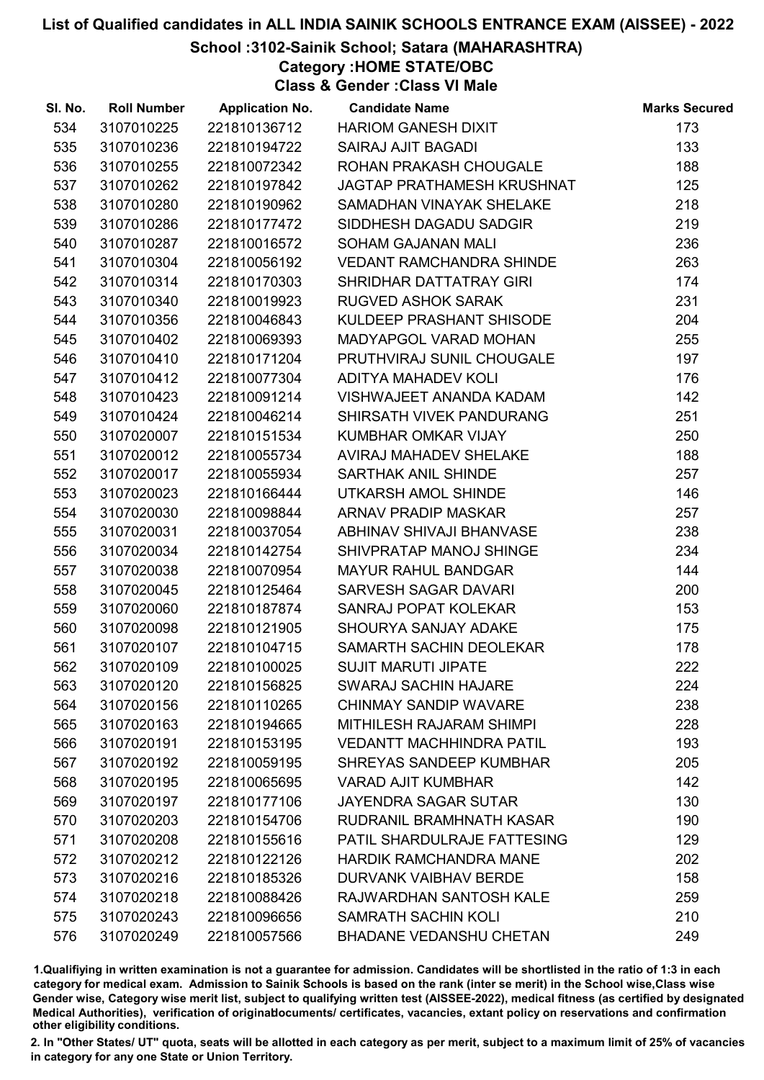## School :3102-Sainik School; Satara (MAHARASHTRA)

Category :HOME STATE/OBC

Class & Gender :Class VI Male

| SI. No. | <b>Roll Number</b> | <b>Application No.</b> | <b>Candidate Name</b>              | <b>Marks Secured</b> |
|---------|--------------------|------------------------|------------------------------------|----------------------|
| 534     | 3107010225         | 221810136712           | <b>HARIOM GANESH DIXIT</b>         | 173                  |
| 535     | 3107010236         | 221810194722           | <b>SAIRAJ AJIT BAGADI</b>          | 133                  |
| 536     | 3107010255         | 221810072342           | ROHAN PRAKASH CHOUGALE             | 188                  |
| 537     | 3107010262         | 221810197842           | JAGTAP PRATHAMESH KRUSHNAT         | 125                  |
| 538     | 3107010280         | 221810190962           | SAMADHAN VINAYAK SHELAKE           | 218                  |
| 539     | 3107010286         | 221810177472           | SIDDHESH DAGADU SADGIR             | 219                  |
| 540     | 3107010287         | 221810016572           | <b>SOHAM GAJANAN MALI</b>          | 236                  |
| 541     | 3107010304         | 221810056192           | <b>VEDANT RAMCHANDRA SHINDE</b>    | 263                  |
| 542     | 3107010314         | 221810170303           | SHRIDHAR DATTATRAY GIRI            | 174                  |
| 543     | 3107010340         | 221810019923           | <b>RUGVED ASHOK SARAK</b>          | 231                  |
| 544     | 3107010356         | 221810046843           | KULDEEP PRASHANT SHISODE           | 204                  |
| 545     | 3107010402         | 221810069393           | <b>MADYAPGOL VARAD MOHAN</b>       | 255                  |
| 546     | 3107010410         | 221810171204           | PRUTHVIRAJ SUNIL CHOUGALE          | 197                  |
| 547     | 3107010412         | 221810077304           | ADITYA MAHADEV KOLI                | 176                  |
| 548     | 3107010423         | 221810091214           | VISHWAJEET ANANDA KADAM            | 142                  |
| 549     | 3107010424         | 221810046214           | SHIRSATH VIVEK PANDURANG           | 251                  |
| 550     | 3107020007         | 221810151534           | KUMBHAR OMKAR VIJAY                | 250                  |
| 551     | 3107020012         | 221810055734           | AVIRAJ MAHADEV SHELAKE             | 188                  |
| 552     | 3107020017         | 221810055934           | SARTHAK ANIL SHINDE                | 257                  |
| 553     | 3107020023         | 221810166444           | UTKARSH AMOL SHINDE                | 146                  |
| 554     | 3107020030         | 221810098844           | ARNAV PRADIP MASKAR                | 257                  |
| 555     | 3107020031         | 221810037054           | ABHINAV SHIVAJI BHANVASE           | 238                  |
| 556     | 3107020034         | 221810142754           | SHIVPRATAP MANOJ SHINGE            | 234                  |
| 557     | 3107020038         | 221810070954           | <b>MAYUR RAHUL BANDGAR</b>         | 144                  |
| 558     | 3107020045         | 221810125464           | SARVESH SAGAR DAVARI               | 200                  |
| 559     | 3107020060         | 221810187874           | SANRAJ POPAT KOLEKAR               | 153                  |
| 560     | 3107020098         | 221810121905           | SHOURYA SANJAY ADAKE               | 175                  |
| 561     | 3107020107         | 221810104715           | SAMARTH SACHIN DEOLEKAR            | 178                  |
| 562     | 3107020109         | 221810100025           | <b>SUJIT MARUTI JIPATE</b>         | 222                  |
| 563     | 3107020120         | 221810156825           | <b>SWARAJ SACHIN HAJARE</b>        | 224                  |
| 564     | 3107020156         | 221810110265           | <b>CHINMAY SANDIP WAVARE</b>       | 238                  |
| 565     | 3107020163         | 221810194665           | <b>MITHILESH RAJARAM SHIMPI</b>    | 228                  |
| 566     | 3107020191         | 221810153195           | <b>VEDANTT MACHHINDRA PATIL</b>    | 193                  |
| 567     | 3107020192         | 221810059195           | SHREYAS SANDEEP KUMBHAR            | 205                  |
| 568     | 3107020195         | 221810065695           | <b>VARAD AJIT KUMBHAR</b>          | 142                  |
| 569     | 3107020197         | 221810177106           | <b>JAYENDRA SAGAR SUTAR</b>        | 130                  |
| 570     | 3107020203         | 221810154706           | RUDRANIL BRAMHNATH KASAR           | 190                  |
| 571     | 3107020208         | 221810155616           | <b>PATIL SHARDULRAJE FATTESING</b> | 129                  |
| 572     | 3107020212         | 221810122126           | <b>HARDIK RAMCHANDRA MANE</b>      | 202                  |
| 573     | 3107020216         | 221810185326           | <b>DURVANK VAIBHAV BERDE</b>       | 158                  |
| 574     | 3107020218         | 221810088426           | RAJWARDHAN SANTOSH KALE            | 259                  |
| 575     | 3107020243         | 221810096656           | <b>SAMRATH SACHIN KOLI</b>         | 210                  |
| 576     | 3107020249         | 221810057566           | <b>BHADANE VEDANSHU CHETAN</b>     | 249                  |

1.Qualifiying in written examination is not a guarantee for admission. Candidates will be shortlisted in the ratio of 1:3 in each category for medical exam. Admission to Sainik Schools is based on the rank (inter se merit) in the School wise,Class wise Gender wise, Category wise merit list, subject to qualifying written test (AISSEE-2022), medical fitness (as certified by designated Medical Authorities), verification of originablocuments/ certificates, vacancies, extant policy on reservations and confirmation other eligibility conditions.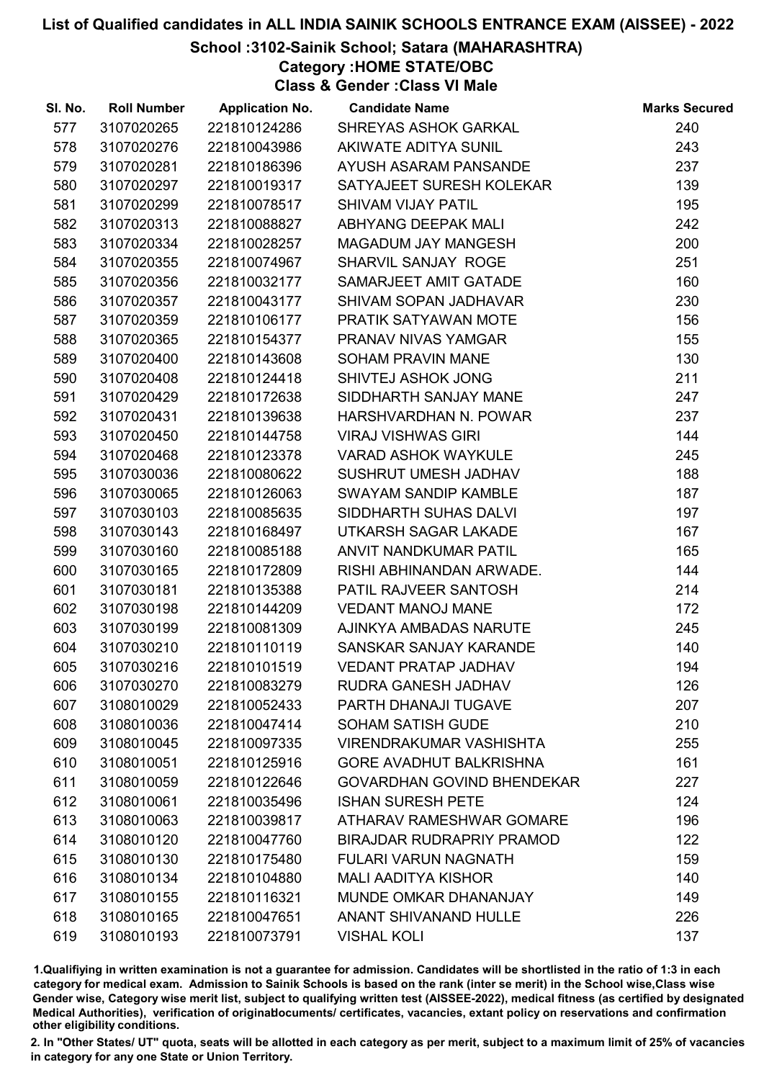## School :3102-Sainik School; Satara (MAHARASHTRA)

Category :HOME STATE/OBC

Class & Gender :Class VI Male

| SI. No. | <b>Roll Number</b> | <b>Application No.</b> | <b>Candidate Name</b>             | <b>Marks Secured</b> |
|---------|--------------------|------------------------|-----------------------------------|----------------------|
| 577     | 3107020265         | 221810124286           | SHREYAS ASHOK GARKAL              | 240                  |
| 578     | 3107020276         | 221810043986           | AKIWATE ADITYA SUNIL              | 243                  |
| 579     | 3107020281         | 221810186396           | AYUSH ASARAM PANSANDE             | 237                  |
| 580     | 3107020297         | 221810019317           | SATYAJEET SURESH KOLEKAR          | 139                  |
| 581     | 3107020299         | 221810078517           | <b>SHIVAM VIJAY PATIL</b>         | 195                  |
| 582     | 3107020313         | 221810088827           | ABHYANG DEEPAK MALI               | 242                  |
| 583     | 3107020334         | 221810028257           | MAGADUM JAY MANGESH               | 200                  |
| 584     | 3107020355         | 221810074967           | SHARVIL SANJAY ROGE               | 251                  |
| 585     | 3107020356         | 221810032177           | SAMARJEET AMIT GATADE             | 160                  |
| 586     | 3107020357         | 221810043177           | SHIVAM SOPAN JADHAVAR             | 230                  |
| 587     | 3107020359         | 221810106177           | PRATIK SATYAWAN MOTE              | 156                  |
| 588     | 3107020365         | 221810154377           | PRANAV NIVAS YAMGAR               | 155                  |
| 589     | 3107020400         | 221810143608           | <b>SOHAM PRAVIN MANE</b>          | 130                  |
| 590     | 3107020408         | 221810124418           | SHIVTEJ ASHOK JONG                | 211                  |
| 591     | 3107020429         | 221810172638           | SIDDHARTH SANJAY MANE             | 247                  |
| 592     | 3107020431         | 221810139638           | HARSHVARDHAN N. POWAR             | 237                  |
| 593     | 3107020450         | 221810144758           | <b>VIRAJ VISHWAS GIRI</b>         | 144                  |
| 594     | 3107020468         | 221810123378           | <b>VARAD ASHOK WAYKULE</b>        | 245                  |
| 595     | 3107030036         | 221810080622           | SUSHRUT UMESH JADHAV              | 188                  |
| 596     | 3107030065         | 221810126063           | <b>SWAYAM SANDIP KAMBLE</b>       | 187                  |
| 597     | 3107030103         | 221810085635           | SIDDHARTH SUHAS DALVI             | 197                  |
| 598     | 3107030143         | 221810168497           | UTKARSH SAGAR LAKADE              | 167                  |
| 599     | 3107030160         | 221810085188           | ANVIT NANDKUMAR PATIL             | 165                  |
| 600     | 3107030165         | 221810172809           | RISHI ABHINANDAN ARWADE.          | 144                  |
| 601     | 3107030181         | 221810135388           | PATIL RAJVEER SANTOSH             | 214                  |
| 602     | 3107030198         | 221810144209           | <b>VEDANT MANOJ MANE</b>          | 172                  |
| 603     | 3107030199         | 221810081309           | AJINKYA AMBADAS NARUTE            | 245                  |
| 604     | 3107030210         | 221810110119           | SANSKAR SANJAY KARANDE            | 140                  |
| 605     | 3107030216         | 221810101519           | <b>VEDANT PRATAP JADHAV</b>       | 194                  |
| 606     | 3107030270         | 221810083279           | <b>RUDRA GANESH JADHAV</b>        | 126                  |
| 607     | 3108010029         | 221810052433           | PARTH DHANAJI TUGAVE              | 207                  |
| 608     | 3108010036         | 221810047414           | <b>SOHAM SATISH GUDE</b>          | 210                  |
| 609     | 3108010045         | 221810097335           | <b>VIRENDRAKUMAR VASHISHTA</b>    | 255                  |
| 610     | 3108010051         | 221810125916           | <b>GORE AVADHUT BALKRISHNA</b>    | 161                  |
| 611     | 3108010059         | 221810122646           | <b>GOVARDHAN GOVIND BHENDEKAR</b> | 227                  |
| 612     | 3108010061         | 221810035496           | <b>ISHAN SURESH PETE</b>          | 124                  |
| 613     | 3108010063         | 221810039817           | ATHARAV RAMESHWAR GOMARE          | 196                  |
| 614     | 3108010120         | 221810047760           | <b>BIRAJDAR RUDRAPRIY PRAMOD</b>  | 122                  |
| 615     | 3108010130         | 221810175480           | <b>FULARI VARUN NAGNATH</b>       | 159                  |
| 616     | 3108010134         | 221810104880           | <b>MALI AADITYA KISHOR</b>        | 140                  |
| 617     | 3108010155         | 221810116321           | MUNDE OMKAR DHANANJAY             | 149                  |
| 618     | 3108010165         | 221810047651           | <b>ANANT SHIVANAND HULLE</b>      | 226                  |
| 619     | 3108010193         | 221810073791           | <b>VISHAL KOLI</b>                | 137                  |

1.Qualifiying in written examination is not a guarantee for admission. Candidates will be shortlisted in the ratio of 1:3 in each category for medical exam. Admission to Sainik Schools is based on the rank (inter se merit) in the School wise,Class wise Gender wise, Category wise merit list, subject to qualifying written test (AISSEE-2022), medical fitness (as certified by designated Medical Authorities), verification of originablocuments/ certificates, vacancies, extant policy on reservations and confirmation other eligibility conditions.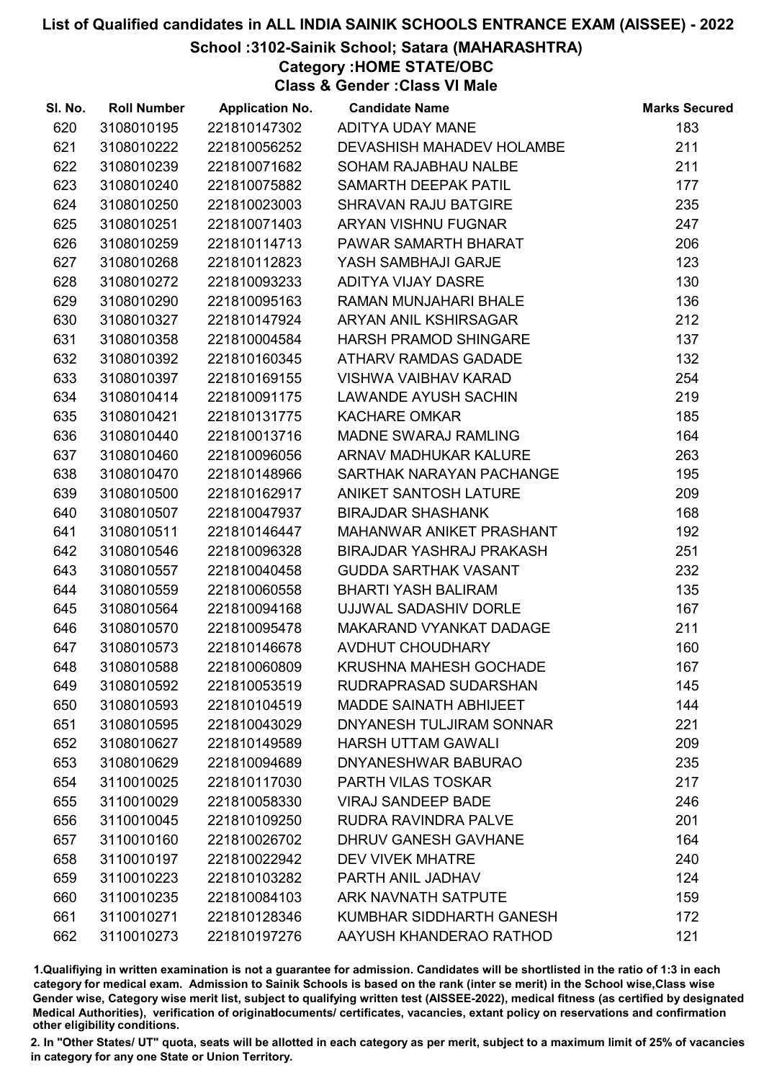## School :3102-Sainik School; Satara (MAHARASHTRA)

Category :HOME STATE/OBC

Class & Gender :Class VI Male

| SI. No. | <b>Roll Number</b> | <b>Application No.</b> | <b>Candidate Name</b>            | <b>Marks Secured</b> |
|---------|--------------------|------------------------|----------------------------------|----------------------|
| 620     | 3108010195         | 221810147302           | ADITYA UDAY MANE                 | 183                  |
| 621     | 3108010222         | 221810056252           | <b>DEVASHISH MAHADEV HOLAMBE</b> | 211                  |
| 622     | 3108010239         | 221810071682           | SOHAM RAJABHAU NALBE             | 211                  |
| 623     | 3108010240         | 221810075882           | SAMARTH DEEPAK PATIL             | 177                  |
| 624     | 3108010250         | 221810023003           | SHRAVAN RAJU BATGIRE             | 235                  |
| 625     | 3108010251         | 221810071403           | <b>ARYAN VISHNU FUGNAR</b>       | 247                  |
| 626     | 3108010259         | 221810114713           | PAWAR SAMARTH BHARAT             | 206                  |
| 627     | 3108010268         | 221810112823           | YASH SAMBHAJI GARJE              | 123                  |
| 628     | 3108010272         | 221810093233           | ADITYA VIJAY DASRE               | 130                  |
| 629     | 3108010290         | 221810095163           | RAMAN MUNJAHARI BHALE            | 136                  |
| 630     | 3108010327         | 221810147924           | ARYAN ANIL KSHIRSAGAR            | 212                  |
| 631     | 3108010358         | 221810004584           | <b>HARSH PRAMOD SHINGARE</b>     | 137                  |
| 632     | 3108010392         | 221810160345           | ATHARV RAMDAS GADADE             | 132                  |
| 633     | 3108010397         | 221810169155           | <b>VISHWA VAIBHAV KARAD</b>      | 254                  |
| 634     | 3108010414         | 221810091175           | <b>LAWANDE AYUSH SACHIN</b>      | 219                  |
| 635     | 3108010421         | 221810131775           | <b>KACHARE OMKAR</b>             | 185                  |
| 636     | 3108010440         | 221810013716           | MADNE SWARAJ RAMLING             | 164                  |
| 637     | 3108010460         | 221810096056           | ARNAV MADHUKAR KALURE            | 263                  |
| 638     | 3108010470         | 221810148966           | SARTHAK NARAYAN PACHANGE         | 195                  |
| 639     | 3108010500         | 221810162917           | ANIKET SANTOSH LATURE            | 209                  |
| 640     | 3108010507         | 221810047937           | <b>BIRAJDAR SHASHANK</b>         | 168                  |
| 641     | 3108010511         | 221810146447           | MAHANWAR ANIKET PRASHANT         | 192                  |
| 642     | 3108010546         | 221810096328           | BIRAJDAR YASHRAJ PRAKASH         | 251                  |
| 643     | 3108010557         | 221810040458           | <b>GUDDA SARTHAK VASANT</b>      | 232                  |
| 644     | 3108010559         | 221810060558           | <b>BHARTI YASH BALIRAM</b>       | 135                  |
| 645     | 3108010564         | 221810094168           | UJJWAL SADASHIV DORLE            | 167                  |
| 646     | 3108010570         | 221810095478           | <b>MAKARAND VYANKAT DADAGE</b>   | 211                  |
| 647     | 3108010573         | 221810146678           | AVDHUT CHOUDHARY                 | 160                  |
| 648     | 3108010588         | 221810060809           | <b>KRUSHNA MAHESH GOCHADE</b>    | 167                  |
| 649     | 3108010592         | 221810053519           | RUDRAPRASAD SUDARSHAN            | 145                  |
| 650     | 3108010593         | 221810104519           | <b>MADDE SAINATH ABHIJEET</b>    | 144                  |
| 651     | 3108010595         | 221810043029           | DNYANESH TULJIRAM SONNAR         | 221                  |
| 652     | 3108010627         | 221810149589           | <b>HARSH UTTAM GAWALI</b>        | 209                  |
| 653     | 3108010629         | 221810094689           | DNYANESHWAR BABURAO              | 235                  |
| 654     | 3110010025         | 221810117030           | PARTH VILAS TOSKAR               | 217                  |
| 655     | 3110010029         | 221810058330           | <b>VIRAJ SANDEEP BADE</b>        | 246                  |
| 656     | 3110010045         | 221810109250           | RUDRA RAVINDRA PALVE             | 201                  |
| 657     | 3110010160         | 221810026702           | DHRUV GANESH GAVHANE             | 164                  |
| 658     | 3110010197         | 221810022942           | <b>DEV VIVEK MHATRE</b>          | 240                  |
| 659     | 3110010223         | 221810103282           | PARTH ANIL JADHAV                | 124                  |
| 660     | 3110010235         | 221810084103           | <b>ARK NAVNATH SATPUTE</b>       | 159                  |
| 661     | 3110010271         | 221810128346           | KUMBHAR SIDDHARTH GANESH         | 172                  |
| 662     | 3110010273         | 221810197276           | AAYUSH KHANDERAO RATHOD          | 121                  |

1.Qualifiying in written examination is not a guarantee for admission. Candidates will be shortlisted in the ratio of 1:3 in each category for medical exam. Admission to Sainik Schools is based on the rank (inter se merit) in the School wise,Class wise Gender wise, Category wise merit list, subject to qualifying written test (AISSEE-2022), medical fitness (as certified by designated Medical Authorities), verification of originablocuments/ certificates, vacancies, extant policy on reservations and confirmation other eligibility conditions.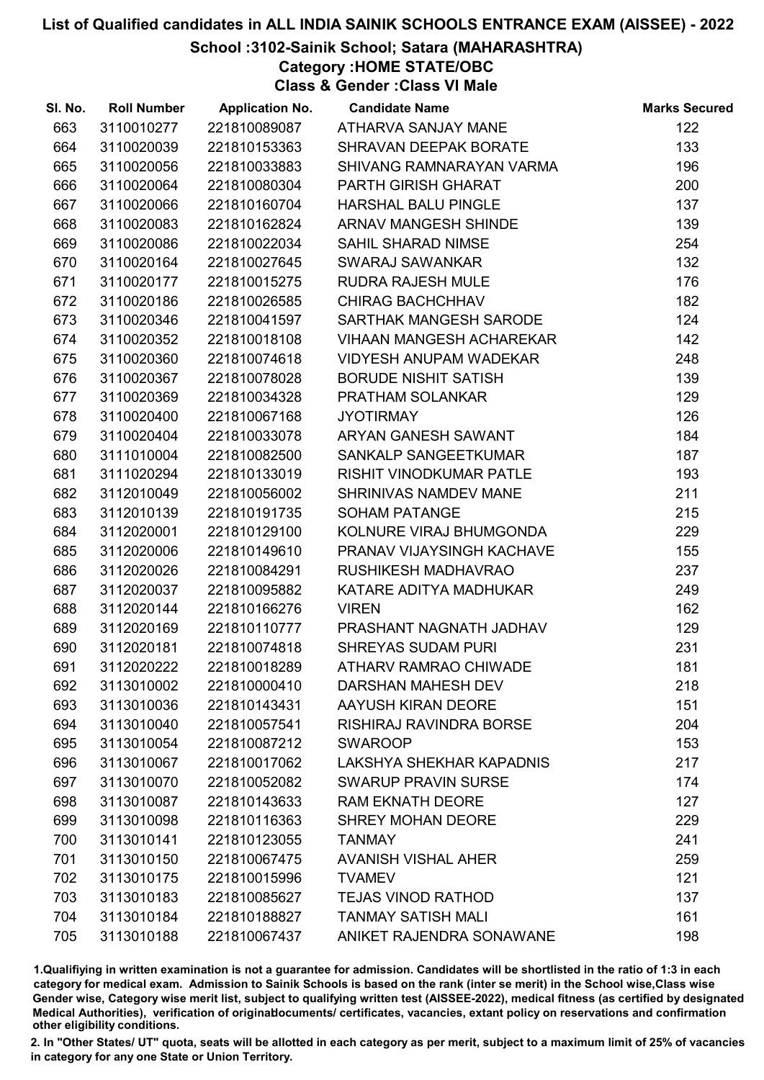## School :3102-Sainik School; Satara (MAHARASHTRA)

Category :HOME STATE/OBC

Class & Gender :Class VI Male

| SI. No. | <b>Roll Number</b> | <b>Application No.</b> | <b>Candidate Name</b>           | <b>Marks Secured</b> |
|---------|--------------------|------------------------|---------------------------------|----------------------|
| 663     | 3110010277         | 221810089087           | ATHARVA SANJAY MANE             | 122                  |
| 664     | 3110020039         | 221810153363           | SHRAVAN DEEPAK BORATE           | 133                  |
| 665     | 3110020056         | 221810033883           | SHIVANG RAMNARAYAN VARMA        | 196                  |
| 666     | 3110020064         | 221810080304           | PARTH GIRISH GHARAT             | 200                  |
| 667     | 3110020066         | 221810160704           | <b>HARSHAL BALU PINGLE</b>      | 137                  |
| 668     | 3110020083         | 221810162824           | ARNAV MANGESH SHINDE            | 139                  |
| 669     | 3110020086         | 221810022034           | <b>SAHIL SHARAD NIMSE</b>       | 254                  |
| 670     | 3110020164         | 221810027645           | <b>SWARAJ SAWANKAR</b>          | 132                  |
| 671     | 3110020177         | 221810015275           | <b>RUDRA RAJESH MULE</b>        | 176                  |
| 672     | 3110020186         | 221810026585           | <b>CHIRAG BACHCHHAV</b>         | 182                  |
| 673     | 3110020346         | 221810041597           | SARTHAK MANGESH SARODE          | 124                  |
| 674     | 3110020352         | 221810018108           | <b>VIHAAN MANGESH ACHAREKAR</b> | 142                  |
| 675     | 3110020360         | 221810074618           | <b>VIDYESH ANUPAM WADEKAR</b>   | 248                  |
| 676     | 3110020367         | 221810078028           | <b>BORUDE NISHIT SATISH</b>     | 139                  |
| 677     | 3110020369         | 221810034328           | PRATHAM SOLANKAR                | 129                  |
| 678     | 3110020400         | 221810067168           | <b>JYOTIRMAY</b>                | 126                  |
| 679     | 3110020404         | 221810033078           | ARYAN GANESH SAWANT             | 184                  |
| 680     | 3111010004         | 221810082500           | SANKALP SANGEETKUMAR            | 187                  |
| 681     | 3111020294         | 221810133019           | <b>RISHIT VINODKUMAR PATLE</b>  | 193                  |
| 682     | 3112010049         | 221810056002           | SHRINIVAS NAMDEV MANE           | 211                  |
| 683     | 3112010139         | 221810191735           | <b>SOHAM PATANGE</b>            | 215                  |
| 684     | 3112020001         | 221810129100           | KOLNURE VIRAJ BHUMGONDA         | 229                  |
| 685     | 3112020006         | 221810149610           | PRANAV VIJAYSINGH KACHAVE       | 155                  |
| 686     | 3112020026         | 221810084291           | RUSHIKESH MADHAVRAO             | 237                  |
| 687     | 3112020037         | 221810095882           | KATARE ADITYA MADHUKAR          | 249                  |
| 688     | 3112020144         | 221810166276           | <b>VIREN</b>                    | 162                  |
| 689     | 3112020169         | 221810110777           | PRASHANT NAGNATH JADHAV         | 129                  |
| 690     | 3112020181         | 221810074818           | <b>SHREYAS SUDAM PURI</b>       | 231                  |
| 691     | 3112020222         | 221810018289           | ATHARV RAMRAO CHIWADE           | 181                  |
| 692     | 3113010002         | 221810000410           | <b>DARSHAN MAHESH DEV</b>       | 218                  |
| 693     | 3113010036         | 221810143431           | AAYUSH KIRAN DEORE              | 151                  |
| 694     | 3113010040         | 221810057541           | <b>RISHIRAJ RAVINDRA BORSE</b>  | 204                  |
| 695     | 3113010054         | 221810087212           | <b>SWAROOP</b>                  | 153                  |
| 696     | 3113010067         | 221810017062           | LAKSHYA SHEKHAR KAPADNIS        | 217                  |
| 697     | 3113010070         | 221810052082           | <b>SWARUP PRAVIN SURSE</b>      | 174                  |
| 698     | 3113010087         | 221810143633           | <b>RAM EKNATH DEORE</b>         | 127                  |
| 699     | 3113010098         | 221810116363           | <b>SHREY MOHAN DEORE</b>        | 229                  |
| 700     | 3113010141         | 221810123055           | <b>TANMAY</b>                   | 241                  |
| 701     | 3113010150         | 221810067475           | <b>AVANISH VISHAL AHER</b>      | 259                  |
| 702     | 3113010175         | 221810015996           | <b>TVAMEV</b>                   | 121                  |
| 703     | 3113010183         | 221810085627           | <b>TEJAS VINOD RATHOD</b>       | 137                  |
| 704     | 3113010184         | 221810188827           | <b>TANMAY SATISH MALI</b>       | 161                  |
| 705     | 3113010188         | 221810067437           | ANIKET RAJENDRA SONAWANE        | 198                  |

1.Qualifiying in written examination is not a guarantee for admission. Candidates will be shortlisted in the ratio of 1:3 in each category for medical exam. Admission to Sainik Schools is based on the rank (inter se merit) in the School wise,Class wise Gender wise, Category wise merit list, subject to qualifying written test (AISSEE-2022), medical fitness (as certified by designated Medical Authorities), verification of originablocuments/ certificates, vacancies, extant policy on reservations and confirmation other eligibility conditions.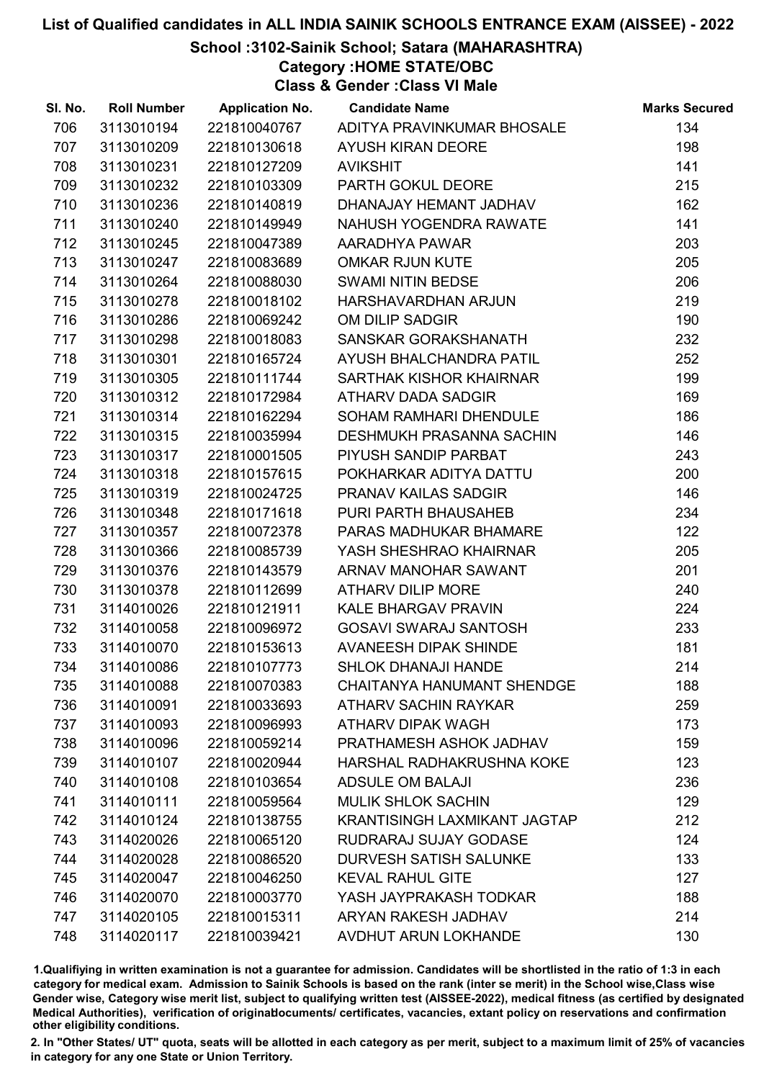### School :3102-Sainik School; Satara (MAHARASHTRA)

Category :HOME STATE/OBC

Class & Gender :Class VI Male

| SI. No. | <b>Roll Number</b> | <b>Application No.</b> | <b>Candidate Name</b>               | <b>Marks Secured</b> |
|---------|--------------------|------------------------|-------------------------------------|----------------------|
| 706     | 3113010194         | 221810040767           | ADITYA PRAVINKUMAR BHOSALE          | 134                  |
| 707     | 3113010209         | 221810130618           | <b>AYUSH KIRAN DEORE</b>            | 198                  |
| 708     | 3113010231         | 221810127209           | <b>AVIKSHIT</b>                     | 141                  |
| 709     | 3113010232         | 221810103309           | PARTH GOKUL DEORE                   | 215                  |
| 710     | 3113010236         | 221810140819           | DHANAJAY HEMANT JADHAV              | 162                  |
| 711     | 3113010240         | 221810149949           | NAHUSH YOGENDRA RAWATE              | 141                  |
| 712     | 3113010245         | 221810047389           | AARADHYA PAWAR                      | 203                  |
| 713     | 3113010247         | 221810083689           | <b>OMKAR RJUN KUTE</b>              | 205                  |
| 714     | 3113010264         | 221810088030           | <b>SWAMI NITIN BEDSE</b>            | 206                  |
| 715     | 3113010278         | 221810018102           | HARSHAVARDHAN ARJUN                 | 219                  |
| 716     | 3113010286         | 221810069242           | OM DILIP SADGIR                     | 190                  |
| 717     | 3113010298         | 221810018083           | SANSKAR GORAKSHANATH                | 232                  |
| 718     | 3113010301         | 221810165724           | AYUSH BHALCHANDRA PATIL             | 252                  |
| 719     | 3113010305         | 221810111744           | SARTHAK KISHOR KHAIRNAR             | 199                  |
| 720     | 3113010312         | 221810172984           | ATHARV DADA SADGIR                  | 169                  |
| 721     | 3113010314         | 221810162294           | <b>SOHAM RAMHARI DHENDULE</b>       | 186                  |
| 722     | 3113010315         | 221810035994           | DESHMUKH PRASANNA SACHIN            | 146                  |
| 723     | 3113010317         | 221810001505           | PIYUSH SANDIP PARBAT                | 243                  |
| 724     | 3113010318         | 221810157615           | POKHARKAR ADITYA DATTU              | 200                  |
| 725     | 3113010319         | 221810024725           | <b>PRANAV KAILAS SADGIR</b>         | 146                  |
| 726     | 3113010348         | 221810171618           | PURI PARTH BHAUSAHEB                | 234                  |
| 727     | 3113010357         | 221810072378           | PARAS MADHUKAR BHAMARE              | 122                  |
| 728     | 3113010366         | 221810085739           | YASH SHESHRAO KHAIRNAR              | 205                  |
| 729     | 3113010376         | 221810143579           | ARNAV MANOHAR SAWANT                | 201                  |
| 730     | 3113010378         | 221810112699           | <b>ATHARV DILIP MORE</b>            | 240                  |
| 731     | 3114010026         | 221810121911           | <b>KALE BHARGAV PRAVIN</b>          | 224                  |
| 732     | 3114010058         | 221810096972           | <b>GOSAVI SWARAJ SANTOSH</b>        | 233                  |
| 733     | 3114010070         | 221810153613           | <b>AVANEESH DIPAK SHINDE</b>        | 181                  |
| 734     | 3114010086         | 221810107773           | <b>SHLOK DHANAJI HANDE</b>          | 214                  |
| 735     | 3114010088         | 221810070383           | <b>CHAITANYA HANUMANT SHENDGE</b>   | 188                  |
| 736     | 3114010091         | 221810033693           | <b>ATHARV SACHIN RAYKAR</b>         | 259                  |
| 737     | 3114010093         | 221810096993           | ATHARV DIPAK WAGH                   | 173                  |
| 738     | 3114010096         | 221810059214           | PRATHAMESH ASHOK JADHAV             | 159                  |
| 739     | 3114010107         | 221810020944           | HARSHAL RADHAKRUSHNA KOKE           | 123                  |
| 740     | 3114010108         | 221810103654           | <b>ADSULE OM BALAJI</b>             | 236                  |
| 741     | 3114010111         | 221810059564           | <b>MULIK SHLOK SACHIN</b>           | 129                  |
| 742     | 3114010124         | 221810138755           | <b>KRANTISINGH LAXMIKANT JAGTAP</b> | 212                  |
| 743     | 3114020026         | 221810065120           | RUDRARAJ SUJAY GODASE               | 124                  |
| 744     | 3114020028         | 221810086520           | <b>DURVESH SATISH SALUNKE</b>       | 133                  |
| 745     | 3114020047         | 221810046250           | <b>KEVAL RAHUL GITE</b>             | 127                  |
| 746     | 3114020070         | 221810003770           | YASH JAYPRAKASH TODKAR              | 188                  |
| 747     | 3114020105         | 221810015311           | ARYAN RAKESH JADHAV                 | 214                  |
| 748     | 3114020117         | 221810039421           | AVDHUT ARUN LOKHANDE                | 130                  |

1.Qualifiying in written examination is not a guarantee for admission. Candidates will be shortlisted in the ratio of 1:3 in each category for medical exam. Admission to Sainik Schools is based on the rank (inter se merit) in the School wise,Class wise Gender wise, Category wise merit list, subject to qualifying written test (AISSEE-2022), medical fitness (as certified by designated Medical Authorities), verification of originablocuments/ certificates, vacancies, extant policy on reservations and confirmation other eligibility conditions.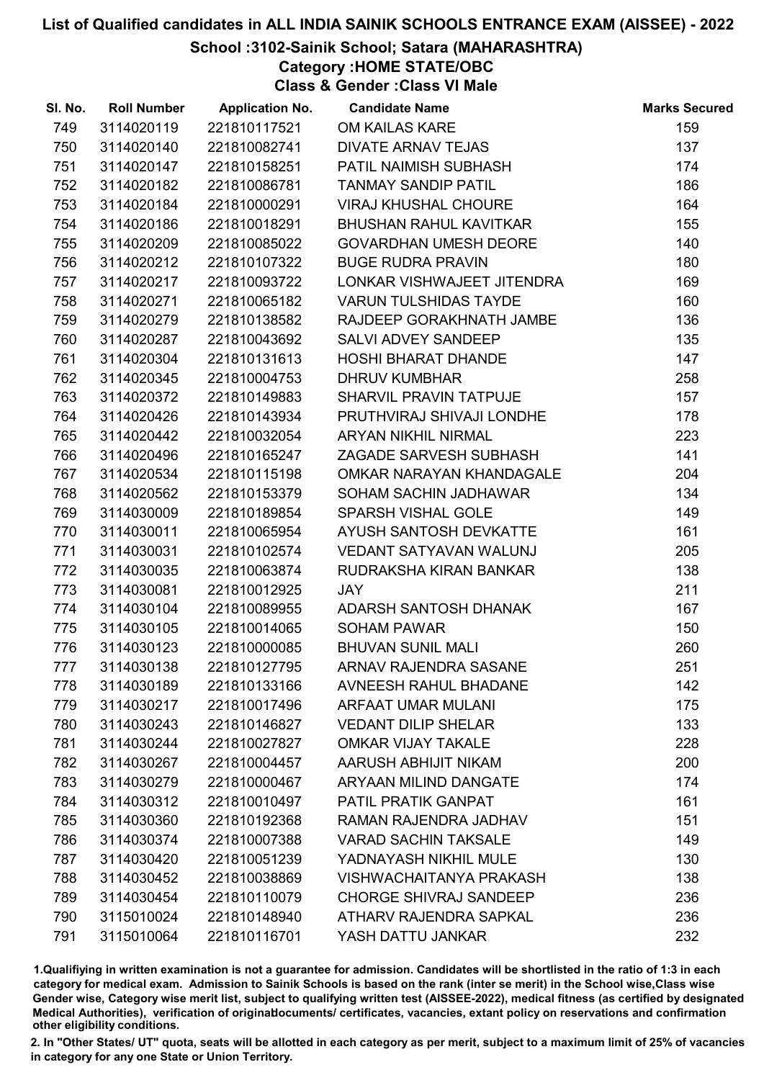## School :3102-Sainik School; Satara (MAHARASHTRA)

Category :HOME STATE/OBC

Class & Gender :Class VI Male

| SI. No. | <b>Roll Number</b> | <b>Application No.</b> | <b>Candidate Name</b>          | <b>Marks Secured</b> |
|---------|--------------------|------------------------|--------------------------------|----------------------|
| 749     | 3114020119         | 221810117521           | OM KAILAS KARE                 | 159                  |
| 750     | 3114020140         | 221810082741           | <b>DIVATE ARNAV TEJAS</b>      | 137                  |
| 751     | 3114020147         | 221810158251           | PATIL NAIMISH SUBHASH          | 174                  |
| 752     | 3114020182         | 221810086781           | <b>TANMAY SANDIP PATIL</b>     | 186                  |
| 753     | 3114020184         | 221810000291           | <b>VIRAJ KHUSHAL CHOURE</b>    | 164                  |
| 754     | 3114020186         | 221810018291           | <b>BHUSHAN RAHUL KAVITKAR</b>  | 155                  |
| 755     | 3114020209         | 221810085022           | <b>GOVARDHAN UMESH DEORE</b>   | 140                  |
| 756     | 3114020212         | 221810107322           | <b>BUGE RUDRA PRAVIN</b>       | 180                  |
| 757     | 3114020217         | 221810093722           | LONKAR VISHWAJEET JITENDRA     | 169                  |
| 758     | 3114020271         | 221810065182           | <b>VARUN TULSHIDAS TAYDE</b>   | 160                  |
| 759     | 3114020279         | 221810138582           | RAJDEEP GORAKHNATH JAMBE       | 136                  |
| 760     | 3114020287         | 221810043692           | SALVI ADVEY SANDEEP            | 135                  |
| 761     | 3114020304         | 221810131613           | HOSHI BHARAT DHANDE            | 147                  |
| 762     | 3114020345         | 221810004753           | <b>DHRUV KUMBHAR</b>           | 258                  |
| 763     | 3114020372         | 221810149883           | <b>SHARVIL PRAVIN TATPUJE</b>  | 157                  |
| 764     | 3114020426         | 221810143934           | PRUTHVIRAJ SHIVAJI LONDHE      | 178                  |
| 765     | 3114020442         | 221810032054           | ARYAN NIKHIL NIRMAL            | 223                  |
| 766     | 3114020496         | 221810165247           | ZAGADE SARVESH SUBHASH         | 141                  |
| 767     | 3114020534         | 221810115198           | OMKAR NARAYAN KHANDAGALE       | 204                  |
| 768     | 3114020562         | 221810153379           | SOHAM SACHIN JADHAWAR          | 134                  |
| 769     | 3114030009         | 221810189854           | <b>SPARSH VISHAL GOLE</b>      | 149                  |
| 770     | 3114030011         | 221810065954           | AYUSH SANTOSH DEVKATTE         | 161                  |
| 771     | 3114030031         | 221810102574           | VEDANT SATYAVAN WALUNJ         | 205                  |
| 772     | 3114030035         | 221810063874           | RUDRAKSHA KIRAN BANKAR         | 138                  |
| 773     | 3114030081         | 221810012925           | JAY                            | 211                  |
| 774     | 3114030104         | 221810089955           | <b>ADARSH SANTOSH DHANAK</b>   | 167                  |
| 775     | 3114030105         | 221810014065           | <b>SOHAM PAWAR</b>             | 150                  |
| 776     | 3114030123         | 221810000085           | <b>BHUVAN SUNIL MALI</b>       | 260                  |
| 777     | 3114030138         | 221810127795           | ARNAV RAJENDRA SASANE          | 251                  |
| 778     | 3114030189         | 221810133166           | <b>AVNEESH RAHUL BHADANE</b>   | 142                  |
| 779     | 3114030217         | 221810017496           | <b>ARFAAT UMAR MULANI</b>      | 175                  |
| 780     | 3114030243         | 221810146827           | <b>VEDANT DILIP SHELAR</b>     | 133                  |
| 781     | 3114030244         | 221810027827           | <b>OMKAR VIJAY TAKALE</b>      | 228                  |
| 782     | 3114030267         | 221810004457           | AARUSH ABHIJIT NIKAM           | 200                  |
| 783     | 3114030279         | 221810000467           | ARYAAN MILIND DANGATE          | 174                  |
| 784     | 3114030312         | 221810010497           | PATIL PRATIK GANPAT            | 161                  |
| 785     | 3114030360         | 221810192368           | RAMAN RAJENDRA JADHAV          | 151                  |
| 786     | 3114030374         | 221810007388           | <b>VARAD SACHIN TAKSALE</b>    | 149                  |
| 787     | 3114030420         | 221810051239           | YADNAYASH NIKHIL MULE          | 130                  |
| 788     | 3114030452         | 221810038869           | <b>VISHWACHAITANYA PRAKASH</b> | 138                  |
| 789     | 3114030454         | 221810110079           | <b>CHORGE SHIVRAJ SANDEEP</b>  | 236                  |
| 790     | 3115010024         | 221810148940           | ATHARV RAJENDRA SAPKAL         | 236                  |
| 791     | 3115010064         | 221810116701           | YASH DATTU JANKAR              | 232                  |

1.Qualifiying in written examination is not a guarantee for admission. Candidates will be shortlisted in the ratio of 1:3 in each category for medical exam. Admission to Sainik Schools is based on the rank (inter se merit) in the School wise,Class wise Gender wise, Category wise merit list, subject to qualifying written test (AISSEE-2022), medical fitness (as certified by designated Medical Authorities), verification of originablocuments/ certificates, vacancies, extant policy on reservations and confirmation other eligibility conditions.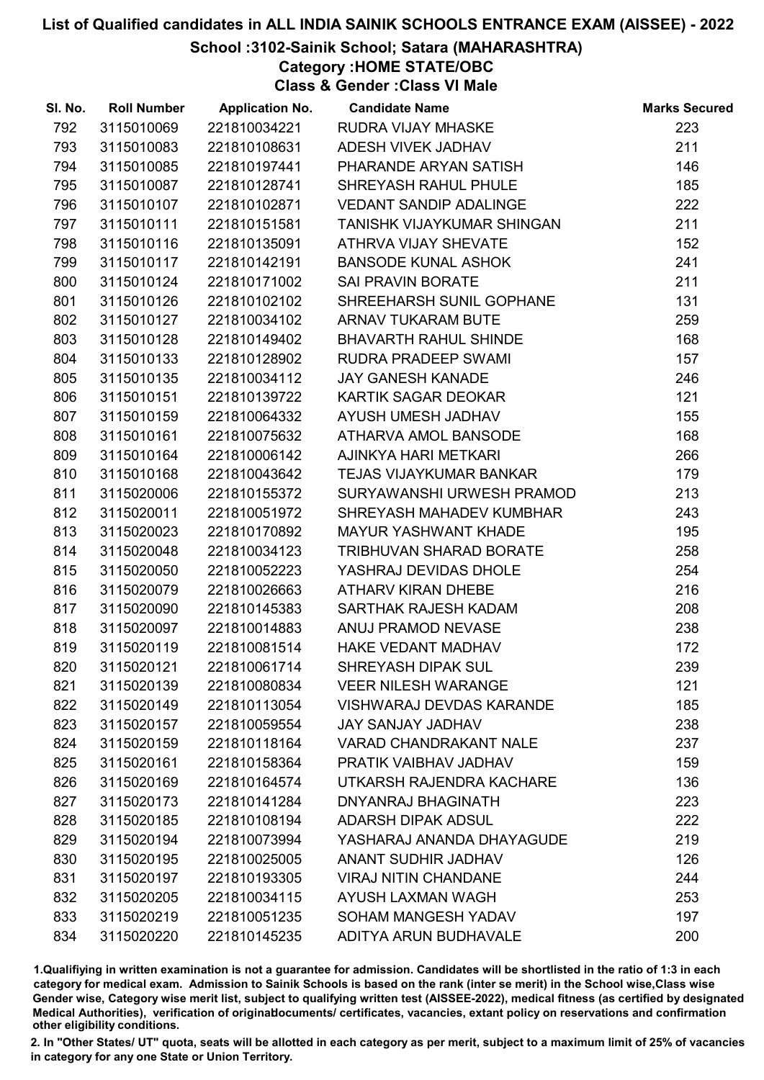## School :3102-Sainik School; Satara (MAHARASHTRA)

Category :HOME STATE/OBC

Class & Gender :Class VI Male

| SI. No. | <b>Roll Number</b> | <b>Application No.</b> | <b>Candidate Name</b>           | <b>Marks Secured</b> |
|---------|--------------------|------------------------|---------------------------------|----------------------|
| 792     | 3115010069         | 221810034221           | <b>RUDRA VIJAY MHASKE</b>       | 223                  |
| 793     | 3115010083         | 221810108631           | ADESH VIVEK JADHAV              | 211                  |
| 794     | 3115010085         | 221810197441           | PHARANDE ARYAN SATISH           | 146                  |
| 795     | 3115010087         | 221810128741           | SHREYASH RAHUL PHULE            | 185                  |
| 796     | 3115010107         | 221810102871           | <b>VEDANT SANDIP ADALINGE</b>   | 222                  |
| 797     | 3115010111         | 221810151581           | TANISHK VIJAYKUMAR SHINGAN      | 211                  |
| 798     | 3115010116         | 221810135091           | <b>ATHRVA VIJAY SHEVATE</b>     | 152                  |
| 799     | 3115010117         | 221810142191           | <b>BANSODE KUNAL ASHOK</b>      | 241                  |
| 800     | 3115010124         | 221810171002           | SAI PRAVIN BORATE               | 211                  |
| 801     | 3115010126         | 221810102102           | SHREEHARSH SUNIL GOPHANE        | 131                  |
| 802     | 3115010127         | 221810034102           | ARNAV TUKARAM BUTE              | 259                  |
| 803     | 3115010128         | 221810149402           | <b>BHAVARTH RAHUL SHINDE</b>    | 168                  |
| 804     | 3115010133         | 221810128902           | <b>RUDRA PRADEEP SWAMI</b>      | 157                  |
| 805     | 3115010135         | 221810034112           | <b>JAY GANESH KANADE</b>        | 246                  |
| 806     | 3115010151         | 221810139722           | KARTIK SAGAR DEOKAR             | 121                  |
| 807     | 3115010159         | 221810064332           | AYUSH UMESH JADHAV              | 155                  |
| 808     | 3115010161         | 221810075632           | ATHARVA AMOL BANSODE            | 168                  |
| 809     | 3115010164         | 221810006142           | AJINKYA HARI METKARI            | 266                  |
| 810     | 3115010168         | 221810043642           | <b>TEJAS VIJAYKUMAR BANKAR</b>  | 179                  |
| 811     | 3115020006         | 221810155372           | SURYAWANSHI URWESH PRAMOD       | 213                  |
| 812     | 3115020011         | 221810051972           | SHREYASH MAHADEV KUMBHAR        | 243                  |
| 813     | 3115020023         | 221810170892           | <b>MAYUR YASHWANT KHADE</b>     | 195                  |
| 814     | 3115020048         | 221810034123           | TRIBHUVAN SHARAD BORATE         | 258                  |
| 815     | 3115020050         | 221810052223           | YASHRAJ DEVIDAS DHOLE           | 254                  |
| 816     | 3115020079         | 221810026663           | ATHARV KIRAN DHEBE              | 216                  |
| 817     | 3115020090         | 221810145383           | SARTHAK RAJESH KADAM            | 208                  |
| 818     | 3115020097         | 221810014883           | ANUJ PRAMOD NEVASE              | 238                  |
| 819     | 3115020119         | 221810081514           | <b>HAKE VEDANT MADHAV</b>       | 172                  |
| 820     | 3115020121         | 221810061714           | <b>SHREYASH DIPAK SUL</b>       | 239                  |
| 821     | 3115020139         | 221810080834           | <b>VEER NILESH WARANGE</b>      | 121                  |
| 822     | 3115020149         | 221810113054           | <b>VISHWARAJ DEVDAS KARANDE</b> | 185                  |
| 823     | 3115020157         | 221810059554           | <b>JAY SANJAY JADHAV</b>        | 238                  |
| 824     | 3115020159         | 221810118164           | <b>VARAD CHANDRAKANT NALE</b>   | 237                  |
| 825     | 3115020161         | 221810158364           | PRATIK VAIBHAV JADHAV           | 159                  |
| 826     | 3115020169         | 221810164574           | UTKARSH RAJENDRA KACHARE        | 136                  |
| 827     | 3115020173         | 221810141284           | DNYANRAJ BHAGINATH              | 223                  |
| 828     | 3115020185         | 221810108194           | <b>ADARSH DIPAK ADSUL</b>       | 222                  |
| 829     | 3115020194         | 221810073994           | YASHARAJ ANANDA DHAYAGUDE       | 219                  |
| 830     | 3115020195         | 221810025005           | ANANT SUDHIR JADHAV             | 126                  |
| 831     | 3115020197         | 221810193305           | <b>VIRAJ NITIN CHANDANE</b>     | 244                  |
| 832     | 3115020205         | 221810034115           | AYUSH LAXMAN WAGH               | 253                  |
| 833     | 3115020219         | 221810051235           | SOHAM MANGESH YADAV             | 197                  |
| 834     | 3115020220         | 221810145235           | ADITYA ARUN BUDHAVALE           | 200                  |

1.Qualifiying in written examination is not a guarantee for admission. Candidates will be shortlisted in the ratio of 1:3 in each category for medical exam. Admission to Sainik Schools is based on the rank (inter se merit) in the School wise,Class wise Gender wise, Category wise merit list, subject to qualifying written test (AISSEE-2022), medical fitness (as certified by designated Medical Authorities), verification of originablocuments/ certificates, vacancies, extant policy on reservations and confirmation other eligibility conditions.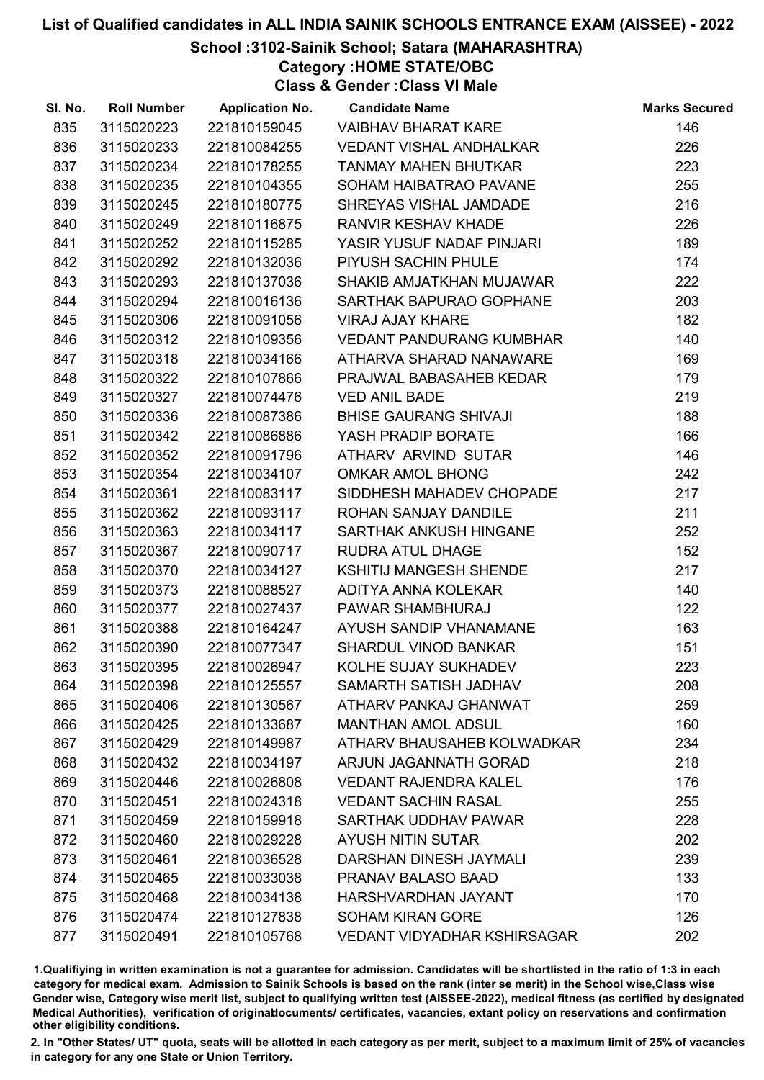## School :3102-Sainik School; Satara (MAHARASHTRA)

Category :HOME STATE/OBC

Class & Gender :Class VI Male

| SI. No. | <b>Roll Number</b> | <b>Application No.</b> | <b>Candidate Name</b>              | <b>Marks Secured</b> |
|---------|--------------------|------------------------|------------------------------------|----------------------|
| 835     | 3115020223         | 221810159045           | <b>VAIBHAV BHARAT KARE</b>         | 146                  |
| 836     | 3115020233         | 221810084255           | VEDANT VISHAL ANDHALKAR            | 226                  |
| 837     | 3115020234         | 221810178255           | <b>TANMAY MAHEN BHUTKAR</b>        | 223                  |
| 838     | 3115020235         | 221810104355           | SOHAM HAIBATRAO PAVANE             | 255                  |
| 839     | 3115020245         | 221810180775           | SHREYAS VISHAL JAMDADE             | 216                  |
| 840     | 3115020249         | 221810116875           | <b>RANVIR KESHAV KHADE</b>         | 226                  |
| 841     | 3115020252         | 221810115285           | YASIR YUSUF NADAF PINJARI          | 189                  |
| 842     | 3115020292         | 221810132036           | PIYUSH SACHIN PHULE                | 174                  |
| 843     | 3115020293         | 221810137036           | SHAKIB AMJATKHAN MUJAWAR           | 222                  |
| 844     | 3115020294         | 221810016136           | SARTHAK BAPURAO GOPHANE            | 203                  |
| 845     | 3115020306         | 221810091056           | <b>VIRAJ AJAY KHARE</b>            | 182                  |
| 846     | 3115020312         | 221810109356           | <b>VEDANT PANDURANG KUMBHAR</b>    | 140                  |
| 847     | 3115020318         | 221810034166           | ATHARVA SHARAD NANAWARE            | 169                  |
| 848     | 3115020322         | 221810107866           | PRAJWAL BABASAHEB KEDAR            | 179                  |
| 849     | 3115020327         | 221810074476           | <b>VED ANIL BADE</b>               | 219                  |
| 850     | 3115020336         | 221810087386           | <b>BHISE GAURANG SHIVAJI</b>       | 188                  |
| 851     | 3115020342         | 221810086886           | YASH PRADIP BORATE                 | 166                  |
| 852     | 3115020352         | 221810091796           | ATHARV ARVIND SUTAR                | 146                  |
| 853     | 3115020354         | 221810034107           | <b>OMKAR AMOL BHONG</b>            | 242                  |
| 854     | 3115020361         | 221810083117           | SIDDHESH MAHADEV CHOPADE           | 217                  |
| 855     | 3115020362         | 221810093117           | ROHAN SANJAY DANDILE               | 211                  |
| 856     | 3115020363         | 221810034117           | SARTHAK ANKUSH HINGANE             | 252                  |
| 857     | 3115020367         | 221810090717           | <b>RUDRA ATUL DHAGE</b>            | 152                  |
| 858     | 3115020370         | 221810034127           | KSHITIJ MANGESH SHENDE             | 217                  |
| 859     | 3115020373         | 221810088527           | ADITYA ANNA KOLEKAR                | 140                  |
| 860     | 3115020377         | 221810027437           | PAWAR SHAMBHURAJ                   | 122                  |
| 861     | 3115020388         | 221810164247           | AYUSH SANDIP VHANAMANE             | 163                  |
| 862     | 3115020390         | 221810077347           | <b>SHARDUL VINOD BANKAR</b>        | 151                  |
| 863     | 3115020395         | 221810026947           | KOLHE SUJAY SUKHADEV               | 223                  |
| 864     | 3115020398         | 221810125557           | SAMARTH SATISH JADHAV              | 208                  |
| 865     | 3115020406         | 221810130567           | ATHARV PANKAJ GHANWAT              | 259                  |
| 866     | 3115020425         | 221810133687           | <b>MANTHAN AMOL ADSUL</b>          | 160                  |
| 867     | 3115020429         | 221810149987           | ATHARV BHAUSAHEB KOLWADKAR         | 234                  |
| 868     | 3115020432         | 221810034197           | ARJUN JAGANNATH GORAD              | 218                  |
| 869     | 3115020446         | 221810026808           | <b>VEDANT RAJENDRA KALEL</b>       | 176                  |
| 870     | 3115020451         | 221810024318           | <b>VEDANT SACHIN RASAL</b>         | 255                  |
| 871     | 3115020459         | 221810159918           | SARTHAK UDDHAV PAWAR               | 228                  |
| 872     | 3115020460         | 221810029228           | <b>AYUSH NITIN SUTAR</b>           | 202                  |
| 873     | 3115020461         | 221810036528           | DARSHAN DINESH JAYMALI             | 239                  |
| 874     | 3115020465         | 221810033038           | PRANAV BALASO BAAD                 | 133                  |
| 875     | 3115020468         | 221810034138           | HARSHVARDHAN JAYANT                | 170                  |
| 876     | 3115020474         | 221810127838           | <b>SOHAM KIRAN GORE</b>            | 126                  |
| 877     | 3115020491         | 221810105768           | <b>VEDANT VIDYADHAR KSHIRSAGAR</b> | 202                  |

1.Qualifiying in written examination is not a guarantee for admission. Candidates will be shortlisted in the ratio of 1:3 in each category for medical exam. Admission to Sainik Schools is based on the rank (inter se merit) in the School wise,Class wise Gender wise, Category wise merit list, subject to qualifying written test (AISSEE-2022), medical fitness (as certified by designated Medical Authorities), verification of originablocuments/ certificates, vacancies, extant policy on reservations and confirmation other eligibility conditions.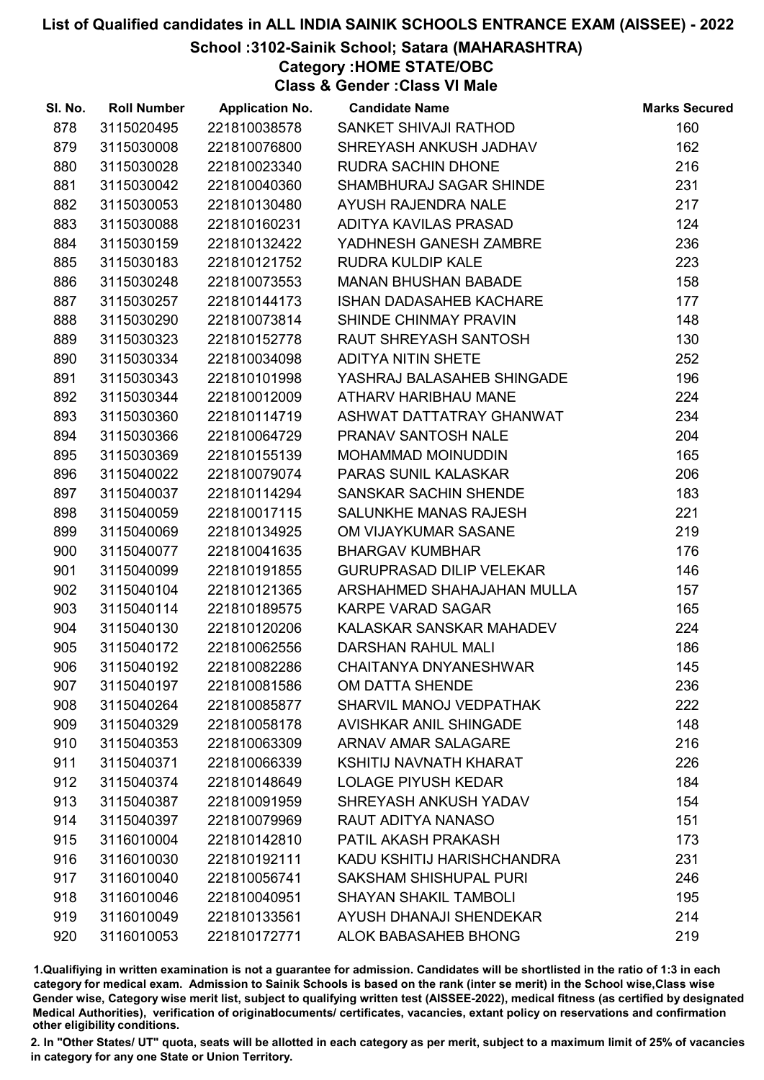## School :3102-Sainik School; Satara (MAHARASHTRA)

Category :HOME STATE/OBC

Class & Gender :Class VI Male

| SI. No. | <b>Roll Number</b> | <b>Application No.</b> | <b>Candidate Name</b>           | <b>Marks Secured</b> |
|---------|--------------------|------------------------|---------------------------------|----------------------|
| 878     | 3115020495         | 221810038578           | SANKET SHIVAJI RATHOD           | 160                  |
| 879     | 3115030008         | 221810076800           | SHREYASH ANKUSH JADHAV          | 162                  |
| 880     | 3115030028         | 221810023340           | <b>RUDRA SACHIN DHONE</b>       | 216                  |
| 881     | 3115030042         | 221810040360           | SHAMBHURAJ SAGAR SHINDE         | 231                  |
| 882     | 3115030053         | 221810130480           | AYUSH RAJENDRA NALE             | 217                  |
| 883     | 3115030088         | 221810160231           | ADITYA KAVILAS PRASAD           | 124                  |
| 884     | 3115030159         | 221810132422           | YADHNESH GANESH ZAMBRE          | 236                  |
| 885     | 3115030183         | 221810121752           | <b>RUDRA KULDIP KALE</b>        | 223                  |
| 886     | 3115030248         | 221810073553           | <b>MANAN BHUSHAN BABADE</b>     | 158                  |
| 887     | 3115030257         | 221810144173           | <b>ISHAN DADASAHEB KACHARE</b>  | 177                  |
| 888     | 3115030290         | 221810073814           | SHINDE CHINMAY PRAVIN           | 148                  |
| 889     | 3115030323         | 221810152778           | RAUT SHREYASH SANTOSH           | 130                  |
| 890     | 3115030334         | 221810034098           | <b>ADITYA NITIN SHETE</b>       | 252                  |
| 891     | 3115030343         | 221810101998           | YASHRAJ BALASAHEB SHINGADE      | 196                  |
| 892     | 3115030344         | 221810012009           | ATHARV HARIBHAU MANE            | 224                  |
| 893     | 3115030360         | 221810114719           | ASHWAT DATTATRAY GHANWAT        | 234                  |
| 894     | 3115030366         | 221810064729           | PRANAV SANTOSH NALE             | 204                  |
| 895     | 3115030369         | 221810155139           | MOHAMMAD MOINUDDIN              | 165                  |
| 896     | 3115040022         | 221810079074           | PARAS SUNIL KALASKAR            | 206                  |
| 897     | 3115040037         | 221810114294           | SANSKAR SACHIN SHENDE           | 183                  |
| 898     | 3115040059         | 221810017115           | SALUNKHE MANAS RAJESH           | 221                  |
| 899     | 3115040069         | 221810134925           | OM VIJAYKUMAR SASANE            | 219                  |
| 900     | 3115040077         | 221810041635           | <b>BHARGAV KUMBHAR</b>          | 176                  |
| 901     | 3115040099         | 221810191855           | <b>GURUPRASAD DILIP VELEKAR</b> | 146                  |
| 902     | 3115040104         | 221810121365           | ARSHAHMED SHAHAJAHAN MULLA      | 157                  |
| 903     | 3115040114         | 221810189575           | <b>KARPE VARAD SAGAR</b>        | 165                  |
| 904     | 3115040130         | 221810120206           | KALASKAR SANSKAR MAHADEV        | 224                  |
| 905     | 3115040172         | 221810062556           | <b>DARSHAN RAHUL MALI</b>       | 186                  |
| 906     | 3115040192         | 221810082286           | <b>CHAITANYA DNYANESHWAR</b>    | 145                  |
| 907     | 3115040197         | 221810081586           | OM DATTA SHENDE                 | 236                  |
| 908     | 3115040264         | 221810085877           | SHARVIL MANOJ VEDPATHAK         | 222                  |
| 909     | 3115040329         | 221810058178           | <b>AVISHKAR ANIL SHINGADE</b>   | 148                  |
| 910     | 3115040353         | 221810063309           | ARNAV AMAR SALAGARE             | 216                  |
| 911     | 3115040371         | 221810066339           | KSHITIJ NAVNATH KHARAT          | 226                  |
| 912     | 3115040374         | 221810148649           | <b>LOLAGE PIYUSH KEDAR</b>      | 184                  |
| 913     | 3115040387         | 221810091959           | SHREYASH ANKUSH YADAV           | 154                  |
| 914     | 3115040397         | 221810079969           | RAUT ADITYA NANASO              | 151                  |
| 915     | 3116010004         | 221810142810           | PATIL AKASH PRAKASH             | 173                  |
| 916     | 3116010030         | 221810192111           | KADU KSHITIJ HARISHCHANDRA      | 231                  |
| 917     | 3116010040         | 221810056741           | <b>SAKSHAM SHISHUPAL PURI</b>   | 246                  |
| 918     | 3116010046         | 221810040951           | <b>SHAYAN SHAKIL TAMBOLI</b>    | 195                  |
| 919     | 3116010049         | 221810133561           | AYUSH DHANAJI SHENDEKAR         | 214                  |
| 920     | 3116010053         | 221810172771           | <b>ALOK BABASAHEB BHONG</b>     | 219                  |

1.Qualifiying in written examination is not a guarantee for admission. Candidates will be shortlisted in the ratio of 1:3 in each category for medical exam. Admission to Sainik Schools is based on the rank (inter se merit) in the School wise,Class wise Gender wise, Category wise merit list, subject to qualifying written test (AISSEE-2022), medical fitness (as certified by designated Medical Authorities), verification of originablocuments/ certificates, vacancies, extant policy on reservations and confirmation other eligibility conditions.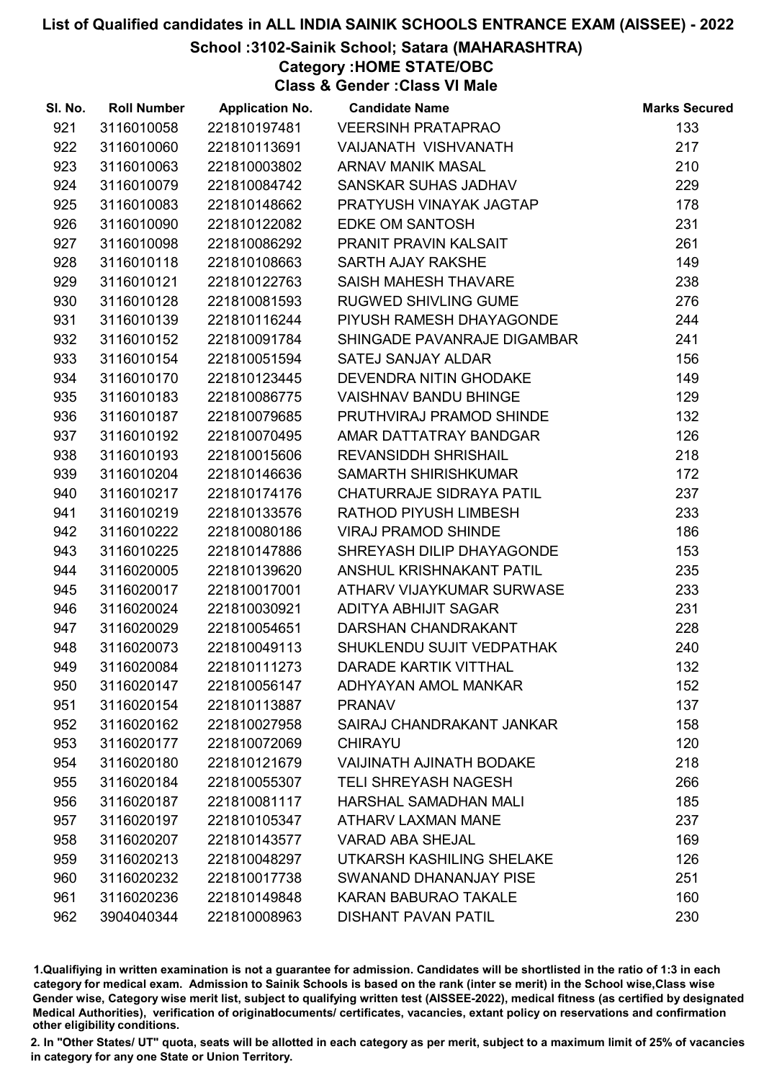#### School :3102-Sainik School; Satara (MAHARASHTRA)

Category :HOME STATE/OBC

Class & Gender :Class VI Male

| SI. No. | <b>Roll Number</b> | <b>Application No.</b> | <b>Candidate Name</b>           | <b>Marks Secured</b> |
|---------|--------------------|------------------------|---------------------------------|----------------------|
| 921     | 3116010058         | 221810197481           | <b>VEERSINH PRATAPRAO</b>       | 133                  |
| 922     | 3116010060         | 221810113691           | VAIJANATH VISHVANATH            | 217                  |
| 923     | 3116010063         | 221810003802           | <b>ARNAV MANIK MASAL</b>        | 210                  |
| 924     | 3116010079         | 221810084742           | SANSKAR SUHAS JADHAV            | 229                  |
| 925     | 3116010083         | 221810148662           | PRATYUSH VINAYAK JAGTAP         | 178                  |
| 926     | 3116010090         | 221810122082           | <b>EDKE OM SANTOSH</b>          | 231                  |
| 927     | 3116010098         | 221810086292           | PRANIT PRAVIN KALSAIT           | 261                  |
| 928     | 3116010118         | 221810108663           | SARTH AJAY RAKSHE               | 149                  |
| 929     | 3116010121         | 221810122763           | SAISH MAHESH THAVARE            | 238                  |
| 930     | 3116010128         | 221810081593           | <b>RUGWED SHIVLING GUME</b>     | 276                  |
| 931     | 3116010139         | 221810116244           | PIYUSH RAMESH DHAYAGONDE        | 244                  |
| 932     | 3116010152         | 221810091784           | SHINGADE PAVANRAJE DIGAMBAR     | 241                  |
| 933     | 3116010154         | 221810051594           | SATEJ SANJAY ALDAR              | 156                  |
| 934     | 3116010170         | 221810123445           | DEVENDRA NITIN GHODAKE          | 149                  |
| 935     | 3116010183         | 221810086775           | <b>VAISHNAV BANDU BHINGE</b>    | 129                  |
| 936     | 3116010187         | 221810079685           | PRUTHVIRAJ PRAMOD SHINDE        | 132                  |
| 937     | 3116010192         | 221810070495           | AMAR DATTATRAY BANDGAR          | 126                  |
| 938     | 3116010193         | 221810015606           | <b>REVANSIDDH SHRISHAIL</b>     | 218                  |
| 939     | 3116010204         | 221810146636           | <b>SAMARTH SHIRISHKUMAR</b>     | 172                  |
| 940     | 3116010217         | 221810174176           | CHATURRAJE SIDRAYA PATIL        | 237                  |
| 941     | 3116010219         | 221810133576           | RATHOD PIYUSH LIMBESH           | 233                  |
| 942     | 3116010222         | 221810080186           | <b>VIRAJ PRAMOD SHINDE</b>      | 186                  |
| 943     | 3116010225         | 221810147886           | SHREYASH DILIP DHAYAGONDE       | 153                  |
| 944     | 3116020005         | 221810139620           | ANSHUL KRISHNAKANT PATIL        | 235                  |
| 945     | 3116020017         | 221810017001           | ATHARV VIJAYKUMAR SURWASE       | 233                  |
| 946     | 3116020024         | 221810030921           | ADITYA ABHIJIT SAGAR            | 231                  |
| 947     | 3116020029         | 221810054651           | DARSHAN CHANDRAKANT             | 228                  |
| 948     | 3116020073         | 221810049113           | SHUKLENDU SUJIT VEDPATHAK       | 240                  |
| 949     | 3116020084         | 221810111273           | <b>DARADE KARTIK VITTHAL</b>    | 132                  |
| 950     | 3116020147         | 221810056147           | ADHYAYAN AMOL MANKAR            | 152                  |
| 951     | 3116020154         | 221810113887           | <b>PRANAV</b>                   | 137                  |
| 952     | 3116020162         | 221810027958           | SAIRAJ CHANDRAKANT JANKAR       | 158                  |
| 953     | 3116020177         | 221810072069           | <b>CHIRAYU</b>                  | 120                  |
| 954     | 3116020180         | 221810121679           | <b>VAIJINATH AJINATH BODAKE</b> | 218                  |
| 955     | 3116020184         | 221810055307           | <b>TELI SHREYASH NAGESH</b>     | 266                  |
| 956     | 3116020187         | 221810081117           | HARSHAL SAMADHAN MALI           | 185                  |
| 957     | 3116020197         | 221810105347           | ATHARV LAXMAN MANE              | 237                  |
| 958     | 3116020207         | 221810143577           | <b>VARAD ABA SHEJAL</b>         | 169                  |
| 959     | 3116020213         | 221810048297           | UTKARSH KASHILING SHELAKE       | 126                  |
| 960     | 3116020232         | 221810017738           | SWANAND DHANANJAY PISE          | 251                  |
| 961     | 3116020236         | 221810149848           | <b>KARAN BABURAO TAKALE</b>     | 160                  |
| 962     | 3904040344         | 221810008963           | <b>DISHANT PAVAN PATIL</b>      | 230                  |

1.Qualifiying in written examination is not a guarantee for admission. Candidates will be shortlisted in the ratio of 1:3 in each category for medical exam. Admission to Sainik Schools is based on the rank (inter se merit) in the School wise,Class wise Gender wise, Category wise merit list, subject to qualifying written test (AISSEE-2022), medical fitness (as certified by designated Medical Authorities), verification of originablocuments/ certificates, vacancies, extant policy on reservations and confirmation other eligibility conditions.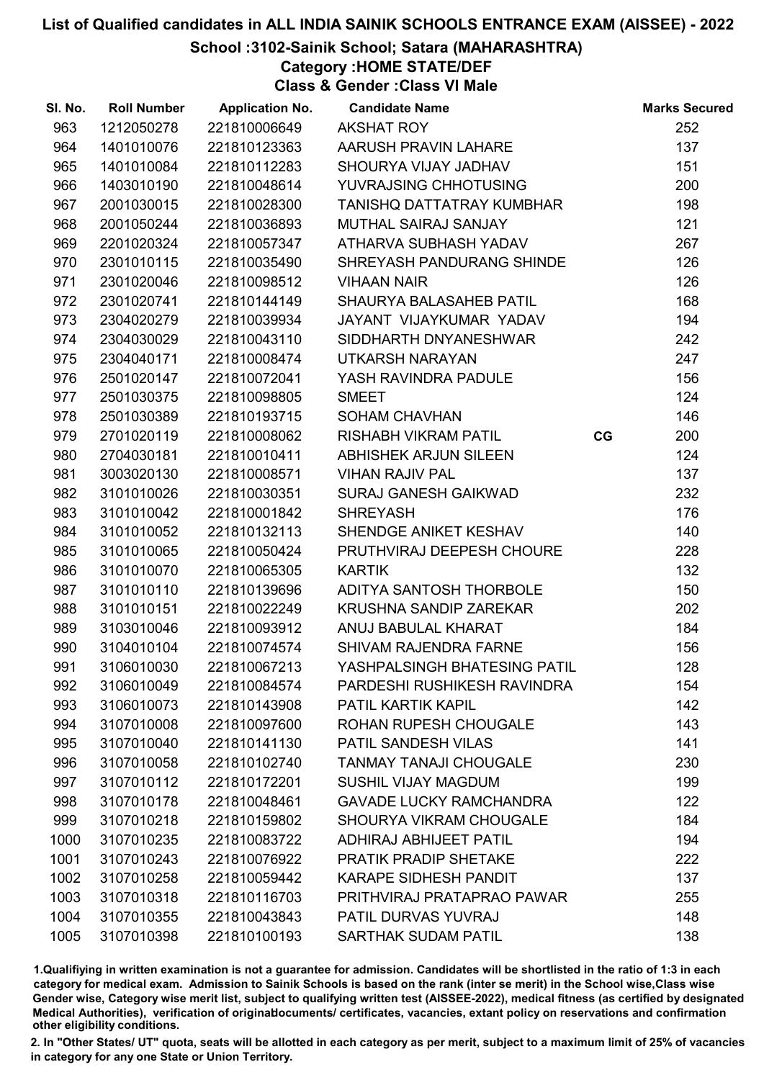#### School :3102-Sainik School; Satara (MAHARASHTRA)

Category :HOME STATE/DEF

Class & Gender :Class VI Male

| SI. No. | <b>Roll Number</b> | <b>Application No.</b> | <b>Candidate Name</b>          |    | <b>Marks Secured</b> |
|---------|--------------------|------------------------|--------------------------------|----|----------------------|
| 963     | 1212050278         | 221810006649           | <b>AKSHAT ROY</b>              |    | 252                  |
| 964     | 1401010076         | 221810123363           | AARUSH PRAVIN LAHARE           |    | 137                  |
| 965     | 1401010084         | 221810112283           | SHOURYA VIJAY JADHAV           |    | 151                  |
| 966     | 1403010190         | 221810048614           | YUVRAJSING CHHOTUSING          |    | 200                  |
| 967     | 2001030015         | 221810028300           | TANISHQ DATTATRAY KUMBHAR      |    | 198                  |
| 968     | 2001050244         | 221810036893           | MUTHAL SAIRAJ SANJAY           |    | 121                  |
| 969     | 2201020324         | 221810057347           | ATHARVA SUBHASH YADAV          |    | 267                  |
| 970     | 2301010115         | 221810035490           | SHREYASH PANDURANG SHINDE      |    | 126                  |
| 971     | 2301020046         | 221810098512           | <b>VIHAAN NAIR</b>             |    | 126                  |
| 972     | 2301020741         | 221810144149           | SHAURYA BALASAHEB PATIL        |    | 168                  |
| 973     | 2304020279         | 221810039934           | JAYANT VIJAYKUMAR YADAV        |    | 194                  |
| 974     | 2304030029         | 221810043110           | SIDDHARTH DNYANESHWAR          |    | 242                  |
| 975     | 2304040171         | 221810008474           | UTKARSH NARAYAN                |    | 247                  |
| 976     | 2501020147         | 221810072041           | YASH RAVINDRA PADULE           |    | 156                  |
| 977     | 2501030375         | 221810098805           | <b>SMEET</b>                   |    | 124                  |
| 978     | 2501030389         | 221810193715           | <b>SOHAM CHAVHAN</b>           |    | 146                  |
| 979     | 2701020119         | 221810008062           | <b>RISHABH VIKRAM PATIL</b>    | CG | 200                  |
| 980     | 2704030181         | 221810010411           | <b>ABHISHEK ARJUN SILEEN</b>   |    | 124                  |
| 981     | 3003020130         | 221810008571           | <b>VIHAN RAJIV PAL</b>         |    | 137                  |
| 982     | 3101010026         | 221810030351           | <b>SURAJ GANESH GAIKWAD</b>    |    | 232                  |
| 983     | 3101010042         | 221810001842           | <b>SHREYASH</b>                |    | 176                  |
| 984     | 3101010052         | 221810132113           | SHENDGE ANIKET KESHAV          |    | 140                  |
| 985     | 3101010065         | 221810050424           | PRUTHVIRAJ DEEPESH CHOURE      |    | 228                  |
| 986     | 3101010070         | 221810065305           | <b>KARTIK</b>                  |    | 132                  |
| 987     | 3101010110         | 221810139696           | ADITYA SANTOSH THORBOLE        |    | 150                  |
| 988     | 3101010151         | 221810022249           | <b>KRUSHNA SANDIP ZAREKAR</b>  |    | 202                  |
| 989     | 3103010046         | 221810093912           | ANUJ BABULAL KHARAT            |    | 184                  |
| 990     | 3104010104         | 221810074574           | SHIVAM RAJENDRA FARNE          |    | 156                  |
| 991     | 3106010030         | 221810067213           | YASHPALSINGH BHATESING PATIL   |    | 128                  |
| 992     | 3106010049         | 221810084574           | PARDESHI RUSHIKESH RAVINDRA    |    | 154                  |
| 993     | 3106010073         | 221810143908           | PATIL KARTIK KAPIL             |    | 142                  |
| 994     | 3107010008         | 221810097600           | <b>ROHAN RUPESH CHOUGALE</b>   |    | 143                  |
| 995     | 3107010040         | 221810141130           | PATIL SANDESH VILAS            |    | 141                  |
| 996     | 3107010058         | 221810102740           | <b>TANMAY TANAJI CHOUGALE</b>  |    | 230                  |
| 997     | 3107010112         | 221810172201           | <b>SUSHIL VIJAY MAGDUM</b>     |    | 199                  |
| 998     | 3107010178         | 221810048461           | <b>GAVADE LUCKY RAMCHANDRA</b> |    | 122                  |
| 999     | 3107010218         | 221810159802           | SHOURYA VIKRAM CHOUGALE        |    | 184                  |
| 1000    | 3107010235         | 221810083722           | <b>ADHIRAJ ABHIJEET PATIL</b>  |    | 194                  |
| 1001    | 3107010243         | 221810076922           | <b>PRATIK PRADIP SHETAKE</b>   |    | 222                  |
| 1002    | 3107010258         | 221810059442           | <b>KARAPE SIDHESH PANDIT</b>   |    | 137                  |
| 1003    | 3107010318         | 221810116703           | PRITHVIRAJ PRATAPRAO PAWAR     |    | 255                  |
| 1004    | 3107010355         | 221810043843           | PATIL DURVAS YUVRAJ            |    | 148                  |
| 1005    | 3107010398         | 221810100193           | <b>SARTHAK SUDAM PATIL</b>     |    | 138                  |

1.Qualifiying in written examination is not a guarantee for admission. Candidates will be shortlisted in the ratio of 1:3 in each category for medical exam. Admission to Sainik Schools is based on the rank (inter se merit) in the School wise,Class wise Gender wise, Category wise merit list, subject to qualifying written test (AISSEE-2022), medical fitness (as certified by designated Medical Authorities), verification of originablocuments/ certificates, vacancies, extant policy on reservations and confirmation other eligibility conditions.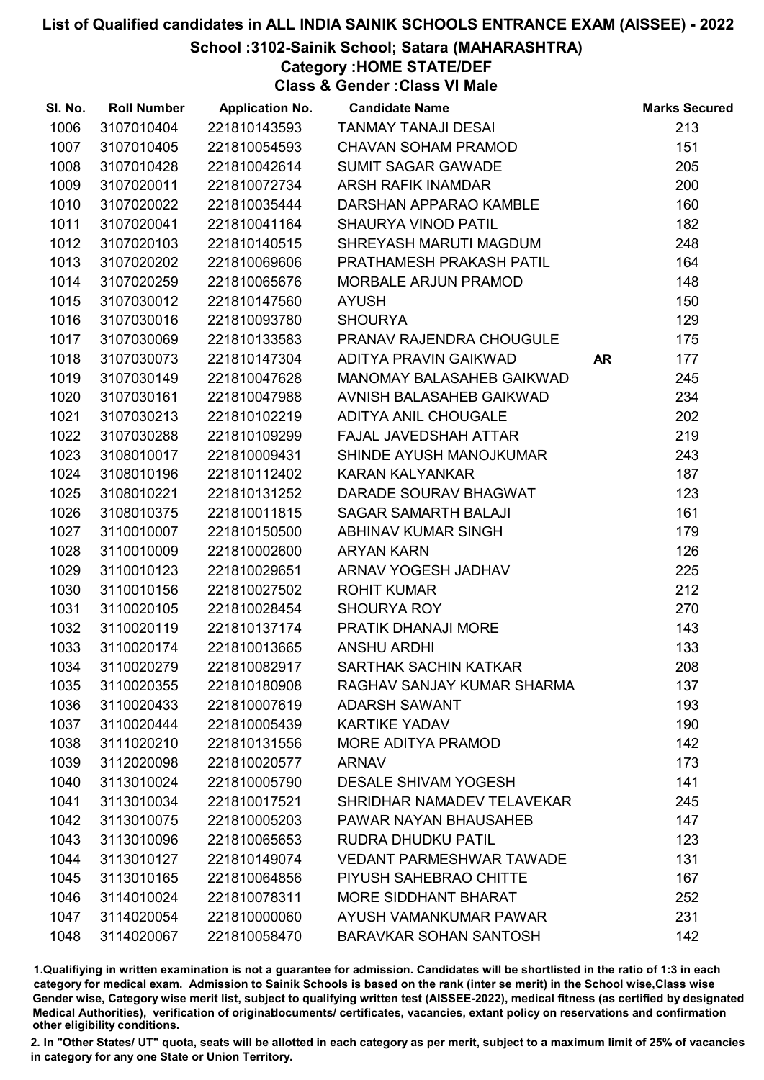## School :3102-Sainik School; Satara (MAHARASHTRA)

Category :HOME STATE/DEF

Class & Gender :Class VI Male

| SI. No. | <b>Roll Number</b> | <b>Application No.</b> | <b>Candidate Name</b>           |           | <b>Marks Secured</b> |
|---------|--------------------|------------------------|---------------------------------|-----------|----------------------|
| 1006    | 3107010404         | 221810143593           | <b>TANMAY TANAJI DESAI</b>      |           | 213                  |
| 1007    | 3107010405         | 221810054593           | <b>CHAVAN SOHAM PRAMOD</b>      |           | 151                  |
| 1008    | 3107010428         | 221810042614           | <b>SUMIT SAGAR GAWADE</b>       |           | 205                  |
| 1009    | 3107020011         | 221810072734           | <b>ARSH RAFIK INAMDAR</b>       |           | 200                  |
| 1010    | 3107020022         | 221810035444           | DARSHAN APPARAO KAMBLE          |           | 160                  |
| 1011    | 3107020041         | 221810041164           | <b>SHAURYA VINOD PATIL</b>      |           | 182                  |
| 1012    | 3107020103         | 221810140515           | SHREYASH MARUTI MAGDUM          |           | 248                  |
| 1013    | 3107020202         | 221810069606           | PRATHAMESH PRAKASH PATIL        |           | 164                  |
| 1014    | 3107020259         | 221810065676           | MORBALE ARJUN PRAMOD            |           | 148                  |
| 1015    | 3107030012         | 221810147560           | <b>AYUSH</b>                    |           | 150                  |
| 1016    | 3107030016         | 221810093780           | <b>SHOURYA</b>                  |           | 129                  |
| 1017    | 3107030069         | 221810133583           | PRANAV RAJENDRA CHOUGULE        |           | 175                  |
| 1018    | 3107030073         | 221810147304           | ADITYA PRAVIN GAIKWAD           | <b>AR</b> | 177                  |
| 1019    | 3107030149         | 221810047628           | MANOMAY BALASAHEB GAIKWAD       |           | 245                  |
| 1020    | 3107030161         | 221810047988           | AVNISH BALASAHEB GAIKWAD        |           | 234                  |
| 1021    | 3107030213         | 221810102219           | ADITYA ANIL CHOUGALE            |           | 202                  |
| 1022    | 3107030288         | 221810109299           | FAJAL JAVEDSHAH ATTAR           |           | 219                  |
| 1023    | 3108010017         | 221810009431           | SHINDE AYUSH MANOJKUMAR         |           | 243                  |
| 1024    | 3108010196         | 221810112402           | <b>KARAN KALYANKAR</b>          |           | 187                  |
| 1025    | 3108010221         | 221810131252           | DARADE SOURAV BHAGWAT           |           | 123                  |
| 1026    | 3108010375         | 221810011815           | <b>SAGAR SAMARTH BALAJI</b>     |           | 161                  |
| 1027    | 3110010007         | 221810150500           | ABHINAV KUMAR SINGH             |           | 179                  |
| 1028    | 3110010009         | 221810002600           | <b>ARYAN KARN</b>               |           | 126                  |
| 1029    | 3110010123         | 221810029651           | ARNAV YOGESH JADHAV             |           | 225                  |
| 1030    | 3110010156         | 221810027502           | <b>ROHIT KUMAR</b>              |           | 212                  |
| 1031    | 3110020105         | 221810028454           | <b>SHOURYA ROY</b>              |           | 270                  |
| 1032    | 3110020119         | 221810137174           | PRATIK DHANAJI MORE             |           | 143                  |
| 1033    | 3110020174         | 221810013665           | <b>ANSHU ARDHI</b>              |           | 133                  |
| 1034    | 3110020279         | 221810082917           | SARTHAK SACHIN KATKAR           |           | 208                  |
| 1035    | 3110020355         | 221810180908           | RAGHAV SANJAY KUMAR SHARMA      |           | 137                  |
| 1036    | 3110020433         | 221810007619           | <b>ADARSH SAWANT</b>            |           | 193                  |
| 1037    | 3110020444         | 221810005439           | <b>KARTIKE YADAV</b>            |           | 190                  |
| 1038    | 3111020210         | 221810131556           | MORE ADITYA PRAMOD              |           | 142                  |
| 1039    | 3112020098         | 221810020577           | <b>ARNAV</b>                    |           | 173                  |
| 1040    | 3113010024         | 221810005790           | <b>DESALE SHIVAM YOGESH</b>     |           | 141                  |
| 1041    | 3113010034         | 221810017521           | SHRIDHAR NAMADEV TELAVEKAR      |           | 245                  |
| 1042    | 3113010075         | 221810005203           | <b>PAWAR NAYAN BHAUSAHEB</b>    |           | 147                  |
| 1043    | 3113010096         | 221810065653           | RUDRA DHUDKU PATIL              |           | 123                  |
| 1044    | 3113010127         | 221810149074           | <b>VEDANT PARMESHWAR TAWADE</b> |           | 131                  |
| 1045    | 3113010165         | 221810064856           | PIYUSH SAHEBRAO CHITTE          |           | 167                  |
| 1046    | 3114010024         | 221810078311           | <b>MORE SIDDHANT BHARAT</b>     |           | 252                  |
| 1047    | 3114020054         | 221810000060           | AYUSH VAMANKUMAR PAWAR          |           | 231                  |
| 1048    | 3114020067         | 221810058470           | <b>BARAVKAR SOHAN SANTOSH</b>   |           | 142                  |

1.Qualifiying in written examination is not a guarantee for admission. Candidates will be shortlisted in the ratio of 1:3 in each category for medical exam. Admission to Sainik Schools is based on the rank (inter se merit) in the School wise,Class wise Gender wise, Category wise merit list, subject to qualifying written test (AISSEE-2022), medical fitness (as certified by designated Medical Authorities), verification of originablocuments/ certificates, vacancies, extant policy on reservations and confirmation other eligibility conditions.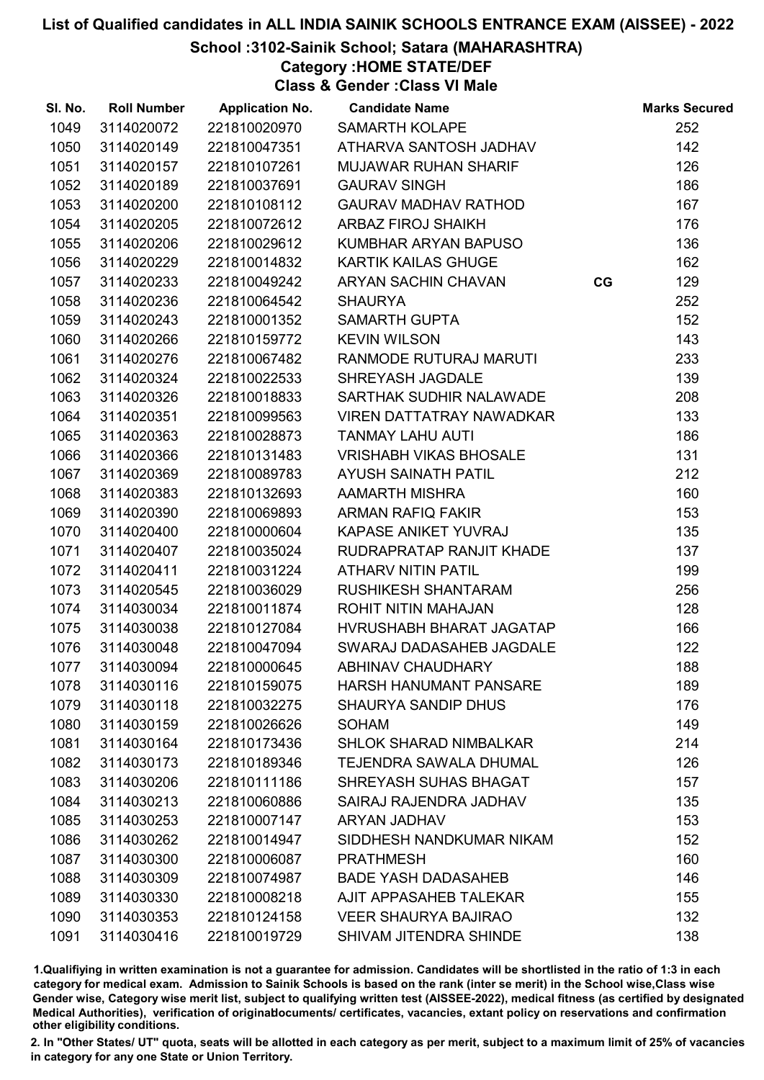## School :3102-Sainik School; Satara (MAHARASHTRA)

Category :HOME STATE/DEF

Class & Gender :Class VI Male

| SI. No. | <b>Roll Number</b> | <b>Application No.</b> | <b>Candidate Name</b>           |    | <b>Marks Secured</b> |
|---------|--------------------|------------------------|---------------------------------|----|----------------------|
| 1049    | 3114020072         | 221810020970           | <b>SAMARTH KOLAPE</b>           |    | 252                  |
| 1050    | 3114020149         | 221810047351           | ATHARVA SANTOSH JADHAV          |    | 142                  |
| 1051    | 3114020157         | 221810107261           | <b>MUJAWAR RUHAN SHARIF</b>     |    | 126                  |
| 1052    | 3114020189         | 221810037691           | <b>GAURAV SINGH</b>             |    | 186                  |
| 1053    | 3114020200         | 221810108112           | <b>GAURAV MADHAV RATHOD</b>     |    | 167                  |
| 1054    | 3114020205         | 221810072612           | <b>ARBAZ FIROJ SHAIKH</b>       |    | 176                  |
| 1055    | 3114020206         | 221810029612           | KUMBHAR ARYAN BAPUSO            |    | 136                  |
| 1056    | 3114020229         | 221810014832           | <b>KARTIK KAILAS GHUGE</b>      |    | 162                  |
| 1057    | 3114020233         | 221810049242           | ARYAN SACHIN CHAVAN             | CG | 129                  |
| 1058    | 3114020236         | 221810064542           | <b>SHAURYA</b>                  |    | 252                  |
| 1059    | 3114020243         | 221810001352           | <b>SAMARTH GUPTA</b>            |    | 152                  |
| 1060    | 3114020266         | 221810159772           | <b>KEVIN WILSON</b>             |    | 143                  |
| 1061    | 3114020276         | 221810067482           | RANMODE RUTURAJ MARUTI          |    | 233                  |
| 1062    | 3114020324         | 221810022533           | SHREYASH JAGDALE                |    | 139                  |
| 1063    | 3114020326         | 221810018833           | SARTHAK SUDHIR NALAWADE         |    | 208                  |
| 1064    | 3114020351         | 221810099563           | <b>VIREN DATTATRAY NAWADKAR</b> |    | 133                  |
| 1065    | 3114020363         | 221810028873           | <b>TANMAY LAHU AUTI</b>         |    | 186                  |
| 1066    | 3114020366         | 221810131483           | <b>VRISHABH VIKAS BHOSALE</b>   |    | 131                  |
| 1067    | 3114020369         | 221810089783           | <b>AYUSH SAINATH PATIL</b>      |    | 212                  |
| 1068    | 3114020383         | 221810132693           | <b>AAMARTH MISHRA</b>           |    | 160                  |
| 1069    | 3114020390         | 221810069893           | ARMAN RAFIQ FAKIR               |    | 153                  |
| 1070    | 3114020400         | 221810000604           | KAPASE ANIKET YUVRAJ            |    | 135                  |
| 1071    | 3114020407         | 221810035024           | RUDRAPRATAP RANJIT KHADE        |    | 137                  |
| 1072    | 3114020411         | 221810031224           | <b>ATHARV NITIN PATIL</b>       |    | 199                  |
| 1073    | 3114020545         | 221810036029           | <b>RUSHIKESH SHANTARAM</b>      |    | 256                  |
| 1074    | 3114030034         | 221810011874           | ROHIT NITIN MAHAJAN             |    | 128                  |
| 1075    | 3114030038         | 221810127084           | HVRUSHABH BHARAT JAGATAP        |    | 166                  |
| 1076    | 3114030048         | 221810047094           | SWARAJ DADASAHEB JAGDALE        |    | 122                  |
| 1077    | 3114030094         | 221810000645           | <b>ABHINAV CHAUDHARY</b>        |    | 188                  |
| 1078    | 3114030116         | 221810159075           | <b>HARSH HANUMANT PANSARE</b>   |    | 189                  |
| 1079    | 3114030118         | 221810032275           | <b>SHAURYA SANDIP DHUS</b>      |    | 176                  |
| 1080    | 3114030159         | 221810026626           | <b>SOHAM</b>                    |    | 149                  |
| 1081    | 3114030164         | 221810173436           | <b>SHLOK SHARAD NIMBALKAR</b>   |    | 214                  |
| 1082    | 3114030173         | 221810189346           | <b>TEJENDRA SAWALA DHUMAL</b>   |    | 126                  |
| 1083    | 3114030206         | 221810111186           | SHREYASH SUHAS BHAGAT           |    | 157                  |
| 1084    | 3114030213         | 221810060886           | SAIRAJ RAJENDRA JADHAV          |    | 135                  |
| 1085    | 3114030253         | 221810007147           | ARYAN JADHAV                    |    | 153                  |
| 1086    | 3114030262         | 221810014947           | SIDDHESH NANDKUMAR NIKAM        |    | 152                  |
| 1087    | 3114030300         | 221810006087           | <b>PRATHMESH</b>                |    | 160                  |
| 1088    | 3114030309         | 221810074987           | <b>BADE YASH DADASAHEB</b>      |    | 146                  |
| 1089    | 3114030330         | 221810008218           | AJIT APPASAHEB TALEKAR          |    | 155                  |
| 1090    | 3114030353         | 221810124158           | <b>VEER SHAURYA BAJIRAO</b>     |    | 132                  |
| 1091    | 3114030416         | 221810019729           | SHIVAM JITENDRA SHINDE          |    | 138                  |

1.Qualifiying in written examination is not a guarantee for admission. Candidates will be shortlisted in the ratio of 1:3 in each category for medical exam. Admission to Sainik Schools is based on the rank (inter se merit) in the School wise,Class wise Gender wise, Category wise merit list, subject to qualifying written test (AISSEE-2022), medical fitness (as certified by designated Medical Authorities), verification of originablocuments/ certificates, vacancies, extant policy on reservations and confirmation other eligibility conditions.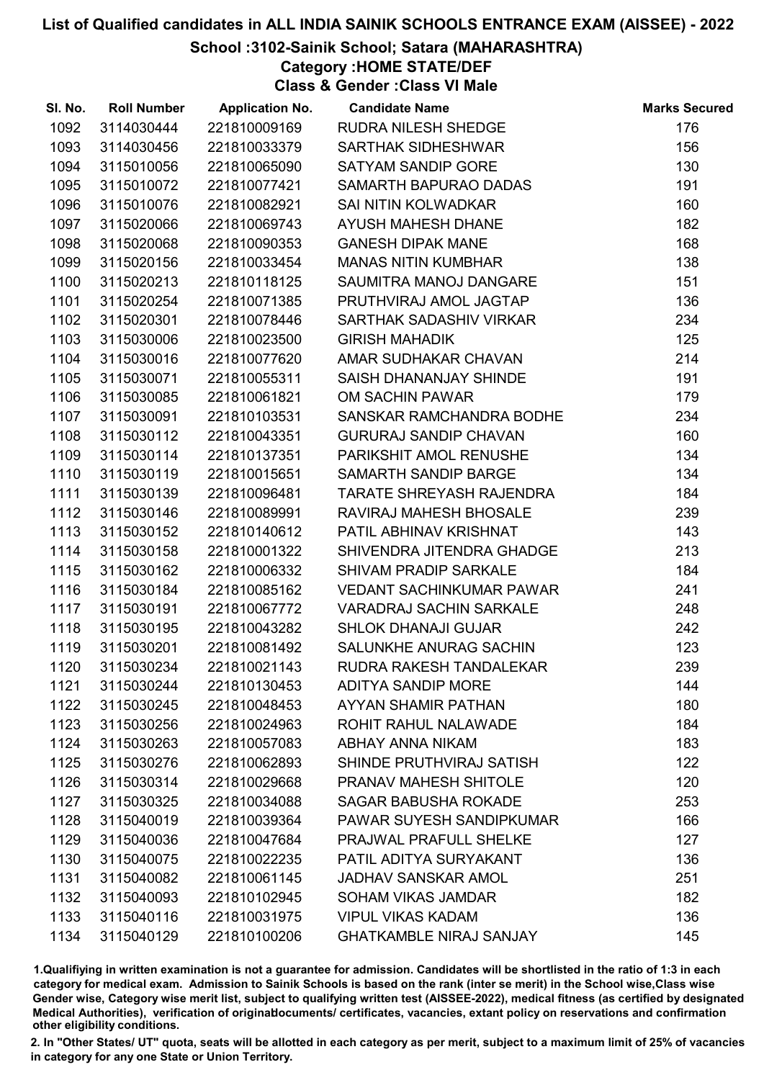#### School :3102-Sainik School; Satara (MAHARASHTRA)

Category :HOME STATE/DEF

Class & Gender :Class VI Male

| SI. No. | <b>Roll Number</b> | <b>Application No.</b> | <b>Candidate Name</b>           | <b>Marks Secured</b> |
|---------|--------------------|------------------------|---------------------------------|----------------------|
| 1092    | 3114030444         | 221810009169           | <b>RUDRA NILESH SHEDGE</b>      | 176                  |
| 1093    | 3114030456         | 221810033379           | <b>SARTHAK SIDHESHWAR</b>       | 156                  |
| 1094    | 3115010056         | 221810065090           | SATYAM SANDIP GORE              | 130                  |
| 1095    | 3115010072         | 221810077421           | SAMARTH BAPURAO DADAS           | 191                  |
| 1096    | 3115010076         | 221810082921           | SAI NITIN KOLWADKAR             | 160                  |
| 1097    | 3115020066         | 221810069743           | <b>AYUSH MAHESH DHANE</b>       | 182                  |
| 1098    | 3115020068         | 221810090353           | <b>GANESH DIPAK MANE</b>        | 168                  |
| 1099    | 3115020156         | 221810033454           | <b>MANAS NITIN KUMBHAR</b>      | 138                  |
| 1100    | 3115020213         | 221810118125           | SAUMITRA MANOJ DANGARE          | 151                  |
| 1101    | 3115020254         | 221810071385           | PRUTHVIRAJ AMOL JAGTAP          | 136                  |
| 1102    | 3115020301         | 221810078446           | SARTHAK SADASHIV VIRKAR         | 234                  |
| 1103    | 3115030006         | 221810023500           | <b>GIRISH MAHADIK</b>           | 125                  |
| 1104    | 3115030016         | 221810077620           | AMAR SUDHAKAR CHAVAN            | 214                  |
| 1105    | 3115030071         | 221810055311           | SAISH DHANANJAY SHINDE          | 191                  |
| 1106    | 3115030085         | 221810061821           | OM SACHIN PAWAR                 | 179                  |
| 1107    | 3115030091         | 221810103531           | SANSKAR RAMCHANDRA BODHE        | 234                  |
| 1108    | 3115030112         | 221810043351           | <b>GURURAJ SANDIP CHAVAN</b>    | 160                  |
| 1109    | 3115030114         | 221810137351           | PARIKSHIT AMOL RENUSHE          | 134                  |
| 1110    | 3115030119         | 221810015651           | SAMARTH SANDIP BARGE            | 134                  |
| 1111    | 3115030139         | 221810096481           | <b>TARATE SHREYASH RAJENDRA</b> | 184                  |
| 1112    | 3115030146         | 221810089991           | RAVIRAJ MAHESH BHOSALE          | 239                  |
| 1113    | 3115030152         | 221810140612           | PATIL ABHINAV KRISHNAT          | 143                  |
| 1114    | 3115030158         | 221810001322           | SHIVENDRA JITENDRA GHADGE       | 213                  |
| 1115    | 3115030162         | 221810006332           | SHIVAM PRADIP SARKALE           | 184                  |
| 1116    | 3115030184         | 221810085162           | <b>VEDANT SACHINKUMAR PAWAR</b> | 241                  |
| 1117    | 3115030191         | 221810067772           | <b>VARADRAJ SACHIN SARKALE</b>  | 248                  |
| 1118    | 3115030195         | 221810043282           | <b>SHLOK DHANAJI GUJAR</b>      | 242                  |
| 1119    | 3115030201         | 221810081492           | SALUNKHE ANURAG SACHIN          | 123                  |
| 1120    | 3115030234         | 221810021143           | RUDRA RAKESH TANDALEKAR         | 239                  |
| 1121    | 3115030244         | 221810130453           | <b>ADITYA SANDIP MORE</b>       | 144                  |
| 1122    | 3115030245         | 221810048453           | AYYAN SHAMIR PATHAN             | 180                  |
| 1123    | 3115030256         | 221810024963           | ROHIT RAHUL NALAWADE            | 184                  |
| 1124    | 3115030263         | 221810057083           | ABHAY ANNA NIKAM                | 183                  |
| 1125    | 3115030276         | 221810062893           | SHINDE PRUTHVIRAJ SATISH        | 122                  |
| 1126    | 3115030314         | 221810029668           | PRANAV MAHESH SHITOLE           | 120                  |
| 1127    | 3115030325         | 221810034088           | <b>SAGAR BABUSHA ROKADE</b>     | 253                  |
| 1128    | 3115040019         | 221810039364           | PAWAR SUYESH SANDIPKUMAR        | 166                  |
| 1129    | 3115040036         | 221810047684           | PRAJWAL PRAFULL SHELKE          | 127                  |
| 1130    | 3115040075         | 221810022235           | PATIL ADITYA SURYAKANT          | 136                  |
| 1131    | 3115040082         | 221810061145           | <b>JADHAV SANSKAR AMOL</b>      | 251                  |
| 1132    | 3115040093         | 221810102945           | SOHAM VIKAS JAMDAR              | 182                  |
| 1133    | 3115040116         | 221810031975           | <b>VIPUL VIKAS KADAM</b>        | 136                  |
| 1134    | 3115040129         | 221810100206           | <b>GHATKAMBLE NIRAJ SANJAY</b>  | 145                  |

1.Qualifiying in written examination is not a guarantee for admission. Candidates will be shortlisted in the ratio of 1:3 in each category for medical exam. Admission to Sainik Schools is based on the rank (inter se merit) in the School wise,Class wise Gender wise, Category wise merit list, subject to qualifying written test (AISSEE-2022), medical fitness (as certified by designated Medical Authorities), verification of originablocuments/ certificates, vacancies, extant policy on reservations and confirmation other eligibility conditions.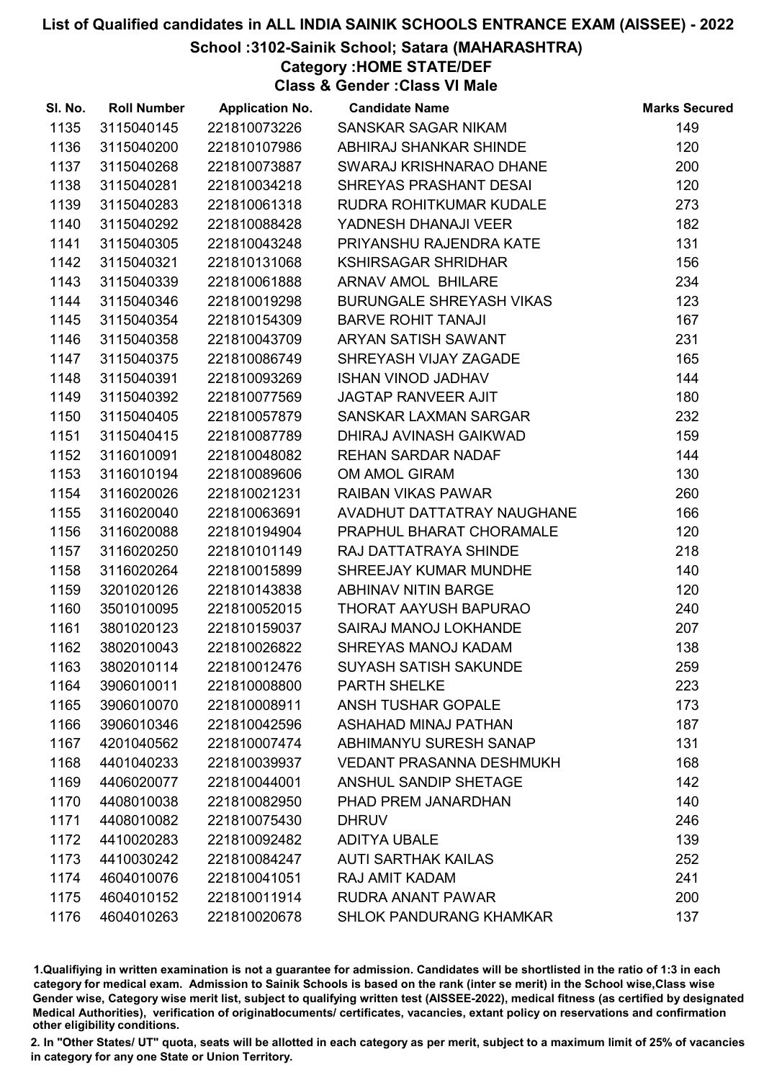## School :3102-Sainik School; Satara (MAHARASHTRA)

Category :HOME STATE/DEF

Class & Gender :Class VI Male

| SI. No. | <b>Roll Number</b> | <b>Application No.</b> | <b>Candidate Name</b>           | <b>Marks Secured</b> |
|---------|--------------------|------------------------|---------------------------------|----------------------|
| 1135    | 3115040145         | 221810073226           | SANSKAR SAGAR NIKAM             | 149                  |
| 1136    | 3115040200         | 221810107986           | ABHIRAJ SHANKAR SHINDE          | 120                  |
| 1137    | 3115040268         | 221810073887           | SWARAJ KRISHNARAO DHANE         | 200                  |
| 1138    | 3115040281         | 221810034218           | SHREYAS PRASHANT DESAI          | 120                  |
| 1139    | 3115040283         | 221810061318           | RUDRA ROHITKUMAR KUDALE         | 273                  |
| 1140    | 3115040292         | 221810088428           | YADNESH DHANAJI VEER            | 182                  |
| 1141    | 3115040305         | 221810043248           | PRIYANSHU RAJENDRA KATE         | 131                  |
| 1142    | 3115040321         | 221810131068           | <b>KSHIRSAGAR SHRIDHAR</b>      | 156                  |
| 1143    | 3115040339         | 221810061888           | ARNAV AMOL BHILARE              | 234                  |
| 1144    | 3115040346         | 221810019298           | <b>BURUNGALE SHREYASH VIKAS</b> | 123                  |
| 1145    | 3115040354         | 221810154309           | <b>BARVE ROHIT TANAJI</b>       | 167                  |
| 1146    | 3115040358         | 221810043709           | ARYAN SATISH SAWANT             | 231                  |
| 1147    | 3115040375         | 221810086749           | SHREYASH VIJAY ZAGADE           | 165                  |
| 1148    | 3115040391         | 221810093269           | <b>ISHAN VINOD JADHAV</b>       | 144                  |
| 1149    | 3115040392         | 221810077569           | <b>JAGTAP RANVEER AJIT</b>      | 180                  |
| 1150    | 3115040405         | 221810057879           | SANSKAR LAXMAN SARGAR           | 232                  |
| 1151    | 3115040415         | 221810087789           | DHIRAJ AVINASH GAIKWAD          | 159                  |
| 1152    | 3116010091         | 221810048082           | <b>REHAN SARDAR NADAF</b>       | 144                  |
| 1153    | 3116010194         | 221810089606           | OM AMOL GIRAM                   | 130                  |
| 1154    | 3116020026         | 221810021231           | <b>RAIBAN VIKAS PAWAR</b>       | 260                  |
| 1155    | 3116020040         | 221810063691           | AVADHUT DATTATRAY NAUGHANE      | 166                  |
| 1156    | 3116020088         | 221810194904           | PRAPHUL BHARAT CHORAMALE        | 120                  |
| 1157    | 3116020250         | 221810101149           | RAJ DATTATRAYA SHINDE           | 218                  |
| 1158    | 3116020264         | 221810015899           | SHREEJAY KUMAR MUNDHE           | 140                  |
| 1159    | 3201020126         | 221810143838           | <b>ABHINAV NITIN BARGE</b>      | 120                  |
| 1160    | 3501010095         | 221810052015           | <b>THORAT AAYUSH BAPURAO</b>    | 240                  |
| 1161    | 3801020123         | 221810159037           | SAIRAJ MANOJ LOKHANDE           | 207                  |
| 1162    | 3802010043         | 221810026822           | SHREYAS MANOJ KADAM             | 138                  |
| 1163    | 3802010114         | 221810012476           | <b>SUYASH SATISH SAKUNDE</b>    | 259                  |
| 1164    | 3906010011         | 221810008800           | <b>PARTH SHELKE</b>             | 223                  |
| 1165    | 3906010070         | 221810008911           | <b>ANSH TUSHAR GOPALE</b>       | 173                  |
| 1166    | 3906010346         | 221810042596           | <b>ASHAHAD MINAJ PATHAN</b>     | 187                  |
| 1167    | 4201040562         | 221810007474           | ABHIMANYU SURESH SANAP          | 131                  |
| 1168    | 4401040233         | 221810039937           | <b>VEDANT PRASANNA DESHMUKH</b> | 168                  |
| 1169    | 4406020077         | 221810044001           | ANSHUL SANDIP SHETAGE           | 142                  |
| 1170    | 4408010038         | 221810082950           | PHAD PREM JANARDHAN             | 140                  |
| 1171    | 4408010082         | 221810075430           | <b>DHRUV</b>                    | 246                  |
| 1172    | 4410020283         | 221810092482           | <b>ADITYA UBALE</b>             | 139                  |
| 1173    | 4410030242         | 221810084247           | <b>AUTI SARTHAK KAILAS</b>      | 252                  |
| 1174    | 4604010076         | 221810041051           | RAJ AMIT KADAM                  | 241                  |
| 1175    | 4604010152         | 221810011914           | RUDRA ANANT PAWAR               | 200                  |
| 1176    | 4604010263         | 221810020678           | <b>SHLOK PANDURANG KHAMKAR</b>  | 137                  |

1.Qualifiying in written examination is not a guarantee for admission. Candidates will be shortlisted in the ratio of 1:3 in each category for medical exam. Admission to Sainik Schools is based on the rank (inter se merit) in the School wise,Class wise Gender wise, Category wise merit list, subject to qualifying written test (AISSEE-2022), medical fitness (as certified by designated Medical Authorities), verification of originablocuments/ certificates, vacancies, extant policy on reservations and confirmation other eligibility conditions.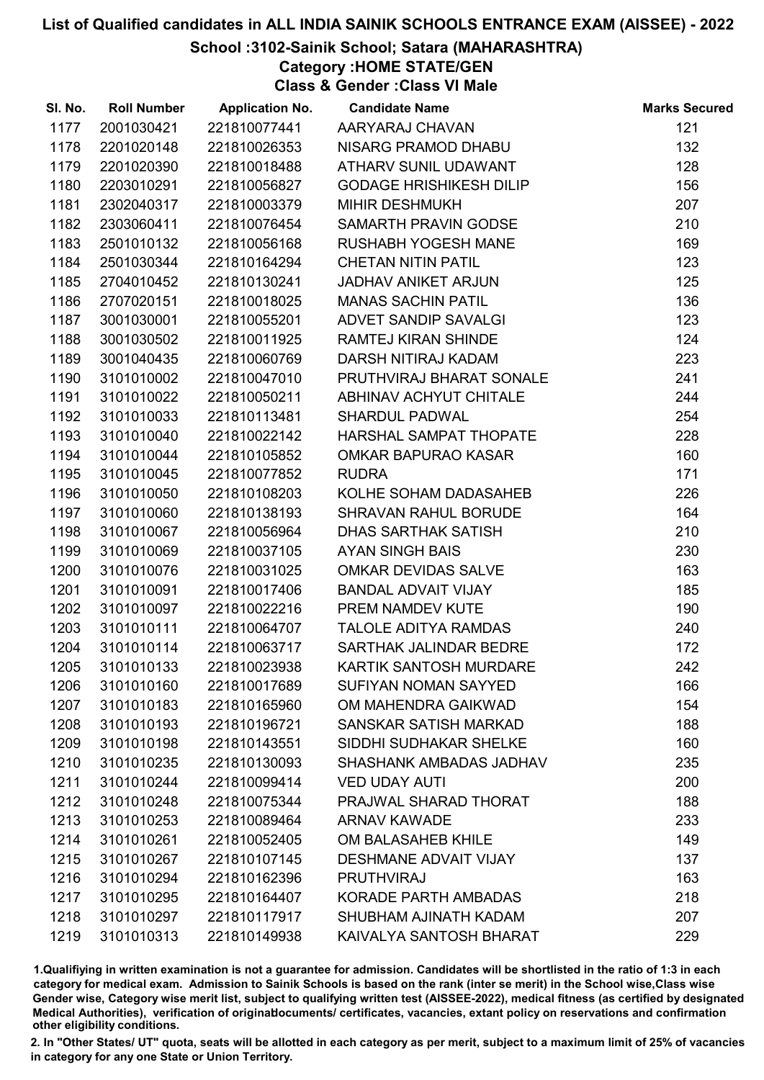## School :3102-Sainik School; Satara (MAHARASHTRA)

Category :HOME STATE/GEN

Class & Gender :Class VI Male

| SI. No. | <b>Roll Number</b> | <b>Application No.</b> | <b>Candidate Name</b>          | <b>Marks Secured</b> |
|---------|--------------------|------------------------|--------------------------------|----------------------|
| 1177    | 2001030421         | 221810077441           | AARYARAJ CHAVAN                | 121                  |
| 1178    | 2201020148         | 221810026353           | NISARG PRAMOD DHABU            | 132                  |
| 1179    | 2201020390         | 221810018488           | ATHARV SUNIL UDAWANT           | 128                  |
| 1180    | 2203010291         | 221810056827           | <b>GODAGE HRISHIKESH DILIP</b> | 156                  |
| 1181    | 2302040317         | 221810003379           | MIHIR DESHMUKH                 | 207                  |
| 1182    | 2303060411         | 221810076454           | SAMARTH PRAVIN GODSE           | 210                  |
| 1183    | 2501010132         | 221810056168           | <b>RUSHABH YOGESH MANE</b>     | 169                  |
| 1184    | 2501030344         | 221810164294           | <b>CHETAN NITIN PATIL</b>      | 123                  |
| 1185    | 2704010452         | 221810130241           | <b>JADHAV ANIKET ARJUN</b>     | 125                  |
| 1186    | 2707020151         | 221810018025           | <b>MANAS SACHIN PATIL</b>      | 136                  |
| 1187    | 3001030001         | 221810055201           | ADVET SANDIP SAVALGI           | 123                  |
| 1188    | 3001030502         | 221810011925           | RAMTEJ KIRAN SHINDE            | 124                  |
| 1189    | 3001040435         | 221810060769           | DARSH NITIRAJ KADAM            | 223                  |
| 1190    | 3101010002         | 221810047010           | PRUTHVIRAJ BHARAT SONALE       | 241                  |
| 1191    | 3101010022         | 221810050211           | ABHINAV ACHYUT CHITALE         | 244                  |
| 1192    | 3101010033         | 221810113481           | <b>SHARDUL PADWAL</b>          | 254                  |
| 1193    | 3101010040         | 221810022142           | HARSHAL SAMPAT THOPATE         | 228                  |
| 1194    | 3101010044         | 221810105852           | <b>OMKAR BAPURAO KASAR</b>     | 160                  |
| 1195    | 3101010045         | 221810077852           | <b>RUDRA</b>                   | 171                  |
| 1196    | 3101010050         | 221810108203           | KOLHE SOHAM DADASAHEB          | 226                  |
| 1197    | 3101010060         | 221810138193           | SHRAVAN RAHUL BORUDE           | 164                  |
| 1198    | 3101010067         | 221810056964           | <b>DHAS SARTHAK SATISH</b>     | 210                  |
| 1199    | 3101010069         | 221810037105           | <b>AYAN SINGH BAIS</b>         | 230                  |
| 1200    | 3101010076         | 221810031025           | OMKAR DEVIDAS SALVE            | 163                  |
| 1201    | 3101010091         | 221810017406           | <b>BANDAL ADVAIT VIJAY</b>     | 185                  |
| 1202    | 3101010097         | 221810022216           | PREM NAMDEV KUTE               | 190                  |
| 1203    | 3101010111         | 221810064707           | <b>TALOLE ADITYA RAMDAS</b>    | 240                  |
| 1204    | 3101010114         | 221810063717           | SARTHAK JALINDAR BEDRE         | 172                  |
| 1205    | 3101010133         | 221810023938           | KARTIK SANTOSH MURDARE         | 242                  |
| 1206    | 3101010160         | 221810017689           | <b>SUFIYAN NOMAN SAYYED</b>    | 166                  |
| 1207    | 3101010183         | 221810165960           | OM MAHENDRA GAIKWAD            | 154                  |
| 1208    | 3101010193         | 221810196721           | SANSKAR SATISH MARKAD          | 188                  |
| 1209    | 3101010198         | 221810143551           | SIDDHI SUDHAKAR SHELKE         | 160                  |
| 1210    | 3101010235         | 221810130093           | SHASHANK AMBADAS JADHAV        | 235                  |
| 1211    | 3101010244         | 221810099414           | <b>VED UDAY AUTI</b>           | 200                  |
| 1212    | 3101010248         | 221810075344           | PRAJWAL SHARAD THORAT          | 188                  |
| 1213    | 3101010253         | 221810089464           | <b>ARNAV KAWADE</b>            | 233                  |
| 1214    | 3101010261         | 221810052405           | OM BALASAHEB KHILE             | 149                  |
| 1215    | 3101010267         | 221810107145           | <b>DESHMANE ADVAIT VIJAY</b>   | 137                  |
| 1216    | 3101010294         | 221810162396           | <b>PRUTHVIRAJ</b>              | 163                  |
| 1217    | 3101010295         | 221810164407           | <b>KORADE PARTH AMBADAS</b>    | 218                  |
| 1218    | 3101010297         | 221810117917           | SHUBHAM AJINATH KADAM          | 207                  |
| 1219    | 3101010313         | 221810149938           | KAIVALYA SANTOSH BHARAT        | 229                  |

1.Qualifiying in written examination is not a guarantee for admission. Candidates will be shortlisted in the ratio of 1:3 in each category for medical exam. Admission to Sainik Schools is based on the rank (inter se merit) in the School wise,Class wise Gender wise, Category wise merit list, subject to qualifying written test (AISSEE-2022), medical fitness (as certified by designated Medical Authorities), verification of originablocuments/ certificates, vacancies, extant policy on reservations and confirmation other eligibility conditions.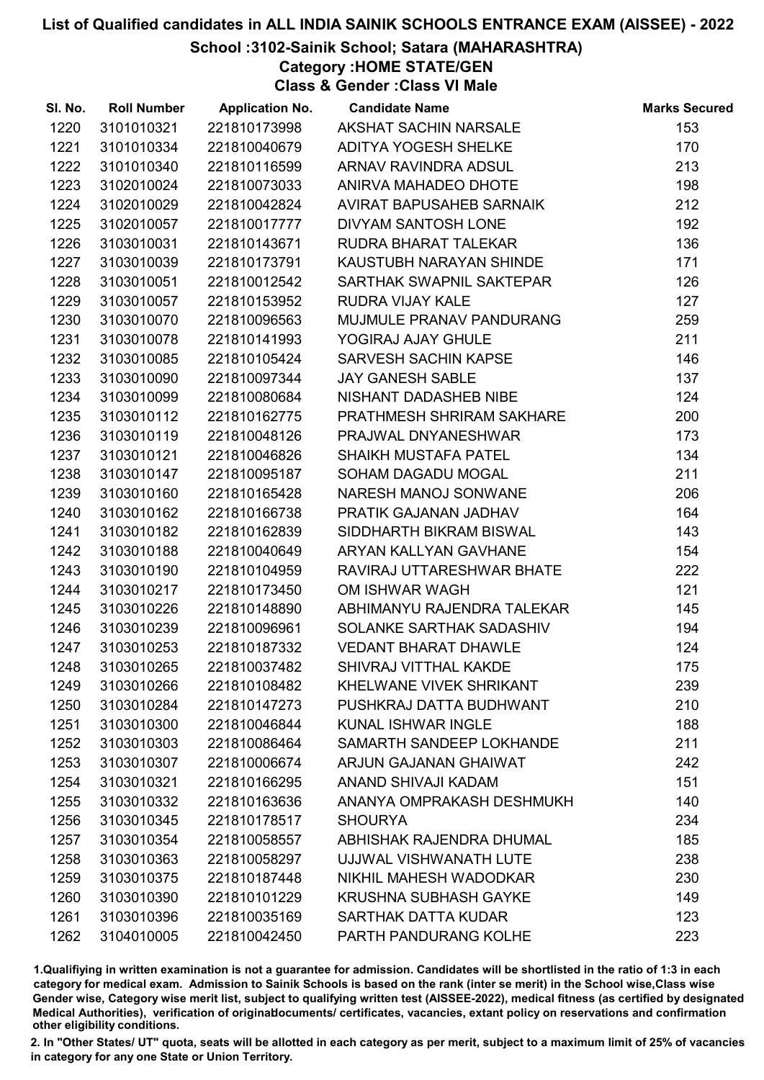## School :3102-Sainik School; Satara (MAHARASHTRA)

Category :HOME STATE/GEN

Class & Gender :Class VI Male

| SI. No. | <b>Roll Number</b> | <b>Application No.</b> | <b>Candidate Name</b>        | <b>Marks Secured</b> |
|---------|--------------------|------------------------|------------------------------|----------------------|
| 1220    | 3101010321         | 221810173998           | AKSHAT SACHIN NARSALE        | 153                  |
| 1221    | 3101010334         | 221810040679           | <b>ADITYA YOGESH SHELKE</b>  | 170                  |
| 1222    | 3101010340         | 221810116599           | ARNAV RAVINDRA ADSUL         | 213                  |
| 1223    | 3102010024         | 221810073033           | ANIRVA MAHADEO DHOTE         | 198                  |
| 1224    | 3102010029         | 221810042824           | AVIRAT BAPUSAHEB SARNAIK     | 212                  |
| 1225    | 3102010057         | 221810017777           | <b>DIVYAM SANTOSH LONE</b>   | 192                  |
| 1226    | 3103010031         | 221810143671           | RUDRA BHARAT TALEKAR         | 136                  |
| 1227    | 3103010039         | 221810173791           | KAUSTUBH NARAYAN SHINDE      | 171                  |
| 1228    | 3103010051         | 221810012542           | SARTHAK SWAPNIL SAKTEPAR     | 126                  |
| 1229    | 3103010057         | 221810153952           | <b>RUDRA VIJAY KALE</b>      | 127                  |
| 1230    | 3103010070         | 221810096563           | MUJMULE PRANAV PANDURANG     | 259                  |
| 1231    | 3103010078         | 221810141993           | YOGIRAJ AJAY GHULE           | 211                  |
| 1232    | 3103010085         | 221810105424           | <b>SARVESH SACHIN KAPSE</b>  | 146                  |
| 1233    | 3103010090         | 221810097344           | <b>JAY GANESH SABLE</b>      | 137                  |
| 1234    | 3103010099         | 221810080684           | NISHANT DADASHEB NIBE        | 124                  |
| 1235    | 3103010112         | 221810162775           | PRATHMESH SHRIRAM SAKHARE    | 200                  |
| 1236    | 3103010119         | 221810048126           | PRAJWAL DNYANESHWAR          | 173                  |
| 1237    | 3103010121         | 221810046826           | <b>SHAIKH MUSTAFA PATEL</b>  | 134                  |
| 1238    | 3103010147         | 221810095187           | SOHAM DAGADU MOGAL           | 211                  |
| 1239    | 3103010160         | 221810165428           | NARESH MANOJ SONWANE         | 206                  |
| 1240    | 3103010162         | 221810166738           | PRATIK GAJANAN JADHAV        | 164                  |
| 1241    | 3103010182         | 221810162839           | SIDDHARTH BIKRAM BISWAL      | 143                  |
| 1242    | 3103010188         | 221810040649           | ARYAN KALLYAN GAVHANE        | 154                  |
| 1243    | 3103010190         | 221810104959           | RAVIRAJ UTTARESHWAR BHATE    | 222                  |
| 1244    | 3103010217         | 221810173450           | OM ISHWAR WAGH               | 121                  |
| 1245    | 3103010226         | 221810148890           | ABHIMANYU RAJENDRA TALEKAR   | 145                  |
| 1246    | 3103010239         | 221810096961           | SOLANKE SARTHAK SADASHIV     | 194                  |
| 1247    | 3103010253         | 221810187332           | <b>VEDANT BHARAT DHAWLE</b>  | 124                  |
| 1248    | 3103010265         | 221810037482           | SHIVRAJ VITTHAL KAKDE        | 175                  |
| 1249    | 3103010266         | 221810108482           | KHELWANE VIVEK SHRIKANT      | 239                  |
| 1250    | 3103010284         | 221810147273           | PUSHKRAJ DATTA BUDHWANT      | 210                  |
| 1251    | 3103010300         | 221810046844           | <b>KUNAL ISHWAR INGLE</b>    | 188                  |
| 1252    | 3103010303         | 221810086464           | SAMARTH SANDEEP LOKHANDE     | 211                  |
| 1253    | 3103010307         | 221810006674           | ARJUN GAJANAN GHAIWAT        | 242                  |
| 1254    | 3103010321         | 221810166295           | ANAND SHIVAJI KADAM          | 151                  |
| 1255    | 3103010332         | 221810163636           | ANANYA OMPRAKASH DESHMUKH    | 140                  |
| 1256    | 3103010345         | 221810178517           | <b>SHOURYA</b>               | 234                  |
| 1257    | 3103010354         | 221810058557           | ABHISHAK RAJENDRA DHUMAL     | 185                  |
| 1258    | 3103010363         | 221810058297           | UJJWAL VISHWANATH LUTE       | 238                  |
| 1259    | 3103010375         | 221810187448           | NIKHIL MAHESH WADODKAR       | 230                  |
| 1260    | 3103010390         | 221810101229           | <b>KRUSHNA SUBHASH GAYKE</b> | 149                  |
| 1261    | 3103010396         | 221810035169           | <b>SARTHAK DATTA KUDAR</b>   | 123                  |
| 1262    | 3104010005         | 221810042450           | PARTH PANDURANG KOLHE        | 223                  |

1.Qualifiying in written examination is not a guarantee for admission. Candidates will be shortlisted in the ratio of 1:3 in each category for medical exam. Admission to Sainik Schools is based on the rank (inter se merit) in the School wise,Class wise Gender wise, Category wise merit list, subject to qualifying written test (AISSEE-2022), medical fitness (as certified by designated Medical Authorities), verification of originablocuments/ certificates, vacancies, extant policy on reservations and confirmation other eligibility conditions.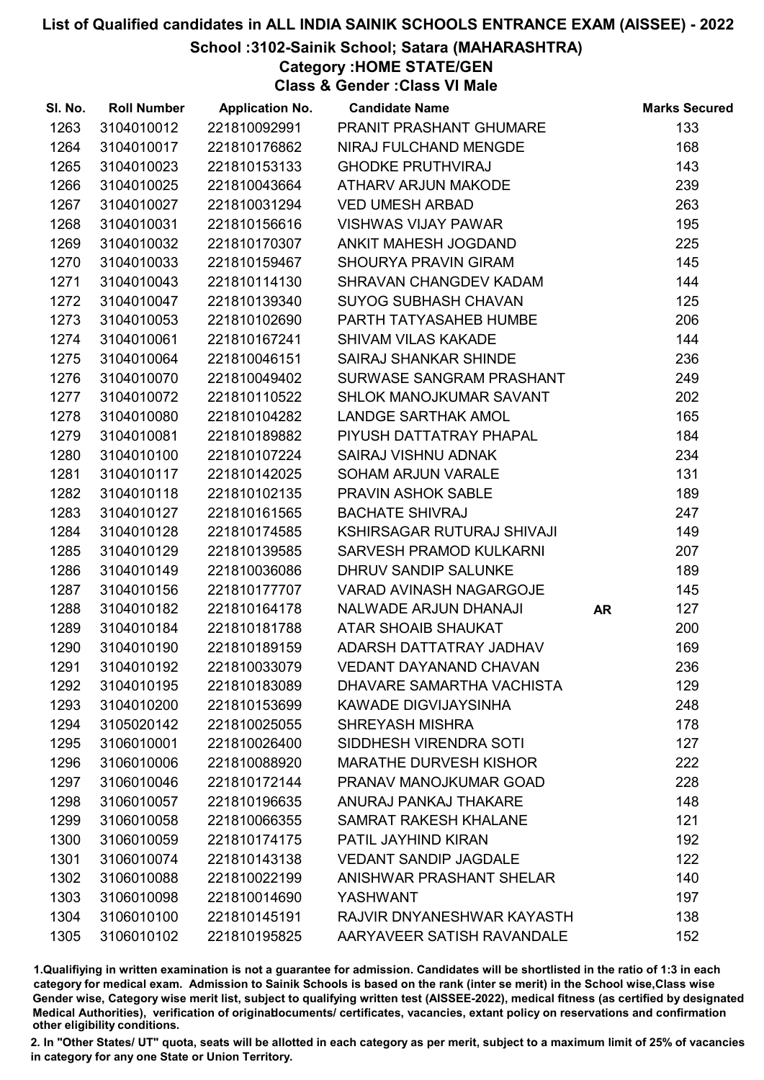## School :3102-Sainik School; Satara (MAHARASHTRA)

Category :HOME STATE/GEN

Class & Gender :Class VI Male

| SI. No. | <b>Roll Number</b> | <b>Application No.</b> | <b>Candidate Name</b>          |           | <b>Marks Secured</b> |
|---------|--------------------|------------------------|--------------------------------|-----------|----------------------|
| 1263    | 3104010012         | 221810092991           | PRANIT PRASHANT GHUMARE        |           | 133                  |
| 1264    | 3104010017         | 221810176862           | NIRAJ FULCHAND MENGDE          |           | 168                  |
| 1265    | 3104010023         | 221810153133           | <b>GHODKE PRUTHVIRAJ</b>       |           | 143                  |
| 1266    | 3104010025         | 221810043664           | <b>ATHARV ARJUN MAKODE</b>     |           | 239                  |
| 1267    | 3104010027         | 221810031294           | <b>VED UMESH ARBAD</b>         |           | 263                  |
| 1268    | 3104010031         | 221810156616           | <b>VISHWAS VIJAY PAWAR</b>     |           | 195                  |
| 1269    | 3104010032         | 221810170307           | ANKIT MAHESH JOGDAND           |           | 225                  |
| 1270    | 3104010033         | 221810159467           | <b>SHOURYA PRAVIN GIRAM</b>    |           | 145                  |
| 1271    | 3104010043         | 221810114130           | SHRAVAN CHANGDEV KADAM         |           | 144                  |
| 1272    | 3104010047         | 221810139340           | <b>SUYOG SUBHASH CHAVAN</b>    |           | 125                  |
| 1273    | 3104010053         | 221810102690           | PARTH TATYASAHEB HUMBE         |           | 206                  |
| 1274    | 3104010061         | 221810167241           | <b>SHIVAM VILAS KAKADE</b>     |           | 144                  |
| 1275    | 3104010064         | 221810046151           | <b>SAIRAJ SHANKAR SHINDE</b>   |           | 236                  |
| 1276    | 3104010070         | 221810049402           | SURWASE SANGRAM PRASHANT       |           | 249                  |
| 1277    | 3104010072         | 221810110522           | SHLOK MANOJKUMAR SAVANT        |           | 202                  |
| 1278    | 3104010080         | 221810104282           | <b>LANDGE SARTHAK AMOL</b>     |           | 165                  |
| 1279    | 3104010081         | 221810189882           | PIYUSH DATTATRAY PHAPAL        |           | 184                  |
| 1280    | 3104010100         | 221810107224           | SAIRAJ VISHNU ADNAK            |           | 234                  |
| 1281    | 3104010117         | 221810142025           | SOHAM ARJUN VARALE             |           | 131                  |
| 1282    | 3104010118         | 221810102135           | <b>PRAVIN ASHOK SABLE</b>      |           | 189                  |
| 1283    | 3104010127         | 221810161565           | <b>BACHATE SHIVRAJ</b>         |           | 247                  |
| 1284    | 3104010128         | 221810174585           | KSHIRSAGAR RUTURAJ SHIVAJI     |           | 149                  |
| 1285    | 3104010129         | 221810139585           | <b>SARVESH PRAMOD KULKARNI</b> |           | 207                  |
| 1286    | 3104010149         | 221810036086           | DHRUV SANDIP SALUNKE           |           | 189                  |
| 1287    | 3104010156         | 221810177707           | VARAD AVINASH NAGARGOJE        |           | 145                  |
| 1288    | 3104010182         | 221810164178           | <b>NALWADE ARJUN DHANAJI</b>   | <b>AR</b> | 127                  |
| 1289    | 3104010184         | 221810181788           | <b>ATAR SHOAIB SHAUKAT</b>     |           | 200                  |
| 1290    | 3104010190         | 221810189159           | ADARSH DATTATRAY JADHAV        |           | 169                  |
| 1291    | 3104010192         | 221810033079           | <b>VEDANT DAYANAND CHAVAN</b>  |           | 236                  |
| 1292    | 3104010195         | 221810183089           | DHAVARE SAMARTHA VACHISTA      |           | 129                  |
| 1293    | 3104010200         | 221810153699           | <b>KAWADE DIGVIJAYSINHA</b>    |           | 248                  |
| 1294    | 3105020142         | 221810025055           | <b>SHREYASH MISHRA</b>         |           | 178                  |
| 1295    | 3106010001         | 221810026400           | SIDDHESH VIRENDRA SOTI         |           | 127                  |
| 1296    | 3106010006         | 221810088920           | <b>MARATHE DURVESH KISHOR</b>  |           | 222                  |
| 1297    | 3106010046         | 221810172144           | PRANAV MANOJKUMAR GOAD         |           | 228                  |
| 1298    | 3106010057         | 221810196635           | ANURAJ PANKAJ THAKARE          |           | 148                  |
| 1299    | 3106010058         | 221810066355           | <b>SAMRAT RAKESH KHALANE</b>   |           | 121                  |
| 1300    | 3106010059         | 221810174175           | PATIL JAYHIND KIRAN            |           | 192                  |
| 1301    | 3106010074         | 221810143138           | <b>VEDANT SANDIP JAGDALE</b>   |           | 122                  |
| 1302    | 3106010088         | 221810022199           | ANISHWAR PRASHANT SHELAR       |           | 140                  |
| 1303    | 3106010098         | 221810014690           | <b>YASHWANT</b>                |           | 197                  |
| 1304    | 3106010100         | 221810145191           | RAJVIR DNYANESHWAR KAYASTH     |           | 138                  |
| 1305    | 3106010102         | 221810195825           | AARYAVEER SATISH RAVANDALE     |           | 152                  |

1.Qualifiying in written examination is not a guarantee for admission. Candidates will be shortlisted in the ratio of 1:3 in each category for medical exam. Admission to Sainik Schools is based on the rank (inter se merit) in the School wise,Class wise Gender wise, Category wise merit list, subject to qualifying written test (AISSEE-2022), medical fitness (as certified by designated Medical Authorities), verification of originablocuments/ certificates, vacancies, extant policy on reservations and confirmation other eligibility conditions.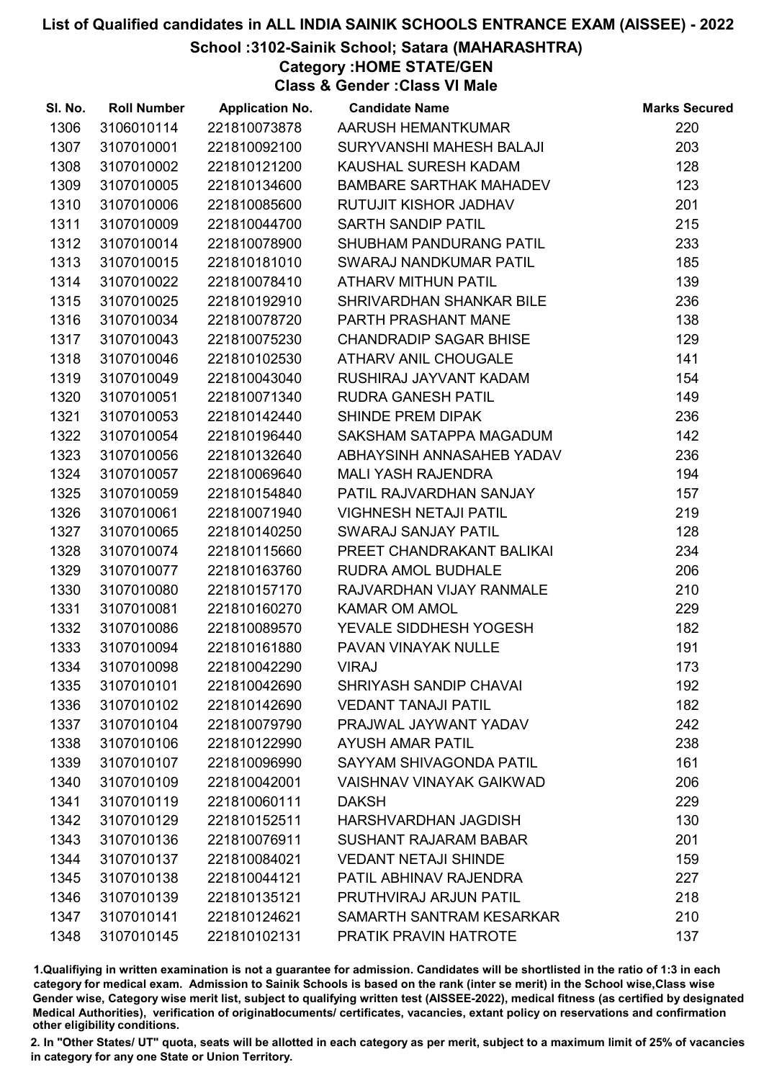## School :3102-Sainik School; Satara (MAHARASHTRA)

Category :HOME STATE/GEN

Class & Gender :Class VI Male

| SI. No. | <b>Roll Number</b> | <b>Application No.</b> | <b>Candidate Name</b>           | <b>Marks Secured</b> |
|---------|--------------------|------------------------|---------------------------------|----------------------|
| 1306    | 3106010114         | 221810073878           | AARUSH HEMANTKUMAR              | 220                  |
| 1307    | 3107010001         | 221810092100           | SURYVANSHI MAHESH BALAJI        | 203                  |
| 1308    | 3107010002         | 221810121200           | KAUSHAL SURESH KADAM            | 128                  |
| 1309    | 3107010005         | 221810134600           | <b>BAMBARE SARTHAK MAHADEV</b>  | 123                  |
| 1310    | 3107010006         | 221810085600           | RUTUJIT KISHOR JADHAV           | 201                  |
| 1311    | 3107010009         | 221810044700           | <b>SARTH SANDIP PATIL</b>       | 215                  |
| 1312    | 3107010014         | 221810078900           | SHUBHAM PANDURANG PATIL         | 233                  |
| 1313    | 3107010015         | 221810181010           | SWARAJ NANDKUMAR PATIL          | 185                  |
| 1314    | 3107010022         | 221810078410           | ATHARV MITHUN PATIL             | 139                  |
| 1315    | 3107010025         | 221810192910           | SHRIVARDHAN SHANKAR BILE        | 236                  |
| 1316    | 3107010034         | 221810078720           | PARTH PRASHANT MANE             | 138                  |
| 1317    | 3107010043         | 221810075230           | <b>CHANDRADIP SAGAR BHISE</b>   | 129                  |
| 1318    | 3107010046         | 221810102530           | <b>ATHARV ANIL CHOUGALE</b>     | 141                  |
| 1319    | 3107010049         | 221810043040           | RUSHIRAJ JAYVANT KADAM          | 154                  |
| 1320    | 3107010051         | 221810071340           | <b>RUDRA GANESH PATIL</b>       | 149                  |
| 1321    | 3107010053         | 221810142440           | <b>SHINDE PREM DIPAK</b>        | 236                  |
| 1322    | 3107010054         | 221810196440           | SAKSHAM SATAPPA MAGADUM         | 142                  |
| 1323    | 3107010056         | 221810132640           | ABHAYSINH ANNASAHEB YADAV       | 236                  |
| 1324    | 3107010057         | 221810069640           | <b>MALI YASH RAJENDRA</b>       | 194                  |
| 1325    | 3107010059         | 221810154840           | PATIL RAJVARDHAN SANJAY         | 157                  |
| 1326    | 3107010061         | 221810071940           | <b>VIGHNESH NETAJI PATIL</b>    | 219                  |
| 1327    | 3107010065         | 221810140250           | <b>SWARAJ SANJAY PATIL</b>      | 128                  |
| 1328    | 3107010074         | 221810115660           | PREET CHANDRAKANT BALIKAI       | 234                  |
| 1329    | 3107010077         | 221810163760           | <b>RUDRA AMOL BUDHALE</b>       | 206                  |
| 1330    | 3107010080         | 221810157170           | RAJVARDHAN VIJAY RANMALE        | 210                  |
| 1331    | 3107010081         | 221810160270           | <b>KAMAR OM AMOL</b>            | 229                  |
| 1332    | 3107010086         | 221810089570           | YEVALE SIDDHESH YOGESH          | 182                  |
| 1333    | 3107010094         | 221810161880           | PAVAN VINAYAK NULLE             | 191                  |
| 1334    | 3107010098         | 221810042290           | <b>VIRAJ</b>                    | 173                  |
| 1335    | 3107010101         | 221810042690           | <b>SHRIYASH SANDIP CHAVAI</b>   | 192                  |
| 1336    | 3107010102         | 221810142690           | <b>VEDANT TANAJI PATIL</b>      | 182                  |
| 1337    | 3107010104         | 221810079790           | PRAJWAL JAYWANT YADAV           | 242                  |
| 1338    | 3107010106         | 221810122990           | <b>AYUSH AMAR PATIL</b>         | 238                  |
| 1339    | 3107010107         | 221810096990           | SAYYAM SHIVAGONDA PATIL         | 161                  |
| 1340    | 3107010109         | 221810042001           | <b>VAISHNAV VINAYAK GAIKWAD</b> | 206                  |
| 1341    | 3107010119         | 221810060111           | <b>DAKSH</b>                    | 229                  |
| 1342    | 3107010129         | 221810152511           | HARSHVARDHAN JAGDISH            | 130                  |
| 1343    | 3107010136         | 221810076911           | <b>SUSHANT RAJARAM BABAR</b>    | 201                  |
| 1344    | 3107010137         | 221810084021           | <b>VEDANT NETAJI SHINDE</b>     | 159                  |
| 1345    | 3107010138         | 221810044121           | PATIL ABHINAV RAJENDRA          | 227                  |
| 1346    | 3107010139         | 221810135121           | PRUTHVIRAJ ARJUN PATIL          | 218                  |
| 1347    | 3107010141         | 221810124621           | SAMARTH SANTRAM KESARKAR        | 210                  |
| 1348    | 3107010145         | 221810102131           | PRATIK PRAVIN HATROTE           | 137                  |

1.Qualifiying in written examination is not a guarantee for admission. Candidates will be shortlisted in the ratio of 1:3 in each category for medical exam. Admission to Sainik Schools is based on the rank (inter se merit) in the School wise,Class wise Gender wise, Category wise merit list, subject to qualifying written test (AISSEE-2022), medical fitness (as certified by designated Medical Authorities), verification of originablocuments/ certificates, vacancies, extant policy on reservations and confirmation other eligibility conditions.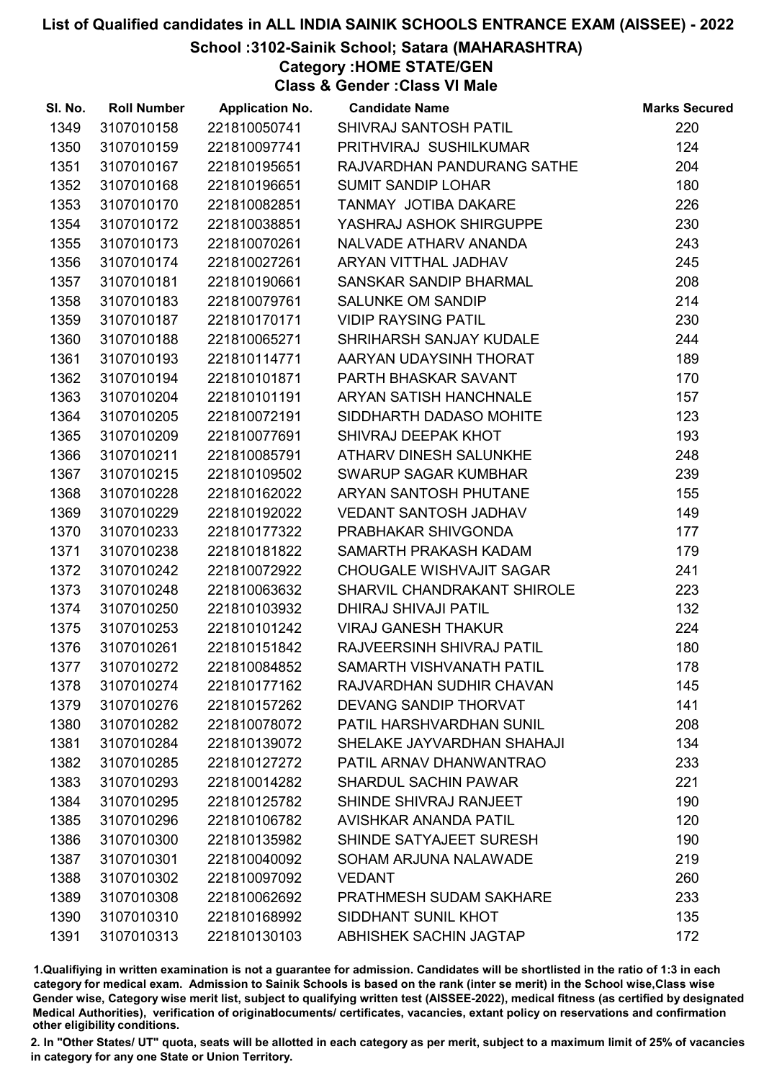## School :3102-Sainik School; Satara (MAHARASHTRA)

Category :HOME STATE/GEN

Class & Gender :Class VI Male

| SI. No. | <b>Roll Number</b> | <b>Application No.</b> | <b>Candidate Name</b>         | <b>Marks Secured</b> |
|---------|--------------------|------------------------|-------------------------------|----------------------|
| 1349    | 3107010158         | 221810050741           | SHIVRAJ SANTOSH PATIL         | 220                  |
| 1350    | 3107010159         | 221810097741           | PRITHVIRAJ SUSHILKUMAR        | 124                  |
| 1351    | 3107010167         | 221810195651           | RAJVARDHAN PANDURANG SATHE    | 204                  |
| 1352    | 3107010168         | 221810196651           | <b>SUMIT SANDIP LOHAR</b>     | 180                  |
| 1353    | 3107010170         | 221810082851           | TANMAY JOTIBA DAKARE          | 226                  |
| 1354    | 3107010172         | 221810038851           | YASHRAJ ASHOK SHIRGUPPE       | 230                  |
| 1355    | 3107010173         | 221810070261           | NALVADE ATHARV ANANDA         | 243                  |
| 1356    | 3107010174         | 221810027261           | ARYAN VITTHAL JADHAV          | 245                  |
| 1357    | 3107010181         | 221810190661           | SANSKAR SANDIP BHARMAL        | 208                  |
| 1358    | 3107010183         | 221810079761           | <b>SALUNKE OM SANDIP</b>      | 214                  |
| 1359    | 3107010187         | 221810170171           | <b>VIDIP RAYSING PATIL</b>    | 230                  |
| 1360    | 3107010188         | 221810065271           | SHRIHARSH SANJAY KUDALE       | 244                  |
| 1361    | 3107010193         | 221810114771           | AARYAN UDAYSINH THORAT        | 189                  |
| 1362    | 3107010194         | 221810101871           | PARTH BHASKAR SAVANT          | 170                  |
| 1363    | 3107010204         | 221810101191           | ARYAN SATISH HANCHNALE        | 157                  |
| 1364    | 3107010205         | 221810072191           | SIDDHARTH DADASO MOHITE       | 123                  |
| 1365    | 3107010209         | 221810077691           | SHIVRAJ DEEPAK KHOT           | 193                  |
| 1366    | 3107010211         | 221810085791           | <b>ATHARV DINESH SALUNKHE</b> | 248                  |
| 1367    | 3107010215         | 221810109502           | <b>SWARUP SAGAR KUMBHAR</b>   | 239                  |
| 1368    | 3107010228         | 221810162022           | ARYAN SANTOSH PHUTANE         | 155                  |
| 1369    | 3107010229         | 221810192022           | <b>VEDANT SANTOSH JADHAV</b>  | 149                  |
| 1370    | 3107010233         | 221810177322           | PRABHAKAR SHIVGONDA           | 177                  |
| 1371    | 3107010238         | 221810181822           | SAMARTH PRAKASH KADAM         | 179                  |
| 1372    | 3107010242         | 221810072922           | CHOUGALE WISHVAJIT SAGAR      | 241                  |
| 1373    | 3107010248         | 221810063632           | SHARVIL CHANDRAKANT SHIROLE   | 223                  |
| 1374    | 3107010250         | 221810103932           | <b>DHIRAJ SHIVAJI PATIL</b>   | 132                  |
| 1375    | 3107010253         | 221810101242           | <b>VIRAJ GANESH THAKUR</b>    | 224                  |
| 1376    | 3107010261         | 221810151842           | RAJVEERSINH SHIVRAJ PATIL     | 180                  |
| 1377    | 3107010272         | 221810084852           | SAMARTH VISHVANATH PATIL      | 178                  |
| 1378    | 3107010274         | 221810177162           | RAJVARDHAN SUDHIR CHAVAN      | 145                  |
| 1379    | 3107010276         | 221810157262           | <b>DEVANG SANDIP THORVAT</b>  | 141                  |
| 1380    | 3107010282         | 221810078072           | PATIL HARSHVARDHAN SUNIL      | 208                  |
| 1381    | 3107010284         | 221810139072           | SHELAKE JAYVARDHAN SHAHAJI    | 134                  |
| 1382    | 3107010285         | 221810127272           | PATIL ARNAV DHANWANTRAO       | 233                  |
| 1383    | 3107010293         | 221810014282           | <b>SHARDUL SACHIN PAWAR</b>   | 221                  |
| 1384    | 3107010295         | 221810125782           | SHINDE SHIVRAJ RANJEET        | 190                  |
| 1385    | 3107010296         | 221810106782           | <b>AVISHKAR ANANDA PATIL</b>  | 120                  |
| 1386    | 3107010300         | 221810135982           | SHINDE SATYAJEET SURESH       | 190                  |
| 1387    | 3107010301         | 221810040092           | SOHAM ARJUNA NALAWADE         | 219                  |
| 1388    | 3107010302         | 221810097092           | <b>VEDANT</b>                 | 260                  |
| 1389    | 3107010308         | 221810062692           | PRATHMESH SUDAM SAKHARE       | 233                  |
| 1390    | 3107010310         | 221810168992           | SIDDHANT SUNIL KHOT           | 135                  |
| 1391    | 3107010313         | 221810130103           | ABHISHEK SACHIN JAGTAP        | 172                  |

1.Qualifiying in written examination is not a guarantee for admission. Candidates will be shortlisted in the ratio of 1:3 in each category for medical exam. Admission to Sainik Schools is based on the rank (inter se merit) in the School wise,Class wise Gender wise, Category wise merit list, subject to qualifying written test (AISSEE-2022), medical fitness (as certified by designated Medical Authorities), verification of originablocuments/ certificates, vacancies, extant policy on reservations and confirmation other eligibility conditions.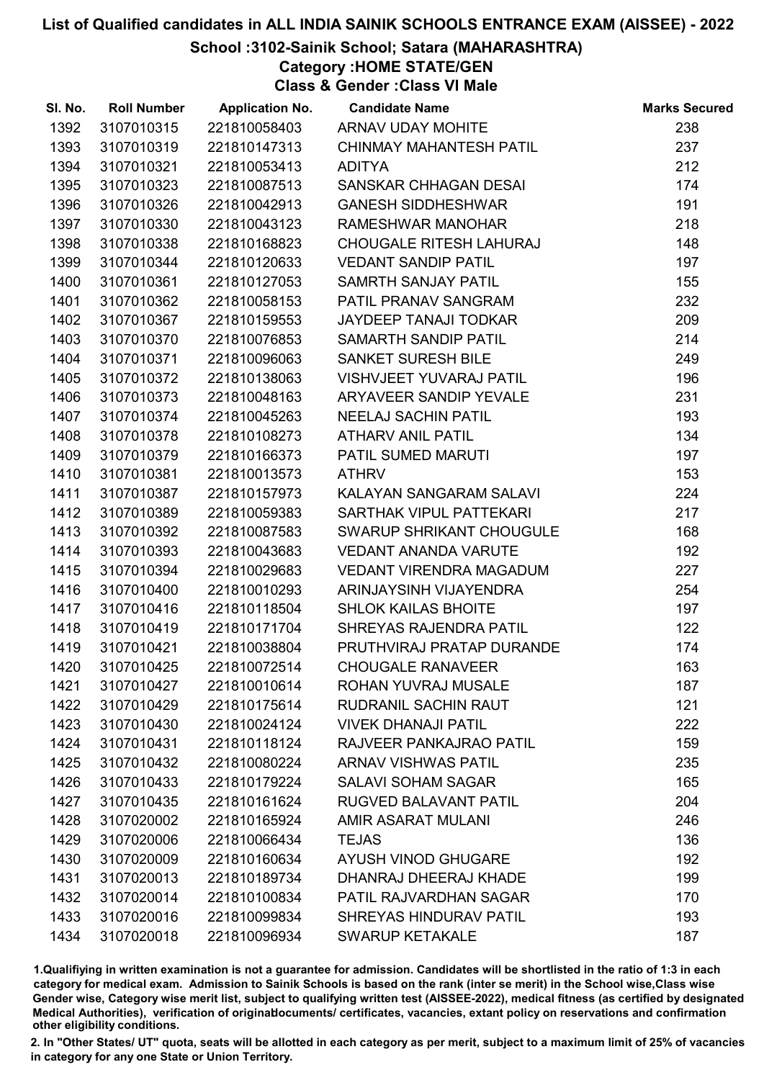## School :3102-Sainik School; Satara (MAHARASHTRA)

Category :HOME STATE/GEN

Class & Gender :Class VI Male

| SI. No. | <b>Roll Number</b> | <b>Application No.</b> | <b>Candidate Name</b>          | <b>Marks Secured</b> |
|---------|--------------------|------------------------|--------------------------------|----------------------|
| 1392    | 3107010315         | 221810058403           | ARNAV UDAY MOHITE              | 238                  |
| 1393    | 3107010319         | 221810147313           | <b>CHINMAY MAHANTESH PATIL</b> | 237                  |
| 1394    | 3107010321         | 221810053413           | ADITYA                         | 212                  |
| 1395    | 3107010323         | 221810087513           | SANSKAR CHHAGAN DESAI          | 174                  |
| 1396    | 3107010326         | 221810042913           | <b>GANESH SIDDHESHWAR</b>      | 191                  |
| 1397    | 3107010330         | 221810043123           | RAMESHWAR MANOHAR              | 218                  |
| 1398    | 3107010338         | 221810168823           | <b>CHOUGALE RITESH LAHURAJ</b> | 148                  |
| 1399    | 3107010344         | 221810120633           | <b>VEDANT SANDIP PATIL</b>     | 197                  |
| 1400    | 3107010361         | 221810127053           | SAMRTH SANJAY PATIL            | 155                  |
| 1401    | 3107010362         | 221810058153           | PATIL PRANAV SANGRAM           | 232                  |
| 1402    | 3107010367         | 221810159553           | <b>JAYDEEP TANAJI TODKAR</b>   | 209                  |
| 1403    | 3107010370         | 221810076853           | SAMARTH SANDIP PATIL           | 214                  |
| 1404    | 3107010371         | 221810096063           | SANKET SURESH BILE             | 249                  |
| 1405    | 3107010372         | 221810138063           | <b>VISHVJEET YUVARAJ PATIL</b> | 196                  |
| 1406    | 3107010373         | 221810048163           | ARYAVEER SANDIP YEVALE         | 231                  |
| 1407    | 3107010374         | 221810045263           | <b>NEELAJ SACHIN PATIL</b>     | 193                  |
| 1408    | 3107010378         | 221810108273           | <b>ATHARV ANIL PATIL</b>       | 134                  |
| 1409    | 3107010379         | 221810166373           | PATIL SUMED MARUTI             | 197                  |
| 1410    | 3107010381         | 221810013573           | <b>ATHRV</b>                   | 153                  |
| 1411    | 3107010387         | 221810157973           | KALAYAN SANGARAM SALAVI        | 224                  |
| 1412    | 3107010389         | 221810059383           | SARTHAK VIPUL PATTEKARI        | 217                  |
| 1413    | 3107010392         | 221810087583           | SWARUP SHRIKANT CHOUGULE       | 168                  |
| 1414    | 3107010393         | 221810043683           | <b>VEDANT ANANDA VARUTE</b>    | 192                  |
| 1415    | 3107010394         | 221810029683           | VEDANT VIRENDRA MAGADUM        | 227                  |
| 1416    | 3107010400         | 221810010293           | ARINJAYSINH VIJAYENDRA         | 254                  |
| 1417    | 3107010416         | 221810118504           | <b>SHLOK KAILAS BHOITE</b>     | 197                  |
| 1418    | 3107010419         | 221810171704           | SHREYAS RAJENDRA PATIL         | 122                  |
| 1419    | 3107010421         | 221810038804           | PRUTHVIRAJ PRATAP DURANDE      | 174                  |
| 1420    | 3107010425         | 221810072514           | <b>CHOUGALE RANAVEER</b>       | 163                  |
| 1421    | 3107010427         | 221810010614           | ROHAN YUVRAJ MUSALE            | 187                  |
| 1422    | 3107010429         | 221810175614           | <b>RUDRANIL SACHIN RAUT</b>    | 121                  |
| 1423    | 3107010430         | 221810024124           | <b>VIVEK DHANAJI PATIL</b>     | 222                  |
| 1424    | 3107010431         | 221810118124           | RAJVEER PANKAJRAO PATIL        | 159                  |
| 1425    | 3107010432         | 221810080224           | <b>ARNAV VISHWAS PATIL</b>     | 235                  |
| 1426    | 3107010433         | 221810179224           | <b>SALAVI SOHAM SAGAR</b>      | 165                  |
| 1427    | 3107010435         | 221810161624           | RUGVED BALAVANT PATIL          | 204                  |
| 1428    | 3107020002         | 221810165924           | AMIR ASARAT MULANI             | 246                  |
| 1429    | 3107020006         | 221810066434           | <b>TEJAS</b>                   | 136                  |
| 1430    | 3107020009         | 221810160634           | <b>AYUSH VINOD GHUGARE</b>     | 192                  |
| 1431    | 3107020013         | 221810189734           | DHANRAJ DHEERAJ KHADE          | 199                  |
| 1432    | 3107020014         | 221810100834           | PATIL RAJVARDHAN SAGAR         | 170                  |
| 1433    | 3107020016         | 221810099834           | <b>SHREYAS HINDURAV PATIL</b>  | 193                  |
| 1434    | 3107020018         | 221810096934           | <b>SWARUP KETAKALE</b>         | 187                  |

1.Qualifiying in written examination is not a guarantee for admission. Candidates will be shortlisted in the ratio of 1:3 in each category for medical exam. Admission to Sainik Schools is based on the rank (inter se merit) in the School wise,Class wise Gender wise, Category wise merit list, subject to qualifying written test (AISSEE-2022), medical fitness (as certified by designated Medical Authorities), verification of originablocuments/ certificates, vacancies, extant policy on reservations and confirmation other eligibility conditions.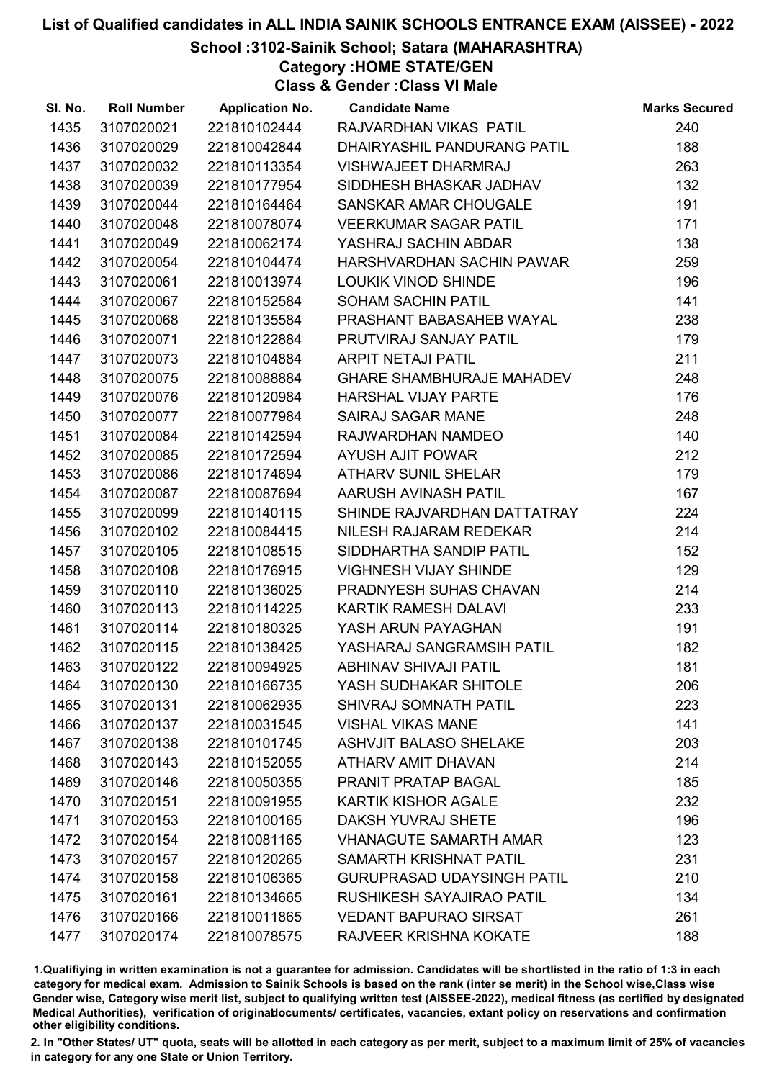## School :3102-Sainik School; Satara (MAHARASHTRA)

Category :HOME STATE/GEN

Class & Gender :Class VI Male

| SI. No. | <b>Roll Number</b> | <b>Application No.</b> | <b>Candidate Name</b>             | <b>Marks Secured</b> |
|---------|--------------------|------------------------|-----------------------------------|----------------------|
| 1435    | 3107020021         | 221810102444           | RAJVARDHAN VIKAS PATIL            | 240                  |
| 1436    | 3107020029         | 221810042844           | DHAIRYASHIL PANDURANG PATIL       | 188                  |
| 1437    | 3107020032         | 221810113354           | <b>VISHWAJEET DHARMRAJ</b>        | 263                  |
| 1438    | 3107020039         | 221810177954           | SIDDHESH BHASKAR JADHAV           | 132                  |
| 1439    | 3107020044         | 221810164464           | SANSKAR AMAR CHOUGALE             | 191                  |
| 1440    | 3107020048         | 221810078074           | <b>VEERKUMAR SAGAR PATIL</b>      | 171                  |
| 1441    | 3107020049         | 221810062174           | YASHRAJ SACHIN ABDAR              | 138                  |
| 1442    | 3107020054         | 221810104474           | HARSHVARDHAN SACHIN PAWAR         | 259                  |
| 1443    | 3107020061         | 221810013974           | LOUKIK VINOD SHINDE               | 196                  |
| 1444    | 3107020067         | 221810152584           | <b>SOHAM SACHIN PATIL</b>         | 141                  |
| 1445    | 3107020068         | 221810135584           | PRASHANT BABASAHEB WAYAL          | 238                  |
| 1446    | 3107020071         | 221810122884           | PRUTVIRAJ SANJAY PATIL            | 179                  |
| 1447    | 3107020073         | 221810104884           | <b>ARPIT NETAJI PATIL</b>         | 211                  |
| 1448    | 3107020075         | 221810088884           | <b>GHARE SHAMBHURAJE MAHADEV</b>  | 248                  |
| 1449    | 3107020076         | 221810120984           | <b>HARSHAL VIJAY PARTE</b>        | 176                  |
| 1450    | 3107020077         | 221810077984           | SAIRAJ SAGAR MANE                 | 248                  |
| 1451    | 3107020084         | 221810142594           | RAJWARDHAN NAMDEO                 | 140                  |
| 1452    | 3107020085         | 221810172594           | <b>AYUSH AJIT POWAR</b>           | 212                  |
| 1453    | 3107020086         | 221810174694           | <b>ATHARV SUNIL SHELAR</b>        | 179                  |
| 1454    | 3107020087         | 221810087694           | AARUSH AVINASH PATIL              | 167                  |
| 1455    | 3107020099         | 221810140115           | SHINDE RAJVARDHAN DATTATRAY       | 224                  |
| 1456    | 3107020102         | 221810084415           | NILESH RAJARAM REDEKAR            | 214                  |
| 1457    | 3107020105         | 221810108515           | SIDDHARTHA SANDIP PATIL           | 152                  |
| 1458    | 3107020108         | 221810176915           | <b>VIGHNESH VIJAY SHINDE</b>      | 129                  |
| 1459    | 3107020110         | 221810136025           | PRADNYESH SUHAS CHAVAN            | 214                  |
| 1460    | 3107020113         | 221810114225           | <b>KARTIK RAMESH DALAVI</b>       | 233                  |
| 1461    | 3107020114         | 221810180325           | YASH ARUN PAYAGHAN                | 191                  |
| 1462    | 3107020115         | 221810138425           | YASHARAJ SANGRAMSIH PATIL         | 182                  |
| 1463    | 3107020122         | 221810094925           | <b>ABHINAV SHIVAJI PATIL</b>      | 181                  |
| 1464    | 3107020130         | 221810166735           | YASH SUDHAKAR SHITOLE             | 206                  |
| 1465    | 3107020131         | 221810062935           | SHIVRAJ SOMNATH PATIL             | 223                  |
| 1466    | 3107020137         | 221810031545           | <b>VISHAL VIKAS MANE</b>          | 141                  |
| 1467    | 3107020138         | 221810101745           | <b>ASHVJIT BALASO SHELAKE</b>     | 203                  |
| 1468    | 3107020143         | 221810152055           | ATHARV AMIT DHAVAN                | 214                  |
| 1469    | 3107020146         | 221810050355           | PRANIT PRATAP BAGAL               | 185                  |
| 1470    | 3107020151         | 221810091955           | <b>KARTIK KISHOR AGALE</b>        | 232                  |
| 1471    | 3107020153         | 221810100165           | <b>DAKSH YUVRAJ SHETE</b>         | 196                  |
| 1472    | 3107020154         | 221810081165           | <b>VHANAGUTE SAMARTH AMAR</b>     | 123                  |
| 1473    | 3107020157         | 221810120265           | SAMARTH KRISHNAT PATIL            | 231                  |
| 1474    | 3107020158         | 221810106365           | <b>GURUPRASAD UDAYSINGH PATIL</b> | 210                  |
| 1475    | 3107020161         | 221810134665           | RUSHIKESH SAYAJIRAO PATIL         | 134                  |
| 1476    | 3107020166         | 221810011865           | <b>VEDANT BAPURAO SIRSAT</b>      | 261                  |
| 1477    | 3107020174         | 221810078575           | RAJVEER KRISHNA KOKATE            | 188                  |

1.Qualifiying in written examination is not a guarantee for admission. Candidates will be shortlisted in the ratio of 1:3 in each category for medical exam. Admission to Sainik Schools is based on the rank (inter se merit) in the School wise,Class wise Gender wise, Category wise merit list, subject to qualifying written test (AISSEE-2022), medical fitness (as certified by designated Medical Authorities), verification of originablocuments/ certificates, vacancies, extant policy on reservations and confirmation other eligibility conditions.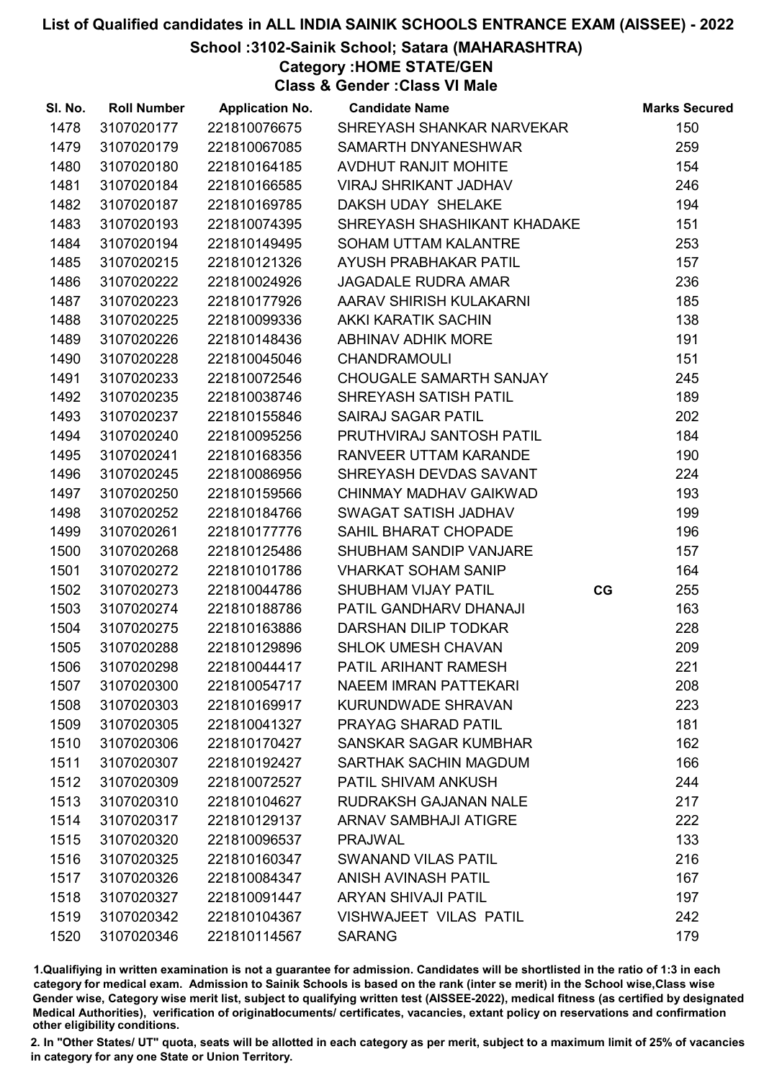## School :3102-Sainik School; Satara (MAHARASHTRA)

Category :HOME STATE/GEN

Class & Gender :Class VI Male

| SI. No. | <b>Roll Number</b> | <b>Application No.</b> | <b>Candidate Name</b>         |    | <b>Marks Secured</b> |
|---------|--------------------|------------------------|-------------------------------|----|----------------------|
| 1478    | 3107020177         | 221810076675           | SHREYASH SHANKAR NARVEKAR     |    | 150                  |
| 1479    | 3107020179         | 221810067085           | SAMARTH DNYANESHWAR           |    | 259                  |
| 1480    | 3107020180         | 221810164185           | <b>AVDHUT RANJIT MOHITE</b>   |    | 154                  |
| 1481    | 3107020184         | 221810166585           | <b>VIRAJ SHRIKANT JADHAV</b>  |    | 246                  |
| 1482    | 3107020187         | 221810169785           | DAKSH UDAY SHELAKE            |    | 194                  |
| 1483    | 3107020193         | 221810074395           | SHREYASH SHASHIKANT KHADAKE   |    | 151                  |
| 1484    | 3107020194         | 221810149495           | <b>SOHAM UTTAM KALANTRE</b>   |    | 253                  |
| 1485    | 3107020215         | 221810121326           | AYUSH PRABHAKAR PATIL         |    | 157                  |
| 1486    | 3107020222         | 221810024926           | <b>JAGADALE RUDRA AMAR</b>    |    | 236                  |
| 1487    | 3107020223         | 221810177926           | AARAV SHIRISH KULAKARNI       |    | 185                  |
| 1488    | 3107020225         | 221810099336           | AKKI KARATIK SACHIN           |    | 138                  |
| 1489    | 3107020226         | 221810148436           | <b>ABHINAV ADHIK MORE</b>     |    | 191                  |
| 1490    | 3107020228         | 221810045046           | <b>CHANDRAMOULI</b>           |    | 151                  |
| 1491    | 3107020233         | 221810072546           | CHOUGALE SAMARTH SANJAY       |    | 245                  |
| 1492    | 3107020235         | 221810038746           | <b>SHREYASH SATISH PATIL</b>  |    | 189                  |
| 1493    | 3107020237         | 221810155846           | <b>SAIRAJ SAGAR PATIL</b>     |    | 202                  |
| 1494    | 3107020240         | 221810095256           | PRUTHVIRAJ SANTOSH PATIL      |    | 184                  |
| 1495    | 3107020241         | 221810168356           | RANVEER UTTAM KARANDE         |    | 190                  |
| 1496    | 3107020245         | 221810086956           | SHREYASH DEVDAS SAVANT        |    | 224                  |
| 1497    | 3107020250         | 221810159566           | CHINMAY MADHAV GAIKWAD        |    | 193                  |
| 1498    | 3107020252         | 221810184766           | SWAGAT SATISH JADHAV          |    | 199                  |
| 1499    | 3107020261         | 221810177776           | SAHIL BHARAT CHOPADE          |    | 196                  |
| 1500    | 3107020268         | 221810125486           | SHUBHAM SANDIP VANJARE        |    | 157                  |
| 1501    | 3107020272         | 221810101786           | <b>VHARKAT SOHAM SANIP</b>    |    | 164                  |
| 1502    | 3107020273         | 221810044786           | SHUBHAM VIJAY PATIL           | CG | 255                  |
| 1503    | 3107020274         | 221810188786           | PATIL GANDHARV DHANAJI        |    | 163                  |
| 1504    | 3107020275         | 221810163886           | DARSHAN DILIP TODKAR          |    | 228                  |
| 1505    | 3107020288         | 221810129896           | <b>SHLOK UMESH CHAVAN</b>     |    | 209                  |
| 1506    | 3107020298         | 221810044417           | PATIL ARIHANT RAMESH          |    | 221                  |
| 1507    | 3107020300         | 221810054717           | NAEEM IMRAN PATTEKARI         |    | 208                  |
| 1508    | 3107020303         | 221810169917           | <b>KURUNDWADE SHRAVAN</b>     |    | 223                  |
| 1509    | 3107020305         | 221810041327           | <b>PRAYAG SHARAD PATIL</b>    |    | 181                  |
| 1510    | 3107020306         | 221810170427           | SANSKAR SAGAR KUMBHAR         |    | 162                  |
| 1511    | 3107020307         | 221810192427           | SARTHAK SACHIN MAGDUM         |    | 166                  |
| 1512    | 3107020309         | 221810072527           | <b>PATIL SHIVAM ANKUSH</b>    |    | 244                  |
| 1513    | 3107020310         | 221810104627           | <b>RUDRAKSH GAJANAN NALE</b>  |    | 217                  |
| 1514    | 3107020317         | 221810129137           | <b>ARNAV SAMBHAJI ATIGRE</b>  |    | 222                  |
| 1515    | 3107020320         | 221810096537           | <b>PRAJWAL</b>                |    | 133                  |
| 1516    | 3107020325         | 221810160347           | <b>SWANAND VILAS PATIL</b>    |    | 216                  |
| 1517    | 3107020326         | 221810084347           | <b>ANISH AVINASH PATIL</b>    |    | 167                  |
| 1518    | 3107020327         | 221810091447           | <b>ARYAN SHIVAJI PATIL</b>    |    | 197                  |
| 1519    | 3107020342         | 221810104367           | <b>VISHWAJEET VILAS PATIL</b> |    | 242                  |
| 1520    | 3107020346         | 221810114567           | <b>SARANG</b>                 |    | 179                  |

1.Qualifiying in written examination is not a guarantee for admission. Candidates will be shortlisted in the ratio of 1:3 in each category for medical exam. Admission to Sainik Schools is based on the rank (inter se merit) in the School wise,Class wise Gender wise, Category wise merit list, subject to qualifying written test (AISSEE-2022), medical fitness (as certified by designated Medical Authorities), verification of originablocuments/ certificates, vacancies, extant policy on reservations and confirmation other eligibility conditions.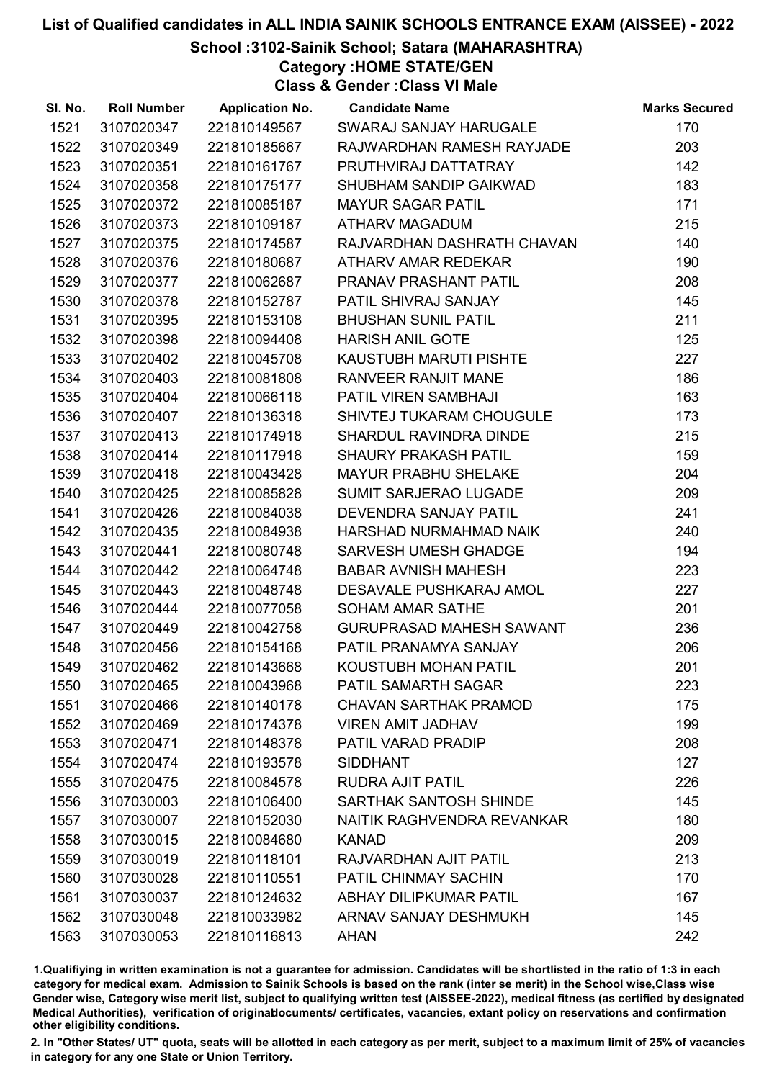# School :3102-Sainik School; Satara (MAHARASHTRA)

Category :HOME STATE/GEN

Class & Gender :Class VI Male

| SI. No. | <b>Roll Number</b> | <b>Application No.</b> | <b>Candidate Name</b>           | <b>Marks Secured</b> |
|---------|--------------------|------------------------|---------------------------------|----------------------|
| 1521    | 3107020347         | 221810149567           | SWARAJ SANJAY HARUGALE          | 170                  |
| 1522    | 3107020349         | 221810185667           | RAJWARDHAN RAMESH RAYJADE       | 203                  |
| 1523    | 3107020351         | 221810161767           | PRUTHVIRAJ DATTATRAY            | 142                  |
| 1524    | 3107020358         | 221810175177           | SHUBHAM SANDIP GAIKWAD          | 183                  |
| 1525    | 3107020372         | 221810085187           | <b>MAYUR SAGAR PATIL</b>        | 171                  |
| 1526    | 3107020373         | 221810109187           | <b>ATHARV MAGADUM</b>           | 215                  |
| 1527    | 3107020375         | 221810174587           | RAJVARDHAN DASHRATH CHAVAN      | 140                  |
| 1528    | 3107020376         | 221810180687           | ATHARV AMAR REDEKAR             | 190                  |
| 1529    | 3107020377         | 221810062687           | PRANAV PRASHANT PATIL           | 208                  |
| 1530    | 3107020378         | 221810152787           | PATIL SHIVRAJ SANJAY            | 145                  |
| 1531    | 3107020395         | 221810153108           | <b>BHUSHAN SUNIL PATIL</b>      | 211                  |
| 1532    | 3107020398         | 221810094408           | <b>HARISH ANIL GOTE</b>         | 125                  |
| 1533    | 3107020402         | 221810045708           | KAUSTUBH MARUTI PISHTE          | 227                  |
| 1534    | 3107020403         | 221810081808           | <b>RANVEER RANJIT MANE</b>      | 186                  |
| 1535    | 3107020404         | 221810066118           | PATIL VIREN SAMBHAJI            | 163                  |
| 1536    | 3107020407         | 221810136318           | SHIVTEJ TUKARAM CHOUGULE        | 173                  |
| 1537    | 3107020413         | 221810174918           | <b>SHARDUL RAVINDRA DINDE</b>   | 215                  |
| 1538    | 3107020414         | 221810117918           | <b>SHAURY PRAKASH PATIL</b>     | 159                  |
| 1539    | 3107020418         | 221810043428           | <b>MAYUR PRABHU SHELAKE</b>     | 204                  |
| 1540    | 3107020425         | 221810085828           | SUMIT SARJERAO LUGADE           | 209                  |
| 1541    | 3107020426         | 221810084038           | DEVENDRA SANJAY PATIL           | 241                  |
| 1542    | 3107020435         | 221810084938           | HARSHAD NURMAHMAD NAIK          | 240                  |
| 1543    | 3107020441         | 221810080748           | <b>SARVESH UMESH GHADGE</b>     | 194                  |
| 1544    | 3107020442         | 221810064748           | <b>BABAR AVNISH MAHESH</b>      | 223                  |
| 1545    | 3107020443         | 221810048748           | DESAVALE PUSHKARAJ AMOL         | 227                  |
| 1546    | 3107020444         | 221810077058           | <b>SOHAM AMAR SATHE</b>         | 201                  |
| 1547    | 3107020449         | 221810042758           | <b>GURUPRASAD MAHESH SAWANT</b> | 236                  |
| 1548    | 3107020456         | 221810154168           | PATIL PRANAMYA SANJAY           | 206                  |
| 1549    | 3107020462         | 221810143668           | KOUSTUBH MOHAN PATIL            | 201                  |
| 1550    | 3107020465         | 221810043968           | PATIL SAMARTH SAGAR             | 223                  |
| 1551    | 3107020466         | 221810140178           | <b>CHAVAN SARTHAK PRAMOD</b>    | 175                  |
| 1552    | 3107020469         | 221810174378           | <b>VIREN AMIT JADHAV</b>        | 199                  |
| 1553    | 3107020471         | 221810148378           | PATIL VARAD PRADIP              | 208                  |
| 1554    | 3107020474         | 221810193578           | <b>SIDDHANT</b>                 | 127                  |
| 1555    | 3107020475         | 221810084578           | <b>RUDRA AJIT PATIL</b>         | 226                  |
| 1556    | 3107030003         | 221810106400           | <b>SARTHAK SANTOSH SHINDE</b>   | 145                  |
| 1557    | 3107030007         | 221810152030           | NAITIK RAGHVENDRA REVANKAR      | 180                  |
| 1558    | 3107030015         | 221810084680           | <b>KANAD</b>                    | 209                  |
| 1559    | 3107030019         | 221810118101           | RAJVARDHAN AJIT PATIL           | 213                  |
| 1560    | 3107030028         | 221810110551           | PATIL CHINMAY SACHIN            | 170                  |
| 1561    | 3107030037         | 221810124632           | ABHAY DILIPKUMAR PATIL          | 167                  |
| 1562    | 3107030048         | 221810033982           | ARNAV SANJAY DESHMUKH           | 145                  |
| 1563    | 3107030053         | 221810116813           | <b>AHAN</b>                     | 242                  |

1.Qualifiying in written examination is not a guarantee for admission. Candidates will be shortlisted in the ratio of 1:3 in each category for medical exam. Admission to Sainik Schools is based on the rank (inter se merit) in the School wise,Class wise Gender wise, Category wise merit list, subject to qualifying written test (AISSEE-2022), medical fitness (as certified by designated Medical Authorities), verification of originablocuments/ certificates, vacancies, extant policy on reservations and confirmation other eligibility conditions.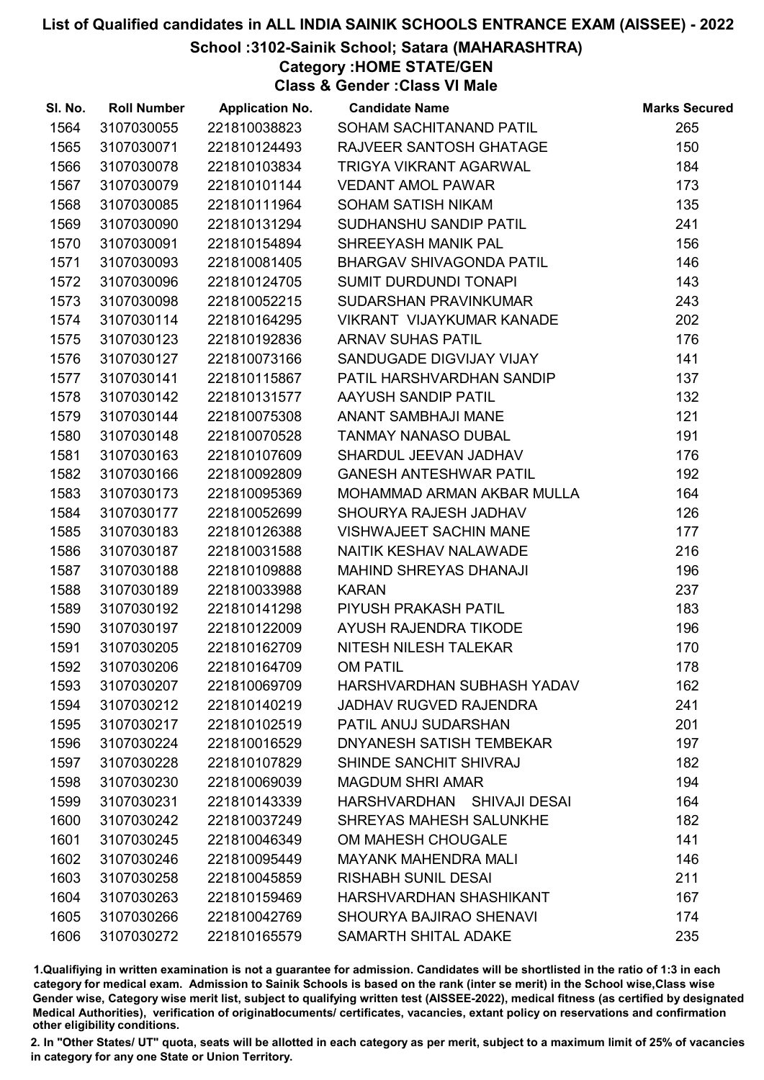# School :3102-Sainik School; Satara (MAHARASHTRA)

Category :HOME STATE/GEN

Class & Gender :Class VI Male

| SI. No. | <b>Roll Number</b> | <b>Application No.</b> | <b>Candidate Name</b>            | <b>Marks Secured</b> |
|---------|--------------------|------------------------|----------------------------------|----------------------|
| 1564    | 3107030055         | 221810038823           | SOHAM SACHITANAND PATIL          | 265                  |
| 1565    | 3107030071         | 221810124493           | RAJVEER SANTOSH GHATAGE          | 150                  |
| 1566    | 3107030078         | 221810103834           | TRIGYA VIKRANT AGARWAL           | 184                  |
| 1567    | 3107030079         | 221810101144           | <b>VEDANT AMOL PAWAR</b>         | 173                  |
| 1568    | 3107030085         | 221810111964           | SOHAM SATISH NIKAM               | 135                  |
| 1569    | 3107030090         | 221810131294           | SUDHANSHU SANDIP PATIL           | 241                  |
| 1570    | 3107030091         | 221810154894           | SHREEYASH MANIK PAL              | 156                  |
| 1571    | 3107030093         | 221810081405           | <b>BHARGAV SHIVAGONDA PATIL</b>  | 146                  |
| 1572    | 3107030096         | 221810124705           | <b>SUMIT DURDUNDI TONAPI</b>     | 143                  |
| 1573    | 3107030098         | 221810052215           | <b>SUDARSHAN PRAVINKUMAR</b>     | 243                  |
| 1574    | 3107030114         | 221810164295           | <b>VIKRANT VIJAYKUMAR KANADE</b> | 202                  |
| 1575    | 3107030123         | 221810192836           | <b>ARNAV SUHAS PATIL</b>         | 176                  |
| 1576    | 3107030127         | 221810073166           | SANDUGADE DIGVIJAY VIJAY         | 141                  |
| 1577    | 3107030141         | 221810115867           | PATIL HARSHVARDHAN SANDIP        | 137                  |
| 1578    | 3107030142         | 221810131577           | AAYUSH SANDIP PATIL              | 132                  |
| 1579    | 3107030144         | 221810075308           | <b>ANANT SAMBHAJI MANE</b>       | 121                  |
| 1580    | 3107030148         | 221810070528           | <b>TANMAY NANASO DUBAL</b>       | 191                  |
| 1581    | 3107030163         | 221810107609           | SHARDUL JEEVAN JADHAV            | 176                  |
| 1582    | 3107030166         | 221810092809           | <b>GANESH ANTESHWAR PATIL</b>    | 192                  |
| 1583    | 3107030173         | 221810095369           | MOHAMMAD ARMAN AKBAR MULLA       | 164                  |
| 1584    | 3107030177         | 221810052699           | SHOURYA RAJESH JADHAV            | 126                  |
| 1585    | 3107030183         | 221810126388           | <b>VISHWAJEET SACHIN MANE</b>    | 177                  |
| 1586    | 3107030187         | 221810031588           | NAITIK KESHAV NALAWADE           | 216                  |
| 1587    | 3107030188         | 221810109888           | <b>MAHIND SHREYAS DHANAJI</b>    | 196                  |
| 1588    | 3107030189         | 221810033988           | <b>KARAN</b>                     | 237                  |
| 1589    | 3107030192         | 221810141298           | PIYUSH PRAKASH PATIL             | 183                  |
| 1590    | 3107030197         | 221810122009           | AYUSH RAJENDRA TIKODE            | 196                  |
| 1591    | 3107030205         | 221810162709           | NITESH NILESH TALEKAR            | 170                  |
| 1592    | 3107030206         | 221810164709           | <b>OM PATIL</b>                  | 178                  |
| 1593    | 3107030207         | 221810069709           | HARSHVARDHAN SUBHASH YADAV       | 162                  |
| 1594    | 3107030212         | 221810140219           | <b>JADHAV RUGVED RAJENDRA</b>    | 241                  |
| 1595    | 3107030217         | 221810102519           | PATIL ANUJ SUDARSHAN             | 201                  |
| 1596    | 3107030224         | 221810016529           | DNYANESH SATISH TEMBEKAR         | 197                  |
| 1597    | 3107030228         | 221810107829           | SHINDE SANCHIT SHIVRAJ           | 182                  |
| 1598    | 3107030230         | 221810069039           | <b>MAGDUM SHRI AMAR</b>          | 194                  |
| 1599    | 3107030231         | 221810143339           | HARSHVARDHAN SHIVAJI DESAI       | 164                  |
| 1600    | 3107030242         | 221810037249           | SHREYAS MAHESH SALUNKHE          | 182                  |
| 1601    | 3107030245         | 221810046349           | OM MAHESH CHOUGALE               | 141                  |
| 1602    | 3107030246         | 221810095449           | <b>MAYANK MAHENDRA MALI</b>      | 146                  |
| 1603    | 3107030258         | 221810045859           | <b>RISHABH SUNIL DESAI</b>       | 211                  |
| 1604    | 3107030263         | 221810159469           | HARSHVARDHAN SHASHIKANT          | 167                  |
| 1605    | 3107030266         | 221810042769           | <b>SHOURYA BAJIRAO SHENAVI</b>   | 174                  |
| 1606    | 3107030272         | 221810165579           | SAMARTH SHITAL ADAKE             | 235                  |

1.Qualifiying in written examination is not a guarantee for admission. Candidates will be shortlisted in the ratio of 1:3 in each category for medical exam. Admission to Sainik Schools is based on the rank (inter se merit) in the School wise,Class wise Gender wise, Category wise merit list, subject to qualifying written test (AISSEE-2022), medical fitness (as certified by designated Medical Authorities), verification of originablocuments/ certificates, vacancies, extant policy on reservations and confirmation other eligibility conditions.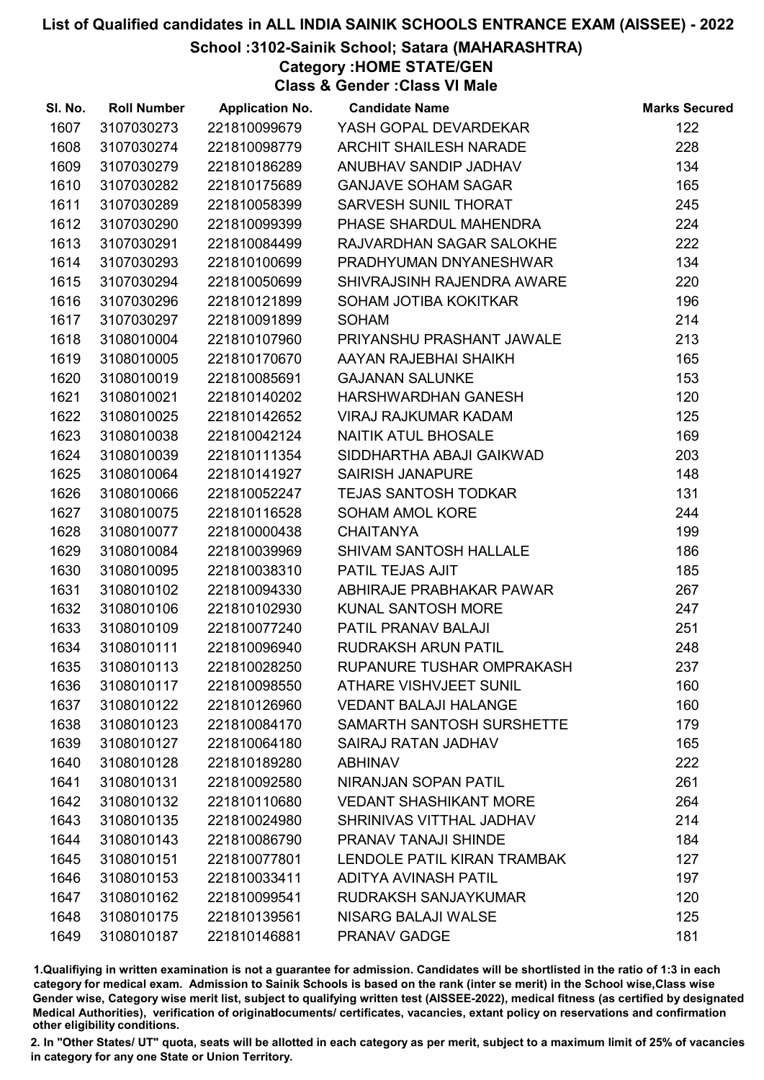# School :3102-Sainik School; Satara (MAHARASHTRA)

Category :HOME STATE/GEN

Class & Gender :Class VI Male

| SI. No. | <b>Roll Number</b> | <b>Application No.</b> | <b>Candidate Name</b>         | <b>Marks Secured</b> |
|---------|--------------------|------------------------|-------------------------------|----------------------|
| 1607    | 3107030273         | 221810099679           | YASH GOPAL DEVARDEKAR         | 122                  |
| 1608    | 3107030274         | 221810098779           | <b>ARCHIT SHAILESH NARADE</b> | 228                  |
| 1609    | 3107030279         | 221810186289           | ANUBHAV SANDIP JADHAV         | 134                  |
| 1610    | 3107030282         | 221810175689           | <b>GANJAVE SOHAM SAGAR</b>    | 165                  |
| 1611    | 3107030289         | 221810058399           | SARVESH SUNIL THORAT          | 245                  |
| 1612    | 3107030290         | 221810099399           | PHASE SHARDUL MAHENDRA        | 224                  |
| 1613    | 3107030291         | 221810084499           | RAJVARDHAN SAGAR SALOKHE      | 222                  |
| 1614    | 3107030293         | 221810100699           | PRADHYUMAN DNYANESHWAR        | 134                  |
| 1615    | 3107030294         | 221810050699           | SHIVRAJSINH RAJENDRA AWARE    | 220                  |
| 1616    | 3107030296         | 221810121899           | SOHAM JOTIBA KOKITKAR         | 196                  |
| 1617    | 3107030297         | 221810091899           | <b>SOHAM</b>                  | 214                  |
| 1618    | 3108010004         | 221810107960           | PRIYANSHU PRASHANT JAWALE     | 213                  |
| 1619    | 3108010005         | 221810170670           | AAYAN RAJEBHAI SHAIKH         | 165                  |
| 1620    | 3108010019         | 221810085691           | <b>GAJANAN SALUNKE</b>        | 153                  |
| 1621    | 3108010021         | 221810140202           | HARSHWARDHAN GANESH           | 120                  |
| 1622    | 3108010025         | 221810142652           | <b>VIRAJ RAJKUMAR KADAM</b>   | 125                  |
| 1623    | 3108010038         | 221810042124           | NAITIK ATUL BHOSALE           | 169                  |
| 1624    | 3108010039         | 221810111354           | SIDDHARTHA ABAJI GAIKWAD      | 203                  |
| 1625    | 3108010064         | 221810141927           | <b>SAIRISH JANAPURE</b>       | 148                  |
| 1626    | 3108010066         | 221810052247           | <b>TEJAS SANTOSH TODKAR</b>   | 131                  |
| 1627    | 3108010075         | 221810116528           | SOHAM AMOL KORE               | 244                  |
| 1628    | 3108010077         | 221810000438           | <b>CHAITANYA</b>              | 199                  |
| 1629    | 3108010084         | 221810039969           | SHIVAM SANTOSH HALLALE        | 186                  |
| 1630    | 3108010095         | 221810038310           | PATIL TEJAS AJIT              | 185                  |
| 1631    | 3108010102         | 221810094330           | ABHIRAJE PRABHAKAR PAWAR      | 267                  |
| 1632    | 3108010106         | 221810102930           | KUNAL SANTOSH MORE            | 247                  |
| 1633    | 3108010109         | 221810077240           | PATIL PRANAV BALAJI           | 251                  |
| 1634    | 3108010111         | 221810096940           | <b>RUDRAKSH ARUN PATIL</b>    | 248                  |
| 1635    | 3108010113         | 221810028250           | RUPANURE TUSHAR OMPRAKASH     | 237                  |
| 1636    | 3108010117         | 221810098550           | <b>ATHARE VISHVJEET SUNIL</b> | 160                  |
| 1637    | 3108010122         | 221810126960           | <b>VEDANT BALAJI HALANGE</b>  | 160                  |
| 1638    | 3108010123         | 221810084170           | SAMARTH SANTOSH SURSHETTE     | 179                  |
| 1639    | 3108010127         | 221810064180           | SAIRAJ RATAN JADHAV           | 165                  |
| 1640    | 3108010128         | 221810189280           | <b>ABHINAV</b>                | 222                  |
| 1641    | 3108010131         | 221810092580           | <b>NIRANJAN SOPAN PATIL</b>   | 261                  |
| 1642    | 3108010132         | 221810110680           | <b>VEDANT SHASHIKANT MORE</b> | 264                  |
| 1643    | 3108010135         | 221810024980           | SHRINIVAS VITTHAL JADHAV      | 214                  |
| 1644    | 3108010143         | 221810086790           | PRANAV TANAJI SHINDE          | 184                  |
| 1645    | 3108010151         | 221810077801           | LENDOLE PATIL KIRAN TRAMBAK   | 127                  |
| 1646    | 3108010153         | 221810033411           | <b>ADITYA AVINASH PATIL</b>   | 197                  |
| 1647    | 3108010162         | 221810099541           | RUDRAKSH SANJAYKUMAR          | 120                  |
| 1648    | 3108010175         | 221810139561           | <b>NISARG BALAJI WALSE</b>    | 125                  |
| 1649    | 3108010187         | 221810146881           | PRANAV GADGE                  | 181                  |

1.Qualifiying in written examination is not a guarantee for admission. Candidates will be shortlisted in the ratio of 1:3 in each category for medical exam. Admission to Sainik Schools is based on the rank (inter se merit) in the School wise,Class wise Gender wise, Category wise merit list, subject to qualifying written test (AISSEE-2022), medical fitness (as certified by designated Medical Authorities), verification of originablocuments/ certificates, vacancies, extant policy on reservations and confirmation other eligibility conditions.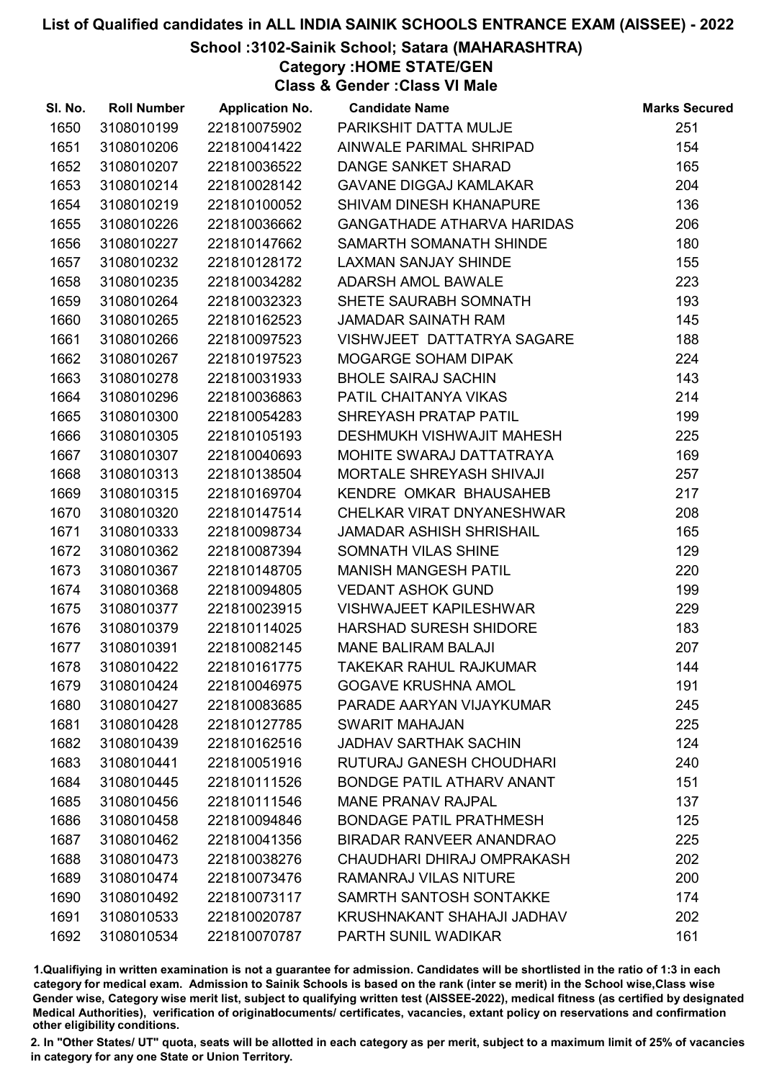# School :3102-Sainik School; Satara (MAHARASHTRA)

Category :HOME STATE/GEN

Class & Gender :Class VI Male

| SI. No. | <b>Roll Number</b> | <b>Application No.</b> | <b>Candidate Name</b>             | <b>Marks Secured</b> |
|---------|--------------------|------------------------|-----------------------------------|----------------------|
| 1650    | 3108010199         | 221810075902           | PARIKSHIT DATTA MULJE             | 251                  |
| 1651    | 3108010206         | 221810041422           | AINWALE PARIMAL SHRIPAD           | 154                  |
| 1652    | 3108010207         | 221810036522           | DANGE SANKET SHARAD               | 165                  |
| 1653    | 3108010214         | 221810028142           | <b>GAVANE DIGGAJ KAMLAKAR</b>     | 204                  |
| 1654    | 3108010219         | 221810100052           | SHIVAM DINESH KHANAPURE           | 136                  |
| 1655    | 3108010226         | 221810036662           | <b>GANGATHADE ATHARVA HARIDAS</b> | 206                  |
| 1656    | 3108010227         | 221810147662           | SAMARTH SOMANATH SHINDE           | 180                  |
| 1657    | 3108010232         | 221810128172           | <b>LAXMAN SANJAY SHINDE</b>       | 155                  |
| 1658    | 3108010235         | 221810034282           | ADARSH AMOL BAWALE                | 223                  |
| 1659    | 3108010264         | 221810032323           | SHETE SAURABH SOMNATH             | 193                  |
| 1660    | 3108010265         | 221810162523           | <b>JAMADAR SAINATH RAM</b>        | 145                  |
| 1661    | 3108010266         | 221810097523           | VISHWJEET DATTATRYA SAGARE        | 188                  |
| 1662    | 3108010267         | 221810197523           | MOGARGE SOHAM DIPAK               | 224                  |
| 1663    | 3108010278         | 221810031933           | <b>BHOLE SAIRAJ SACHIN</b>        | 143                  |
| 1664    | 3108010296         | 221810036863           | PATIL CHAITANYA VIKAS             | 214                  |
| 1665    | 3108010300         | 221810054283           | SHREYASH PRATAP PATIL             | 199                  |
| 1666    | 3108010305         | 221810105193           | DESHMUKH VISHWAJIT MAHESH         | 225                  |
| 1667    | 3108010307         | 221810040693           | MOHITE SWARAJ DATTATRAYA          | 169                  |
| 1668    | 3108010313         | 221810138504           | <b>MORTALE SHREYASH SHIVAJI</b>   | 257                  |
| 1669    | 3108010315         | 221810169704           | KENDRE OMKAR BHAUSAHEB            | 217                  |
| 1670    | 3108010320         | 221810147514           | CHELKAR VIRAT DNYANESHWAR         | 208                  |
| 1671    | 3108010333         | 221810098734           | <b>JAMADAR ASHISH SHRISHAIL</b>   | 165                  |
| 1672    | 3108010362         | 221810087394           | SOMNATH VILAS SHINE               | 129                  |
| 1673    | 3108010367         | 221810148705           | <b>MANISH MANGESH PATIL</b>       | 220                  |
| 1674    | 3108010368         | 221810094805           | <b>VEDANT ASHOK GUND</b>          | 199                  |
| 1675    | 3108010377         | 221810023915           | <b>VISHWAJEET KAPILESHWAR</b>     | 229                  |
| 1676    | 3108010379         | 221810114025           | HARSHAD SURESH SHIDORE            | 183                  |
| 1677    | 3108010391         | 221810082145           | <b>MANE BALIRAM BALAJI</b>        | 207                  |
| 1678    | 3108010422         | 221810161775           | <b>TAKEKAR RAHUL RAJKUMAR</b>     | 144                  |
| 1679    | 3108010424         | 221810046975           | <b>GOGAVE KRUSHNA AMOL</b>        | 191                  |
| 1680    | 3108010427         | 221810083685           | PARADE AARYAN VIJAYKUMAR          | 245                  |
| 1681    | 3108010428         | 221810127785           | <b>SWARIT MAHAJAN</b>             | 225                  |
| 1682    | 3108010439         | 221810162516           | <b>JADHAV SARTHAK SACHIN</b>      | 124                  |
| 1683    | 3108010441         | 221810051916           | RUTURAJ GANESH CHOUDHARI          | 240                  |
| 1684    | 3108010445         | 221810111526           | <b>BONDGE PATIL ATHARV ANANT</b>  | 151                  |
| 1685    | 3108010456         | 221810111546           | <b>MANE PRANAV RAJPAL</b>         | 137                  |
| 1686    | 3108010458         | 221810094846           | <b>BONDAGE PATIL PRATHMESH</b>    | 125                  |
| 1687    | 3108010462         | 221810041356           | <b>BIRADAR RANVEER ANANDRAO</b>   | 225                  |
| 1688    | 3108010473         | 221810038276           | CHAUDHARI DHIRAJ OMPRAKASH        | 202                  |
| 1689    | 3108010474         | 221810073476           | <b>RAMANRAJ VILAS NITURE</b>      | 200                  |
| 1690    | 3108010492         | 221810073117           | SAMRTH SANTOSH SONTAKKE           | 174                  |
| 1691    | 3108010533         | 221810020787           | KRUSHNAKANT SHAHAJI JADHAV        | 202                  |
| 1692    | 3108010534         | 221810070787           | PARTH SUNIL WADIKAR               | 161                  |

1.Qualifiying in written examination is not a guarantee for admission. Candidates will be shortlisted in the ratio of 1:3 in each category for medical exam. Admission to Sainik Schools is based on the rank (inter se merit) in the School wise,Class wise Gender wise, Category wise merit list, subject to qualifying written test (AISSEE-2022), medical fitness (as certified by designated Medical Authorities), verification of originablocuments/ certificates, vacancies, extant policy on reservations and confirmation other eligibility conditions.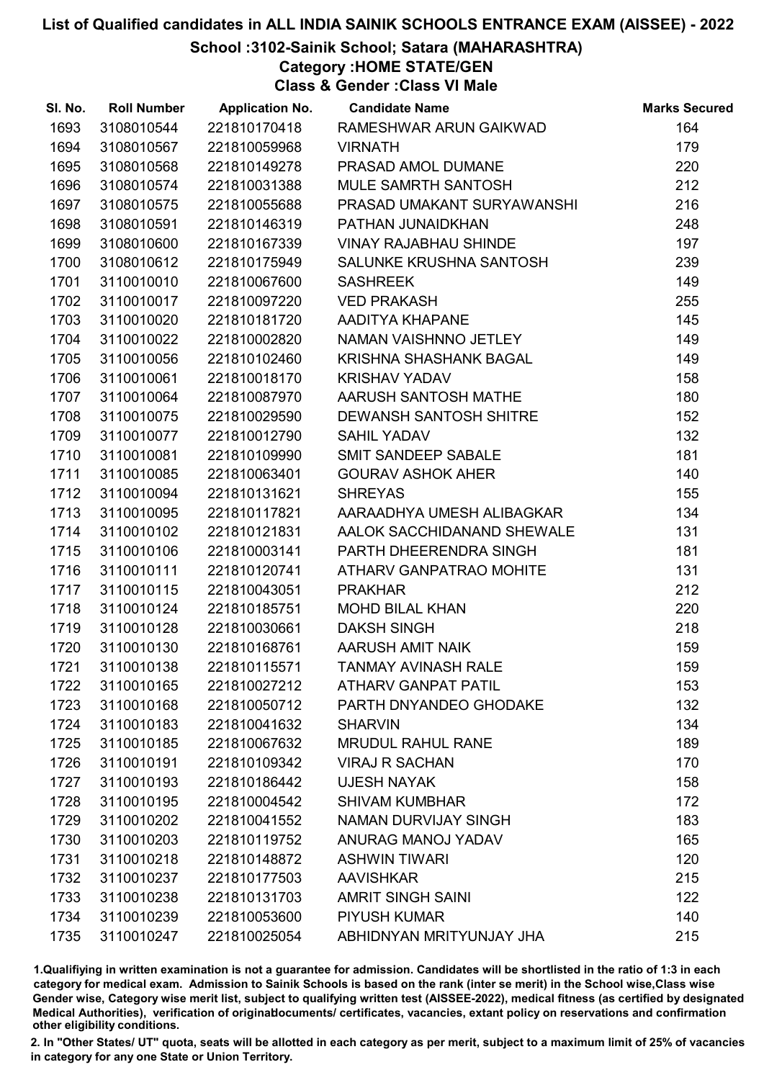# School :3102-Sainik School; Satara (MAHARASHTRA)

Category :HOME STATE/GEN

Class & Gender :Class VI Male

| SI. No. | <b>Roll Number</b> | <b>Application No.</b> | <b>Candidate Name</b>         | <b>Marks Secured</b> |
|---------|--------------------|------------------------|-------------------------------|----------------------|
| 1693    | 3108010544         | 221810170418           | RAMESHWAR ARUN GAIKWAD        | 164                  |
| 1694    | 3108010567         | 221810059968           | <b>VIRNATH</b>                | 179                  |
| 1695    | 3108010568         | 221810149278           | PRASAD AMOL DUMANE            | 220                  |
| 1696    | 3108010574         | 221810031388           | <b>MULE SAMRTH SANTOSH</b>    | 212                  |
| 1697    | 3108010575         | 221810055688           | PRASAD UMAKANT SURYAWANSHI    | 216                  |
| 1698    | 3108010591         | 221810146319           | PATHAN JUNAIDKHAN             | 248                  |
| 1699    | 3108010600         | 221810167339           | <b>VINAY RAJABHAU SHINDE</b>  | 197                  |
| 1700    | 3108010612         | 221810175949           | SALUNKE KRUSHNA SANTOSH       | 239                  |
| 1701    | 3110010010         | 221810067600           | <b>SASHREEK</b>               | 149                  |
| 1702    | 3110010017         | 221810097220           | <b>VED PRAKASH</b>            | 255                  |
| 1703    | 3110010020         | 221810181720           | AADITYA KHAPANE               | 145                  |
| 1704    | 3110010022         | 221810002820           | NAMAN VAISHNNO JETLEY         | 149                  |
| 1705    | 3110010056         | 221810102460           | KRISHNA SHASHANK BAGAL        | 149                  |
| 1706    | 3110010061         | 221810018170           | <b>KRISHAV YADAV</b>          | 158                  |
| 1707    | 3110010064         | 221810087970           | AARUSH SANTOSH MATHE          | 180                  |
| 1708    | 3110010075         | 221810029590           | <b>DEWANSH SANTOSH SHITRE</b> | 152                  |
| 1709    | 3110010077         | 221810012790           | <b>SAHIL YADAV</b>            | 132                  |
| 1710    | 3110010081         | 221810109990           | SMIT SANDEEP SABALE           | 181                  |
| 1711    | 3110010085         | 221810063401           | <b>GOURAV ASHOK AHER</b>      | 140                  |
| 1712    | 3110010094         | 221810131621           | <b>SHREYAS</b>                | 155                  |
| 1713    | 3110010095         | 221810117821           | AARAADHYA UMESH ALIBAGKAR     | 134                  |
| 1714    | 3110010102         | 221810121831           | AALOK SACCHIDANAND SHEWALE    | 131                  |
| 1715    | 3110010106         | 221810003141           | PARTH DHEERENDRA SINGH        | 181                  |
| 1716    | 3110010111         | 221810120741           | ATHARV GANPATRAO MOHITE       | 131                  |
| 1717    | 3110010115         | 221810043051           | <b>PRAKHAR</b>                | 212                  |
| 1718    | 3110010124         | 221810185751           | <b>MOHD BILAL KHAN</b>        | 220                  |
| 1719    | 3110010128         | 221810030661           | <b>DAKSH SINGH</b>            | 218                  |
| 1720    | 3110010130         | 221810168761           | AARUSH AMIT NAIK              | 159                  |
| 1721    | 3110010138         | 221810115571           | <b>TANMAY AVINASH RALE</b>    | 159                  |
| 1722    | 3110010165         | 221810027212           | <b>ATHARV GANPAT PATIL</b>    | 153                  |
| 1723    | 3110010168         | 221810050712           | PARTH DNYANDEO GHODAKE        | 132                  |
| 1724    | 3110010183         | 221810041632           | <b>SHARVIN</b>                | 134                  |
| 1725    | 3110010185         | 221810067632           | <b>MRUDUL RAHUL RANE</b>      | 189                  |
| 1726    | 3110010191         | 221810109342           | <b>VIRAJ R SACHAN</b>         | 170                  |
| 1727    | 3110010193         | 221810186442           | <b>UJESH NAYAK</b>            | 158                  |
| 1728    | 3110010195         | 221810004542           | <b>SHIVAM KUMBHAR</b>         | 172                  |
| 1729    | 3110010202         | 221810041552           | NAMAN DURVIJAY SINGH          | 183                  |
| 1730    | 3110010203         | 221810119752           | ANURAG MANOJ YADAV            | 165                  |
| 1731    | 3110010218         | 221810148872           | <b>ASHWIN TIWARI</b>          | 120                  |
| 1732    | 3110010237         | 221810177503           | <b>AAVISHKAR</b>              | 215                  |
| 1733    | 3110010238         | 221810131703           | <b>AMRIT SINGH SAINI</b>      | 122                  |
| 1734    | 3110010239         | 221810053600           | <b>PIYUSH KUMAR</b>           | 140                  |
| 1735    | 3110010247         | 221810025054           | ABHIDNYAN MRITYUNJAY JHA      | 215                  |

1.Qualifiying in written examination is not a guarantee for admission. Candidates will be shortlisted in the ratio of 1:3 in each category for medical exam. Admission to Sainik Schools is based on the rank (inter se merit) in the School wise,Class wise Gender wise, Category wise merit list, subject to qualifying written test (AISSEE-2022), medical fitness (as certified by designated Medical Authorities), verification of originablocuments/ certificates, vacancies, extant policy on reservations and confirmation other eligibility conditions.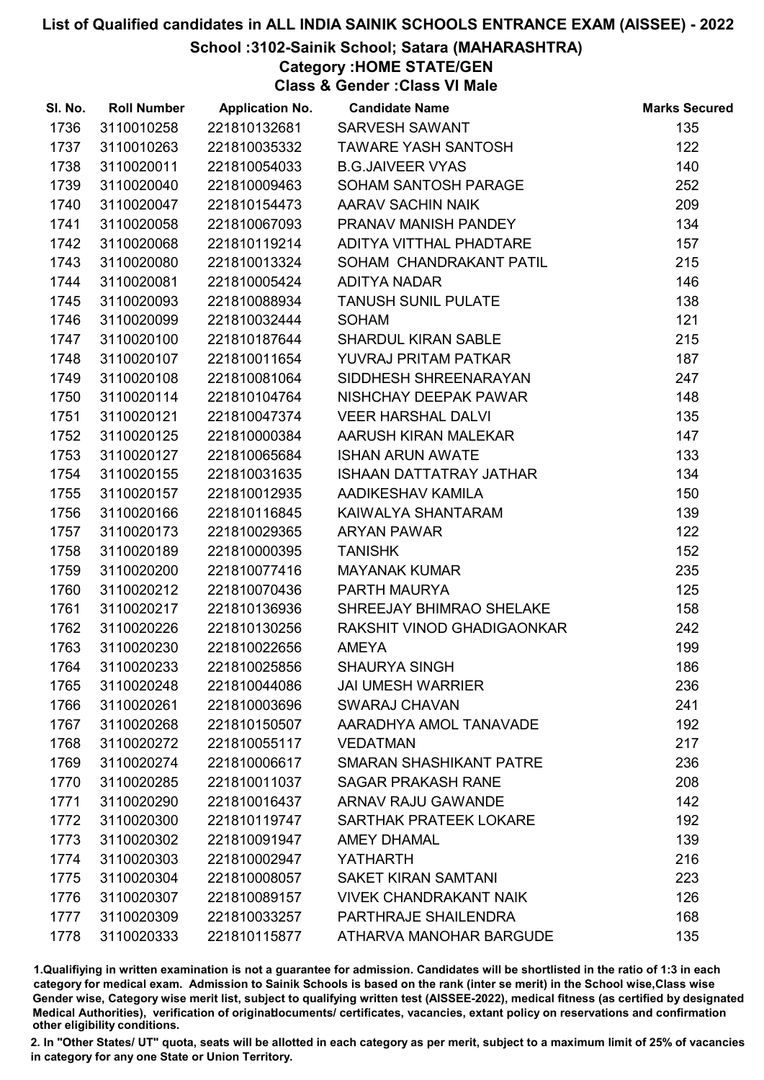# School :3102-Sainik School; Satara (MAHARASHTRA)

Category :HOME STATE/GEN

Class & Gender :Class VI Male

| SI. No. | <b>Roll Number</b> | <b>Application No.</b> | <b>Candidate Name</b>          | <b>Marks Secured</b> |
|---------|--------------------|------------------------|--------------------------------|----------------------|
| 1736    | 3110010258         | 221810132681           | SARVESH SAWANT                 | 135                  |
| 1737    | 3110010263         | 221810035332           | <b>TAWARE YASH SANTOSH</b>     | 122                  |
| 1738    | 3110020011         | 221810054033           | <b>B.G.JAIVEER VYAS</b>        | 140                  |
| 1739    | 3110020040         | 221810009463           | SOHAM SANTOSH PARAGE           | 252                  |
| 1740    | 3110020047         | 221810154473           | AARAV SACHIN NAIK              | 209                  |
| 1741    | 3110020058         | 221810067093           | PRANAV MANISH PANDEY           | 134                  |
| 1742    | 3110020068         | 221810119214           | ADITYA VITTHAL PHADTARE        | 157                  |
| 1743    | 3110020080         | 221810013324           | SOHAM CHANDRAKANT PATIL        | 215                  |
| 1744    | 3110020081         | 221810005424           | ADITYA NADAR                   | 146                  |
| 1745    | 3110020093         | 221810088934           | <b>TANUSH SUNIL PULATE</b>     | 138                  |
| 1746    | 3110020099         | 221810032444           | <b>SOHAM</b>                   | 121                  |
| 1747    | 3110020100         | 221810187644           | <b>SHARDUL KIRAN SABLE</b>     | 215                  |
| 1748    | 3110020107         | 221810011654           | YUVRAJ PRITAM PATKAR           | 187                  |
| 1749    | 3110020108         | 221810081064           | SIDDHESH SHREENARAYAN          | 247                  |
| 1750    | 3110020114         | 221810104764           | NISHCHAY DEEPAK PAWAR          | 148                  |
| 1751    | 3110020121         | 221810047374           | <b>VEER HARSHAL DALVI</b>      | 135                  |
| 1752    | 3110020125         | 221810000384           | AARUSH KIRAN MALEKAR           | 147                  |
| 1753    | 3110020127         | 221810065684           | <b>ISHAN ARUN AWATE</b>        | 133                  |
| 1754    | 3110020155         | 221810031635           | <b>ISHAAN DATTATRAY JATHAR</b> | 134                  |
| 1755    | 3110020157         | 221810012935           | AADIKESHAV KAMILA              | 150                  |
| 1756    | 3110020166         | 221810116845           | KAIWALYA SHANTARAM             | 139                  |
| 1757    | 3110020173         | 221810029365           | <b>ARYAN PAWAR</b>             | 122                  |
| 1758    | 3110020189         | 221810000395           | <b>TANISHK</b>                 | 152                  |
| 1759    | 3110020200         | 221810077416           | <b>MAYANAK KUMAR</b>           | 235                  |
| 1760    | 3110020212         | 221810070436           | PARTH MAURYA                   | 125                  |
| 1761    | 3110020217         | 221810136936           | SHREEJAY BHIMRAO SHELAKE       | 158                  |
| 1762    | 3110020226         | 221810130256           | RAKSHIT VINOD GHADIGAONKAR     | 242                  |
| 1763    | 3110020230         | 221810022656           | <b>AMEYA</b>                   | 199                  |
| 1764    | 3110020233         | 221810025856           | <b>SHAURYA SINGH</b>           | 186                  |
| 1765    | 3110020248         | 221810044086           | <b>JAI UMESH WARRIER</b>       | 236                  |
| 1766    | 3110020261         | 221810003696           | <b>SWARAJ CHAVAN</b>           | 241                  |
| 1767    | 3110020268         | 221810150507           | AARADHYA AMOL TANAVADE         | 192                  |
| 1768    | 3110020272         | 221810055117           | <b>VEDATMAN</b>                | 217                  |
| 1769    | 3110020274         | 221810006617           | <b>SMARAN SHASHIKANT PATRE</b> | 236                  |
| 1770    | 3110020285         | 221810011037           | <b>SAGAR PRAKASH RANE</b>      | 208                  |
| 1771    | 3110020290         | 221810016437           | <b>ARNAV RAJU GAWANDE</b>      | 142                  |
| 1772    | 3110020300         | 221810119747           | SARTHAK PRATEEK LOKARE         | 192                  |
| 1773    | 3110020302         | 221810091947           | <b>AMEY DHAMAL</b>             | 139                  |
| 1774    | 3110020303         | 221810002947           | YATHARTH                       | 216                  |
| 1775    | 3110020304         | 221810008057           | <b>SAKET KIRAN SAMTANI</b>     | 223                  |
| 1776    | 3110020307         | 221810089157           | <b>VIVEK CHANDRAKANT NAIK</b>  | 126                  |
| 1777    | 3110020309         | 221810033257           | PARTHRAJE SHAILENDRA           | 168                  |
| 1778    | 3110020333         | 221810115877           | ATHARVA MANOHAR BARGUDE        | 135                  |

1.Qualifiying in written examination is not a guarantee for admission. Candidates will be shortlisted in the ratio of 1:3 in each category for medical exam. Admission to Sainik Schools is based on the rank (inter se merit) in the School wise,Class wise Gender wise, Category wise merit list, subject to qualifying written test (AISSEE-2022), medical fitness (as certified by designated Medical Authorities), verification of originablocuments/ certificates, vacancies, extant policy on reservations and confirmation other eligibility conditions.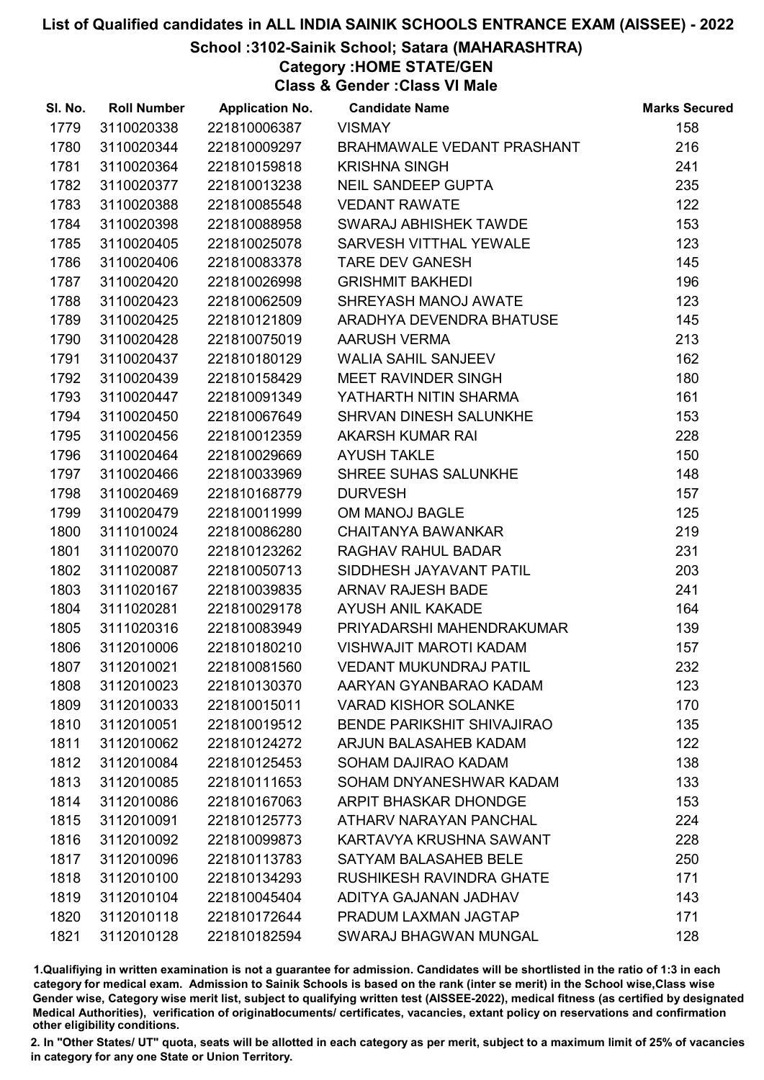# School :3102-Sainik School; Satara (MAHARASHTRA)

Category :HOME STATE/GEN

Class & Gender :Class VI Male

| SI. No. | <b>Roll Number</b> | <b>Application No.</b> | <b>Candidate Name</b>             | <b>Marks Secured</b> |
|---------|--------------------|------------------------|-----------------------------------|----------------------|
| 1779    | 3110020338         | 221810006387           | <b>VISMAY</b>                     | 158                  |
| 1780    | 3110020344         | 221810009297           | <b>BRAHMAWALE VEDANT PRASHANT</b> | 216                  |
| 1781    | 3110020364         | 221810159818           | <b>KRISHNA SINGH</b>              | 241                  |
| 1782    | 3110020377         | 221810013238           | <b>NEIL SANDEEP GUPTA</b>         | 235                  |
| 1783    | 3110020388         | 221810085548           | <b>VEDANT RAWATE</b>              | 122                  |
| 1784    | 3110020398         | 221810088958           | SWARAJ ABHISHEK TAWDE             | 153                  |
| 1785    | 3110020405         | 221810025078           | SARVESH VITTHAL YEWALE            | 123                  |
| 1786    | 3110020406         | 221810083378           | <b>TARE DEV GANESH</b>            | 145                  |
| 1787    | 3110020420         | 221810026998           | <b>GRISHMIT BAKHEDI</b>           | 196                  |
| 1788    | 3110020423         | 221810062509           | SHREYASH MANOJ AWATE              | 123                  |
| 1789    | 3110020425         | 221810121809           | ARADHYA DEVENDRA BHATUSE          | 145                  |
| 1790    | 3110020428         | 221810075019           | <b>AARUSH VERMA</b>               | 213                  |
| 1791    | 3110020437         | 221810180129           | <b>WALIA SAHIL SANJEEV</b>        | 162                  |
| 1792    | 3110020439         | 221810158429           | MEET RAVINDER SINGH               | 180                  |
| 1793    | 3110020447         | 221810091349           | YATHARTH NITIN SHARMA             | 161                  |
| 1794    | 3110020450         | 221810067649           | SHRVAN DINESH SALUNKHE            | 153                  |
| 1795    | 3110020456         | 221810012359           | <b>AKARSH KUMAR RAI</b>           | 228                  |
| 1796    | 3110020464         | 221810029669           | <b>AYUSH TAKLE</b>                | 150                  |
| 1797    | 3110020466         | 221810033969           | SHREE SUHAS SALUNKHE              | 148                  |
| 1798    | 3110020469         | 221810168779           | <b>DURVESH</b>                    | 157                  |
| 1799    | 3110020479         | 221810011999           | OM MANOJ BAGLE                    | 125                  |
| 1800    | 3111010024         | 221810086280           | <b>CHAITANYA BAWANKAR</b>         | 219                  |
| 1801    | 3111020070         | 221810123262           | RAGHAV RAHUL BADAR                | 231                  |
| 1802    | 3111020087         | 221810050713           | SIDDHESH JAYAVANT PATIL           | 203                  |
| 1803    | 3111020167         | 221810039835           | <b>ARNAV RAJESH BADE</b>          | 241                  |
| 1804    | 3111020281         | 221810029178           | AYUSH ANIL KAKADE                 | 164                  |
| 1805    | 3111020316         | 221810083949           | PRIYADARSHI MAHENDRAKUMAR         | 139                  |
| 1806    | 3112010006         | 221810180210           | <b>VISHWAJIT MAROTI KADAM</b>     | 157                  |
| 1807    | 3112010021         | 221810081560           | <b>VEDANT MUKUNDRAJ PATIL</b>     | 232                  |
| 1808    | 3112010023         | 221810130370           | AARYAN GYANBARAO KADAM            | 123                  |
| 1809    | 3112010033         | 221810015011           | <b>VARAD KISHOR SOLANKE</b>       | 170                  |
| 1810    | 3112010051         | 221810019512           | <b>BENDE PARIKSHIT SHIVAJIRAO</b> | 135                  |
| 1811    | 3112010062         | 221810124272           | ARJUN BALASAHEB KADAM             | 122                  |
| 1812    | 3112010084         | 221810125453           | SOHAM DAJIRAO KADAM               | 138                  |
| 1813    | 3112010085         | 221810111653           | SOHAM DNYANESHWAR KADAM           | 133                  |
| 1814    | 3112010086         | 221810167063           | <b>ARPIT BHASKAR DHONDGE</b>      | 153                  |
| 1815    | 3112010091         | 221810125773           | ATHARV NARAYAN PANCHAL            | 224                  |
| 1816    | 3112010092         | 221810099873           | KARTAVYA KRUSHNA SAWANT           | 228                  |
| 1817    | 3112010096         | 221810113783           | <b>SATYAM BALASAHEB BELE</b>      | 250                  |
| 1818    | 3112010100         | 221810134293           | <b>RUSHIKESH RAVINDRA GHATE</b>   | 171                  |
| 1819    | 3112010104         | 221810045404           | ADITYA GAJANAN JADHAV             | 143                  |
| 1820    | 3112010118         | 221810172644           | PRADUM LAXMAN JAGTAP              | 171                  |
| 1821    | 3112010128         | 221810182594           | SWARAJ BHAGWAN MUNGAL             | 128                  |

1.Qualifiying in written examination is not a guarantee for admission. Candidates will be shortlisted in the ratio of 1:3 in each category for medical exam. Admission to Sainik Schools is based on the rank (inter se merit) in the School wise,Class wise Gender wise, Category wise merit list, subject to qualifying written test (AISSEE-2022), medical fitness (as certified by designated Medical Authorities), verification of originablocuments/ certificates, vacancies, extant policy on reservations and confirmation other eligibility conditions.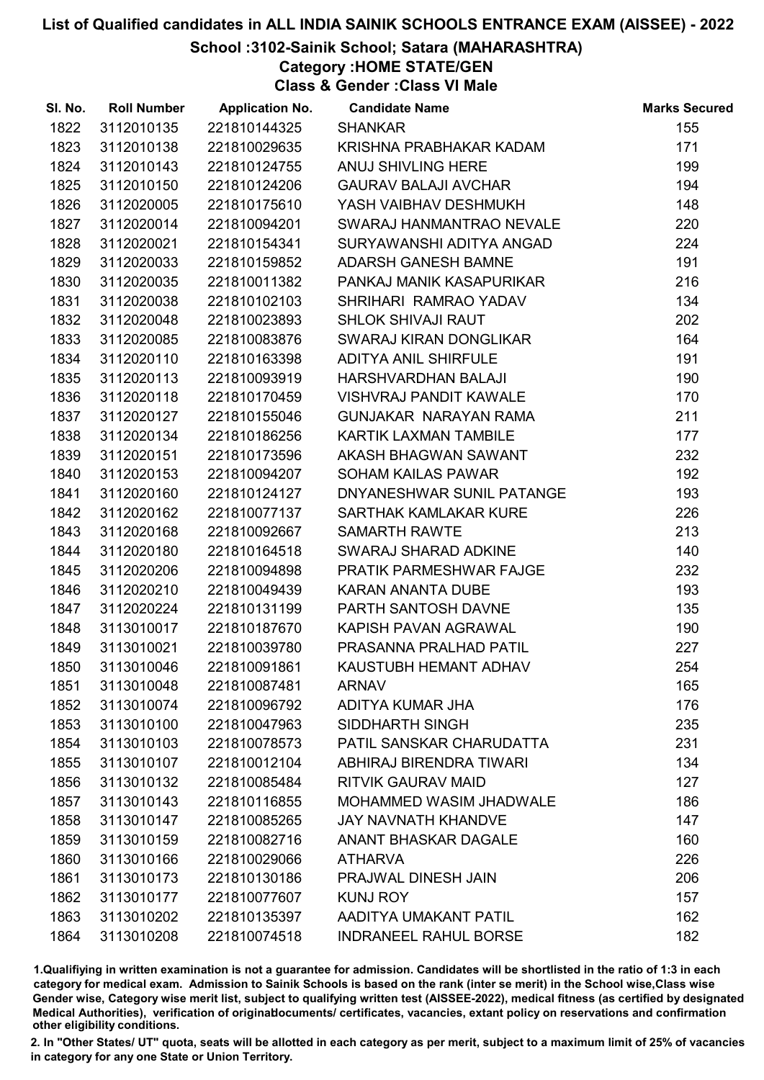# School :3102-Sainik School; Satara (MAHARASHTRA)

Category :HOME STATE/GEN

Class & Gender :Class VI Male

| SI. No. | <b>Roll Number</b> | <b>Application No.</b> | <b>Candidate Name</b>          | <b>Marks Secured</b> |
|---------|--------------------|------------------------|--------------------------------|----------------------|
| 1822    | 3112010135         | 221810144325           | <b>SHANKAR</b>                 | 155                  |
| 1823    | 3112010138         | 221810029635           | KRISHNA PRABHAKAR KADAM        | 171                  |
| 1824    | 3112010143         | 221810124755           | ANUJ SHIVLING HERE             | 199                  |
| 1825    | 3112010150         | 221810124206           | <b>GAURAV BALAJI AVCHAR</b>    | 194                  |
| 1826    | 3112020005         | 221810175610           | YASH VAIBHAV DESHMUKH          | 148                  |
| 1827    | 3112020014         | 221810094201           | SWARAJ HANMANTRAO NEVALE       | 220                  |
| 1828    | 3112020021         | 221810154341           | SURYAWANSHI ADITYA ANGAD       | 224                  |
| 1829    | 3112020033         | 221810159852           | <b>ADARSH GANESH BAMNE</b>     | 191                  |
| 1830    | 3112020035         | 221810011382           | PANKAJ MANIK KASAPURIKAR       | 216                  |
| 1831    | 3112020038         | 221810102103           | SHRIHARI RAMRAO YADAV          | 134                  |
| 1832    | 3112020048         | 221810023893           | <b>SHLOK SHIVAJI RAUT</b>      | 202                  |
| 1833    | 3112020085         | 221810083876           | SWARAJ KIRAN DONGLIKAR         | 164                  |
| 1834    | 3112020110         | 221810163398           | <b>ADITYA ANIL SHIRFULE</b>    | 191                  |
| 1835    | 3112020113         | 221810093919           | HARSHVARDHAN BALAJI            | 190                  |
| 1836    | 3112020118         | 221810170459           | <b>VISHVRAJ PANDIT KAWALE</b>  | 170                  |
| 1837    | 3112020127         | 221810155046           | GUNJAKAR NARAYAN RAMA          | 211                  |
| 1838    | 3112020134         | 221810186256           | KARTIK LAXMAN TAMBILE          | 177                  |
| 1839    | 3112020151         | 221810173596           | AKASH BHAGWAN SAWANT           | 232                  |
| 1840    | 3112020153         | 221810094207           | <b>SOHAM KAILAS PAWAR</b>      | 192                  |
| 1841    | 3112020160         | 221810124127           | DNYANESHWAR SUNIL PATANGE      | 193                  |
| 1842    | 3112020162         | 221810077137           | SARTHAK KAMLAKAR KURE          | 226                  |
| 1843    | 3112020168         | 221810092667           | <b>SAMARTH RAWTE</b>           | 213                  |
| 1844    | 3112020180         | 221810164518           | SWARAJ SHARAD ADKINE           | 140                  |
| 1845    | 3112020206         | 221810094898           | <b>PRATIK PARMESHWAR FAJGE</b> | 232                  |
| 1846    | 3112020210         | 221810049439           | KARAN ANANTA DUBE              | 193                  |
| 1847    | 3112020224         | 221810131199           | PARTH SANTOSH DAVNE            | 135                  |
| 1848    | 3113010017         | 221810187670           | KAPISH PAVAN AGRAWAL           | 190                  |
| 1849    | 3113010021         | 221810039780           | PRASANNA PRALHAD PATIL         | 227                  |
| 1850    | 3113010046         | 221810091861           | KAUSTUBH HEMANT ADHAV          | 254                  |
| 1851    | 3113010048         | 221810087481           | <b>ARNAV</b>                   | 165                  |
| 1852    | 3113010074         | 221810096792           | <b>ADITYA KUMAR JHA</b>        | 176                  |
| 1853    | 3113010100         | 221810047963           | SIDDHARTH SINGH                | 235                  |
| 1854    | 3113010103         | 221810078573           | PATIL SANSKAR CHARUDATTA       | 231                  |
| 1855    | 3113010107         | 221810012104           | ABHIRAJ BIRENDRA TIWARI        | 134                  |
| 1856    | 3113010132         | 221810085484           | <b>RITVIK GAURAV MAID</b>      | 127                  |
| 1857    | 3113010143         | 221810116855           | <b>MOHAMMED WASIM JHADWALE</b> | 186                  |
| 1858    | 3113010147         | 221810085265           | <b>JAY NAVNATH KHANDVE</b>     | 147                  |
| 1859    | 3113010159         | 221810082716           | <b>ANANT BHASKAR DAGALE</b>    | 160                  |
| 1860    | 3113010166         | 221810029066           | <b>ATHARVA</b>                 | 226                  |
| 1861    | 3113010173         | 221810130186           | PRAJWAL DINESH JAIN            | 206                  |
| 1862    | 3113010177         | 221810077607           | <b>KUNJ ROY</b>                | 157                  |
| 1863    | 3113010202         | 221810135397           | AADITYA UMAKANT PATIL          | 162                  |
| 1864    | 3113010208         | 221810074518           | <b>INDRANEEL RAHUL BORSE</b>   | 182                  |

1.Qualifiying in written examination is not a guarantee for admission. Candidates will be shortlisted in the ratio of 1:3 in each category for medical exam. Admission to Sainik Schools is based on the rank (inter se merit) in the School wise,Class wise Gender wise, Category wise merit list, subject to qualifying written test (AISSEE-2022), medical fitness (as certified by designated Medical Authorities), verification of originablocuments/ certificates, vacancies, extant policy on reservations and confirmation other eligibility conditions.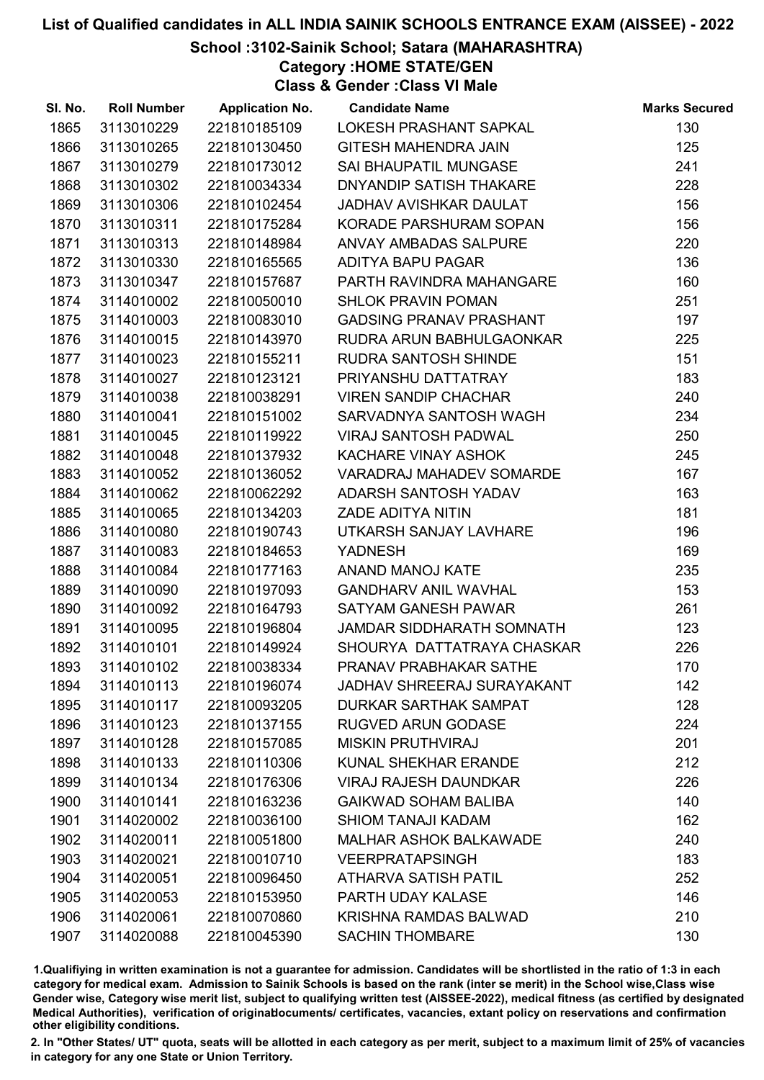# School :3102-Sainik School; Satara (MAHARASHTRA)

Category :HOME STATE/GEN

Class & Gender :Class VI Male

| SI. No. | <b>Roll Number</b> | <b>Application No.</b> | <b>Candidate Name</b>             | <b>Marks Secured</b> |
|---------|--------------------|------------------------|-----------------------------------|----------------------|
| 1865    | 3113010229         | 221810185109           | LOKESH PRASHANT SAPKAL            | 130                  |
| 1866    | 3113010265         | 221810130450           | <b>GITESH MAHENDRA JAIN</b>       | 125                  |
| 1867    | 3113010279         | 221810173012           | SAI BHAUPATIL MUNGASE             | 241                  |
| 1868    | 3113010302         | 221810034334           | DNYANDIP SATISH THAKARE           | 228                  |
| 1869    | 3113010306         | 221810102454           | <b>JADHAV AVISHKAR DAULAT</b>     | 156                  |
| 1870    | 3113010311         | 221810175284           | KORADE PARSHURAM SOPAN            | 156                  |
| 1871    | 3113010313         | 221810148984           | ANVAY AMBADAS SALPURE             | 220                  |
| 1872    | 3113010330         | 221810165565           | ADITYA BAPU PAGAR                 | 136                  |
| 1873    | 3113010347         | 221810157687           | PARTH RAVINDRA MAHANGARE          | 160                  |
| 1874    | 3114010002         | 221810050010           | <b>SHLOK PRAVIN POMAN</b>         | 251                  |
| 1875    | 3114010003         | 221810083010           | <b>GADSING PRANAV PRASHANT</b>    | 197                  |
| 1876    | 3114010015         | 221810143970           | RUDRA ARUN BABHULGAONKAR          | 225                  |
| 1877    | 3114010023         | 221810155211           | <b>RUDRA SANTOSH SHINDE</b>       | 151                  |
| 1878    | 3114010027         | 221810123121           | PRIYANSHU DATTATRAY               | 183                  |
| 1879    | 3114010038         | 221810038291           | <b>VIREN SANDIP CHACHAR</b>       | 240                  |
| 1880    | 3114010041         | 221810151002           | SARVADNYA SANTOSH WAGH            | 234                  |
| 1881    | 3114010045         | 221810119922           | <b>VIRAJ SANTOSH PADWAL</b>       | 250                  |
| 1882    | 3114010048         | 221810137932           | KACHARE VINAY ASHOK               | 245                  |
| 1883    | 3114010052         | 221810136052           | <b>VARADRAJ MAHADEV SOMARDE</b>   | 167                  |
| 1884    | 3114010062         | 221810062292           | ADARSH SANTOSH YADAV              | 163                  |
| 1885    | 3114010065         | 221810134203           | ZADE ADITYA NITIN                 | 181                  |
| 1886    | 3114010080         | 221810190743           | UTKARSH SANJAY LAVHARE            | 196                  |
| 1887    | 3114010083         | 221810184653           | <b>YADNESH</b>                    | 169                  |
| 1888    | 3114010084         | 221810177163           | <b>ANAND MANOJ KATE</b>           | 235                  |
| 1889    | 3114010090         | 221810197093           | <b>GANDHARV ANIL WAVHAL</b>       | 153                  |
| 1890    | 3114010092         | 221810164793           | <b>SATYAM GANESH PAWAR</b>        | 261                  |
| 1891    | 3114010095         | 221810196804           | JAMDAR SIDDHARATH SOMNATH         | 123                  |
| 1892    | 3114010101         | 221810149924           | SHOURYA DATTATRAYA CHASKAR        | 226                  |
| 1893    | 3114010102         | 221810038334           | PRANAV PRABHAKAR SATHE            | 170                  |
| 1894    | 3114010113         | 221810196074           | <b>JADHAV SHREERAJ SURAYAKANT</b> | 142                  |
| 1895    | 3114010117         | 221810093205           | <b>DURKAR SARTHAK SAMPAT</b>      | 128                  |
| 1896    | 3114010123         | 221810137155           | <b>RUGVED ARUN GODASE</b>         | 224                  |
| 1897    | 3114010128         | 221810157085           | <b>MISKIN PRUTHVIRAJ</b>          | 201                  |
| 1898    | 3114010133         | 221810110306           | <b>KUNAL SHEKHAR ERANDE</b>       | 212                  |
| 1899    | 3114010134         | 221810176306           | <b>VIRAJ RAJESH DAUNDKAR</b>      | 226                  |
| 1900    | 3114010141         | 221810163236           | <b>GAIKWAD SOHAM BALIBA</b>       | 140                  |
| 1901    | 3114020002         | 221810036100           | <b>SHIOM TANAJI KADAM</b>         | 162                  |
| 1902    | 3114020011         | 221810051800           | <b>MALHAR ASHOK BALKAWADE</b>     | 240                  |
| 1903    | 3114020021         | 221810010710           | <b>VEERPRATAPSINGH</b>            | 183                  |
| 1904    | 3114020051         | 221810096450           | <b>ATHARVA SATISH PATIL</b>       | 252                  |
| 1905    | 3114020053         | 221810153950           | PARTH UDAY KALASE                 | 146                  |
| 1906    | 3114020061         | 221810070860           | <b>KRISHNA RAMDAS BALWAD</b>      | 210                  |
| 1907    | 3114020088         | 221810045390           | <b>SACHIN THOMBARE</b>            | 130                  |

1.Qualifiying in written examination is not a guarantee for admission. Candidates will be shortlisted in the ratio of 1:3 in each category for medical exam. Admission to Sainik Schools is based on the rank (inter se merit) in the School wise,Class wise Gender wise, Category wise merit list, subject to qualifying written test (AISSEE-2022), medical fitness (as certified by designated Medical Authorities), verification of originablocuments/ certificates, vacancies, extant policy on reservations and confirmation other eligibility conditions.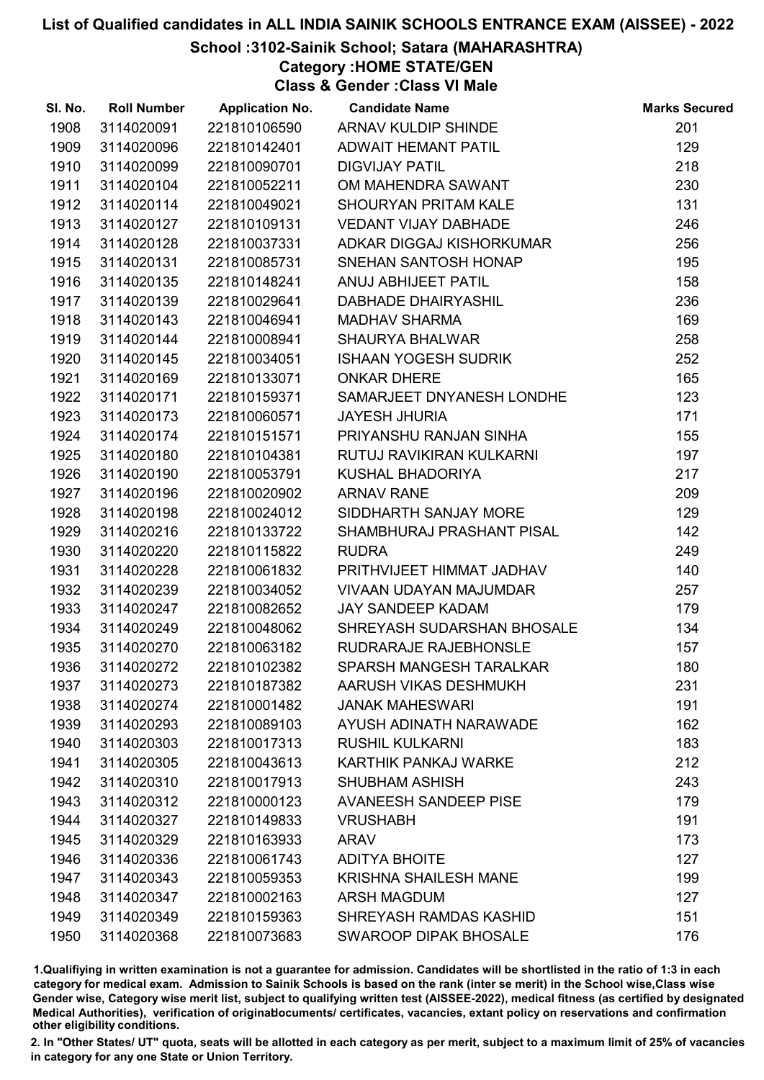# School :3102-Sainik School; Satara (MAHARASHTRA)

Category :HOME STATE/GEN

Class & Gender :Class VI Male

| SI. No. | <b>Roll Number</b> | <b>Application No.</b> | <b>Candidate Name</b>        | <b>Marks Secured</b> |
|---------|--------------------|------------------------|------------------------------|----------------------|
| 1908    | 3114020091         | 221810106590           | ARNAV KULDIP SHINDE          | 201                  |
| 1909    | 3114020096         | 221810142401           | <b>ADWAIT HEMANT PATIL</b>   | 129                  |
| 1910    | 3114020099         | 221810090701           | <b>DIGVIJAY PATIL</b>        | 218                  |
| 1911    | 3114020104         | 221810052211           | OM MAHENDRA SAWANT           | 230                  |
| 1912    | 3114020114         | 221810049021           | <b>SHOURYAN PRITAM KALE</b>  | 131                  |
| 1913    | 3114020127         | 221810109131           | <b>VEDANT VIJAY DABHADE</b>  | 246                  |
| 1914    | 3114020128         | 221810037331           | ADKAR DIGGAJ KISHORKUMAR     | 256                  |
| 1915    | 3114020131         | 221810085731           | SNEHAN SANTOSH HONAP         | 195                  |
| 1916    | 3114020135         | 221810148241           | ANUJ ABHIJEET PATIL          | 158                  |
| 1917    | 3114020139         | 221810029641           | <b>DABHADE DHAIRYASHIL</b>   | 236                  |
| 1918    | 3114020143         | 221810046941           | <b>MADHAV SHARMA</b>         | 169                  |
| 1919    | 3114020144         | 221810008941           | <b>SHAURYA BHALWAR</b>       | 258                  |
| 1920    | 3114020145         | 221810034051           | <b>ISHAAN YOGESH SUDRIK</b>  | 252                  |
| 1921    | 3114020169         | 221810133071           | <b>ONKAR DHERE</b>           | 165                  |
| 1922    | 3114020171         | 221810159371           | SAMARJEET DNYANESH LONDHE    | 123                  |
| 1923    | 3114020173         | 221810060571           | <b>JAYESH JHURIA</b>         | 171                  |
| 1924    | 3114020174         | 221810151571           | PRIYANSHU RANJAN SINHA       | 155                  |
| 1925    | 3114020180         | 221810104381           | RUTUJ RAVIKIRAN KULKARNI     | 197                  |
| 1926    | 3114020190         | 221810053791           | KUSHAL BHADORIYA             | 217                  |
| 1927    | 3114020196         | 221810020902           | <b>ARNAV RANE</b>            | 209                  |
| 1928    | 3114020198         | 221810024012           | SIDDHARTH SANJAY MORE        | 129                  |
| 1929    | 3114020216         | 221810133722           | SHAMBHURAJ PRASHANT PISAL    | 142                  |
| 1930    | 3114020220         | 221810115822           | <b>RUDRA</b>                 | 249                  |
| 1931    | 3114020228         | 221810061832           | PRITHVIJEET HIMMAT JADHAV    | 140                  |
| 1932    | 3114020239         | 221810034052           | VIVAAN UDAYAN MAJUMDAR       | 257                  |
| 1933    | 3114020247         | 221810082652           | <b>JAY SANDEEP KADAM</b>     | 179                  |
| 1934    | 3114020249         | 221810048062           | SHREYASH SUDARSHAN BHOSALE   | 134                  |
| 1935    | 3114020270         | 221810063182           | RUDRARAJE RAJEBHONSLE        | 157                  |
| 1936    | 3114020272         | 221810102382           | SPARSH MANGESH TARALKAR      | 180                  |
| 1937    | 3114020273         | 221810187382           | AARUSH VIKAS DESHMUKH        | 231                  |
| 1938    | 3114020274         | 221810001482           | <b>JANAK MAHESWARI</b>       | 191                  |
| 1939    | 3114020293         | 221810089103           | AYUSH ADINATH NARAWADE       | 162                  |
| 1940    | 3114020303         | 221810017313           | <b>RUSHIL KULKARNI</b>       | 183                  |
| 1941    | 3114020305         | 221810043613           | <b>KARTHIK PANKAJ WARKE</b>  | 212                  |
| 1942    | 3114020310         | 221810017913           | <b>SHUBHAM ASHISH</b>        | 243                  |
| 1943    | 3114020312         | 221810000123           | <b>AVANEESH SANDEEP PISE</b> | 179                  |
| 1944    | 3114020327         | 221810149833           | <b>VRUSHABH</b>              | 191                  |
| 1945    | 3114020329         | 221810163933           | <b>ARAV</b>                  | 173                  |
| 1946    | 3114020336         | 221810061743           | <b>ADITYA BHOITE</b>         | 127                  |
| 1947    | 3114020343         | 221810059353           | <b>KRISHNA SHAILESH MANE</b> | 199                  |
| 1948    | 3114020347         | 221810002163           | <b>ARSH MAGDUM</b>           | 127                  |
| 1949    | 3114020349         | 221810159363           | SHREYASH RAMDAS KASHID       | 151                  |
| 1950    | 3114020368         | 221810073683           | <b>SWAROOP DIPAK BHOSALE</b> | 176                  |

1.Qualifiying in written examination is not a guarantee for admission. Candidates will be shortlisted in the ratio of 1:3 in each category for medical exam. Admission to Sainik Schools is based on the rank (inter se merit) in the School wise,Class wise Gender wise, Category wise merit list, subject to qualifying written test (AISSEE-2022), medical fitness (as certified by designated Medical Authorities), verification of originablocuments/ certificates, vacancies, extant policy on reservations and confirmation other eligibility conditions.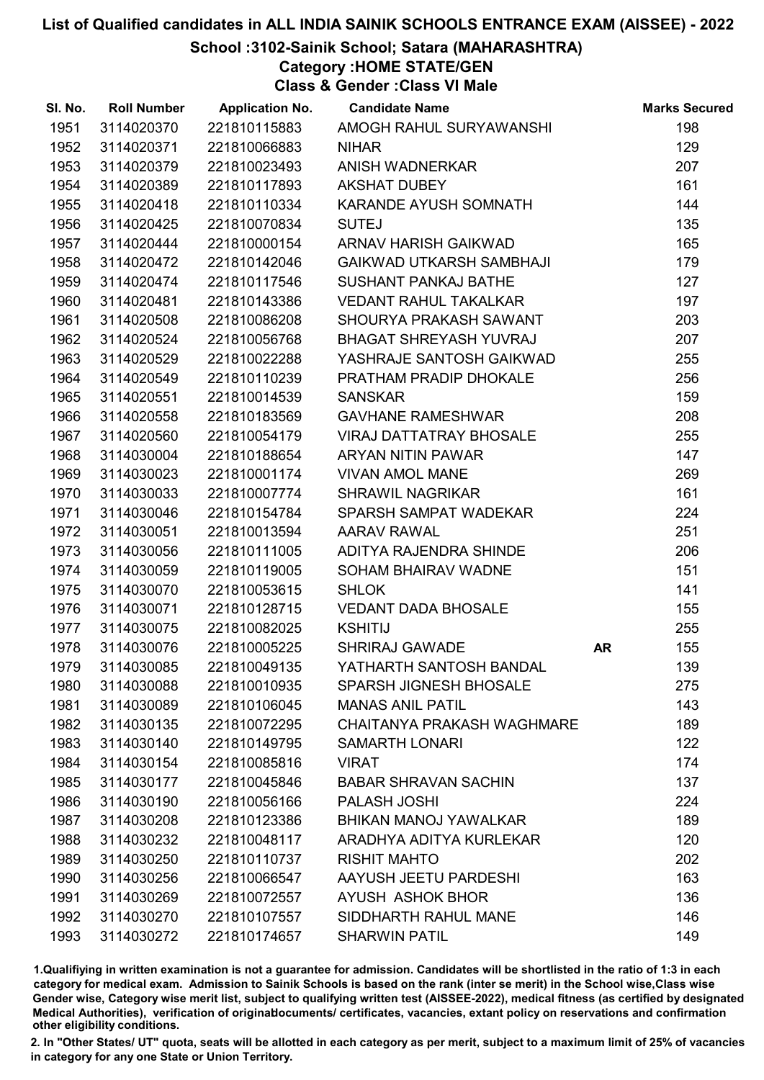# School :3102-Sainik School; Satara (MAHARASHTRA)

Category :HOME STATE/GEN

Class & Gender :Class VI Male

| SI. No. | <b>Roll Number</b> | <b>Application No.</b> | <b>Candidate Name</b>             |           | <b>Marks Secured</b> |
|---------|--------------------|------------------------|-----------------------------------|-----------|----------------------|
| 1951    | 3114020370         | 221810115883           | AMOGH RAHUL SURYAWANSHI           |           | 198                  |
| 1952    | 3114020371         | 221810066883           | <b>NIHAR</b>                      |           | 129                  |
| 1953    | 3114020379         | 221810023493           | ANISH WADNERKAR                   |           | 207                  |
| 1954    | 3114020389         | 221810117893           | <b>AKSHAT DUBEY</b>               |           | 161                  |
| 1955    | 3114020418         | 221810110334           | KARANDE AYUSH SOMNATH             |           | 144                  |
| 1956    | 3114020425         | 221810070834           | <b>SUTEJ</b>                      |           | 135                  |
| 1957    | 3114020444         | 221810000154           | ARNAV HARISH GAIKWAD              |           | 165                  |
| 1958    | 3114020472         | 221810142046           | <b>GAIKWAD UTKARSH SAMBHAJI</b>   |           | 179                  |
| 1959    | 3114020474         | 221810117546           | <b>SUSHANT PANKAJ BATHE</b>       |           | 127                  |
| 1960    | 3114020481         | 221810143386           | <b>VEDANT RAHUL TAKALKAR</b>      |           | 197                  |
| 1961    | 3114020508         | 221810086208           | SHOURYA PRAKASH SAWANT            |           | 203                  |
| 1962    | 3114020524         | 221810056768           | <b>BHAGAT SHREYASH YUVRAJ</b>     |           | 207                  |
| 1963    | 3114020529         | 221810022288           | YASHRAJE SANTOSH GAIKWAD          |           | 255                  |
| 1964    | 3114020549         | 221810110239           | PRATHAM PRADIP DHOKALE            |           | 256                  |
| 1965    | 3114020551         | 221810014539           | <b>SANSKAR</b>                    |           | 159                  |
| 1966    | 3114020558         | 221810183569           | <b>GAVHANE RAMESHWAR</b>          |           | 208                  |
| 1967    | 3114020560         | 221810054179           | <b>VIRAJ DATTATRAY BHOSALE</b>    |           | 255                  |
| 1968    | 3114030004         | 221810188654           | <b>ARYAN NITIN PAWAR</b>          |           | 147                  |
| 1969    | 3114030023         | 221810001174           | <b>VIVAN AMOL MANE</b>            |           | 269                  |
| 1970    | 3114030033         | 221810007774           | <b>SHRAWIL NAGRIKAR</b>           |           | 161                  |
| 1971    | 3114030046         | 221810154784           | SPARSH SAMPAT WADEKAR             |           | 224                  |
| 1972    | 3114030051         | 221810013594           | <b>AARAV RAWAL</b>                |           | 251                  |
| 1973    | 3114030056         | 221810111005           | ADITYA RAJENDRA SHINDE            |           | 206                  |
| 1974    | 3114030059         | 221810119005           | SOHAM BHAIRAV WADNE               |           | 151                  |
| 1975    | 3114030070         | 221810053615           | <b>SHLOK</b>                      |           | 141                  |
| 1976    | 3114030071         | 221810128715           | <b>VEDANT DADA BHOSALE</b>        |           | 155                  |
| 1977    | 3114030075         | 221810082025           | <b>KSHITIJ</b>                    |           | 255                  |
| 1978    | 3114030076         | 221810005225           | <b>SHRIRAJ GAWADE</b>             | <b>AR</b> | 155                  |
| 1979    | 3114030085         | 221810049135           | YATHARTH SANTOSH BANDAL           |           | 139                  |
| 1980    | 3114030088         | 221810010935           | SPARSH JIGNESH BHOSALE            |           | 275                  |
| 1981    | 3114030089         | 221810106045           | <b>MANAS ANIL PATIL</b>           |           | 143                  |
| 1982    | 3114030135         | 221810072295           | <b>CHAITANYA PRAKASH WAGHMARE</b> |           | 189                  |
| 1983    | 3114030140         | 221810149795           | <b>SAMARTH LONARI</b>             |           | 122                  |
| 1984    | 3114030154         | 221810085816           | <b>VIRAT</b>                      |           | 174                  |
| 1985    | 3114030177         | 221810045846           | <b>BABAR SHRAVAN SACHIN</b>       |           | 137                  |
| 1986    | 3114030190         | 221810056166           | PALASH JOSHI                      |           | 224                  |
| 1987    | 3114030208         | 221810123386           | <b>BHIKAN MANOJ YAWALKAR</b>      |           | 189                  |
| 1988    | 3114030232         | 221810048117           | ARADHYA ADITYA KURLEKAR           |           | 120                  |
| 1989    | 3114030250         | 221810110737           | <b>RISHIT MAHTO</b>               |           | 202                  |
| 1990    | 3114030256         | 221810066547           | AAYUSH JEETU PARDESHI             |           | 163                  |
| 1991    | 3114030269         | 221810072557           | AYUSH ASHOK BHOR                  |           | 136                  |
| 1992    | 3114030270         | 221810107557           | SIDDHARTH RAHUL MANE              |           | 146                  |
| 1993    | 3114030272         | 221810174657           | <b>SHARWIN PATIL</b>              |           | 149                  |

1.Qualifiying in written examination is not a guarantee for admission. Candidates will be shortlisted in the ratio of 1:3 in each category for medical exam. Admission to Sainik Schools is based on the rank (inter se merit) in the School wise,Class wise Gender wise, Category wise merit list, subject to qualifying written test (AISSEE-2022), medical fitness (as certified by designated Medical Authorities), verification of originablocuments/ certificates, vacancies, extant policy on reservations and confirmation other eligibility conditions.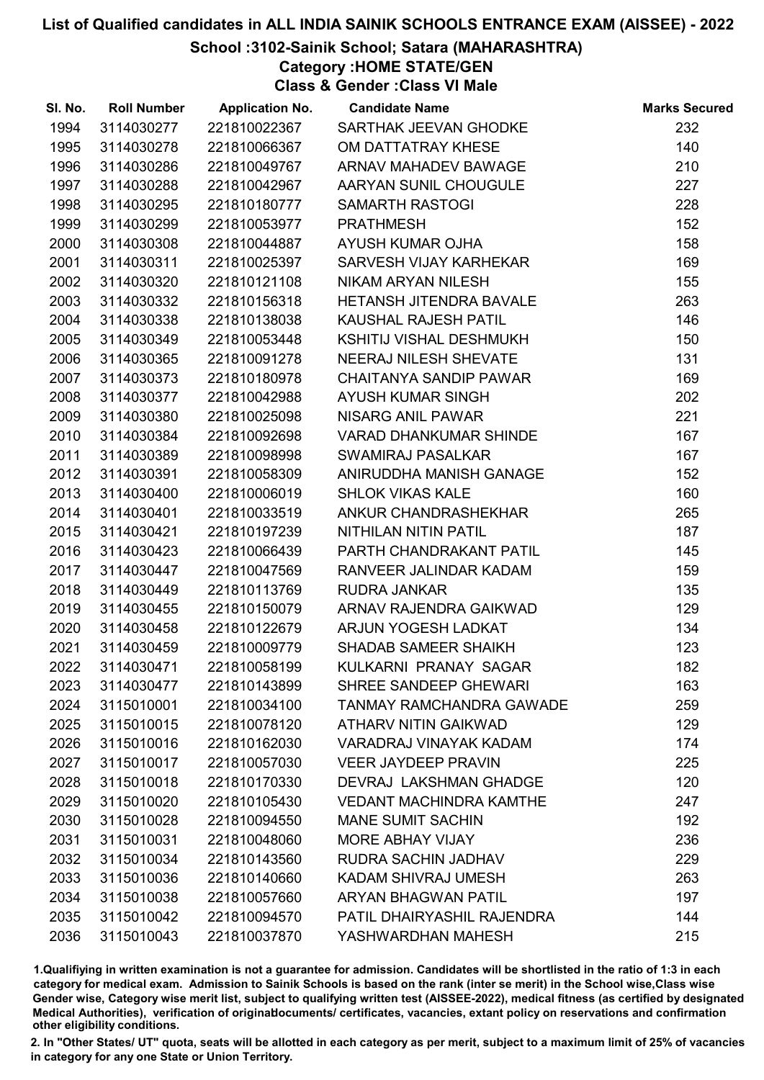# School :3102-Sainik School; Satara (MAHARASHTRA)

Category :HOME STATE/GEN

Class & Gender :Class VI Male

| SI. No. | <b>Roll Number</b> | <b>Application No.</b> | <b>Candidate Name</b>           | <b>Marks Secured</b> |
|---------|--------------------|------------------------|---------------------------------|----------------------|
| 1994    | 3114030277         | 221810022367           | SARTHAK JEEVAN GHODKE           | 232                  |
| 1995    | 3114030278         | 221810066367           | OM DATTATRAY KHESE              | 140                  |
| 1996    | 3114030286         | 221810049767           | ARNAV MAHADEV BAWAGE            | 210                  |
| 1997    | 3114030288         | 221810042967           | AARYAN SUNIL CHOUGULE           | 227                  |
| 1998    | 3114030295         | 221810180777           | <b>SAMARTH RASTOGI</b>          | 228                  |
| 1999    | 3114030299         | 221810053977           | <b>PRATHMESH</b>                | 152                  |
| 2000    | 3114030308         | 221810044887           | AYUSH KUMAR OJHA                | 158                  |
| 2001    | 3114030311         | 221810025397           | SARVESH VIJAY KARHEKAR          | 169                  |
| 2002    | 3114030320         | 221810121108           | NIKAM ARYAN NILESH              | 155                  |
| 2003    | 3114030332         | 221810156318           | <b>HETANSH JITENDRA BAVALE</b>  | 263                  |
| 2004    | 3114030338         | 221810138038           | <b>KAUSHAL RAJESH PATIL</b>     | 146                  |
| 2005    | 3114030349         | 221810053448           | KSHITIJ VISHAL DESHMUKH         | 150                  |
| 2006    | 3114030365         | 221810091278           | NEERAJ NILESH SHEVATE           | 131                  |
| 2007    | 3114030373         | 221810180978           | <b>CHAITANYA SANDIP PAWAR</b>   | 169                  |
| 2008    | 3114030377         | 221810042988           | AYUSH KUMAR SINGH               | 202                  |
| 2009    | 3114030380         | 221810025098           | <b>NISARG ANIL PAWAR</b>        | 221                  |
| 2010    | 3114030384         | 221810092698           | VARAD DHANKUMAR SHINDE          | 167                  |
| 2011    | 3114030389         | 221810098998           | <b>SWAMIRAJ PASALKAR</b>        | 167                  |
| 2012    | 3114030391         | 221810058309           | ANIRUDDHA MANISH GANAGE         | 152                  |
| 2013    | 3114030400         | 221810006019           | <b>SHLOK VIKAS KALE</b>         | 160                  |
| 2014    | 3114030401         | 221810033519           | ANKUR CHANDRASHEKHAR            | 265                  |
| 2015    | 3114030421         | 221810197239           | NITHILAN NITIN PATIL            | 187                  |
| 2016    | 3114030423         | 221810066439           | PARTH CHANDRAKANT PATIL         | 145                  |
| 2017    | 3114030447         | 221810047569           | RANVEER JALINDAR KADAM          | 159                  |
| 2018    | 3114030449         | 221810113769           | <b>RUDRA JANKAR</b>             | 135                  |
| 2019    | 3114030455         | 221810150079           | ARNAV RAJENDRA GAIKWAD          | 129                  |
| 2020    | 3114030458         | 221810122679           | ARJUN YOGESH LADKAT             | 134                  |
| 2021    | 3114030459         | 221810009779           | <b>SHADAB SAMEER SHAIKH</b>     | 123                  |
| 2022    | 3114030471         | 221810058199           | KULKARNI PRANAY SAGAR           | 182                  |
| 2023    | 3114030477         | 221810143899           | SHREE SANDEEP GHEWARI           | 163                  |
| 2024    | 3115010001         | 221810034100           | <b>TANMAY RAMCHANDRA GAWADE</b> | 259                  |
| 2025    | 3115010015         | 221810078120           | <b>ATHARV NITIN GAIKWAD</b>     | 129                  |
| 2026    | 3115010016         | 221810162030           | <b>VARADRAJ VINAYAK KADAM</b>   | 174                  |
| 2027    | 3115010017         | 221810057030           | <b>VEER JAYDEEP PRAVIN</b>      | 225                  |
| 2028    | 3115010018         | 221810170330           | DEVRAJ LAKSHMAN GHADGE          | 120                  |
| 2029    | 3115010020         | 221810105430           | <b>VEDANT MACHINDRA KAMTHE</b>  | 247                  |
| 2030    | 3115010028         | 221810094550           | <b>MANE SUMIT SACHIN</b>        | 192                  |
| 2031    | 3115010031         | 221810048060           | <b>MORE ABHAY VIJAY</b>         | 236                  |
| 2032    | 3115010034         | 221810143560           | RUDRA SACHIN JADHAV             | 229                  |
| 2033    | 3115010036         | 221810140660           | KADAM SHIVRAJ UMESH             | 263                  |
| 2034    | 3115010038         | 221810057660           | <b>ARYAN BHAGWAN PATIL</b>      | 197                  |
| 2035    | 3115010042         | 221810094570           | PATIL DHAIRYASHIL RAJENDRA      | 144                  |
| 2036    | 3115010043         | 221810037870           | YASHWARDHAN MAHESH              | 215                  |

1.Qualifiying in written examination is not a guarantee for admission. Candidates will be shortlisted in the ratio of 1:3 in each category for medical exam. Admission to Sainik Schools is based on the rank (inter se merit) in the School wise,Class wise Gender wise, Category wise merit list, subject to qualifying written test (AISSEE-2022), medical fitness (as certified by designated Medical Authorities), verification of originablocuments/ certificates, vacancies, extant policy on reservations and confirmation other eligibility conditions.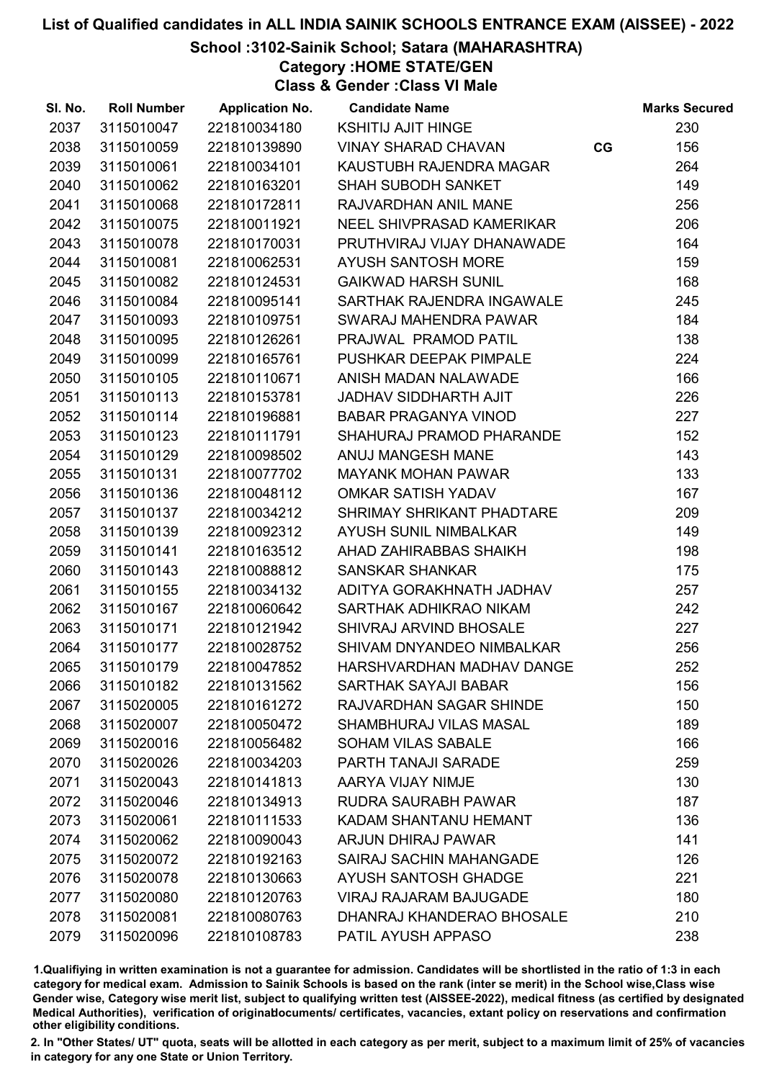# School :3102-Sainik School; Satara (MAHARASHTRA)

Category :HOME STATE/GEN

Class & Gender :Class VI Male

| SI. No. | <b>Roll Number</b> | <b>Application No.</b> | <b>Candidate Name</b>          |    | <b>Marks Secured</b> |
|---------|--------------------|------------------------|--------------------------------|----|----------------------|
| 2037    | 3115010047         | 221810034180           | <b>KSHITIJ AJIT HINGE</b>      |    | 230                  |
| 2038    | 3115010059         | 221810139890           | <b>VINAY SHARAD CHAVAN</b>     | CG | 156                  |
| 2039    | 3115010061         | 221810034101           | KAUSTUBH RAJENDRA MAGAR        |    | 264                  |
| 2040    | 3115010062         | 221810163201           | <b>SHAH SUBODH SANKET</b>      |    | 149                  |
| 2041    | 3115010068         | 221810172811           | RAJVARDHAN ANIL MANE           |    | 256                  |
| 2042    | 3115010075         | 221810011921           | NEEL SHIVPRASAD KAMERIKAR      |    | 206                  |
| 2043    | 3115010078         | 221810170031           | PRUTHVIRAJ VIJAY DHANAWADE     |    | 164                  |
| 2044    | 3115010081         | 221810062531           | AYUSH SANTOSH MORE             |    | 159                  |
| 2045    | 3115010082         | 221810124531           | <b>GAIKWAD HARSH SUNIL</b>     |    | 168                  |
| 2046    | 3115010084         | 221810095141           | SARTHAK RAJENDRA INGAWALE      |    | 245                  |
| 2047    | 3115010093         | 221810109751           | SWARAJ MAHENDRA PAWAR          |    | 184                  |
| 2048    | 3115010095         | 221810126261           | PRAJWAL PRAMOD PATIL           |    | 138                  |
| 2049    | 3115010099         | 221810165761           | PUSHKAR DEEPAK PIMPALE         |    | 224                  |
| 2050    | 3115010105         | 221810110671           | ANISH MADAN NALAWADE           |    | 166                  |
| 2051    | 3115010113         | 221810153781           | <b>JADHAV SIDDHARTH AJIT</b>   |    | 226                  |
| 2052    | 3115010114         | 221810196881           | <b>BABAR PRAGANYA VINOD</b>    |    | 227                  |
| 2053    | 3115010123         | 221810111791           | SHAHURAJ PRAMOD PHARANDE       |    | 152                  |
| 2054    | 3115010129         | 221810098502           | ANUJ MANGESH MANE              |    | 143                  |
| 2055    | 3115010131         | 221810077702           | <b>MAYANK MOHAN PAWAR</b>      |    | 133                  |
| 2056    | 3115010136         | 221810048112           | <b>OMKAR SATISH YADAV</b>      |    | 167                  |
| 2057    | 3115010137         | 221810034212           | SHRIMAY SHRIKANT PHADTARE      |    | 209                  |
| 2058    | 3115010139         | 221810092312           | AYUSH SUNIL NIMBALKAR          |    | 149                  |
| 2059    | 3115010141         | 221810163512           | AHAD ZAHIRABBAS SHAIKH         |    | 198                  |
| 2060    | 3115010143         | 221810088812           | <b>SANSKAR SHANKAR</b>         |    | 175                  |
| 2061    | 3115010155         | 221810034132           | ADITYA GORAKHNATH JADHAV       |    | 257                  |
| 2062    | 3115010167         | 221810060642           | SARTHAK ADHIKRAO NIKAM         |    | 242                  |
| 2063    | 3115010171         | 221810121942           | SHIVRAJ ARVIND BHOSALE         |    | 227                  |
| 2064    | 3115010177         | 221810028752           | SHIVAM DNYANDEO NIMBALKAR      |    | 256                  |
| 2065    | 3115010179         | 221810047852           | HARSHVARDHAN MADHAV DANGE      |    | 252                  |
| 2066    | 3115010182         | 221810131562           | <b>SARTHAK SAYAJI BABAR</b>    |    | 156                  |
| 2067    | 3115020005         | 221810161272           | RAJVARDHAN SAGAR SHINDE        |    | 150                  |
| 2068    | 3115020007         | 221810050472           | SHAMBHURAJ VILAS MASAL         |    | 189                  |
| 2069    | 3115020016         | 221810056482           | <b>SOHAM VILAS SABALE</b>      |    | 166                  |
| 2070    | 3115020026         | 221810034203           | PARTH TANAJI SARADE            |    | 259                  |
| 2071    | 3115020043         | 221810141813           | AARYA VIJAY NIMJE              |    | 130                  |
| 2072    | 3115020046         | 221810134913           | <b>RUDRA SAURABH PAWAR</b>     |    | 187                  |
| 2073    | 3115020061         | 221810111533           | KADAM SHANTANU HEMANT          |    | 136                  |
| 2074    | 3115020062         | 221810090043           | <b>ARJUN DHIRAJ PAWAR</b>      |    | 141                  |
| 2075    | 3115020072         | 221810192163           | <b>SAIRAJ SACHIN MAHANGADE</b> |    | 126                  |
| 2076    | 3115020078         | 221810130663           | <b>AYUSH SANTOSH GHADGE</b>    |    | 221                  |
| 2077    | 3115020080         | 221810120763           | <b>VIRAJ RAJARAM BAJUGADE</b>  |    | 180                  |
| 2078    | 3115020081         | 221810080763           | DHANRAJ KHANDERAO BHOSALE      |    | 210                  |
| 2079    | 3115020096         | 221810108783           | PATIL AYUSH APPASO             |    | 238                  |

1.Qualifiying in written examination is not a guarantee for admission. Candidates will be shortlisted in the ratio of 1:3 in each category for medical exam. Admission to Sainik Schools is based on the rank (inter se merit) in the School wise,Class wise Gender wise, Category wise merit list, subject to qualifying written test (AISSEE-2022), medical fitness (as certified by designated Medical Authorities), verification of originablocuments/ certificates, vacancies, extant policy on reservations and confirmation other eligibility conditions.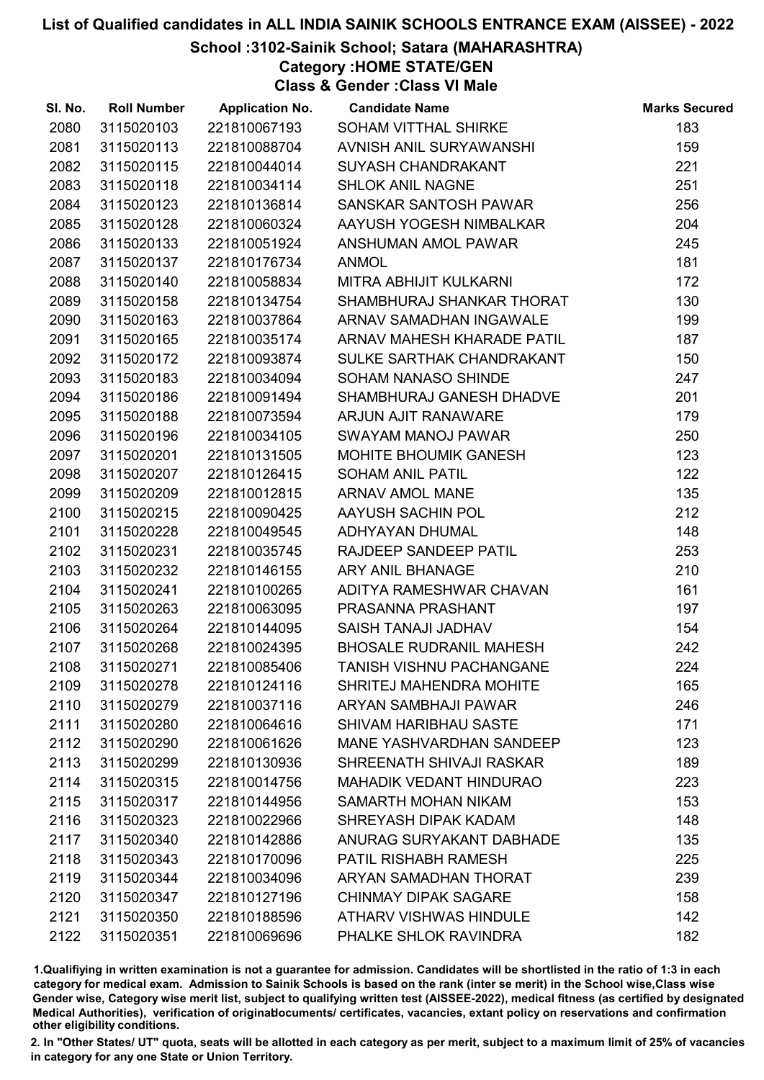# School :3102-Sainik School; Satara (MAHARASHTRA)

Category :HOME STATE/GEN

Class & Gender :Class VI Male

| 2080<br>3115020103<br>SOHAM VITTHAL SHIRKE<br>183<br>221810067193<br>2081<br>3115020113<br>221810088704<br>AVNISH ANIL SURYAWANSHI<br>159<br>2082<br>3115020115<br>221810044014<br>221<br>SUYASH CHANDRAKANT<br>2083<br>3115020118<br>251<br>221810034114<br><b>SHLOK ANIL NAGNE</b><br>256<br>2084<br>3115020123<br>SANSKAR SANTOSH PAWAR<br>221810136814<br>204<br>2085<br>3115020128<br>221810060324<br>AAYUSH YOGESH NIMBALKAR<br>2086<br>3115020133<br>221810051924<br>245<br>ANSHUMAN AMOL PAWAR<br>181<br>2087<br>3115020137<br>221810176734<br><b>ANMOL</b><br>2088<br>3115020140<br>MITRA ABHIJIT KULKARNI<br>172<br>221810058834<br>2089<br>3115020158<br>SHAMBHURAJ SHANKAR THORAT<br>130<br>221810134754<br>3115020163<br>ARNAV SAMADHAN INGAWALE<br>199<br>2090<br>221810037864<br>2091<br>187<br>3115020165<br>221810035174<br>ARNAV MAHESH KHARADE PATIL<br>150<br>2092<br>3115020172<br>221810093874<br>SULKE SARTHAK CHANDRAKANT<br>2093<br>3115020183<br>221810034094<br>247<br>SOHAM NANASO SHINDE<br>2094<br>3115020186<br>221810091494<br>201<br>SHAMBHURAJ GANESH DHADVE<br>2095<br>179<br>3115020188<br>221810073594<br><b>ARJUN AJIT RANAWARE</b><br>250<br>2096<br>3115020196<br>221810034105<br>SWAYAM MANOJ PAWAR<br>123<br>2097<br>3115020201<br>221810131505<br>MOHITE BHOUMIK GANESH<br>2098<br>3115020207<br>221810126415<br>122<br><b>SOHAM ANIL PATIL</b><br>2099<br>3115020209<br>135<br>221810012815<br><b>ARNAV AMOL MANE</b><br>212<br>2100<br>3115020215<br>221810090425<br>AAYUSH SACHIN POL<br>2101<br>3115020228<br>221810049545<br>148<br>ADHYAYAN DHUMAL<br>2102<br>3115020231<br>253<br>221810035745<br>RAJDEEP SANDEEP PATIL<br>2103<br>210<br>3115020232<br>221810146155<br><b>ARY ANIL BHANAGE</b><br>161<br>2104<br>3115020241<br>ADITYA RAMESHWAR CHAVAN<br>221810100265<br>2105<br>3115020263<br>197<br>221810063095<br>PRASANNA PRASHANT<br>2106<br>3115020264<br>SAISH TANAJI JADHAV<br>154<br>221810144095<br><b>BHOSALE RUDRANIL MAHESH</b><br>242<br>2107<br>3115020268<br>221810024395<br>224<br>2108<br>3115020271<br>221810085406<br><b>TANISH VISHNU PACHANGANE</b><br>2109<br><b>SHRITEJ MAHENDRA MOHITE</b><br>3115020278<br>221810124116<br>165<br>2110<br>246<br>3115020279<br>221810037116<br>ARYAN SAMBHAJI PAWAR<br>171<br>2111<br>3115020280<br>221810064616<br><b>SHIVAM HARIBHAU SASTE</b><br>2112<br>123<br>3115020290<br>221810061626<br><b>MANE YASHVARDHAN SANDEEP</b><br>2113<br>3115020299<br>221810130936<br>SHREENATH SHIVAJI RASKAR<br>189<br>2114<br>223<br>3115020315<br>221810014756<br><b>MAHADIK VEDANT HINDURAO</b><br>153<br>2115<br>3115020317<br>221810144956<br>SAMARTH MOHAN NIKAM<br>2116<br>3115020323<br>221810022966<br>SHREYASH DIPAK KADAM<br>148<br>2117<br>3115020340<br>221810142886<br>ANURAG SURYAKANT DABHADE<br>135<br>2118<br>225<br>3115020343<br>221810170096<br>PATIL RISHABH RAMESH<br>239<br>2119<br>3115020344<br>221810034096<br>ARYAN SAMADHAN THORAT<br>2120<br>3115020347<br>221810127196<br><b>CHINMAY DIPAK SAGARE</b><br>158<br>2121<br>3115020350<br>221810188596<br>ATHARV VISHWAS HINDULE<br>142 | SI. No. | <b>Roll Number</b> | <b>Application No.</b> | <b>Candidate Name</b> | <b>Marks Secured</b> |
|-------------------------------------------------------------------------------------------------------------------------------------------------------------------------------------------------------------------------------------------------------------------------------------------------------------------------------------------------------------------------------------------------------------------------------------------------------------------------------------------------------------------------------------------------------------------------------------------------------------------------------------------------------------------------------------------------------------------------------------------------------------------------------------------------------------------------------------------------------------------------------------------------------------------------------------------------------------------------------------------------------------------------------------------------------------------------------------------------------------------------------------------------------------------------------------------------------------------------------------------------------------------------------------------------------------------------------------------------------------------------------------------------------------------------------------------------------------------------------------------------------------------------------------------------------------------------------------------------------------------------------------------------------------------------------------------------------------------------------------------------------------------------------------------------------------------------------------------------------------------------------------------------------------------------------------------------------------------------------------------------------------------------------------------------------------------------------------------------------------------------------------------------------------------------------------------------------------------------------------------------------------------------------------------------------------------------------------------------------------------------------------------------------------------------------------------------------------------------------------------------------------------------------------------------------------------------------------------------------------------------------------------------------------------------------------------------------------------------------------------------------------------------------------------------------------------------------------------------------------------------------------------------------------------------------------------------------------------------------------------------------------------------------------------------------------------------------------------------------------------------|---------|--------------------|------------------------|-----------------------|----------------------|
|                                                                                                                                                                                                                                                                                                                                                                                                                                                                                                                                                                                                                                                                                                                                                                                                                                                                                                                                                                                                                                                                                                                                                                                                                                                                                                                                                                                                                                                                                                                                                                                                                                                                                                                                                                                                                                                                                                                                                                                                                                                                                                                                                                                                                                                                                                                                                                                                                                                                                                                                                                                                                                                                                                                                                                                                                                                                                                                                                                                                                                                                                                                         |         |                    |                        |                       |                      |
|                                                                                                                                                                                                                                                                                                                                                                                                                                                                                                                                                                                                                                                                                                                                                                                                                                                                                                                                                                                                                                                                                                                                                                                                                                                                                                                                                                                                                                                                                                                                                                                                                                                                                                                                                                                                                                                                                                                                                                                                                                                                                                                                                                                                                                                                                                                                                                                                                                                                                                                                                                                                                                                                                                                                                                                                                                                                                                                                                                                                                                                                                                                         |         |                    |                        |                       |                      |
|                                                                                                                                                                                                                                                                                                                                                                                                                                                                                                                                                                                                                                                                                                                                                                                                                                                                                                                                                                                                                                                                                                                                                                                                                                                                                                                                                                                                                                                                                                                                                                                                                                                                                                                                                                                                                                                                                                                                                                                                                                                                                                                                                                                                                                                                                                                                                                                                                                                                                                                                                                                                                                                                                                                                                                                                                                                                                                                                                                                                                                                                                                                         |         |                    |                        |                       |                      |
|                                                                                                                                                                                                                                                                                                                                                                                                                                                                                                                                                                                                                                                                                                                                                                                                                                                                                                                                                                                                                                                                                                                                                                                                                                                                                                                                                                                                                                                                                                                                                                                                                                                                                                                                                                                                                                                                                                                                                                                                                                                                                                                                                                                                                                                                                                                                                                                                                                                                                                                                                                                                                                                                                                                                                                                                                                                                                                                                                                                                                                                                                                                         |         |                    |                        |                       |                      |
|                                                                                                                                                                                                                                                                                                                                                                                                                                                                                                                                                                                                                                                                                                                                                                                                                                                                                                                                                                                                                                                                                                                                                                                                                                                                                                                                                                                                                                                                                                                                                                                                                                                                                                                                                                                                                                                                                                                                                                                                                                                                                                                                                                                                                                                                                                                                                                                                                                                                                                                                                                                                                                                                                                                                                                                                                                                                                                                                                                                                                                                                                                                         |         |                    |                        |                       |                      |
|                                                                                                                                                                                                                                                                                                                                                                                                                                                                                                                                                                                                                                                                                                                                                                                                                                                                                                                                                                                                                                                                                                                                                                                                                                                                                                                                                                                                                                                                                                                                                                                                                                                                                                                                                                                                                                                                                                                                                                                                                                                                                                                                                                                                                                                                                                                                                                                                                                                                                                                                                                                                                                                                                                                                                                                                                                                                                                                                                                                                                                                                                                                         |         |                    |                        |                       |                      |
|                                                                                                                                                                                                                                                                                                                                                                                                                                                                                                                                                                                                                                                                                                                                                                                                                                                                                                                                                                                                                                                                                                                                                                                                                                                                                                                                                                                                                                                                                                                                                                                                                                                                                                                                                                                                                                                                                                                                                                                                                                                                                                                                                                                                                                                                                                                                                                                                                                                                                                                                                                                                                                                                                                                                                                                                                                                                                                                                                                                                                                                                                                                         |         |                    |                        |                       |                      |
|                                                                                                                                                                                                                                                                                                                                                                                                                                                                                                                                                                                                                                                                                                                                                                                                                                                                                                                                                                                                                                                                                                                                                                                                                                                                                                                                                                                                                                                                                                                                                                                                                                                                                                                                                                                                                                                                                                                                                                                                                                                                                                                                                                                                                                                                                                                                                                                                                                                                                                                                                                                                                                                                                                                                                                                                                                                                                                                                                                                                                                                                                                                         |         |                    |                        |                       |                      |
|                                                                                                                                                                                                                                                                                                                                                                                                                                                                                                                                                                                                                                                                                                                                                                                                                                                                                                                                                                                                                                                                                                                                                                                                                                                                                                                                                                                                                                                                                                                                                                                                                                                                                                                                                                                                                                                                                                                                                                                                                                                                                                                                                                                                                                                                                                                                                                                                                                                                                                                                                                                                                                                                                                                                                                                                                                                                                                                                                                                                                                                                                                                         |         |                    |                        |                       |                      |
|                                                                                                                                                                                                                                                                                                                                                                                                                                                                                                                                                                                                                                                                                                                                                                                                                                                                                                                                                                                                                                                                                                                                                                                                                                                                                                                                                                                                                                                                                                                                                                                                                                                                                                                                                                                                                                                                                                                                                                                                                                                                                                                                                                                                                                                                                                                                                                                                                                                                                                                                                                                                                                                                                                                                                                                                                                                                                                                                                                                                                                                                                                                         |         |                    |                        |                       |                      |
|                                                                                                                                                                                                                                                                                                                                                                                                                                                                                                                                                                                                                                                                                                                                                                                                                                                                                                                                                                                                                                                                                                                                                                                                                                                                                                                                                                                                                                                                                                                                                                                                                                                                                                                                                                                                                                                                                                                                                                                                                                                                                                                                                                                                                                                                                                                                                                                                                                                                                                                                                                                                                                                                                                                                                                                                                                                                                                                                                                                                                                                                                                                         |         |                    |                        |                       |                      |
|                                                                                                                                                                                                                                                                                                                                                                                                                                                                                                                                                                                                                                                                                                                                                                                                                                                                                                                                                                                                                                                                                                                                                                                                                                                                                                                                                                                                                                                                                                                                                                                                                                                                                                                                                                                                                                                                                                                                                                                                                                                                                                                                                                                                                                                                                                                                                                                                                                                                                                                                                                                                                                                                                                                                                                                                                                                                                                                                                                                                                                                                                                                         |         |                    |                        |                       |                      |
|                                                                                                                                                                                                                                                                                                                                                                                                                                                                                                                                                                                                                                                                                                                                                                                                                                                                                                                                                                                                                                                                                                                                                                                                                                                                                                                                                                                                                                                                                                                                                                                                                                                                                                                                                                                                                                                                                                                                                                                                                                                                                                                                                                                                                                                                                                                                                                                                                                                                                                                                                                                                                                                                                                                                                                                                                                                                                                                                                                                                                                                                                                                         |         |                    |                        |                       |                      |
|                                                                                                                                                                                                                                                                                                                                                                                                                                                                                                                                                                                                                                                                                                                                                                                                                                                                                                                                                                                                                                                                                                                                                                                                                                                                                                                                                                                                                                                                                                                                                                                                                                                                                                                                                                                                                                                                                                                                                                                                                                                                                                                                                                                                                                                                                                                                                                                                                                                                                                                                                                                                                                                                                                                                                                                                                                                                                                                                                                                                                                                                                                                         |         |                    |                        |                       |                      |
|                                                                                                                                                                                                                                                                                                                                                                                                                                                                                                                                                                                                                                                                                                                                                                                                                                                                                                                                                                                                                                                                                                                                                                                                                                                                                                                                                                                                                                                                                                                                                                                                                                                                                                                                                                                                                                                                                                                                                                                                                                                                                                                                                                                                                                                                                                                                                                                                                                                                                                                                                                                                                                                                                                                                                                                                                                                                                                                                                                                                                                                                                                                         |         |                    |                        |                       |                      |
|                                                                                                                                                                                                                                                                                                                                                                                                                                                                                                                                                                                                                                                                                                                                                                                                                                                                                                                                                                                                                                                                                                                                                                                                                                                                                                                                                                                                                                                                                                                                                                                                                                                                                                                                                                                                                                                                                                                                                                                                                                                                                                                                                                                                                                                                                                                                                                                                                                                                                                                                                                                                                                                                                                                                                                                                                                                                                                                                                                                                                                                                                                                         |         |                    |                        |                       |                      |
|                                                                                                                                                                                                                                                                                                                                                                                                                                                                                                                                                                                                                                                                                                                                                                                                                                                                                                                                                                                                                                                                                                                                                                                                                                                                                                                                                                                                                                                                                                                                                                                                                                                                                                                                                                                                                                                                                                                                                                                                                                                                                                                                                                                                                                                                                                                                                                                                                                                                                                                                                                                                                                                                                                                                                                                                                                                                                                                                                                                                                                                                                                                         |         |                    |                        |                       |                      |
|                                                                                                                                                                                                                                                                                                                                                                                                                                                                                                                                                                                                                                                                                                                                                                                                                                                                                                                                                                                                                                                                                                                                                                                                                                                                                                                                                                                                                                                                                                                                                                                                                                                                                                                                                                                                                                                                                                                                                                                                                                                                                                                                                                                                                                                                                                                                                                                                                                                                                                                                                                                                                                                                                                                                                                                                                                                                                                                                                                                                                                                                                                                         |         |                    |                        |                       |                      |
|                                                                                                                                                                                                                                                                                                                                                                                                                                                                                                                                                                                                                                                                                                                                                                                                                                                                                                                                                                                                                                                                                                                                                                                                                                                                                                                                                                                                                                                                                                                                                                                                                                                                                                                                                                                                                                                                                                                                                                                                                                                                                                                                                                                                                                                                                                                                                                                                                                                                                                                                                                                                                                                                                                                                                                                                                                                                                                                                                                                                                                                                                                                         |         |                    |                        |                       |                      |
|                                                                                                                                                                                                                                                                                                                                                                                                                                                                                                                                                                                                                                                                                                                                                                                                                                                                                                                                                                                                                                                                                                                                                                                                                                                                                                                                                                                                                                                                                                                                                                                                                                                                                                                                                                                                                                                                                                                                                                                                                                                                                                                                                                                                                                                                                                                                                                                                                                                                                                                                                                                                                                                                                                                                                                                                                                                                                                                                                                                                                                                                                                                         |         |                    |                        |                       |                      |
|                                                                                                                                                                                                                                                                                                                                                                                                                                                                                                                                                                                                                                                                                                                                                                                                                                                                                                                                                                                                                                                                                                                                                                                                                                                                                                                                                                                                                                                                                                                                                                                                                                                                                                                                                                                                                                                                                                                                                                                                                                                                                                                                                                                                                                                                                                                                                                                                                                                                                                                                                                                                                                                                                                                                                                                                                                                                                                                                                                                                                                                                                                                         |         |                    |                        |                       |                      |
|                                                                                                                                                                                                                                                                                                                                                                                                                                                                                                                                                                                                                                                                                                                                                                                                                                                                                                                                                                                                                                                                                                                                                                                                                                                                                                                                                                                                                                                                                                                                                                                                                                                                                                                                                                                                                                                                                                                                                                                                                                                                                                                                                                                                                                                                                                                                                                                                                                                                                                                                                                                                                                                                                                                                                                                                                                                                                                                                                                                                                                                                                                                         |         |                    |                        |                       |                      |
|                                                                                                                                                                                                                                                                                                                                                                                                                                                                                                                                                                                                                                                                                                                                                                                                                                                                                                                                                                                                                                                                                                                                                                                                                                                                                                                                                                                                                                                                                                                                                                                                                                                                                                                                                                                                                                                                                                                                                                                                                                                                                                                                                                                                                                                                                                                                                                                                                                                                                                                                                                                                                                                                                                                                                                                                                                                                                                                                                                                                                                                                                                                         |         |                    |                        |                       |                      |
|                                                                                                                                                                                                                                                                                                                                                                                                                                                                                                                                                                                                                                                                                                                                                                                                                                                                                                                                                                                                                                                                                                                                                                                                                                                                                                                                                                                                                                                                                                                                                                                                                                                                                                                                                                                                                                                                                                                                                                                                                                                                                                                                                                                                                                                                                                                                                                                                                                                                                                                                                                                                                                                                                                                                                                                                                                                                                                                                                                                                                                                                                                                         |         |                    |                        |                       |                      |
|                                                                                                                                                                                                                                                                                                                                                                                                                                                                                                                                                                                                                                                                                                                                                                                                                                                                                                                                                                                                                                                                                                                                                                                                                                                                                                                                                                                                                                                                                                                                                                                                                                                                                                                                                                                                                                                                                                                                                                                                                                                                                                                                                                                                                                                                                                                                                                                                                                                                                                                                                                                                                                                                                                                                                                                                                                                                                                                                                                                                                                                                                                                         |         |                    |                        |                       |                      |
|                                                                                                                                                                                                                                                                                                                                                                                                                                                                                                                                                                                                                                                                                                                                                                                                                                                                                                                                                                                                                                                                                                                                                                                                                                                                                                                                                                                                                                                                                                                                                                                                                                                                                                                                                                                                                                                                                                                                                                                                                                                                                                                                                                                                                                                                                                                                                                                                                                                                                                                                                                                                                                                                                                                                                                                                                                                                                                                                                                                                                                                                                                                         |         |                    |                        |                       |                      |
|                                                                                                                                                                                                                                                                                                                                                                                                                                                                                                                                                                                                                                                                                                                                                                                                                                                                                                                                                                                                                                                                                                                                                                                                                                                                                                                                                                                                                                                                                                                                                                                                                                                                                                                                                                                                                                                                                                                                                                                                                                                                                                                                                                                                                                                                                                                                                                                                                                                                                                                                                                                                                                                                                                                                                                                                                                                                                                                                                                                                                                                                                                                         |         |                    |                        |                       |                      |
|                                                                                                                                                                                                                                                                                                                                                                                                                                                                                                                                                                                                                                                                                                                                                                                                                                                                                                                                                                                                                                                                                                                                                                                                                                                                                                                                                                                                                                                                                                                                                                                                                                                                                                                                                                                                                                                                                                                                                                                                                                                                                                                                                                                                                                                                                                                                                                                                                                                                                                                                                                                                                                                                                                                                                                                                                                                                                                                                                                                                                                                                                                                         |         |                    |                        |                       |                      |
|                                                                                                                                                                                                                                                                                                                                                                                                                                                                                                                                                                                                                                                                                                                                                                                                                                                                                                                                                                                                                                                                                                                                                                                                                                                                                                                                                                                                                                                                                                                                                                                                                                                                                                                                                                                                                                                                                                                                                                                                                                                                                                                                                                                                                                                                                                                                                                                                                                                                                                                                                                                                                                                                                                                                                                                                                                                                                                                                                                                                                                                                                                                         |         |                    |                        |                       |                      |
|                                                                                                                                                                                                                                                                                                                                                                                                                                                                                                                                                                                                                                                                                                                                                                                                                                                                                                                                                                                                                                                                                                                                                                                                                                                                                                                                                                                                                                                                                                                                                                                                                                                                                                                                                                                                                                                                                                                                                                                                                                                                                                                                                                                                                                                                                                                                                                                                                                                                                                                                                                                                                                                                                                                                                                                                                                                                                                                                                                                                                                                                                                                         |         |                    |                        |                       |                      |
|                                                                                                                                                                                                                                                                                                                                                                                                                                                                                                                                                                                                                                                                                                                                                                                                                                                                                                                                                                                                                                                                                                                                                                                                                                                                                                                                                                                                                                                                                                                                                                                                                                                                                                                                                                                                                                                                                                                                                                                                                                                                                                                                                                                                                                                                                                                                                                                                                                                                                                                                                                                                                                                                                                                                                                                                                                                                                                                                                                                                                                                                                                                         |         |                    |                        |                       |                      |
|                                                                                                                                                                                                                                                                                                                                                                                                                                                                                                                                                                                                                                                                                                                                                                                                                                                                                                                                                                                                                                                                                                                                                                                                                                                                                                                                                                                                                                                                                                                                                                                                                                                                                                                                                                                                                                                                                                                                                                                                                                                                                                                                                                                                                                                                                                                                                                                                                                                                                                                                                                                                                                                                                                                                                                                                                                                                                                                                                                                                                                                                                                                         |         |                    |                        |                       |                      |
|                                                                                                                                                                                                                                                                                                                                                                                                                                                                                                                                                                                                                                                                                                                                                                                                                                                                                                                                                                                                                                                                                                                                                                                                                                                                                                                                                                                                                                                                                                                                                                                                                                                                                                                                                                                                                                                                                                                                                                                                                                                                                                                                                                                                                                                                                                                                                                                                                                                                                                                                                                                                                                                                                                                                                                                                                                                                                                                                                                                                                                                                                                                         |         |                    |                        |                       |                      |
|                                                                                                                                                                                                                                                                                                                                                                                                                                                                                                                                                                                                                                                                                                                                                                                                                                                                                                                                                                                                                                                                                                                                                                                                                                                                                                                                                                                                                                                                                                                                                                                                                                                                                                                                                                                                                                                                                                                                                                                                                                                                                                                                                                                                                                                                                                                                                                                                                                                                                                                                                                                                                                                                                                                                                                                                                                                                                                                                                                                                                                                                                                                         |         |                    |                        |                       |                      |
|                                                                                                                                                                                                                                                                                                                                                                                                                                                                                                                                                                                                                                                                                                                                                                                                                                                                                                                                                                                                                                                                                                                                                                                                                                                                                                                                                                                                                                                                                                                                                                                                                                                                                                                                                                                                                                                                                                                                                                                                                                                                                                                                                                                                                                                                                                                                                                                                                                                                                                                                                                                                                                                                                                                                                                                                                                                                                                                                                                                                                                                                                                                         |         |                    |                        |                       |                      |
|                                                                                                                                                                                                                                                                                                                                                                                                                                                                                                                                                                                                                                                                                                                                                                                                                                                                                                                                                                                                                                                                                                                                                                                                                                                                                                                                                                                                                                                                                                                                                                                                                                                                                                                                                                                                                                                                                                                                                                                                                                                                                                                                                                                                                                                                                                                                                                                                                                                                                                                                                                                                                                                                                                                                                                                                                                                                                                                                                                                                                                                                                                                         |         |                    |                        |                       |                      |
|                                                                                                                                                                                                                                                                                                                                                                                                                                                                                                                                                                                                                                                                                                                                                                                                                                                                                                                                                                                                                                                                                                                                                                                                                                                                                                                                                                                                                                                                                                                                                                                                                                                                                                                                                                                                                                                                                                                                                                                                                                                                                                                                                                                                                                                                                                                                                                                                                                                                                                                                                                                                                                                                                                                                                                                                                                                                                                                                                                                                                                                                                                                         |         |                    |                        |                       |                      |
|                                                                                                                                                                                                                                                                                                                                                                                                                                                                                                                                                                                                                                                                                                                                                                                                                                                                                                                                                                                                                                                                                                                                                                                                                                                                                                                                                                                                                                                                                                                                                                                                                                                                                                                                                                                                                                                                                                                                                                                                                                                                                                                                                                                                                                                                                                                                                                                                                                                                                                                                                                                                                                                                                                                                                                                                                                                                                                                                                                                                                                                                                                                         |         |                    |                        |                       |                      |
|                                                                                                                                                                                                                                                                                                                                                                                                                                                                                                                                                                                                                                                                                                                                                                                                                                                                                                                                                                                                                                                                                                                                                                                                                                                                                                                                                                                                                                                                                                                                                                                                                                                                                                                                                                                                                                                                                                                                                                                                                                                                                                                                                                                                                                                                                                                                                                                                                                                                                                                                                                                                                                                                                                                                                                                                                                                                                                                                                                                                                                                                                                                         |         |                    |                        |                       |                      |
|                                                                                                                                                                                                                                                                                                                                                                                                                                                                                                                                                                                                                                                                                                                                                                                                                                                                                                                                                                                                                                                                                                                                                                                                                                                                                                                                                                                                                                                                                                                                                                                                                                                                                                                                                                                                                                                                                                                                                                                                                                                                                                                                                                                                                                                                                                                                                                                                                                                                                                                                                                                                                                                                                                                                                                                                                                                                                                                                                                                                                                                                                                                         |         |                    |                        |                       |                      |
|                                                                                                                                                                                                                                                                                                                                                                                                                                                                                                                                                                                                                                                                                                                                                                                                                                                                                                                                                                                                                                                                                                                                                                                                                                                                                                                                                                                                                                                                                                                                                                                                                                                                                                                                                                                                                                                                                                                                                                                                                                                                                                                                                                                                                                                                                                                                                                                                                                                                                                                                                                                                                                                                                                                                                                                                                                                                                                                                                                                                                                                                                                                         |         |                    |                        |                       |                      |
|                                                                                                                                                                                                                                                                                                                                                                                                                                                                                                                                                                                                                                                                                                                                                                                                                                                                                                                                                                                                                                                                                                                                                                                                                                                                                                                                                                                                                                                                                                                                                                                                                                                                                                                                                                                                                                                                                                                                                                                                                                                                                                                                                                                                                                                                                                                                                                                                                                                                                                                                                                                                                                                                                                                                                                                                                                                                                                                                                                                                                                                                                                                         |         |                    |                        |                       |                      |
|                                                                                                                                                                                                                                                                                                                                                                                                                                                                                                                                                                                                                                                                                                                                                                                                                                                                                                                                                                                                                                                                                                                                                                                                                                                                                                                                                                                                                                                                                                                                                                                                                                                                                                                                                                                                                                                                                                                                                                                                                                                                                                                                                                                                                                                                                                                                                                                                                                                                                                                                                                                                                                                                                                                                                                                                                                                                                                                                                                                                                                                                                                                         | 2122    | 3115020351         | 221810069696           | PHALKE SHLOK RAVINDRA | 182                  |

1.Qualifiying in written examination is not a guarantee for admission. Candidates will be shortlisted in the ratio of 1:3 in each category for medical exam. Admission to Sainik Schools is based on the rank (inter se merit) in the School wise,Class wise Gender wise, Category wise merit list, subject to qualifying written test (AISSEE-2022), medical fitness (as certified by designated Medical Authorities), verification of originablocuments/ certificates, vacancies, extant policy on reservations and confirmation other eligibility conditions.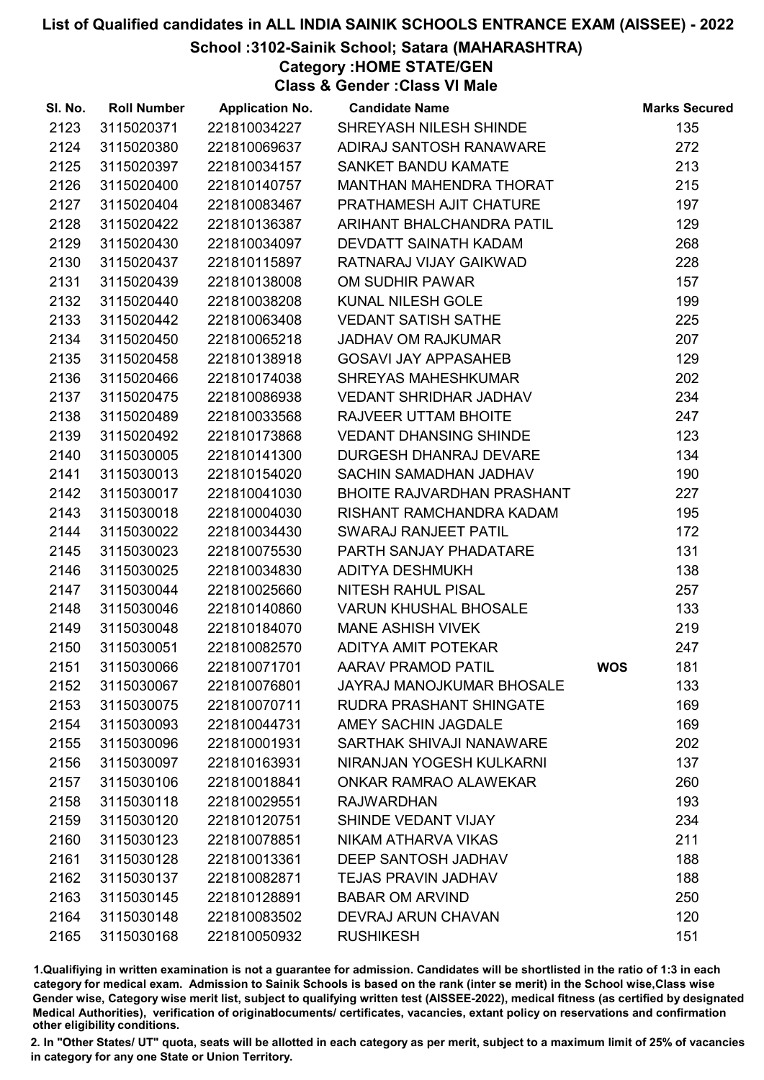# School :3102-Sainik School; Satara (MAHARASHTRA)

Category :HOME STATE/GEN

Class & Gender :Class VI Male

| SI. No. | <b>Roll Number</b> | <b>Application No.</b> | <b>Candidate Name</b>             |            | <b>Marks Secured</b> |
|---------|--------------------|------------------------|-----------------------------------|------------|----------------------|
| 2123    | 3115020371         | 221810034227           | SHREYASH NILESH SHINDE            |            | 135                  |
| 2124    | 3115020380         | 221810069637           | ADIRAJ SANTOSH RANAWARE           |            | 272                  |
| 2125    | 3115020397         | 221810034157           | SANKET BANDU KAMATE               |            | 213                  |
| 2126    | 3115020400         | 221810140757           | <b>MANTHAN MAHENDRA THORAT</b>    |            | 215                  |
| 2127    | 3115020404         | 221810083467           | PRATHAMESH AJIT CHATURE           |            | 197                  |
| 2128    | 3115020422         | 221810136387           | ARIHANT BHALCHANDRA PATIL         |            | 129                  |
| 2129    | 3115020430         | 221810034097           | DEVDATT SAINATH KADAM             |            | 268                  |
| 2130    | 3115020437         | 221810115897           | RATNARAJ VIJAY GAIKWAD            |            | 228                  |
| 2131    | 3115020439         | 221810138008           | OM SUDHIR PAWAR                   |            | 157                  |
| 2132    | 3115020440         | 221810038208           | KUNAL NILESH GOLE                 |            | 199                  |
| 2133    | 3115020442         | 221810063408           | <b>VEDANT SATISH SATHE</b>        |            | 225                  |
| 2134    | 3115020450         | 221810065218           | <b>JADHAV OM RAJKUMAR</b>         |            | 207                  |
| 2135    | 3115020458         | 221810138918           | <b>GOSAVI JAY APPASAHEB</b>       |            | 129                  |
| 2136    | 3115020466         | 221810174038           | <b>SHREYAS MAHESHKUMAR</b>        |            | 202                  |
| 2137    | 3115020475         | 221810086938           | <b>VEDANT SHRIDHAR JADHAV</b>     |            | 234                  |
| 2138    | 3115020489         | 221810033568           | <b>RAJVEER UTTAM BHOITE</b>       |            | 247                  |
| 2139    | 3115020492         | 221810173868           | <b>VEDANT DHANSING SHINDE</b>     |            | 123                  |
| 2140    | 3115030005         | 221810141300           | DURGESH DHANRAJ DEVARE            |            | 134                  |
| 2141    | 3115030013         | 221810154020           | SACHIN SAMADHAN JADHAV            |            | 190                  |
| 2142    | 3115030017         | 221810041030           | <b>BHOITE RAJVARDHAN PRASHANT</b> |            | 227                  |
| 2143    | 3115030018         | 221810004030           | RISHANT RAMCHANDRA KADAM          |            | 195                  |
| 2144    | 3115030022         | 221810034430           | SWARAJ RANJEET PATIL              |            | 172                  |
| 2145    | 3115030023         | 221810075530           | PARTH SANJAY PHADATARE            |            | 131                  |
| 2146    | 3115030025         | 221810034830           | <b>ADITYA DESHMUKH</b>            |            | 138                  |
| 2147    | 3115030044         | 221810025660           | NITESH RAHUL PISAL                |            | 257                  |
| 2148    | 3115030046         | 221810140860           | <b>VARUN KHUSHAL BHOSALE</b>      |            | 133                  |
| 2149    | 3115030048         | 221810184070           | <b>MANE ASHISH VIVEK</b>          |            | 219                  |
| 2150    | 3115030051         | 221810082570           | ADITYA AMIT POTEKAR               |            | 247                  |
| 2151    | 3115030066         | 221810071701           | <b>AARAV PRAMOD PATIL</b>         | <b>WOS</b> | 181                  |
| 2152    | 3115030067         | 221810076801           | JAYRAJ MANOJKUMAR BHOSALE         |            | 133                  |
| 2153    | 3115030075         | 221810070711           | RUDRA PRASHANT SHINGATE           |            | 169                  |
| 2154    | 3115030093         | 221810044731           | AMEY SACHIN JAGDALE               |            | 169                  |
| 2155    | 3115030096         | 221810001931           | SARTHAK SHIVAJI NANAWARE          |            | 202                  |
| 2156    | 3115030097         | 221810163931           | NIRANJAN YOGESH KULKARNI          |            | 137                  |
| 2157    | 3115030106         | 221810018841           | ONKAR RAMRAO ALAWEKAR             |            | 260                  |
| 2158    | 3115030118         | 221810029551           | <b>RAJWARDHAN</b>                 |            | 193                  |
| 2159    | 3115030120         | 221810120751           | SHINDE VEDANT VIJAY               |            | 234                  |
| 2160    | 3115030123         | 221810078851           | NIKAM ATHARVA VIKAS               |            | 211                  |
| 2161    | 3115030128         | 221810013361           | DEEP SANTOSH JADHAV               |            | 188                  |
| 2162    | 3115030137         | 221810082871           | <b>TEJAS PRAVIN JADHAV</b>        |            | 188                  |
| 2163    | 3115030145         | 221810128891           | <b>BABAR OM ARVIND</b>            |            | 250                  |
| 2164    | 3115030148         | 221810083502           | <b>DEVRAJ ARUN CHAVAN</b>         |            | 120                  |
| 2165    | 3115030168         | 221810050932           | <b>RUSHIKESH</b>                  |            | 151                  |

1.Qualifiying in written examination is not a guarantee for admission. Candidates will be shortlisted in the ratio of 1:3 in each category for medical exam. Admission to Sainik Schools is based on the rank (inter se merit) in the School wise,Class wise Gender wise, Category wise merit list, subject to qualifying written test (AISSEE-2022), medical fitness (as certified by designated Medical Authorities), verification of originablocuments/ certificates, vacancies, extant policy on reservations and confirmation other eligibility conditions.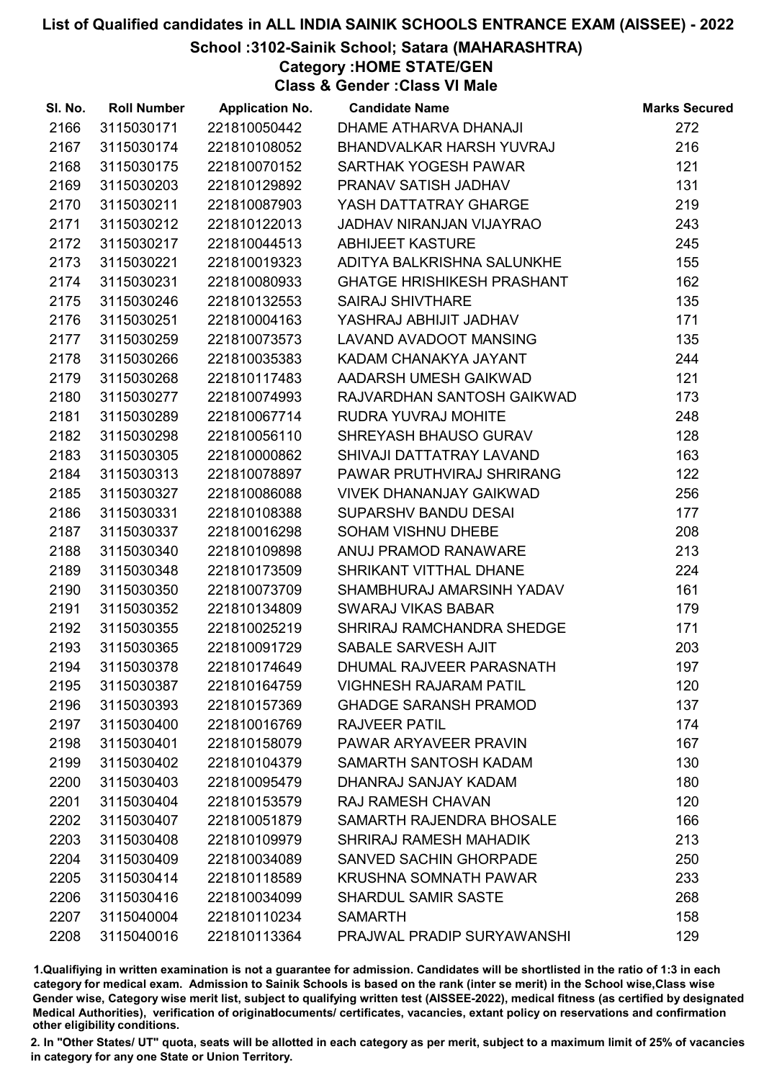# School :3102-Sainik School; Satara (MAHARASHTRA)

Category :HOME STATE/GEN

Class & Gender :Class VI Male

| SI. No. | <b>Roll Number</b> | <b>Application No.</b> | <b>Candidate Name</b>             | <b>Marks Secured</b> |
|---------|--------------------|------------------------|-----------------------------------|----------------------|
| 2166    | 3115030171         | 221810050442           | DHAME ATHARVA DHANAJI             | 272                  |
| 2167    | 3115030174         | 221810108052           | BHANDVALKAR HARSH YUVRAJ          | 216                  |
| 2168    | 3115030175         | 221810070152           | SARTHAK YOGESH PAWAR              | 121                  |
| 2169    | 3115030203         | 221810129892           | PRANAV SATISH JADHAV              | 131                  |
| 2170    | 3115030211         | 221810087903           | YASH DATTATRAY GHARGE             | 219                  |
| 2171    | 3115030212         | 221810122013           | JADHAV NIRANJAN VIJAYRAO          | 243                  |
| 2172    | 3115030217         | 221810044513           | <b>ABHIJEET KASTURE</b>           | 245                  |
| 2173    | 3115030221         | 221810019323           | ADITYA BALKRISHNA SALUNKHE        | 155                  |
| 2174    | 3115030231         | 221810080933           | <b>GHATGE HRISHIKESH PRASHANT</b> | 162                  |
| 2175    | 3115030246         | 221810132553           | <b>SAIRAJ SHIVTHARE</b>           | 135                  |
| 2176    | 3115030251         | 221810004163           | YASHRAJ ABHIJIT JADHAV            | 171                  |
| 2177    | 3115030259         | 221810073573           | LAVAND AVADOOT MANSING            | 135                  |
| 2178    | 3115030266         | 221810035383           | KADAM CHANAKYA JAYANT             | 244                  |
| 2179    | 3115030268         | 221810117483           | AADARSH UMESH GAIKWAD             | 121                  |
| 2180    | 3115030277         | 221810074993           | RAJVARDHAN SANTOSH GAIKWAD        | 173                  |
| 2181    | 3115030289         | 221810067714           | RUDRA YUVRAJ MOHITE               | 248                  |
| 2182    | 3115030298         | 221810056110           | SHREYASH BHAUSO GURAV             | 128                  |
| 2183    | 3115030305         | 221810000862           | SHIVAJI DATTATRAY LAVAND          | 163                  |
| 2184    | 3115030313         | 221810078897           | PAWAR PRUTHVIRAJ SHRIRANG         | 122                  |
| 2185    | 3115030327         | 221810086088           | <b>VIVEK DHANANJAY GAIKWAD</b>    | 256                  |
| 2186    | 3115030331         | 221810108388           | <b>SUPARSHV BANDU DESAI</b>       | 177                  |
| 2187    | 3115030337         | 221810016298           | SOHAM VISHNU DHEBE                | 208                  |
| 2188    | 3115030340         | 221810109898           | ANUJ PRAMOD RANAWARE              | 213                  |
| 2189    | 3115030348         | 221810173509           | SHRIKANT VITTHAL DHANE            | 224                  |
| 2190    | 3115030350         | 221810073709           | SHAMBHURAJ AMARSINH YADAV         | 161                  |
| 2191    | 3115030352         | 221810134809           | <b>SWARAJ VIKAS BABAR</b>         | 179                  |
| 2192    | 3115030355         | 221810025219           | SHRIRAJ RAMCHANDRA SHEDGE         | 171                  |
| 2193    | 3115030365         | 221810091729           | SABALE SARVESH AJIT               | 203                  |
| 2194    | 3115030378         | 221810174649           | DHUMAL RAJVEER PARASNATH          | 197                  |
| 2195    | 3115030387         | 221810164759           | <b>VIGHNESH RAJARAM PATIL</b>     | 120                  |
| 2196    | 3115030393         | 221810157369           | <b>GHADGE SARANSH PRAMOD</b>      | 137                  |
| 2197    | 3115030400         | 221810016769           | <b>RAJVEER PATIL</b>              | 174                  |
| 2198    | 3115030401         | 221810158079           | PAWAR ARYAVEER PRAVIN             | 167                  |
| 2199    | 3115030402         | 221810104379           | SAMARTH SANTOSH KADAM             | 130                  |
| 2200    | 3115030403         | 221810095479           | DHANRAJ SANJAY KADAM              | 180                  |
| 2201    | 3115030404         | 221810153579           | <b>RAJ RAMESH CHAVAN</b>          | 120                  |
| 2202    | 3115030407         | 221810051879           | SAMARTH RAJENDRA BHOSALE          | 166                  |
| 2203    | 3115030408         | 221810109979           | SHRIRAJ RAMESH MAHADIK            | 213                  |
| 2204    | 3115030409         | 221810034089           | <b>SANVED SACHIN GHORPADE</b>     | 250                  |
| 2205    | 3115030414         | 221810118589           | <b>KRUSHNA SOMNATH PAWAR</b>      | 233                  |
| 2206    | 3115030416         | 221810034099           | <b>SHARDUL SAMIR SASTE</b>        | 268                  |
| 2207    | 3115040004         | 221810110234           | <b>SAMARTH</b>                    | 158                  |
| 2208    | 3115040016         | 221810113364           | PRAJWAL PRADIP SURYAWANSHI        | 129                  |

1.Qualifiying in written examination is not a guarantee for admission. Candidates will be shortlisted in the ratio of 1:3 in each category for medical exam. Admission to Sainik Schools is based on the rank (inter se merit) in the School wise,Class wise Gender wise, Category wise merit list, subject to qualifying written test (AISSEE-2022), medical fitness (as certified by designated Medical Authorities), verification of originablocuments/ certificates, vacancies, extant policy on reservations and confirmation other eligibility conditions.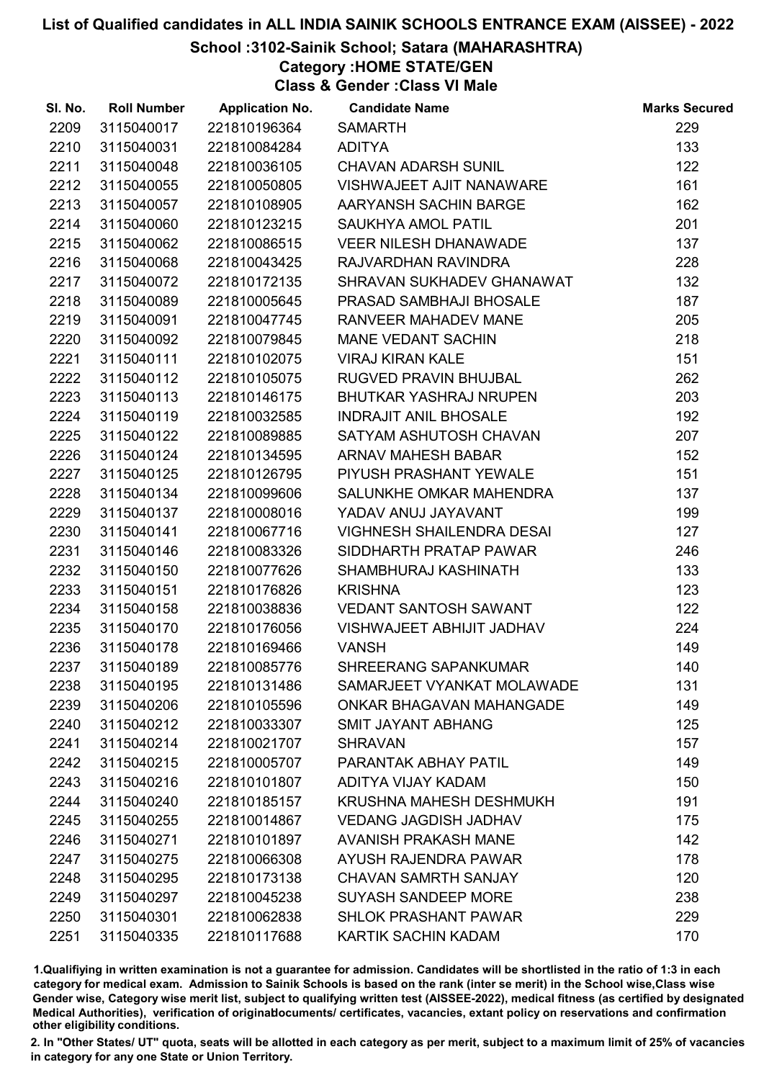# School :3102-Sainik School; Satara (MAHARASHTRA)

Category :HOME STATE/GEN

Class & Gender :Class VI Male

| SI. No. | <b>Roll Number</b> | <b>Application No.</b> | <b>Candidate Name</b>            | <b>Marks Secured</b> |
|---------|--------------------|------------------------|----------------------------------|----------------------|
| 2209    | 3115040017         | 221810196364           | <b>SAMARTH</b>                   | 229                  |
| 2210    | 3115040031         | 221810084284           | <b>ADITYA</b>                    | 133                  |
| 2211    | 3115040048         | 221810036105           | <b>CHAVAN ADARSH SUNIL</b>       | 122                  |
| 2212    | 3115040055         | 221810050805           | VISHWAJEET AJIT NANAWARE         | 161                  |
| 2213    | 3115040057         | 221810108905           | AARYANSH SACHIN BARGE            | 162                  |
| 2214    | 3115040060         | 221810123215           | <b>SAUKHYA AMOL PATIL</b>        | 201                  |
| 2215    | 3115040062         | 221810086515           | <b>VEER NILESH DHANAWADE</b>     | 137                  |
| 2216    | 3115040068         | 221810043425           | RAJVARDHAN RAVINDRA              | 228                  |
| 2217    | 3115040072         | 221810172135           | SHRAVAN SUKHADEV GHANAWAT        | 132                  |
| 2218    | 3115040089         | 221810005645           | PRASAD SAMBHAJI BHOSALE          | 187                  |
| 2219    | 3115040091         | 221810047745           | RANVEER MAHADEV MANE             | 205                  |
| 2220    | 3115040092         | 221810079845           | <b>MANE VEDANT SACHIN</b>        | 218                  |
| 2221    | 3115040111         | 221810102075           | <b>VIRAJ KIRAN KALE</b>          | 151                  |
| 2222    | 3115040112         | 221810105075           | <b>RUGVED PRAVIN BHUJBAL</b>     | 262                  |
| 2223    | 3115040113         | 221810146175           | <b>BHUTKAR YASHRAJ NRUPEN</b>    | 203                  |
| 2224    | 3115040119         | 221810032585           | <b>INDRAJIT ANIL BHOSALE</b>     | 192                  |
| 2225    | 3115040122         | 221810089885           | SATYAM ASHUTOSH CHAVAN           | 207                  |
| 2226    | 3115040124         | 221810134595           | ARNAV MAHESH BABAR               | 152                  |
| 2227    | 3115040125         | 221810126795           | PIYUSH PRASHANT YEWALE           | 151                  |
| 2228    | 3115040134         | 221810099606           | SALUNKHE OMKAR MAHENDRA          | 137                  |
| 2229    | 3115040137         | 221810008016           | YADAV ANUJ JAYAVANT              | 199                  |
| 2230    | 3115040141         | 221810067716           | <b>VIGHNESH SHAILENDRA DESAI</b> | 127                  |
| 2231    | 3115040146         | 221810083326           | SIDDHARTH PRATAP PAWAR           | 246                  |
| 2232    | 3115040150         | 221810077626           | SHAMBHURAJ KASHINATH             | 133                  |
| 2233    | 3115040151         | 221810176826           | <b>KRISHNA</b>                   | 123                  |
| 2234    | 3115040158         | 221810038836           | <b>VEDANT SANTOSH SAWANT</b>     | 122                  |
| 2235    | 3115040170         | 221810176056           | VISHWAJEET ABHIJIT JADHAV        | 224                  |
| 2236    | 3115040178         | 221810169466           | <b>VANSH</b>                     | 149                  |
| 2237    | 3115040189         | 221810085776           | <b>SHREERANG SAPANKUMAR</b>      | 140                  |
| 2238    | 3115040195         | 221810131486           | SAMARJEET VYANKAT MOLAWADE       | 131                  |
| 2239    | 3115040206         | 221810105596           | ONKAR BHAGAVAN MAHANGADE         | 149                  |
| 2240    | 3115040212         | 221810033307           | <b>SMIT JAYANT ABHANG</b>        | 125                  |
| 2241    | 3115040214         | 221810021707           | <b>SHRAVAN</b>                   | 157                  |
| 2242    | 3115040215         | 221810005707           | PARANTAK ABHAY PATIL             | 149                  |
| 2243    | 3115040216         | 221810101807           | ADITYA VIJAY KADAM               | 150                  |
| 2244    | 3115040240         | 221810185157           | KRUSHNA MAHESH DESHMUKH          | 191                  |
| 2245    | 3115040255         | 221810014867           | <b>VEDANG JAGDISH JADHAV</b>     | 175                  |
| 2246    | 3115040271         | 221810101897           | <b>AVANISH PRAKASH MANE</b>      | 142                  |
| 2247    | 3115040275         | 221810066308           | AYUSH RAJENDRA PAWAR             | 178                  |
| 2248    | 3115040295         | 221810173138           | <b>CHAVAN SAMRTH SANJAY</b>      | 120                  |
| 2249    | 3115040297         | 221810045238           | <b>SUYASH SANDEEP MORE</b>       | 238                  |
| 2250    | 3115040301         | 221810062838           | <b>SHLOK PRASHANT PAWAR</b>      | 229                  |
| 2251    | 3115040335         | 221810117688           | KARTIK SACHIN KADAM              | 170                  |

1.Qualifiying in written examination is not a guarantee for admission. Candidates will be shortlisted in the ratio of 1:3 in each category for medical exam. Admission to Sainik Schools is based on the rank (inter se merit) in the School wise,Class wise Gender wise, Category wise merit list, subject to qualifying written test (AISSEE-2022), medical fitness (as certified by designated Medical Authorities), verification of originablocuments/ certificates, vacancies, extant policy on reservations and confirmation other eligibility conditions.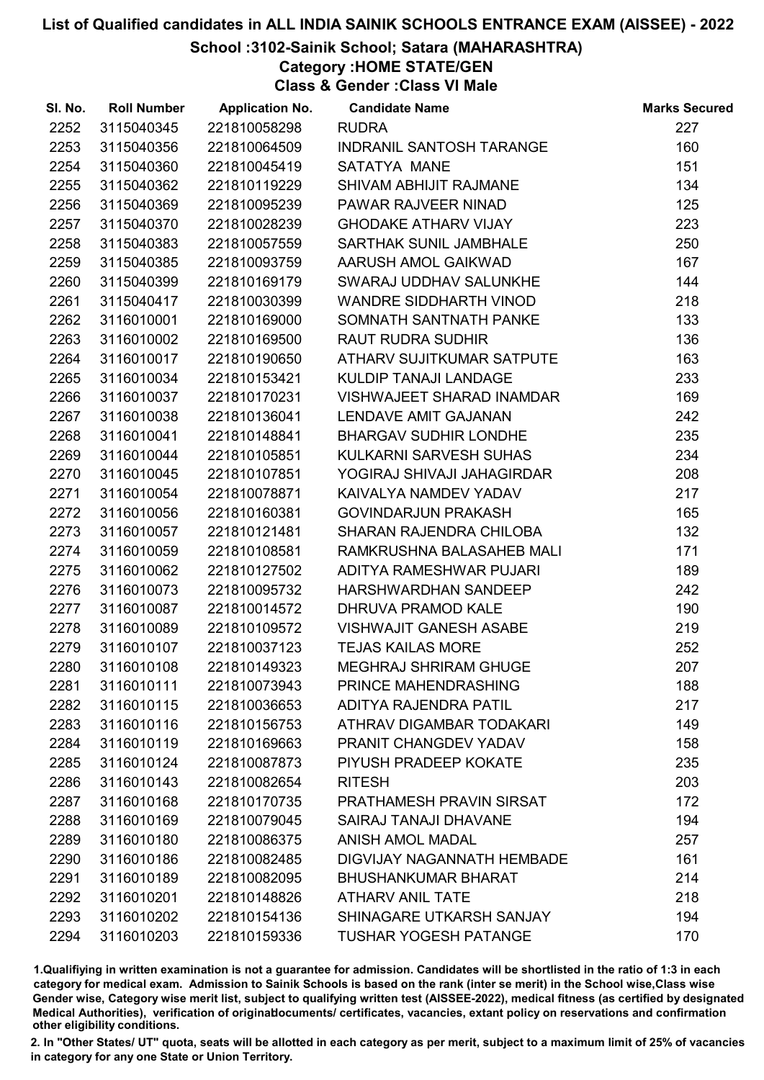# School :3102-Sainik School; Satara (MAHARASHTRA)

Category :HOME STATE/GEN

Class & Gender :Class VI Male

| SI. No. | <b>Roll Number</b> | <b>Application No.</b> | <b>Candidate Name</b>           | <b>Marks Secured</b> |
|---------|--------------------|------------------------|---------------------------------|----------------------|
| 2252    | 3115040345         | 221810058298           | <b>RUDRA</b>                    | 227                  |
| 2253    | 3115040356         | 221810064509           | <b>INDRANIL SANTOSH TARANGE</b> | 160                  |
| 2254    | 3115040360         | 221810045419           | SATATYA MANE                    | 151                  |
| 2255    | 3115040362         | 221810119229           | SHIVAM ABHIJIT RAJMANE          | 134                  |
| 2256    | 3115040369         | 221810095239           | PAWAR RAJVEER NINAD             | 125                  |
| 2257    | 3115040370         | 221810028239           | <b>GHODAKE ATHARV VIJAY</b>     | 223                  |
| 2258    | 3115040383         | 221810057559           | SARTHAK SUNIL JAMBHALE          | 250                  |
| 2259    | 3115040385         | 221810093759           | AARUSH AMOL GAIKWAD             | 167                  |
| 2260    | 3115040399         | 221810169179           | SWARAJ UDDHAV SALUNKHE          | 144                  |
| 2261    | 3115040417         | 221810030399           | <b>WANDRE SIDDHARTH VINOD</b>   | 218                  |
| 2262    | 3116010001         | 221810169000           | SOMNATH SANTNATH PANKE          | 133                  |
| 2263    | 3116010002         | 221810169500           | <b>RAUT RUDRA SUDHIR</b>        | 136                  |
| 2264    | 3116010017         | 221810190650           | ATHARV SUJITKUMAR SATPUTE       | 163                  |
| 2265    | 3116010034         | 221810153421           | <b>KULDIP TANAJI LANDAGE</b>    | 233                  |
| 2266    | 3116010037         | 221810170231           | VISHWAJEET SHARAD INAMDAR       | 169                  |
| 2267    | 3116010038         | 221810136041           | <b>LENDAVE AMIT GAJANAN</b>     | 242                  |
| 2268    | 3116010041         | 221810148841           | <b>BHARGAV SUDHIR LONDHE</b>    | 235                  |
| 2269    | 3116010044         | 221810105851           | KULKARNI SARVESH SUHAS          | 234                  |
| 2270    | 3116010045         | 221810107851           | YOGIRAJ SHIVAJI JAHAGIRDAR      | 208                  |
| 2271    | 3116010054         | 221810078871           | KAIVALYA NAMDEV YADAV           | 217                  |
| 2272    | 3116010056         | 221810160381           | <b>GOVINDARJUN PRAKASH</b>      | 165                  |
| 2273    | 3116010057         | 221810121481           | SHARAN RAJENDRA CHILOBA         | 132                  |
| 2274    | 3116010059         | 221810108581           | RAMKRUSHNA BALASAHEB MALI       | 171                  |
| 2275    | 3116010062         | 221810127502           | ADITYA RAMESHWAR PUJARI         | 189                  |
| 2276    | 3116010073         | 221810095732           | HARSHWARDHAN SANDEEP            | 242                  |
| 2277    | 3116010087         | 221810014572           | DHRUVA PRAMOD KALE              | 190                  |
| 2278    | 3116010089         | 221810109572           | <b>VISHWAJIT GANESH ASABE</b>   | 219                  |
| 2279    | 3116010107         | 221810037123           | <b>TEJAS KAILAS MORE</b>        | 252                  |
| 2280    | 3116010108         | 221810149323           | <b>MEGHRAJ SHRIRAM GHUGE</b>    | 207                  |
| 2281    | 3116010111         | 221810073943           | PRINCE MAHENDRASHING            | 188                  |
| 2282    | 3116010115         | 221810036653           | ADITYA RAJENDRA PATIL           | 217                  |
| 2283    | 3116010116         | 221810156753           | ATHRAV DIGAMBAR TODAKARI        | 149                  |
| 2284    | 3116010119         | 221810169663           | PRANIT CHANGDEV YADAV           | 158                  |
| 2285    | 3116010124         | 221810087873           | PIYUSH PRADEEP KOKATE           | 235                  |
| 2286    | 3116010143         | 221810082654           | <b>RITESH</b>                   | 203                  |
| 2287    | 3116010168         | 221810170735           | PRATHAMESH PRAVIN SIRSAT        | 172                  |
| 2288    | 3116010169         | 221810079045           | <b>SAIRAJ TANAJI DHAVANE</b>    | 194                  |
| 2289    | 3116010180         | 221810086375           | <b>ANISH AMOL MADAL</b>         | 257                  |
| 2290    | 3116010186         | 221810082485           | DIGVIJAY NAGANNATH HEMBADE      | 161                  |
| 2291    | 3116010189         | 221810082095           | <b>BHUSHANKUMAR BHARAT</b>      | 214                  |
| 2292    | 3116010201         | 221810148826           | <b>ATHARV ANIL TATE</b>         | 218                  |
| 2293    | 3116010202         | 221810154136           | SHINAGARE UTKARSH SANJAY        | 194                  |
| 2294    | 3116010203         | 221810159336           | <b>TUSHAR YOGESH PATANGE</b>    | 170                  |

1.Qualifiying in written examination is not a guarantee for admission. Candidates will be shortlisted in the ratio of 1:3 in each category for medical exam. Admission to Sainik Schools is based on the rank (inter se merit) in the School wise,Class wise Gender wise, Category wise merit list, subject to qualifying written test (AISSEE-2022), medical fitness (as certified by designated Medical Authorities), verification of originablocuments/ certificates, vacancies, extant policy on reservations and confirmation other eligibility conditions.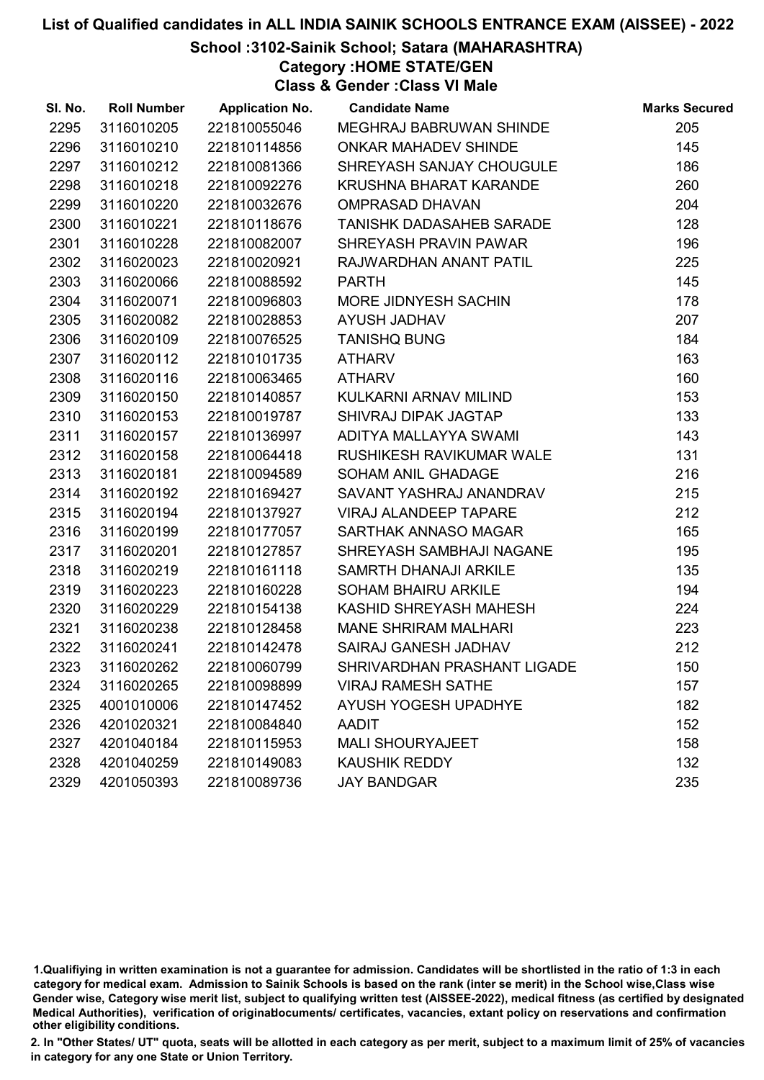# School :3102-Sainik School; Satara (MAHARASHTRA)

Category :HOME STATE/GEN

Class & Gender :Class VI Male

| SI. No. | <b>Roll Number</b> | <b>Application No.</b> | <b>Candidate Name</b>        | <b>Marks Secured</b> |
|---------|--------------------|------------------------|------------------------------|----------------------|
| 2295    | 3116010205         | 221810055046           | MEGHRAJ BABRUWAN SHINDE      | 205                  |
| 2296    | 3116010210         | 221810114856           | <b>ONKAR MAHADEV SHINDE</b>  | 145                  |
| 2297    | 3116010212         | 221810081366           | SHREYASH SANJAY CHOUGULE     | 186                  |
| 2298    | 3116010218         | 221810092276           | KRUSHNA BHARAT KARANDE       | 260                  |
| 2299    | 3116010220         | 221810032676           | <b>OMPRASAD DHAVAN</b>       | 204                  |
| 2300    | 3116010221         | 221810118676           | TANISHK DADASAHEB SARADE     | 128                  |
| 2301    | 3116010228         | 221810082007           | SHREYASH PRAVIN PAWAR        | 196                  |
| 2302    | 3116020023         | 221810020921           | RAJWARDHAN ANANT PATIL       | 225                  |
| 2303    | 3116020066         | 221810088592           | <b>PARTH</b>                 | 145                  |
| 2304    | 3116020071         | 221810096803           | MORE JIDNYESH SACHIN         | 178                  |
| 2305    | 3116020082         | 221810028853           | AYUSH JADHAV                 | 207                  |
| 2306    | 3116020109         | 221810076525           | <b>TANISHQ BUNG</b>          | 184                  |
| 2307    | 3116020112         | 221810101735           | ATHARV                       | 163                  |
| 2308    | 3116020116         | 221810063465           | <b>ATHARV</b>                | 160                  |
| 2309    | 3116020150         | 221810140857           | KULKARNI ARNAV MILIND        | 153                  |
| 2310    | 3116020153         | 221810019787           | SHIVRAJ DIPAK JAGTAP         | 133                  |
| 2311    | 3116020157         | 221810136997           | ADITYA MALLAYYA SWAMI        | 143                  |
| 2312    | 3116020158         | 221810064418           | RUSHIKESH RAVIKUMAR WALE     | 131                  |
| 2313    | 3116020181         | 221810094589           | SOHAM ANIL GHADAGE           | 216                  |
| 2314    | 3116020192         | 221810169427           | SAVANT YASHRAJ ANANDRAV      | 215                  |
| 2315    | 3116020194         | 221810137927           | <b>VIRAJ ALANDEEP TAPARE</b> | 212                  |
| 2316    | 3116020199         | 221810177057           | SARTHAK ANNASO MAGAR         | 165                  |
| 2317    | 3116020201         | 221810127857           | SHREYASH SAMBHAJI NAGANE     | 195                  |
| 2318    | 3116020219         | 221810161118           | <b>SAMRTH DHANAJI ARKILE</b> | 135                  |
| 2319    | 3116020223         | 221810160228           | <b>SOHAM BHAIRU ARKILE</b>   | 194                  |
| 2320    | 3116020229         | 221810154138           | KASHID SHREYASH MAHESH       | 224                  |
| 2321    | 3116020238         | 221810128458           | <b>MANE SHRIRAM MALHARI</b>  | 223                  |
| 2322    | 3116020241         | 221810142478           | SAIRAJ GANESH JADHAV         | 212                  |
| 2323    | 3116020262         | 221810060799           | SHRIVARDHAN PRASHANT LIGADE  | 150                  |
| 2324    | 3116020265         | 221810098899           | <b>VIRAJ RAMESH SATHE</b>    | 157                  |
| 2325    | 4001010006         | 221810147452           | <b>AYUSH YOGESH UPADHYE</b>  | 182                  |
| 2326    | 4201020321         | 221810084840           | <b>AADIT</b>                 | 152                  |
| 2327    | 4201040184         | 221810115953           | <b>MALI SHOURYAJEET</b>      | 158                  |
| 2328    | 4201040259         | 221810149083           | <b>KAUSHIK REDDY</b>         | 132                  |
| 2329    | 4201050393         | 221810089736           | <b>JAY BANDGAR</b>           | 235                  |

<sup>1.</sup>Qualifiying in written examination is not a guarantee for admission. Candidates will be shortlisted in the ratio of 1:3 in each category for medical exam. Admission to Sainik Schools is based on the rank (inter se merit) in the School wise,Class wise Gender wise, Category wise merit list, subject to qualifying written test (AISSEE-2022), medical fitness (as certified by designated Medical Authorities), verification of originablocuments/ certificates, vacancies, extant policy on reservations and confirmation other eligibility conditions.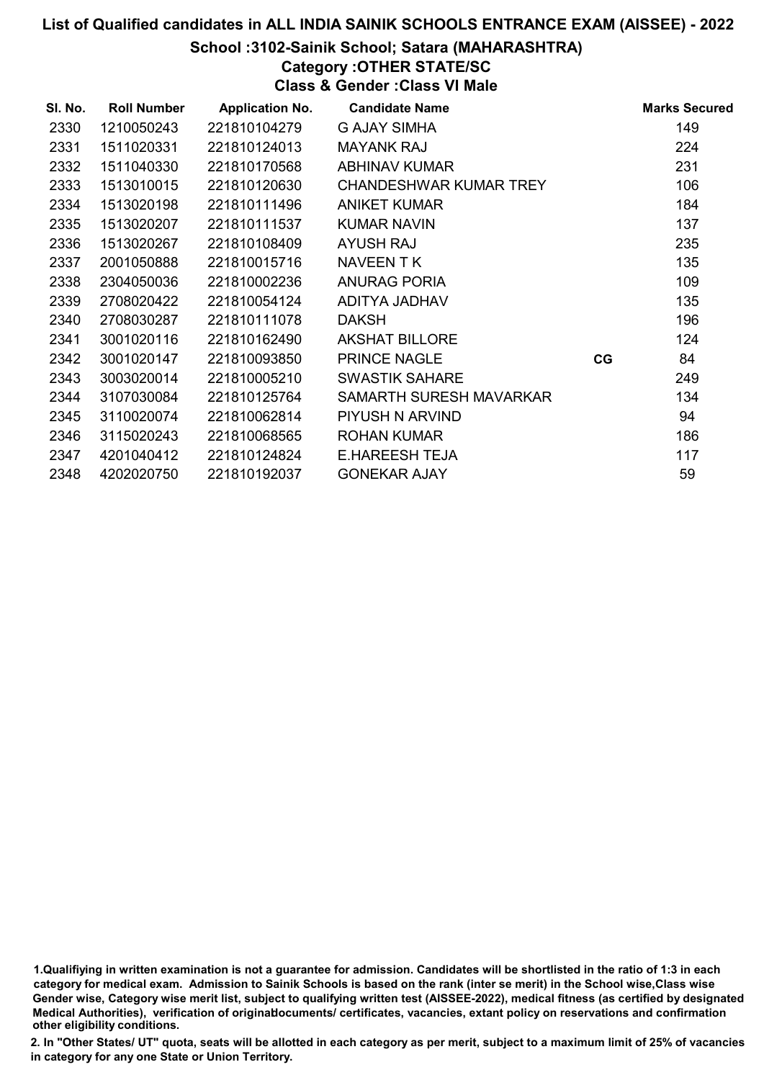# School :3102-Sainik School; Satara (MAHARASHTRA)

Category :OTHER STATE/SC

Class & Gender :Class VI Male

| SI. No. | <b>Roll Number</b> | <b>Application No.</b> | <b>Candidate Name</b>         |    | <b>Marks Secured</b> |
|---------|--------------------|------------------------|-------------------------------|----|----------------------|
| 2330    | 1210050243         | 221810104279           | G AJAY SIMHA                  |    | 149                  |
| 2331    | 1511020331         | 221810124013           | <b>MAYANK RAJ</b>             |    | 224                  |
| 2332    | 1511040330         | 221810170568           | <b>ABHINAV KUMAR</b>          |    | 231                  |
| 2333    | 1513010015         | 221810120630           | <b>CHANDESHWAR KUMAR TREY</b> |    | 106                  |
| 2334    | 1513020198         | 221810111496           | <b>ANIKET KUMAR</b>           |    | 184                  |
| 2335    | 1513020207         | 221810111537           | <b>KUMAR NAVIN</b>            |    | 137                  |
| 2336    | 1513020267         | 221810108409           | <b>AYUSH RAJ</b>              |    | 235                  |
| 2337    | 2001050888         | 221810015716           | NAVEEN TK                     |    | 135                  |
| 2338    | 2304050036         | 221810002236           | <b>ANURAG PORIA</b>           |    | 109                  |
| 2339    | 2708020422         | 221810054124           | ADITYA JADHAV                 |    | 135                  |
| 2340    | 2708030287         | 221810111078           | <b>DAKSH</b>                  |    | 196                  |
| 2341    | 3001020116         | 221810162490           | <b>AKSHAT BILLORE</b>         |    | 124                  |
| 2342    | 3001020147         | 221810093850           | <b>PRINCE NAGLE</b>           | CG | 84                   |
| 2343    | 3003020014         | 221810005210           | <b>SWASTIK SAHARE</b>         |    | 249                  |
| 2344    | 3107030084         | 221810125764           | SAMARTH SURESH MAVARKAR       |    | 134                  |
| 2345    | 3110020074         | 221810062814           | PIYUSH N ARVIND               |    | 94                   |
| 2346    | 3115020243         | 221810068565           | <b>ROHAN KUMAR</b>            |    | 186                  |
| 2347    | 4201040412         | 221810124824           | <b>E.HAREESH TEJA</b>         |    | 117                  |
| 2348    | 4202020750         | 221810192037           | <b>GONEKAR AJAY</b>           |    | 59                   |

1.Qualifiying in written examination is not a guarantee for admission. Candidates will be shortlisted in the ratio of 1:3 in each category for medical exam. Admission to Sainik Schools is based on the rank (inter se merit) in the School wise,Class wise Gender wise, Category wise merit list, subject to qualifying written test (AISSEE-2022), medical fitness (as certified by designated Medical Authorities), verification of originablocuments/ certificates, vacancies, extant policy on reservations and confirmation other eligibility conditions.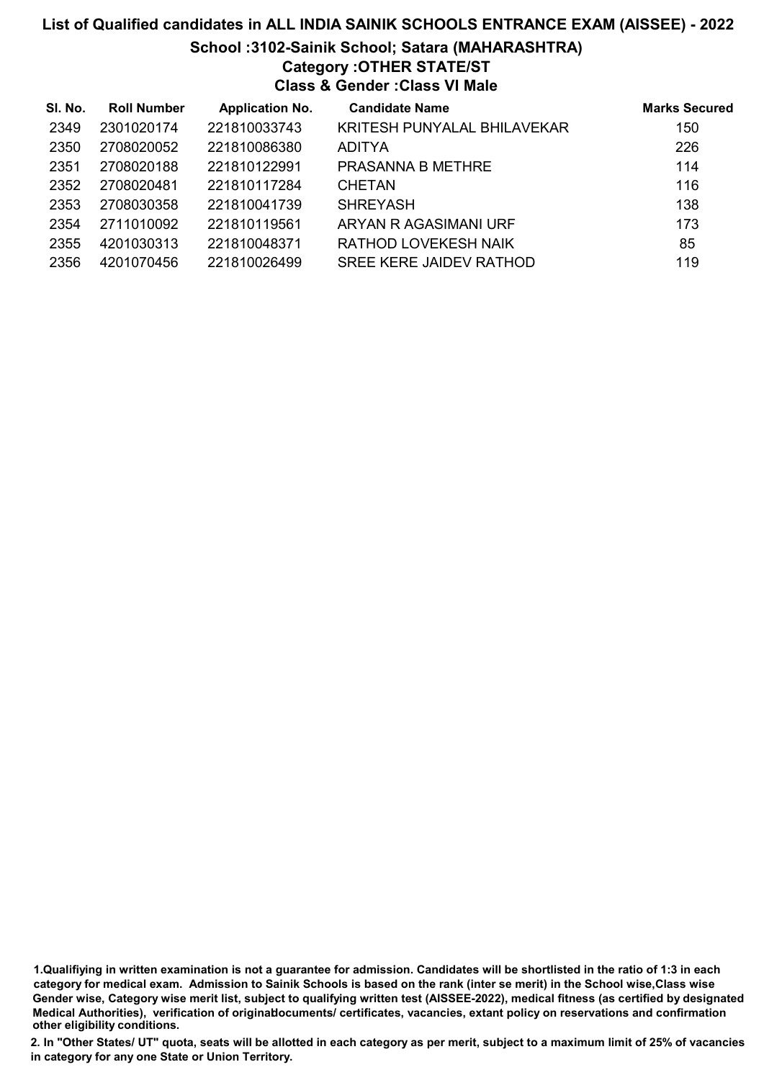# List of Qualified candidates in ALL INDIA SAINIK SCHOOLS ENTRANCE EXAM (AISSEE) - 2022 School :3102-Sainik School; Satara (MAHARASHTRA) Category :OTHER STATE/ST Class & Gender :Class VI Male

| SI. No. | <b>Roll Number</b> | <b>Application No.</b> | <b>Candidate Name</b>          | <b>Marks Secured</b> |
|---------|--------------------|------------------------|--------------------------------|----------------------|
| 2349    | 2301020174         | 221810033743           | KRITESH PUNYALAL BHILAVEKAR    | 150                  |
| 2350    | 2708020052         | 221810086380           | <b>ADITYA</b>                  | 226                  |
| 2351    | 2708020188         | 221810122991           | PRASANNA B METHRE              | 114                  |
| 2352    | 2708020481         | 221810117284           | <b>CHETAN</b>                  | 116                  |
| 2353    | 2708030358         | 221810041739           | <b>SHREYASH</b>                | 138                  |
| 2354    | 2711010092         | 221810119561           | ARYAN R AGASIMANI URF          | 173                  |
| 2355    | 4201030313         | 221810048371           | RATHOD LOVEKESH NAIK           | 85                   |
| 2356    | 4201070456         | 221810026499           | <b>SREE KERE JAIDEV RATHOD</b> | 119                  |

1.Qualifiying in written examination is not a guarantee for admission. Candidates will be shortlisted in the ratio of 1:3 in each category for medical exam. Admission to Sainik Schools is based on the rank (inter se merit) in the School wise,Class wise Gender wise, Category wise merit list, subject to qualifying written test (AISSEE-2022), medical fitness (as certified by designated Medical Authorities), verification of originablocuments/ certificates, vacancies, extant policy on reservations and confirmation other eligibility conditions.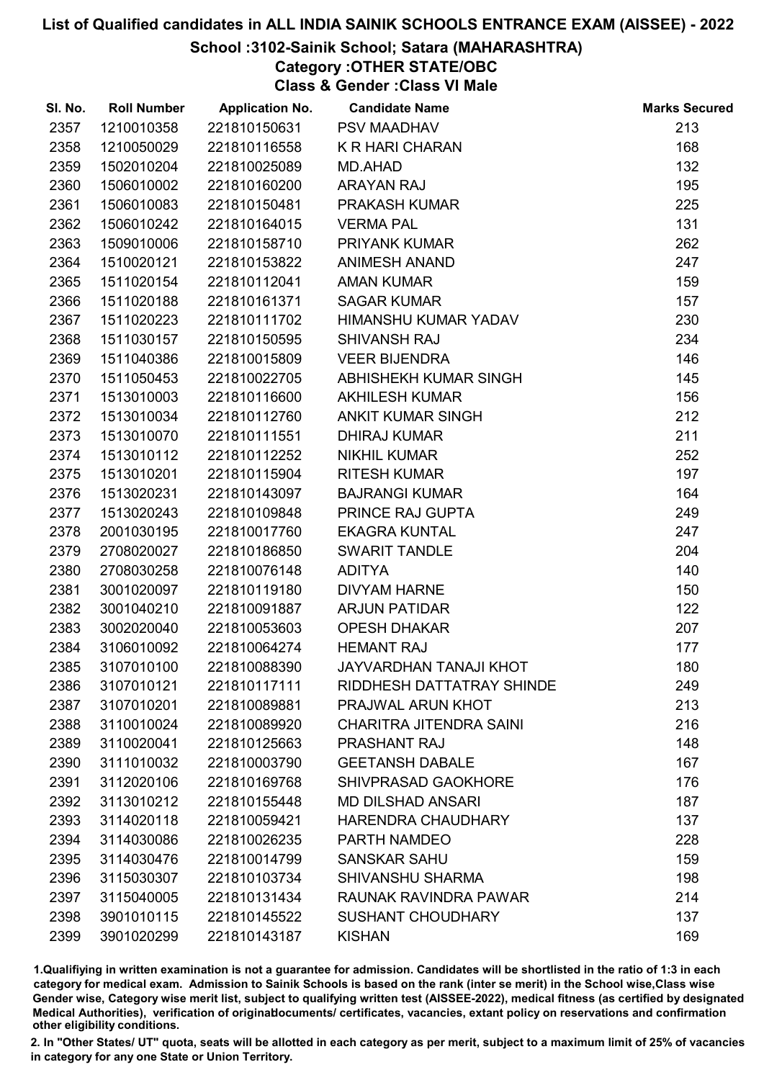# School :3102-Sainik School; Satara (MAHARASHTRA)

Category :OTHER STATE/OBC

Class & Gender :Class VI Male

| SI. No. | <b>Roll Number</b> | <b>Application No.</b> | <b>Candidate Name</b>          | <b>Marks Secured</b> |
|---------|--------------------|------------------------|--------------------------------|----------------------|
| 2357    | 1210010358         | 221810150631           | PSV MAADHAV                    | 213                  |
| 2358    | 1210050029         | 221810116558           | <b>K R HARI CHARAN</b>         | 168                  |
| 2359    | 1502010204         | 221810025089           | MD.AHAD                        | 132                  |
| 2360    | 1506010002         | 221810160200           | <b>ARAYAN RAJ</b>              | 195                  |
| 2361    | 1506010083         | 221810150481           | PRAKASH KUMAR                  | 225                  |
| 2362    | 1506010242         | 221810164015           | <b>VERMA PAL</b>               | 131                  |
| 2363    | 1509010006         | 221810158710           | <b>PRIYANK KUMAR</b>           | 262                  |
| 2364    | 1510020121         | 221810153822           | <b>ANIMESH ANAND</b>           | 247                  |
| 2365    | 1511020154         | 221810112041           | <b>AMAN KUMAR</b>              | 159                  |
| 2366    | 1511020188         | 221810161371           | <b>SAGAR KUMAR</b>             | 157                  |
| 2367    | 1511020223         | 221810111702           | HIMANSHU KUMAR YADAV           | 230                  |
| 2368    | 1511030157         | 221810150595           | <b>SHIVANSH RAJ</b>            | 234                  |
| 2369    | 1511040386         | 221810015809           | <b>VEER BIJENDRA</b>           | 146                  |
| 2370    | 1511050453         | 221810022705           | ABHISHEKH KUMAR SINGH          | 145                  |
| 2371    | 1513010003         | 221810116600           | <b>AKHILESH KUMAR</b>          | 156                  |
| 2372    | 1513010034         | 221810112760           | <b>ANKIT KUMAR SINGH</b>       | 212                  |
| 2373    | 1513010070         | 221810111551           | <b>DHIRAJ KUMAR</b>            | 211                  |
| 2374    | 1513010112         | 221810112252           | <b>NIKHIL KUMAR</b>            | 252                  |
| 2375    | 1513010201         | 221810115904           | <b>RITESH KUMAR</b>            | 197                  |
| 2376    | 1513020231         | 221810143097           | <b>BAJRANGI KUMAR</b>          | 164                  |
| 2377    | 1513020243         | 221810109848           | PRINCE RAJ GUPTA               | 249                  |
| 2378    | 2001030195         | 221810017760           | <b>EKAGRA KUNTAL</b>           | 247                  |
| 2379    | 2708020027         | 221810186850           | SWARIT TANDLE                  | 204                  |
| 2380    | 2708030258         | 221810076148           | <b>ADITYA</b>                  | 140                  |
| 2381    | 3001020097         | 221810119180           | <b>DIVYAM HARNE</b>            | 150                  |
| 2382    | 3001040210         | 221810091887           | <b>ARJUN PATIDAR</b>           | 122                  |
| 2383    | 3002020040         | 221810053603           | <b>OPESH DHAKAR</b>            | 207                  |
| 2384    | 3106010092         | 221810064274           | <b>HEMANT RAJ</b>              | 177                  |
| 2385    | 3107010100         | 221810088390           | <b>JAYVARDHAN TANAJI KHOT</b>  | 180                  |
| 2386    | 3107010121         | 221810117111           | RIDDHESH DATTATRAY SHINDE      | 249                  |
| 2387    | 3107010201         | 221810089881           | PRAJWAL ARUN KHOT              | 213                  |
| 2388    | 3110010024         | 221810089920           | <b>CHARITRA JITENDRA SAINI</b> | 216                  |
| 2389    | 3110020041         | 221810125663           | <b>PRASHANT RAJ</b>            | 148                  |
| 2390    | 3111010032         | 221810003790           | <b>GEETANSH DABALE</b>         | 167                  |
| 2391    | 3112020106         | 221810169768           | <b>SHIVPRASAD GAOKHORE</b>     | 176                  |
| 2392    | 3113010212         | 221810155448           | <b>MD DILSHAD ANSARI</b>       | 187                  |
| 2393    | 3114020118         | 221810059421           | HARENDRA CHAUDHARY             | 137                  |
| 2394    | 3114030086         | 221810026235           | PARTH NAMDEO                   | 228                  |
| 2395    | 3114030476         | 221810014799           | <b>SANSKAR SAHU</b>            | 159                  |
| 2396    | 3115030307         | 221810103734           | <b>SHIVANSHU SHARMA</b>        | 198                  |
| 2397    | 3115040005         | 221810131434           | RAUNAK RAVINDRA PAWAR          | 214                  |
| 2398    | 3901010115         | 221810145522           | <b>SUSHANT CHOUDHARY</b>       | 137                  |
| 2399    | 3901020299         | 221810143187           | <b>KISHAN</b>                  | 169                  |

1.Qualifiying in written examination is not a guarantee for admission. Candidates will be shortlisted in the ratio of 1:3 in each category for medical exam. Admission to Sainik Schools is based on the rank (inter se merit) in the School wise,Class wise Gender wise, Category wise merit list, subject to qualifying written test (AISSEE-2022), medical fitness (as certified by designated Medical Authorities), verification of originablocuments/ certificates, vacancies, extant policy on reservations and confirmation other eligibility conditions.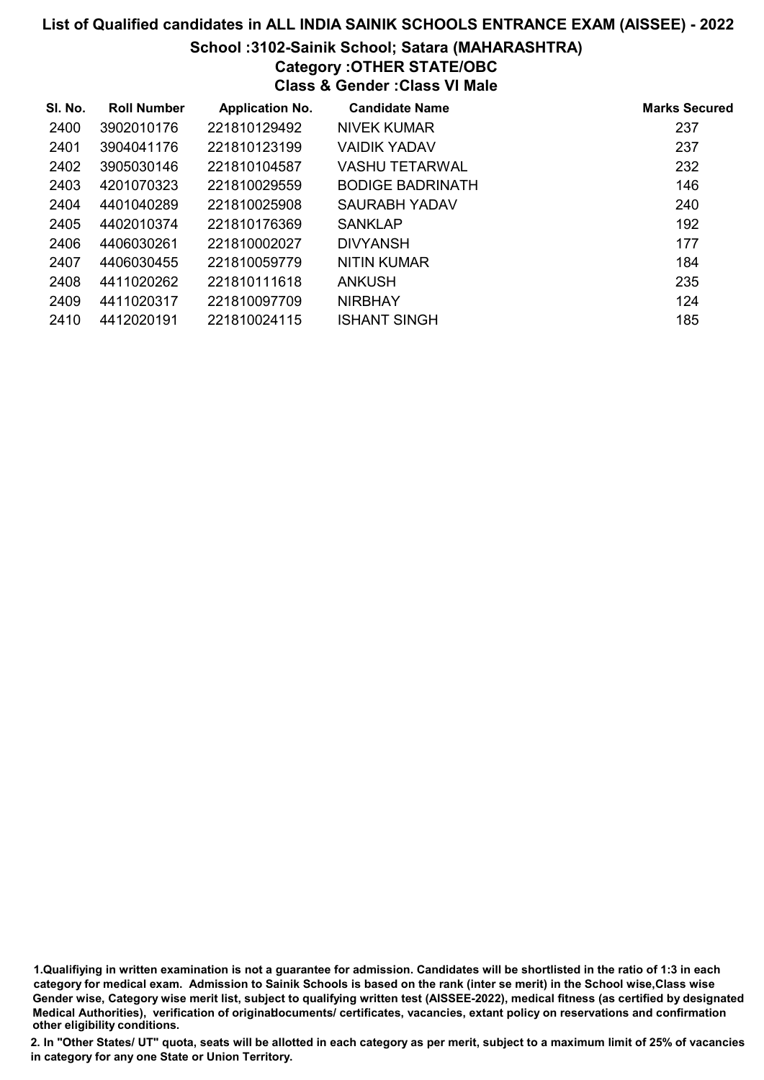# School :3102-Sainik School; Satara (MAHARASHTRA)

# Category :OTHER STATE/OBC

Class & Gender :Class VI Male

| SI. No. | <b>Roll Number</b> | <b>Application No.</b> | <b>Candidate Name</b>   | <b>Marks Secured</b> |
|---------|--------------------|------------------------|-------------------------|----------------------|
| 2400    | 3902010176         | 221810129492           | NIVEK KUMAR             | 237                  |
| 2401    | 3904041176         | 221810123199           | <b>VAIDIK YADAV</b>     | 237                  |
| 2402    | 3905030146         | 221810104587           | <b>VASHU TETARWAL</b>   | 232                  |
| 2403    | 4201070323         | 221810029559           | <b>BODIGE BADRINATH</b> | 146                  |
| 2404    | 4401040289         | 221810025908           | SAURABH YADAV           | 240                  |
| 2405    | 4402010374         | 221810176369           | <b>SANKLAP</b>          | 192                  |
| 2406    | 4406030261         | 221810002027           | <b>DIVYANSH</b>         | 177                  |
| 2407    | 4406030455         | 221810059779           | NITIN KUMAR             | 184                  |
| 2408    | 4411020262         | 221810111618           | <b>ANKUSH</b>           | 235                  |
| 2409    | 4411020317         | 221810097709           | <b>NIRBHAY</b>          | 124                  |
| 2410    | 4412020191         | 221810024115           | <b>ISHANT SINGH</b>     | 185                  |

1.Qualifiying in written examination is not a guarantee for admission. Candidates will be shortlisted in the ratio of 1:3 in each category for medical exam. Admission to Sainik Schools is based on the rank (inter se merit) in the School wise,Class wise Gender wise, Category wise merit list, subject to qualifying written test (AISSEE-2022), medical fitness (as certified by designated Medical Authorities), verification of originablocuments/ certificates, vacancies, extant policy on reservations and confirmation other eligibility conditions.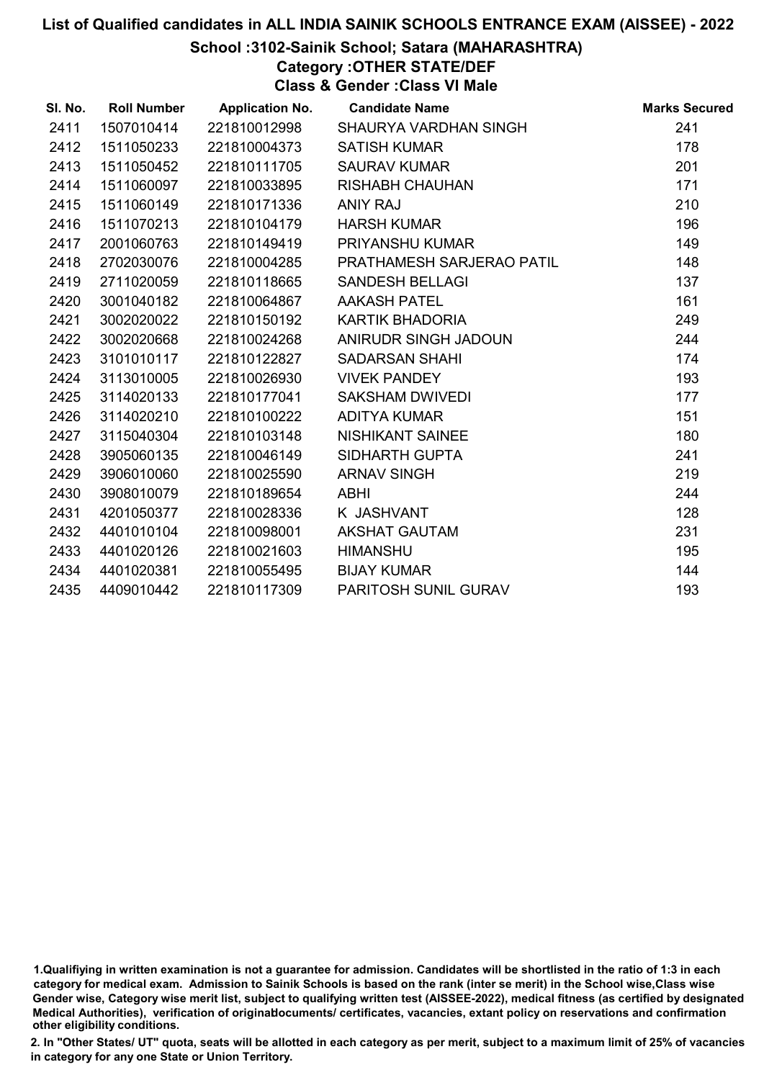# School :3102-Sainik School; Satara (MAHARASHTRA)

# Category :OTHER STATE/DEF

Class & Gender :Class VI Male

| SI. No. | <b>Roll Number</b> | <b>Application No.</b> | <b>Candidate Name</b>     | <b>Marks Secured</b> |
|---------|--------------------|------------------------|---------------------------|----------------------|
| 2411    | 1507010414         | 221810012998           | SHAURYA VARDHAN SINGH     | 241                  |
| 2412    | 1511050233         | 221810004373           | <b>SATISH KUMAR</b>       | 178                  |
| 2413    | 1511050452         | 221810111705           | <b>SAURAV KUMAR</b>       | 201                  |
| 2414    | 1511060097         | 221810033895           | <b>RISHABH CHAUHAN</b>    | 171                  |
| 2415    | 1511060149         | 221810171336           | <b>ANIY RAJ</b>           | 210                  |
| 2416    | 1511070213         | 221810104179           | <b>HARSH KUMAR</b>        | 196                  |
| 2417    | 2001060763         | 221810149419           | <b>PRIYANSHU KUMAR</b>    | 149                  |
| 2418    | 2702030076         | 221810004285           | PRATHAMESH SARJERAO PATIL | 148                  |
| 2419    | 2711020059         | 221810118665           | <b>SANDESH BELLAGI</b>    | 137                  |
| 2420    | 3001040182         | 221810064867           | <b>AAKASH PATEL</b>       | 161                  |
| 2421    | 3002020022         | 221810150192           | KARTIK BHADORIA           | 249                  |
| 2422    | 3002020668         | 221810024268           | ANIRUDR SINGH JADOUN      | 244                  |
| 2423    | 3101010117         | 221810122827           | <b>SADARSAN SHAHI</b>     | 174                  |
| 2424    | 3113010005         | 221810026930           | <b>VIVEK PANDEY</b>       | 193                  |
| 2425    | 3114020133         | 221810177041           | SAKSHAM DWIVEDI           | 177                  |
| 2426    | 3114020210         | 221810100222           | <b>ADITYA KUMAR</b>       | 151                  |
| 2427    | 3115040304         | 221810103148           | NISHIKANT SAINEE          | 180                  |
| 2428    | 3905060135         | 221810046149           | <b>SIDHARTH GUPTA</b>     | 241                  |
| 2429    | 3906010060         | 221810025590           | <b>ARNAV SINGH</b>        | 219                  |
| 2430    | 3908010079         | 221810189654           | ABHI                      | 244                  |
| 2431    | 4201050377         | 221810028336           | K JASHVANT                | 128                  |
| 2432    | 4401010104         | 221810098001           | <b>AKSHAT GAUTAM</b>      | 231                  |
| 2433    | 4401020126         | 221810021603           | <b>HIMANSHU</b>           | 195                  |
| 2434    | 4401020381         | 221810055495           | <b>BIJAY KUMAR</b>        | 144                  |
| 2435    | 4409010442         | 221810117309           | PARITOSH SUNIL GURAV      | 193                  |

<sup>1.</sup>Qualifiying in written examination is not a guarantee for admission. Candidates will be shortlisted in the ratio of 1:3 in each category for medical exam. Admission to Sainik Schools is based on the rank (inter se merit) in the School wise,Class wise Gender wise, Category wise merit list, subject to qualifying written test (AISSEE-2022), medical fitness (as certified by designated Medical Authorities), verification of originablocuments/ certificates, vacancies, extant policy on reservations and confirmation other eligibility conditions.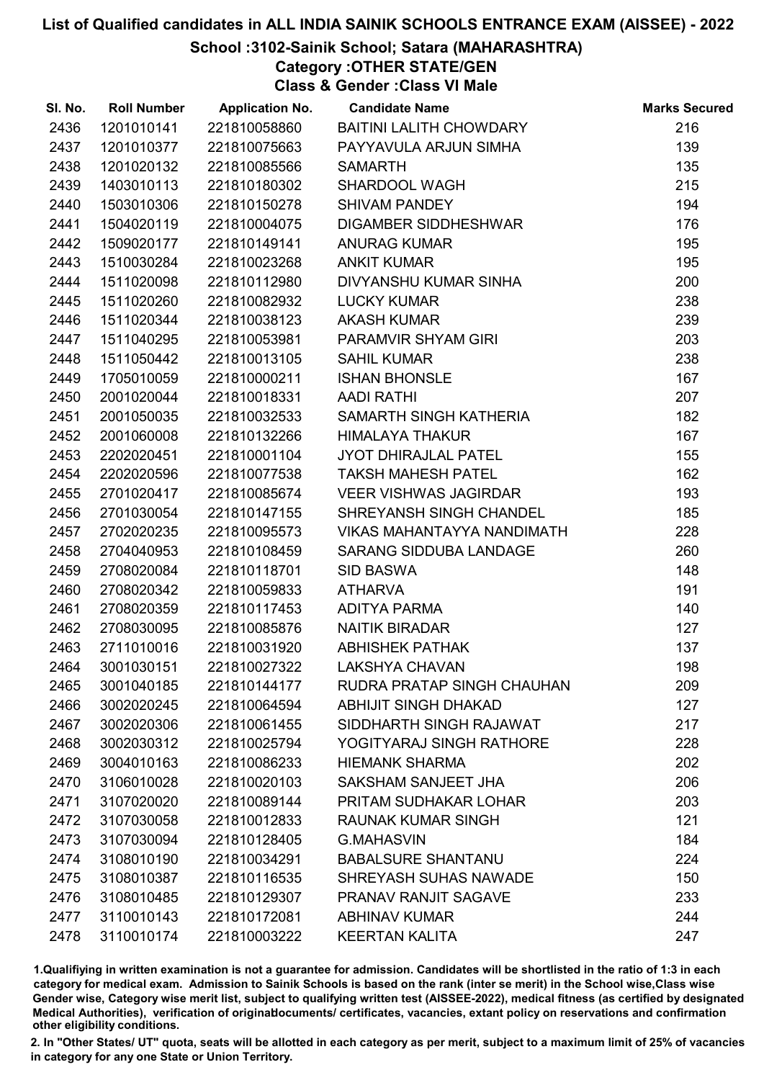# School :3102-Sainik School; Satara (MAHARASHTRA)

Category :OTHER STATE/GEN

Class & Gender :Class VI Male

| SI. No. | <b>Roll Number</b> | <b>Application No.</b> | <b>Candidate Name</b>             | <b>Marks Secured</b> |
|---------|--------------------|------------------------|-----------------------------------|----------------------|
| 2436    | 1201010141         | 221810058860           | <b>BAITINI LALITH CHOWDARY</b>    | 216                  |
| 2437    | 1201010377         | 221810075663           | PAYYAVULA ARJUN SIMHA             | 139                  |
| 2438    | 1201020132         | 221810085566           | <b>SAMARTH</b>                    | 135                  |
| 2439    | 1403010113         | 221810180302           | SHARDOOL WAGH                     | 215                  |
| 2440    | 1503010306         | 221810150278           | <b>SHIVAM PANDEY</b>              | 194                  |
| 2441    | 1504020119         | 221810004075           | <b>DIGAMBER SIDDHESHWAR</b>       | 176                  |
| 2442    | 1509020177         | 221810149141           | <b>ANURAG KUMAR</b>               | 195                  |
| 2443    | 1510030284         | 221810023268           | <b>ANKIT KUMAR</b>                | 195                  |
| 2444    | 1511020098         | 221810112980           | DIVYANSHU KUMAR SINHA             | 200                  |
| 2445    | 1511020260         | 221810082932           | <b>LUCKY KUMAR</b>                | 238                  |
| 2446    | 1511020344         | 221810038123           | <b>AKASH KUMAR</b>                | 239                  |
| 2447    | 1511040295         | 221810053981           | PARAMVIR SHYAM GIRI               | 203                  |
| 2448    | 1511050442         | 221810013105           | <b>SAHIL KUMAR</b>                | 238                  |
| 2449    | 1705010059         | 221810000211           | <b>ISHAN BHONSLE</b>              | 167                  |
| 2450    | 2001020044         | 221810018331           | <b>AADI RATHI</b>                 | 207                  |
| 2451    | 2001050035         | 221810032533           | SAMARTH SINGH KATHERIA            | 182                  |
| 2452    | 2001060008         | 221810132266           | <b>HIMALAYA THAKUR</b>            | 167                  |
| 2453    | 2202020451         | 221810001104           | <b>JYOT DHIRAJLAL PATEL</b>       | 155                  |
| 2454    | 2202020596         | 221810077538           | <b>TAKSH MAHESH PATEL</b>         | 162                  |
| 2455    | 2701020417         | 221810085674           | VEER VISHWAS JAGIRDAR             | 193                  |
| 2456    | 2701030054         | 221810147155           | SHREYANSH SINGH CHANDEL           | 185                  |
| 2457    | 2702020235         | 221810095573           | VIKAS MAHANTAYYA NANDIMATH        | 228                  |
| 2458    | 2704040953         | 221810108459           | <b>SARANG SIDDUBA LANDAGE</b>     | 260                  |
| 2459    | 2708020084         | 221810118701           | <b>SID BASWA</b>                  | 148                  |
| 2460    | 2708020342         | 221810059833           | <b>ATHARVA</b>                    | 191                  |
| 2461    | 2708020359         | 221810117453           | ADITYA PARMA                      | 140                  |
| 2462    | 2708030095         | 221810085876           | <b>NAITIK BIRADAR</b>             | 127                  |
| 2463    | 2711010016         | 221810031920           | <b>ABHISHEK PATHAK</b>            | 137                  |
| 2464    | 3001030151         | 221810027322           | <b>LAKSHYA CHAVAN</b>             | 198                  |
| 2465    | 3001040185         | 221810144177           | <b>RUDRA PRATAP SINGH CHAUHAN</b> | 209                  |
| 2466    | 3002020245         | 221810064594           | <b>ABHIJIT SINGH DHAKAD</b>       | 127                  |
| 2467    | 3002020306         | 221810061455           | SIDDHARTH SINGH RAJAWAT           | 217                  |
| 2468    | 3002030312         | 221810025794           | YOGITYARAJ SINGH RATHORE          | 228                  |
| 2469    | 3004010163         | 221810086233           | <b>HIEMANK SHARMA</b>             | 202                  |
| 2470    | 3106010028         | 221810020103           | SAKSHAM SANJEET JHA               | 206                  |
| 2471    | 3107020020         | 221810089144           | PRITAM SUDHAKAR LOHAR             | 203                  |
| 2472    | 3107030058         | 221810012833           | <b>RAUNAK KUMAR SINGH</b>         | 121                  |
| 2473    | 3107030094         | 221810128405           | <b>G.MAHASVIN</b>                 | 184                  |
| 2474    | 3108010190         | 221810034291           | <b>BABALSURE SHANTANU</b>         | 224                  |
| 2475    | 3108010387         | 221810116535           | SHREYASH SUHAS NAWADE             | 150                  |
| 2476    | 3108010485         | 221810129307           | PRANAV RANJIT SAGAVE              | 233                  |
| 2477    | 3110010143         | 221810172081           | <b>ABHINAV KUMAR</b>              | 244                  |
| 2478    | 3110010174         | 221810003222           | <b>KEERTAN KALITA</b>             | 247                  |

1.Qualifiying in written examination is not a guarantee for admission. Candidates will be shortlisted in the ratio of 1:3 in each category for medical exam. Admission to Sainik Schools is based on the rank (inter se merit) in the School wise,Class wise Gender wise, Category wise merit list, subject to qualifying written test (AISSEE-2022), medical fitness (as certified by designated Medical Authorities), verification of originablocuments/ certificates, vacancies, extant policy on reservations and confirmation other eligibility conditions.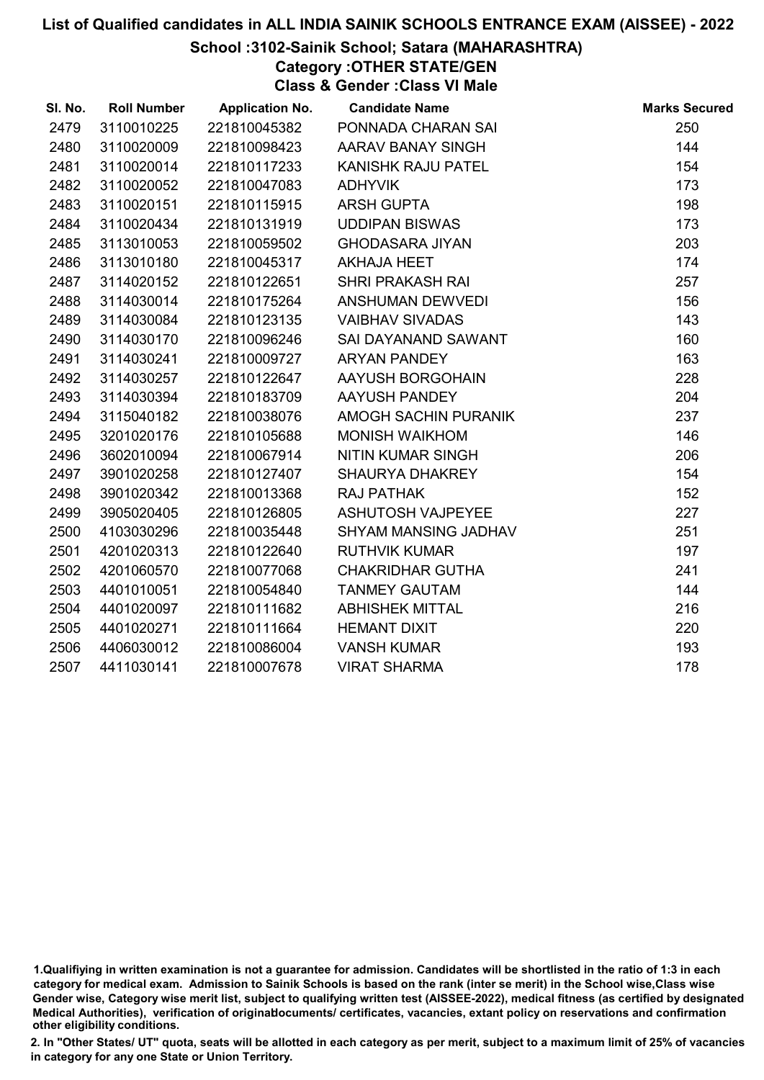# School :3102-Sainik School; Satara (MAHARASHTRA)

Category :OTHER STATE/GEN

Class & Gender :Class VI Male

| SI. No. | <b>Roll Number</b> | <b>Application No.</b> | <b>Candidate Name</b>    | <b>Marks Secured</b> |
|---------|--------------------|------------------------|--------------------------|----------------------|
| 2479    | 3110010225         | 221810045382           | PONNADA CHARAN SAI       | 250                  |
| 2480    | 3110020009         | 221810098423           | AARAV BANAY SINGH        | 144                  |
| 2481    | 3110020014         | 221810117233           | KANISHK RAJU PATEL       | 154                  |
| 2482    | 3110020052         | 221810047083           | <b>ADHYVIK</b>           | 173                  |
| 2483    | 3110020151         | 221810115915           | ARSH GUPTA               | 198                  |
| 2484    | 3110020434         | 221810131919           | <b>UDDIPAN BISWAS</b>    | 173                  |
| 2485    | 3113010053         | 221810059502           | <b>GHODASARA JIYAN</b>   | 203                  |
| 2486    | 3113010180         | 221810045317           | <b>AKHAJA HEET</b>       | 174                  |
| 2487    | 3114020152         | 221810122651           | <b>SHRI PRAKASH RAI</b>  | 257                  |
| 2488    | 3114030014         | 221810175264           | ANSHUMAN DEWVEDI         | 156                  |
| 2489    | 3114030084         | 221810123135           | <b>VAIBHAV SIVADAS</b>   | 143                  |
| 2490    | 3114030170         | 221810096246           | SAI DAYANAND SAWANT      | 160                  |
| 2491    | 3114030241         | 221810009727           | <b>ARYAN PANDEY</b>      | 163                  |
| 2492    | 3114030257         | 221810122647           | AAYUSH BORGOHAIN         | 228                  |
| 2493    | 3114030394         | 221810183709           | AAYUSH PANDEY            | 204                  |
| 2494    | 3115040182         | 221810038076           | AMOGH SACHIN PURANIK     | 237                  |
| 2495    | 3201020176         | 221810105688           | <b>MONISH WAIKHOM</b>    | 146                  |
| 2496    | 3602010094         | 221810067914           | <b>NITIN KUMAR SINGH</b> | 206                  |
| 2497    | 3901020258         | 221810127407           | SHAURYA DHAKREY          | 154                  |
| 2498    | 3901020342         | 221810013368           | <b>RAJ PATHAK</b>        | 152                  |
| 2499    | 3905020405         | 221810126805           | ASHUTOSH VAJPEYEE        | 227                  |
| 2500    | 4103030296         | 221810035448           | SHYAM MANSING JADHAV     | 251                  |
| 2501    | 4201020313         | 221810122640           | <b>RUTHVIK KUMAR</b>     | 197                  |
| 2502    | 4201060570         | 221810077068           | <b>CHAKRIDHAR GUTHA</b>  | 241                  |
| 2503    | 4401010051         | 221810054840           | <b>TANMEY GAUTAM</b>     | 144                  |
| 2504    | 4401020097         | 221810111682           | <b>ABHISHEK MITTAL</b>   | 216                  |
| 2505    | 4401020271         | 221810111664           | <b>HEMANT DIXIT</b>      | 220                  |
| 2506    | 4406030012         | 221810086004           | <b>VANSH KUMAR</b>       | 193                  |
| 2507    | 4411030141         | 221810007678           | <b>VIRAT SHARMA</b>      | 178                  |

<sup>1.</sup>Qualifiying in written examination is not a guarantee for admission. Candidates will be shortlisted in the ratio of 1:3 in each category for medical exam. Admission to Sainik Schools is based on the rank (inter se merit) in the School wise,Class wise Gender wise, Category wise merit list, subject to qualifying written test (AISSEE-2022), medical fitness (as certified by designated Medical Authorities), verification of originablocuments/ certificates, vacancies, extant policy on reservations and confirmation other eligibility conditions.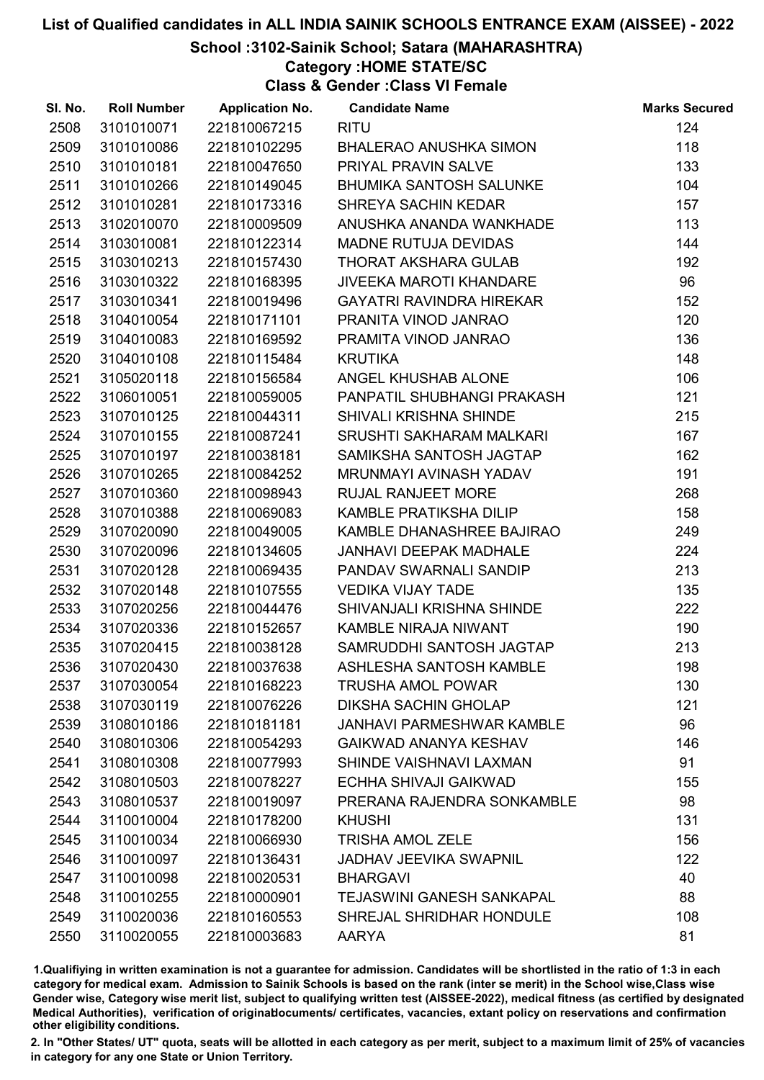### School :3102-Sainik School; Satara (MAHARASHTRA)

Category :HOME STATE/SC

Class & Gender :Class VI Female

| SI. No. | <b>Roll Number</b> | <b>Application No.</b> | <b>Candidate Name</b>            | <b>Marks Secured</b> |
|---------|--------------------|------------------------|----------------------------------|----------------------|
| 2508    | 3101010071         | 221810067215           | <b>RITU</b>                      | 124                  |
| 2509    | 3101010086         | 221810102295           | <b>BHALERAO ANUSHKA SIMON</b>    | 118                  |
| 2510    | 3101010181         | 221810047650           | PRIYAL PRAVIN SALVE              | 133                  |
| 2511    | 3101010266         | 221810149045           | <b>BHUMIKA SANTOSH SALUNKE</b>   | 104                  |
| 2512    | 3101010281         | 221810173316           | <b>SHREYA SACHIN KEDAR</b>       | 157                  |
| 2513    | 3102010070         | 221810009509           | ANUSHKA ANANDA WANKHADE          | 113                  |
| 2514    | 3103010081         | 221810122314           | <b>MADNE RUTUJA DEVIDAS</b>      | 144                  |
| 2515    | 3103010213         | 221810157430           | <b>THORAT AKSHARA GULAB</b>      | 192                  |
| 2516    | 3103010322         | 221810168395           | <b>JIVEEKA MAROTI KHANDARE</b>   | 96                   |
| 2517    | 3103010341         | 221810019496           | <b>GAYATRI RAVINDRA HIREKAR</b>  | 152                  |
| 2518    | 3104010054         | 221810171101           | PRANITA VINOD JANRAO             | 120                  |
| 2519    | 3104010083         | 221810169592           | PRAMITA VINOD JANRAO             | 136                  |
| 2520    | 3104010108         | 221810115484           | <b>KRUTIKA</b>                   | 148                  |
| 2521    | 3105020118         | 221810156584           | ANGEL KHUSHAB ALONE              | 106                  |
| 2522    | 3106010051         | 221810059005           | PANPATIL SHUBHANGI PRAKASH       | 121                  |
| 2523    | 3107010125         | 221810044311           | SHIVALI KRISHNA SHINDE           | 215                  |
| 2524    | 3107010155         | 221810087241           | SRUSHTI SAKHARAM MALKARI         | 167                  |
| 2525    | 3107010197         | 221810038181           | SAMIKSHA SANTOSH JAGTAP          | 162                  |
| 2526    | 3107010265         | 221810084252           | MRUNMAYI AVINASH YADAV           | 191                  |
| 2527    | 3107010360         | 221810098943           | <b>RUJAL RANJEET MORE</b>        | 268                  |
| 2528    | 3107010388         | 221810069083           | KAMBLE PRATIKSHA DILIP           | 158                  |
| 2529    | 3107020090         | 221810049005           | KAMBLE DHANASHREE BAJIRAO        | 249                  |
| 2530    | 3107020096         | 221810134605           | <b>JANHAVI DEEPAK MADHALE</b>    | 224                  |
| 2531    | 3107020128         | 221810069435           | PANDAV SWARNALI SANDIP           | 213                  |
| 2532    | 3107020148         | 221810107555           | <b>VEDIKA VIJAY TADE</b>         | 135                  |
| 2533    | 3107020256         | 221810044476           | SHIVANJALI KRISHNA SHINDE        | 222                  |
| 2534    | 3107020336         | 221810152657           | KAMBLE NIRAJA NIWANT             | 190                  |
| 2535    | 3107020415         | 221810038128           | SAMRUDDHI SANTOSH JAGTAP         | 213                  |
| 2536    | 3107020430         | 221810037638           | ASHLESHA SANTOSH KAMBLE          | 198                  |
| 2537    | 3107030054         | 221810168223           | <b>TRUSHA AMOL POWAR</b>         | 130                  |
| 2538    | 3107030119         | 221810076226           | <b>DIKSHA SACHIN GHOLAP</b>      | 121                  |
| 2539    | 3108010186         | 221810181181           | <b>JANHAVI PARMESHWAR KAMBLE</b> | 96                   |
| 2540    | 3108010306         | 221810054293           | <b>GAIKWAD ANANYA KESHAV</b>     | 146                  |
| 2541    | 3108010308         | 221810077993           | SHINDE VAISHNAVI LAXMAN          | 91                   |
| 2542    | 3108010503         | 221810078227           | <b>ECHHA SHIVAJI GAIKWAD</b>     | 155                  |
| 2543    | 3108010537         | 221810019097           | PRERANA RAJENDRA SONKAMBLE       | 98                   |
| 2544    | 3110010004         | 221810178200           | <b>KHUSHI</b>                    | 131                  |
| 2545    | 3110010034         | 221810066930           | <b>TRISHA AMOL ZELE</b>          | 156                  |
| 2546    | 3110010097         | 221810136431           | <b>JADHAV JEEVIKA SWAPNIL</b>    | 122                  |
| 2547    | 3110010098         | 221810020531           | <b>BHARGAVI</b>                  | 40                   |
| 2548    | 3110010255         | 221810000901           | <b>TEJASWINI GANESH SANKAPAL</b> | 88                   |
| 2549    | 3110020036         | 221810160553           | SHREJAL SHRIDHAR HONDULE         | 108                  |
| 2550    | 3110020055         | 221810003683           | AARYA                            | 81                   |

1.Qualifiying in written examination is not a guarantee for admission. Candidates will be shortlisted in the ratio of 1:3 in each category for medical exam. Admission to Sainik Schools is based on the rank (inter se merit) in the School wise,Class wise Gender wise, Category wise merit list, subject to qualifying written test (AISSEE-2022), medical fitness (as certified by designated Medical Authorities), verification of originablocuments/ certificates, vacancies, extant policy on reservations and confirmation other eligibility conditions.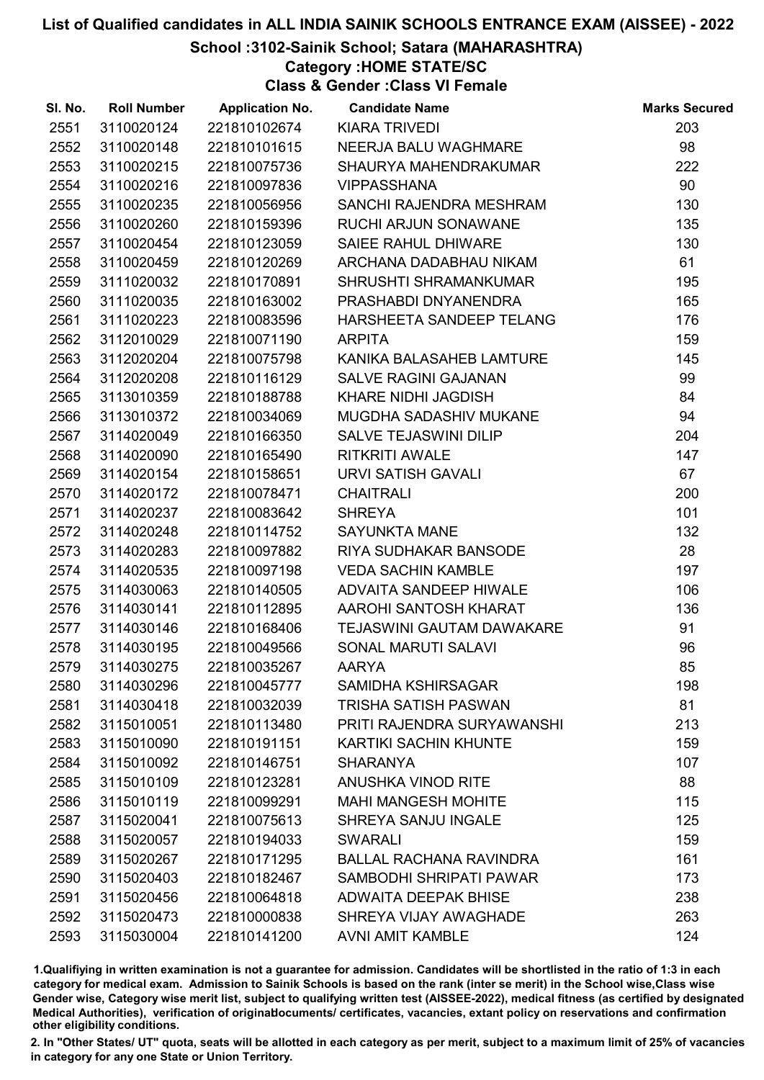# School :3102-Sainik School; Satara (MAHARASHTRA)

#### Category :HOME STATE/SC

Class & Gender :Class VI Female

| SI. No. | <b>Roll Number</b> | <b>Application No.</b> | <b>Candidate Name</b>          | <b>Marks Secured</b> |
|---------|--------------------|------------------------|--------------------------------|----------------------|
| 2551    | 3110020124         | 221810102674           | <b>KIARA TRIVEDI</b>           | 203                  |
| 2552    | 3110020148         | 221810101615           | NEERJA BALU WAGHMARE           | 98                   |
| 2553    | 3110020215         | 221810075736           | SHAURYA MAHENDRAKUMAR          | 222                  |
| 2554    | 3110020216         | 221810097836           | <b>VIPPASSHANA</b>             | 90                   |
| 2555    | 3110020235         | 221810056956           | SANCHI RAJENDRA MESHRAM        | 130                  |
| 2556    | 3110020260         | 221810159396           | RUCHI ARJUN SONAWANE           | 135                  |
| 2557    | 3110020454         | 221810123059           | SAIEE RAHUL DHIWARE            | 130                  |
| 2558    | 3110020459         | 221810120269           | ARCHANA DADABHAU NIKAM         | 61                   |
| 2559    | 3111020032         | 221810170891           | <b>SHRUSHTI SHRAMANKUMAR</b>   | 195                  |
| 2560    | 3111020035         | 221810163002           | PRASHABDI DNYANENDRA           | 165                  |
| 2561    | 3111020223         | 221810083596           | HARSHEETA SANDEEP TELANG       | 176                  |
| 2562    | 3112010029         | 221810071190           | <b>ARPITA</b>                  | 159                  |
| 2563    | 3112020204         | 221810075798           | KANIKA BALASAHEB LAMTURE       | 145                  |
| 2564    | 3112020208         | 221810116129           | <b>SALVE RAGINI GAJANAN</b>    | 99                   |
| 2565    | 3113010359         | 221810188788           | <b>KHARE NIDHI JAGDISH</b>     | 84                   |
| 2566    | 3113010372         | 221810034069           | MUGDHA SADASHIV MUKANE         | 94                   |
| 2567    | 3114020049         | 221810166350           | <b>SALVE TEJASWINI DILIP</b>   | 204                  |
| 2568    | 3114020090         | 221810165490           | <b>RITKRITI AWALE</b>          | 147                  |
| 2569    | 3114020154         | 221810158651           | URVI SATISH GAVALI             | 67                   |
| 2570    | 3114020172         | 221810078471           | <b>CHAITRALI</b>               | 200                  |
| 2571    | 3114020237         | 221810083642           | <b>SHREYA</b>                  | 101                  |
| 2572    | 3114020248         | 221810114752           | <b>SAYUNKTA MANE</b>           | 132                  |
| 2573    | 3114020283         | 221810097882           | RIYA SUDHAKAR BANSODE          | 28                   |
| 2574    | 3114020535         | 221810097198           | <b>VEDA SACHIN KAMBLE</b>      | 197                  |
| 2575    | 3114030063         | 221810140505           | ADVAITA SANDEEP HIWALE         | 106                  |
| 2576    | 3114030141         | 221810112895           | AAROHI SANTOSH KHARAT          | 136                  |
| 2577    | 3114030146         | 221810168406           | TEJASWINI GAUTAM DAWAKARE      | 91                   |
| 2578    | 3114030195         | 221810049566           | SONAL MARUTI SALAVI            | 96                   |
| 2579    | 3114030275         | 221810035267           | <b>AARYA</b>                   | 85                   |
| 2580    | 3114030296         | 221810045777           | <b>SAMIDHA KSHIRSAGAR</b>      | 198                  |
| 2581    | 3114030418         | 221810032039           | <b>TRISHA SATISH PASWAN</b>    | 81                   |
| 2582    | 3115010051         | 221810113480           | PRITI RAJENDRA SURYAWANSHI     | 213                  |
| 2583    | 3115010090         | 221810191151           | KARTIKI SACHIN KHUNTE          | 159                  |
| 2584    | 3115010092         | 221810146751           | <b>SHARANYA</b>                | 107                  |
| 2585    | 3115010109         | 221810123281           | ANUSHKA VINOD RITE             | 88                   |
| 2586    | 3115010119         | 221810099291           | <b>MAHI MANGESH MOHITE</b>     | 115                  |
| 2587    | 3115020041         | 221810075613           | <b>SHREYA SANJU INGALE</b>     | 125                  |
| 2588    | 3115020057         | 221810194033           | <b>SWARALI</b>                 | 159                  |
| 2589    | 3115020267         | 221810171295           | <b>BALLAL RACHANA RAVINDRA</b> | 161                  |
| 2590    | 3115020403         | 221810182467           | SAMBODHI SHRIPATI PAWAR        | 173                  |
| 2591    | 3115020456         | 221810064818           | <b>ADWAITA DEEPAK BHISE</b>    | 238                  |
| 2592    | 3115020473         | 221810000838           | SHREYA VIJAY AWAGHADE          | 263                  |
| 2593    | 3115030004         | 221810141200           | <b>AVNI AMIT KAMBLE</b>        | 124                  |

1.Qualifiying in written examination is not a guarantee for admission. Candidates will be shortlisted in the ratio of 1:3 in each category for medical exam. Admission to Sainik Schools is based on the rank (inter se merit) in the School wise,Class wise Gender wise, Category wise merit list, subject to qualifying written test (AISSEE-2022), medical fitness (as certified by designated Medical Authorities), verification of originablocuments/ certificates, vacancies, extant policy on reservations and confirmation other eligibility conditions.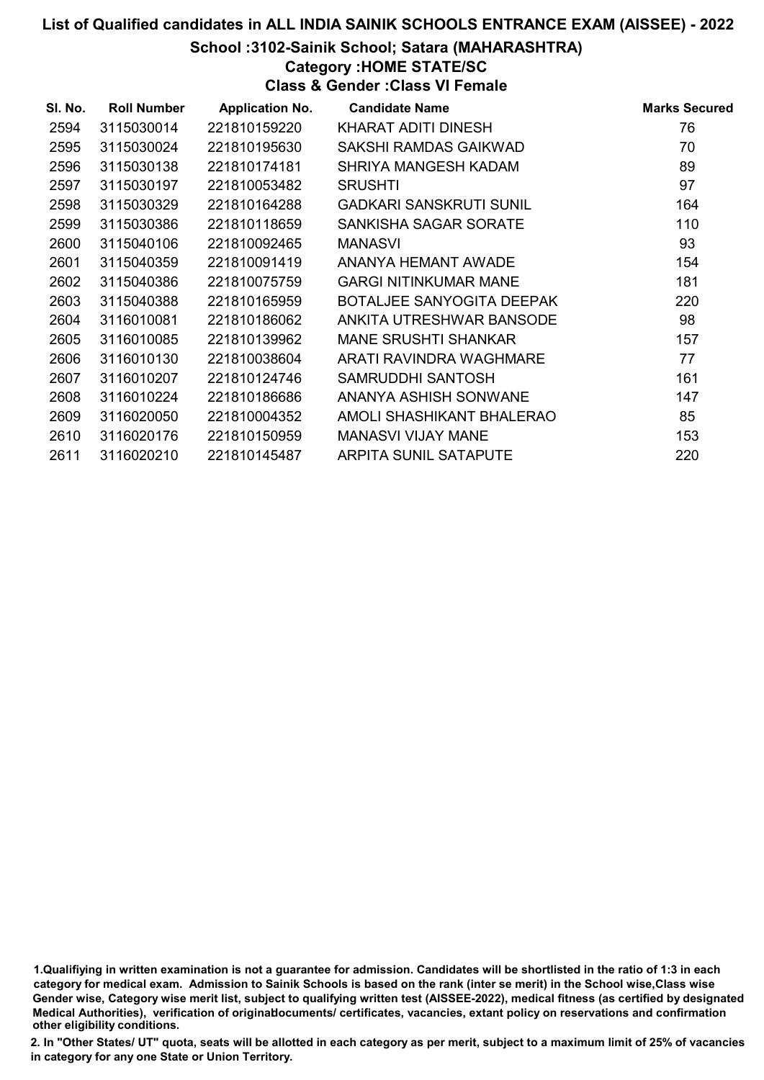#### School :3102-Sainik School; Satara (MAHARASHTRA)

#### Category :HOME STATE/SC

Class & Gender :Class VI Female

| SI. No. | <b>Roll Number</b> | <b>Application No.</b> | <b>Candidate Name</b>            | <b>Marks Secured</b> |
|---------|--------------------|------------------------|----------------------------------|----------------------|
| 2594    | 3115030014         | 221810159220           | KHARAT ADITI DINESH              | 76                   |
| 2595    | 3115030024         | 221810195630           | SAKSHI RAMDAS GAIKWAD            | 70                   |
| 2596    | 3115030138         | 221810174181           | SHRIYA MANGESH KADAM             | 89                   |
| 2597    | 3115030197         | 221810053482           | <b>SRUSHTI</b>                   | 97                   |
| 2598    | 3115030329         | 221810164288           | GADKARI SANSKRUTI SUNIL          | 164                  |
| 2599    | 3115030386         | 221810118659           | SANKISHA SAGAR SORATE            | 110                  |
| 2600    | 3115040106         | 221810092465           | <b>MANASVI</b>                   | 93                   |
| 2601    | 3115040359         | 221810091419           | ANANYA HEMANT AWADE              | 154                  |
| 2602    | 3115040386         | 221810075759           | <b>GARGI NITINKUMAR MANE</b>     | 181                  |
| 2603    | 3115040388         | 221810165959           | <b>BOTALJEE SANYOGITA DEEPAK</b> | 220                  |
| 2604    | 3116010081         | 221810186062           | ANKITA UTRESHWAR BANSODE         | 98                   |
| 2605    | 3116010085         | 221810139962           | <b>MANE SRUSHTI SHANKAR</b>      | 157                  |
| 2606    | 3116010130         | 221810038604           | ARATI RAVINDRA WAGHMARE          | 77                   |
| 2607    | 3116010207         | 221810124746           | SAMRUDDHI SANTOSH                | 161                  |
| 2608    | 3116010224         | 221810186686           | ANANYA ASHISH SONWANE            | 147                  |
| 2609    | 3116020050         | 221810004352           | AMOLI SHASHIKANT BHALERAO        | 85                   |
| 2610    | 3116020176         | 221810150959           | <b>MANASVI VIJAY MANE</b>        | 153                  |
| 2611    | 3116020210         | 221810145487           | <b>ARPITA SUNIL SATAPUTE</b>     | 220                  |

1.Qualifiying in written examination is not a guarantee for admission. Candidates will be shortlisted in the ratio of 1:3 in each category for medical exam. Admission to Sainik Schools is based on the rank (inter se merit) in the School wise,Class wise Gender wise, Category wise merit list, subject to qualifying written test (AISSEE-2022), medical fitness (as certified by designated Medical Authorities), verification of originablocuments/ certificates, vacancies, extant policy on reservations and confirmation other eligibility conditions.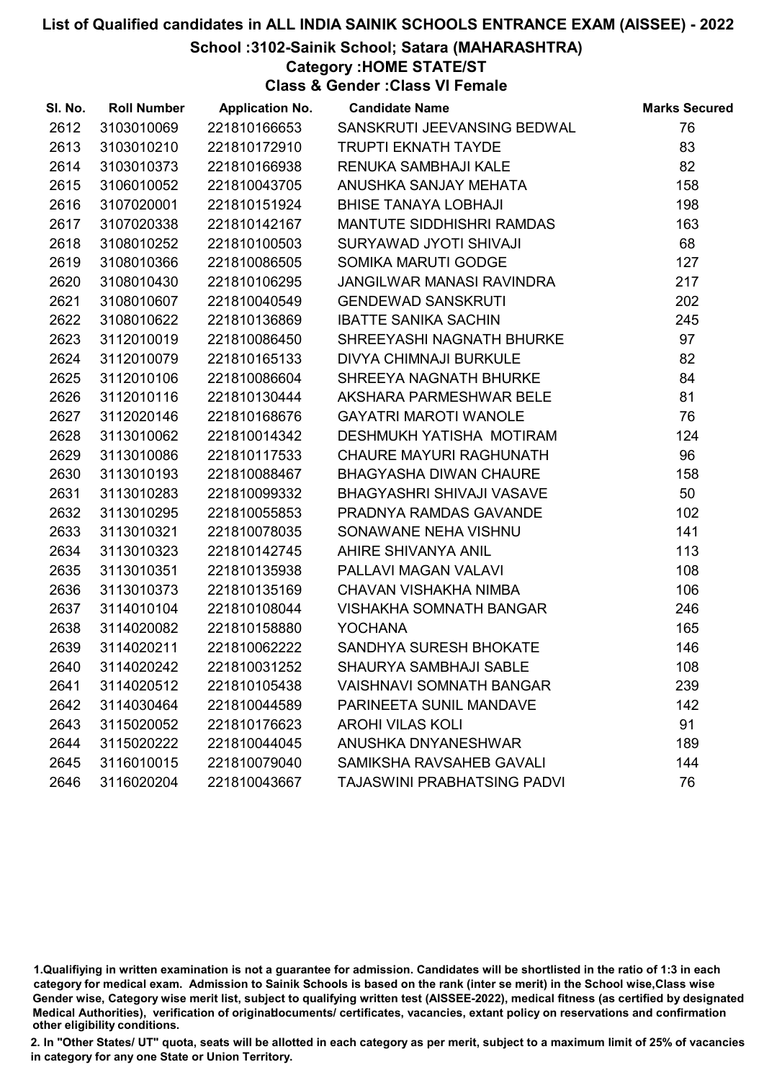### School :3102-Sainik School; Satara (MAHARASHTRA)

Category :HOME STATE/ST

Class & Gender :Class VI Female

| SI. No. | <b>Roll Number</b> | <b>Application No.</b> | <b>Candidate Name</b>              | <b>Marks Secured</b> |
|---------|--------------------|------------------------|------------------------------------|----------------------|
| 2612    | 3103010069         | 221810166653           | SANSKRUTI JEEVANSING BEDWAL        | 76                   |
| 2613    | 3103010210         | 221810172910           | <b>TRUPTI EKNATH TAYDE</b>         | 83                   |
| 2614    | 3103010373         | 221810166938           | RENUKA SAMBHAJI KALE               | 82                   |
| 2615    | 3106010052         | 221810043705           | ANUSHKA SANJAY MEHATA              | 158                  |
| 2616    | 3107020001         | 221810151924           | <b>BHISE TANAYA LOBHAJI</b>        | 198                  |
| 2617    | 3107020338         | 221810142167           | <b>MANTUTE SIDDHISHRI RAMDAS</b>   | 163                  |
| 2618    | 3108010252         | 221810100503           | SURYAWAD JYOTI SHIVAJI             | 68                   |
| 2619    | 3108010366         | 221810086505           | SOMIKA MARUTI GODGE                | 127                  |
| 2620    | 3108010430         | 221810106295           | JANGILWAR MANASI RAVINDRA          | 217                  |
| 2621    | 3108010607         | 221810040549           | <b>GENDEWAD SANSKRUTI</b>          | 202                  |
| 2622    | 3108010622         | 221810136869           | <b>IBATTE SANIKA SACHIN</b>        | 245                  |
| 2623    | 3112010019         | 221810086450           | SHREEYASHI NAGNATH BHURKE          | 97                   |
| 2624    | 3112010079         | 221810165133           | <b>DIVYA CHIMNAJI BURKULE</b>      | 82                   |
| 2625    | 3112010106         | 221810086604           | SHREEYA NAGNATH BHURKE             | 84                   |
| 2626    | 3112010116         | 221810130444           | AKSHARA PARMESHWAR BELE            | 81                   |
| 2627    | 3112020146         | 221810168676           | <b>GAYATRI MAROTI WANOLE</b>       | 76                   |
| 2628    | 3113010062         | 221810014342           | DESHMUKH YATISHA MOTIRAM           | 124                  |
| 2629    | 3113010086         | 221810117533           | <b>CHAURE MAYURI RAGHUNATH</b>     | 96                   |
| 2630    | 3113010193         | 221810088467           | <b>BHAGYASHA DIWAN CHAURE</b>      | 158                  |
| 2631    | 3113010283         | 221810099332           | BHAGYASHRI SHIVAJI VASAVE          | 50                   |
| 2632    | 3113010295         | 221810055853           | PRADNYA RAMDAS GAVANDE             | 102                  |
| 2633    | 3113010321         | 221810078035           | SONAWANE NEHA VISHNU               | 141                  |
| 2634    | 3113010323         | 221810142745           | AHIRE SHIVANYA ANIL                | 113                  |
| 2635    | 3113010351         | 221810135938           | PALLAVI MAGAN VALAVI               | 108                  |
| 2636    | 3113010373         | 221810135169           | CHAVAN VISHAKHA NIMBA              | 106                  |
| 2637    | 3114010104         | 221810108044           | <b>VISHAKHA SOMNATH BANGAR</b>     | 246                  |
| 2638    | 3114020082         | 221810158880           | <b>YOCHANA</b>                     | 165                  |
| 2639    | 3114020211         | 221810062222           | SANDHYA SURESH BHOKATE             | 146                  |
| 2640    | 3114020242         | 221810031252           | <b>SHAURYA SAMBHAJI SABLE</b>      | 108                  |
| 2641    | 3114020512         | 221810105438           | <b>VAISHNAVI SOMNATH BANGAR</b>    | 239                  |
| 2642    | 3114030464         | 221810044589           | PARINEETA SUNIL MANDAVE            | 142                  |
| 2643    | 3115020052         | 221810176623           | <b>AROHI VILAS KOLI</b>            | 91                   |
| 2644    | 3115020222         | 221810044045           | ANUSHKA DNYANESHWAR                | 189                  |
| 2645    | 3116010015         | 221810079040           | SAMIKSHA RAVSAHEB GAVALI           | 144                  |
| 2646    | 3116020204         | 221810043667           | <b>TAJASWINI PRABHATSING PADVI</b> | 76                   |

1.Qualifiying in written examination is not a guarantee for admission. Candidates will be shortlisted in the ratio of 1:3 in each category for medical exam. Admission to Sainik Schools is based on the rank (inter se merit) in the School wise,Class wise Gender wise, Category wise merit list, subject to qualifying written test (AISSEE-2022), medical fitness (as certified by designated Medical Authorities), verification of originablocuments/ certificates, vacancies, extant policy on reservations and confirmation other eligibility conditions.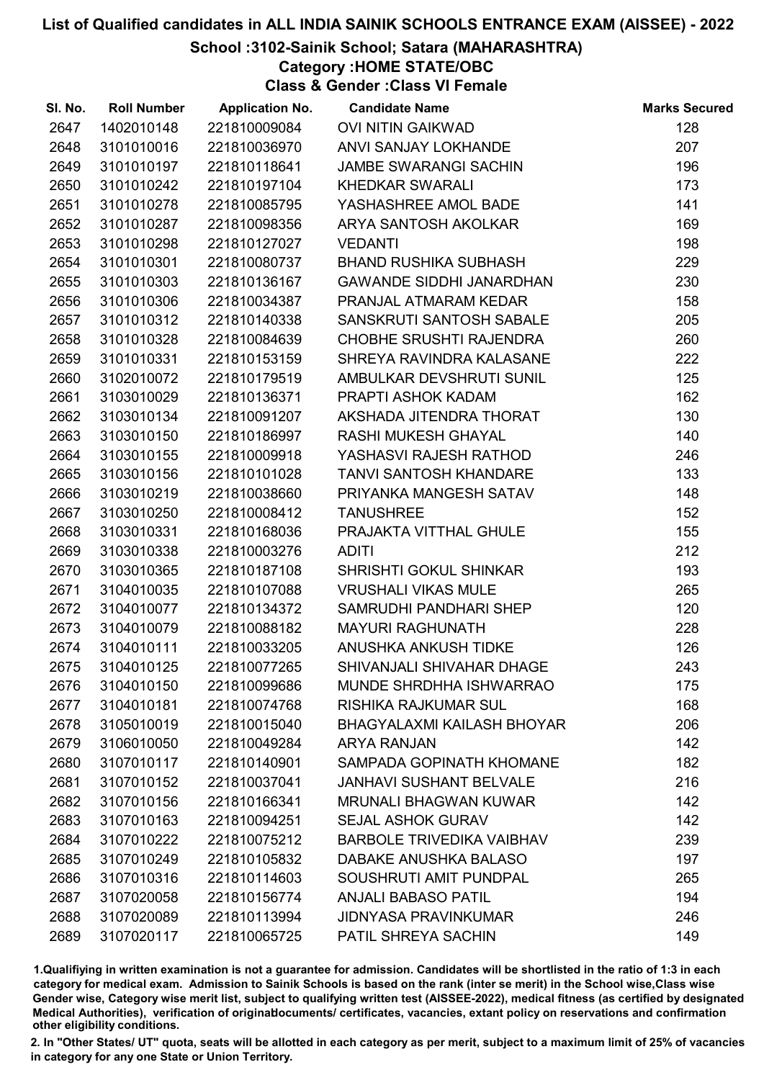# School :3102-Sainik School; Satara (MAHARASHTRA)

Category :HOME STATE/OBC

Class & Gender :Class VI Female

| SI. No. | <b>Roll Number</b> | <b>Application No.</b> | <b>Candidate Name</b>             | <b>Marks Secured</b> |
|---------|--------------------|------------------------|-----------------------------------|----------------------|
| 2647    | 1402010148         | 221810009084           | <b>OVI NITIN GAIKWAD</b>          | 128                  |
| 2648    | 3101010016         | 221810036970           | ANVI SANJAY LOKHANDE              | 207                  |
| 2649    | 3101010197         | 221810118641           | <b>JAMBE SWARANGI SACHIN</b>      | 196                  |
| 2650    | 3101010242         | 221810197104           | <b>KHEDKAR SWARALI</b>            | 173                  |
| 2651    | 3101010278         | 221810085795           | YASHASHREE AMOL BADE              | 141                  |
| 2652    | 3101010287         | 221810098356           | ARYA SANTOSH AKOLKAR              | 169                  |
| 2653    | 3101010298         | 221810127027           | <b>VEDANTI</b>                    | 198                  |
| 2654    | 3101010301         | 221810080737           | <b>BHAND RUSHIKA SUBHASH</b>      | 229                  |
| 2655    | 3101010303         | 221810136167           | <b>GAWANDE SIDDHI JANARDHAN</b>   | 230                  |
| 2656    | 3101010306         | 221810034387           | PRANJAL ATMARAM KEDAR             | 158                  |
| 2657    | 3101010312         | 221810140338           | SANSKRUTI SANTOSH SABALE          | 205                  |
| 2658    | 3101010328         | 221810084639           | <b>CHOBHE SRUSHTI RAJENDRA</b>    | 260                  |
| 2659    | 3101010331         | 221810153159           | SHREYA RAVINDRA KALASANE          | 222                  |
| 2660    | 3102010072         | 221810179519           | AMBULKAR DEVSHRUTI SUNIL          | 125                  |
| 2661    | 3103010029         | 221810136371           | PRAPTI ASHOK KADAM                | 162                  |
| 2662    | 3103010134         | 221810091207           | AKSHADA JITENDRA THORAT           | 130                  |
| 2663    | 3103010150         | 221810186997           | RASHI MUKESH GHAYAL               | 140                  |
| 2664    | 3103010155         | 221810009918           | YASHASVI RAJESH RATHOD            | 246                  |
| 2665    | 3103010156         | 221810101028           | <b>TANVI SANTOSH KHANDARE</b>     | 133                  |
| 2666    | 3103010219         | 221810038660           | PRIYANKA MANGESH SATAV            | 148                  |
| 2667    | 3103010250         | 221810008412           | <b>TANUSHREE</b>                  | 152                  |
| 2668    | 3103010331         | 221810168036           | PRAJAKTA VITTHAL GHULE            | 155                  |
| 2669    | 3103010338         | 221810003276           | <b>ADITI</b>                      | 212                  |
| 2670    | 3103010365         | 221810187108           | SHRISHTI GOKUL SHINKAR            | 193                  |
| 2671    | 3104010035         | 221810107088           | <b>VRUSHALI VIKAS MULE</b>        | 265                  |
| 2672    | 3104010077         | 221810134372           | SAMRUDHI PANDHARI SHEP            | 120                  |
| 2673    | 3104010079         | 221810088182           | <b>MAYURI RAGHUNATH</b>           | 228                  |
| 2674    | 3104010111         | 221810033205           | <b>ANUSHKA ANKUSH TIDKE</b>       | 126                  |
| 2675    | 3104010125         | 221810077265           | SHIVANJALI SHIVAHAR DHAGE         | 243                  |
| 2676    | 3104010150         | 221810099686           | <b>MUNDE SHRDHHA ISHWARRAO</b>    | 175                  |
| 2677    | 3104010181         | 221810074768           | <b>RISHIKA RAJKUMAR SUL</b>       | 168                  |
| 2678    | 3105010019         | 221810015040           | <b>BHAGYALAXMI KAILASH BHOYAR</b> | 206                  |
| 2679    | 3106010050         | 221810049284           | <b>ARYA RANJAN</b>                | 142                  |
| 2680    | 3107010117         | 221810140901           | SAMPADA GOPINATH KHOMANE          | 182                  |
| 2681    | 3107010152         | 221810037041           | <b>JANHAVI SUSHANT BELVALE</b>    | 216                  |
| 2682    | 3107010156         | 221810166341           | <b>MRUNALI BHAGWAN KUWAR</b>      | 142                  |
| 2683    | 3107010163         | 221810094251           | <b>SEJAL ASHOK GURAV</b>          | 142                  |
| 2684    | 3107010222         | 221810075212           | <b>BARBOLE TRIVEDIKA VAIBHAV</b>  | 239                  |
| 2685    | 3107010249         | 221810105832           | DABAKE ANUSHKA BALASO             | 197                  |
| 2686    | 3107010316         | 221810114603           | SOUSHRUTI AMIT PUNDPAL            | 265                  |
| 2687    | 3107020058         | 221810156774           | <b>ANJALI BABASO PATIL</b>        | 194                  |
| 2688    | 3107020089         | 221810113994           | <b>JIDNYASA PRAVINKUMAR</b>       | 246                  |
| 2689    | 3107020117         | 221810065725           | PATIL SHREYA SACHIN               | 149                  |

1.Qualifiying in written examination is not a guarantee for admission. Candidates will be shortlisted in the ratio of 1:3 in each category for medical exam. Admission to Sainik Schools is based on the rank (inter se merit) in the School wise,Class wise Gender wise, Category wise merit list, subject to qualifying written test (AISSEE-2022), medical fitness (as certified by designated Medical Authorities), verification of originablocuments/ certificates, vacancies, extant policy on reservations and confirmation other eligibility conditions.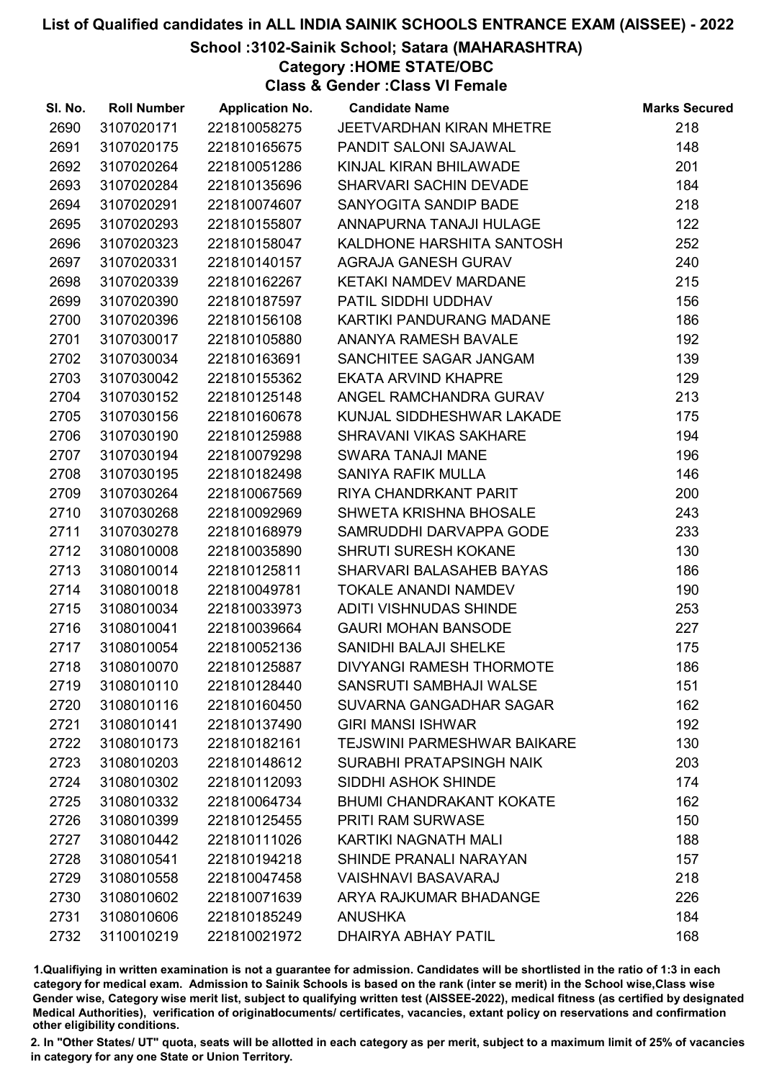# School :3102-Sainik School; Satara (MAHARASHTRA)

Category :HOME STATE/OBC

Class & Gender :Class VI Female

| SI. No. | <b>Roll Number</b> | <b>Application No.</b> | <b>Candidate Name</b>              | <b>Marks Secured</b> |
|---------|--------------------|------------------------|------------------------------------|----------------------|
| 2690    | 3107020171         | 221810058275           | JEETVARDHAN KIRAN MHETRE           | 218                  |
| 2691    | 3107020175         | 221810165675           | PANDIT SALONI SAJAWAL              | 148                  |
| 2692    | 3107020264         | 221810051286           | KINJAL KIRAN BHILAWADE             | 201                  |
| 2693    | 3107020284         | 221810135696           | SHARVARI SACHIN DEVADE             | 184                  |
| 2694    | 3107020291         | 221810074607           | SANYOGITA SANDIP BADE              | 218                  |
| 2695    | 3107020293         | 221810155807           | ANNAPURNA TANAJI HULAGE            | 122                  |
| 2696    | 3107020323         | 221810158047           | KALDHONE HARSHITA SANTOSH          | 252                  |
| 2697    | 3107020331         | 221810140157           | <b>AGRAJA GANESH GURAV</b>         | 240                  |
| 2698    | 3107020339         | 221810162267           | KETAKI NAMDEV MARDANE              | 215                  |
| 2699    | 3107020390         | 221810187597           | PATIL SIDDHI UDDHAV                | 156                  |
| 2700    | 3107020396         | 221810156108           | KARTIKI PANDURANG MADANE           | 186                  |
| 2701    | 3107030017         | 221810105880           | <b>ANANYA RAMESH BAVALE</b>        | 192                  |
| 2702    | 3107030034         | 221810163691           | SANCHITEE SAGAR JANGAM             | 139                  |
| 2703    | 3107030042         | 221810155362           | <b>EKATA ARVIND KHAPRE</b>         | 129                  |
| 2704    | 3107030152         | 221810125148           | ANGEL RAMCHANDRA GURAV             | 213                  |
| 2705    | 3107030156         | 221810160678           | KUNJAL SIDDHESHWAR LAKADE          | 175                  |
| 2706    | 3107030190         | 221810125988           | SHRAVANI VIKAS SAKHARE             | 194                  |
| 2707    | 3107030194         | 221810079298           | <b>SWARA TANAJI MANE</b>           | 196                  |
| 2708    | 3107030195         | 221810182498           | SANIYA RAFIK MULLA                 | 146                  |
| 2709    | 3107030264         | 221810067569           | RIYA CHANDRKANT PARIT              | 200                  |
| 2710    | 3107030268         | 221810092969           | <b>SHWETA KRISHNA BHOSALE</b>      | 243                  |
| 2711    | 3107030278         | 221810168979           | SAMRUDDHI DARVAPPA GODE            | 233                  |
| 2712    | 3108010008         | 221810035890           | <b>SHRUTI SURESH KOKANE</b>        | 130                  |
| 2713    | 3108010014         | 221810125811           | SHARVARI BALASAHEB BAYAS           | 186                  |
| 2714    | 3108010018         | 221810049781           | <b>TOKALE ANANDI NAMDEV</b>        | 190                  |
| 2715    | 3108010034         | 221810033973           | <b>ADITI VISHNUDAS SHINDE</b>      | 253                  |
| 2716    | 3108010041         | 221810039664           | <b>GAURI MOHAN BANSODE</b>         | 227                  |
| 2717    | 3108010054         | 221810052136           | SANIDHI BALAJI SHELKE              | 175                  |
| 2718    | 3108010070         | 221810125887           | DIVYANGI RAMESH THORMOTE           | 186                  |
| 2719    | 3108010110         | 221810128440           | SANSRUTI SAMBHAJI WALSE            | 151                  |
| 2720    | 3108010116         | 221810160450           | SUVARNA GANGADHAR SAGAR            | 162                  |
| 2721    | 3108010141         | 221810137490           | <b>GIRI MANSI ISHWAR</b>           | 192                  |
| 2722    | 3108010173         | 221810182161           | <b>TEJSWINI PARMESHWAR BAIKARE</b> | 130                  |
| 2723    | 3108010203         | 221810148612           | SURABHI PRATAPSINGH NAIK           | 203                  |
| 2724    | 3108010302         | 221810112093           | SIDDHI ASHOK SHINDE                | 174                  |
| 2725    | 3108010332         | 221810064734           | <b>BHUMI CHANDRAKANT KOKATE</b>    | 162                  |
| 2726    | 3108010399         | 221810125455           | PRITI RAM SURWASE                  | 150                  |
| 2727    | 3108010442         | 221810111026           | <b>KARTIKI NAGNATH MALI</b>        | 188                  |
| 2728    | 3108010541         | 221810194218           | SHINDE PRANALI NARAYAN             | 157                  |
| 2729    | 3108010558         | 221810047458           | <b>VAISHNAVI BASAVARAJ</b>         | 218                  |
| 2730    | 3108010602         | 221810071639           | ARYA RAJKUMAR BHADANGE             | 226                  |
| 2731    | 3108010606         | 221810185249           | <b>ANUSHKA</b>                     | 184                  |
| 2732    | 3110010219         | 221810021972           | <b>DHAIRYA ABHAY PATIL</b>         | 168                  |

1.Qualifiying in written examination is not a guarantee for admission. Candidates will be shortlisted in the ratio of 1:3 in each category for medical exam. Admission to Sainik Schools is based on the rank (inter se merit) in the School wise,Class wise Gender wise, Category wise merit list, subject to qualifying written test (AISSEE-2022), medical fitness (as certified by designated Medical Authorities), verification of originablocuments/ certificates, vacancies, extant policy on reservations and confirmation other eligibility conditions.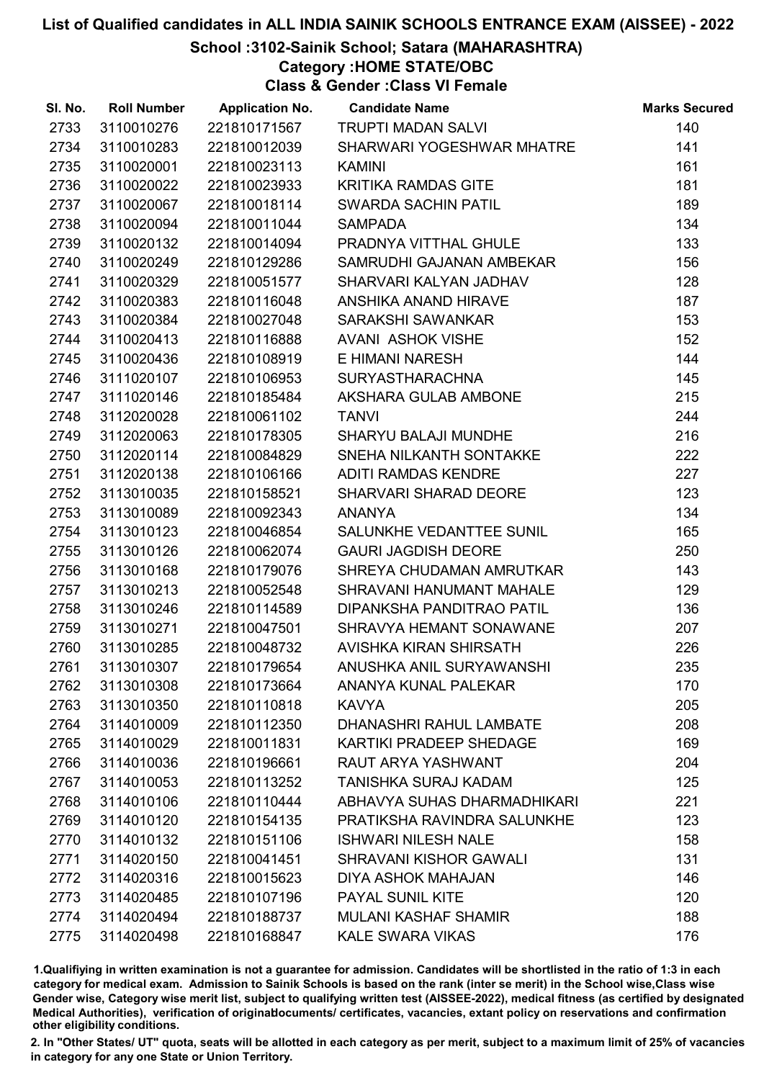# School :3102-Sainik School; Satara (MAHARASHTRA)

Category :HOME STATE/OBC

Class & Gender :Class VI Female

| SI. No. | <b>Roll Number</b> | <b>Application No.</b> | <b>Candidate Name</b>         | <b>Marks Secured</b> |
|---------|--------------------|------------------------|-------------------------------|----------------------|
| 2733    | 3110010276         | 221810171567           | <b>TRUPTI MADAN SALVI</b>     | 140                  |
| 2734    | 3110010283         | 221810012039           | SHARWARI YOGESHWAR MHATRE     | 141                  |
| 2735    | 3110020001         | 221810023113           | <b>KAMINI</b>                 | 161                  |
| 2736    | 3110020022         | 221810023933           | <b>KRITIKA RAMDAS GITE</b>    | 181                  |
| 2737    | 3110020067         | 221810018114           | SWARDA SACHIN PATIL           | 189                  |
| 2738    | 3110020094         | 221810011044           | <b>SAMPADA</b>                | 134                  |
| 2739    | 3110020132         | 221810014094           | PRADNYA VITTHAL GHULE         | 133                  |
| 2740    | 3110020249         | 221810129286           | SAMRUDHI GAJANAN AMBEKAR      | 156                  |
| 2741    | 3110020329         | 221810051577           | SHARVARI KALYAN JADHAV        | 128                  |
| 2742    | 3110020383         | 221810116048           | ANSHIKA ANAND HIRAVE          | 187                  |
| 2743    | 3110020384         | 221810027048           | SARAKSHI SAWANKAR             | 153                  |
| 2744    | 3110020413         | 221810116888           | <b>AVANI ASHOK VISHE</b>      | 152                  |
| 2745    | 3110020436         | 221810108919           | E HIMANI NARESH               | 144                  |
| 2746    | 3111020107         | 221810106953           | <b>SURYASTHARACHNA</b>        | 145                  |
| 2747    | 3111020146         | 221810185484           | AKSHARA GULAB AMBONE          | 215                  |
| 2748    | 3112020028         | 221810061102           | <b>TANVI</b>                  | 244                  |
| 2749    | 3112020063         | 221810178305           | <b>SHARYU BALAJI MUNDHE</b>   | 216                  |
| 2750    | 3112020114         | 221810084829           | SNEHA NILKANTH SONTAKKE       | 222                  |
| 2751    | 3112020138         | 221810106166           | <b>ADITI RAMDAS KENDRE</b>    | 227                  |
| 2752    | 3113010035         | 221810158521           | SHARVARI SHARAD DEORE         | 123                  |
| 2753    | 3113010089         | 221810092343           | <b>ANANYA</b>                 | 134                  |
| 2754    | 3113010123         | 221810046854           | SALUNKHE VEDANTTEE SUNIL      | 165                  |
| 2755    | 3113010126         | 221810062074           | <b>GAURI JAGDISH DEORE</b>    | 250                  |
| 2756    | 3113010168         | 221810179076           | SHREYA CHUDAMAN AMRUTKAR      | 143                  |
| 2757    | 3113010213         | 221810052548           | SHRAVANI HANUMANT MAHALE      | 129                  |
| 2758    | 3113010246         | 221810114589           | DIPANKSHA PANDITRAO PATIL     | 136                  |
| 2759    | 3113010271         | 221810047501           | SHRAVYA HEMANT SONAWANE       | 207                  |
| 2760    | 3113010285         | 221810048732           | AVISHKA KIRAN SHIRSATH        | 226                  |
| 2761    | 3113010307         | 221810179654           | ANUSHKA ANIL SURYAWANSHI      | 235                  |
| 2762    | 3113010308         | 221810173664           | ANANYA KUNAL PALEKAR          | 170                  |
| 2763    | 3113010350         | 221810110818           | <b>KAVYA</b>                  | 205                  |
| 2764    | 3114010009         | 221810112350           | DHANASHRI RAHUL LAMBATE       | 208                  |
| 2765    | 3114010029         | 221810011831           | KARTIKI PRADEEP SHEDAGE       | 169                  |
| 2766    | 3114010036         | 221810196661           | RAUT ARYA YASHWANT            | 204                  |
| 2767    | 3114010053         | 221810113252           | TANISHKA SURAJ KADAM          | 125                  |
| 2768    | 3114010106         | 221810110444           | ABHAVYA SUHAS DHARMADHIKARI   | 221                  |
| 2769    | 3114010120         | 221810154135           | PRATIKSHA RAVINDRA SALUNKHE   | 123                  |
| 2770    | 3114010132         | 221810151106           | <b>ISHWARI NILESH NALE</b>    | 158                  |
| 2771    | 3114020150         | 221810041451           | <b>SHRAVANI KISHOR GAWALI</b> | 131                  |
| 2772    | 3114020316         | 221810015623           | <b>DIYA ASHOK MAHAJAN</b>     | 146                  |
| 2773    | 3114020485         | 221810107196           | PAYAL SUNIL KITE              | 120                  |
| 2774    | 3114020494         | 221810188737           | <b>MULANI KASHAF SHAMIR</b>   | 188                  |
| 2775    | 3114020498         | 221810168847           | <b>KALE SWARA VIKAS</b>       | 176                  |

1.Qualifiying in written examination is not a guarantee for admission. Candidates will be shortlisted in the ratio of 1:3 in each category for medical exam. Admission to Sainik Schools is based on the rank (inter se merit) in the School wise,Class wise Gender wise, Category wise merit list, subject to qualifying written test (AISSEE-2022), medical fitness (as certified by designated Medical Authorities), verification of originablocuments/ certificates, vacancies, extant policy on reservations and confirmation other eligibility conditions.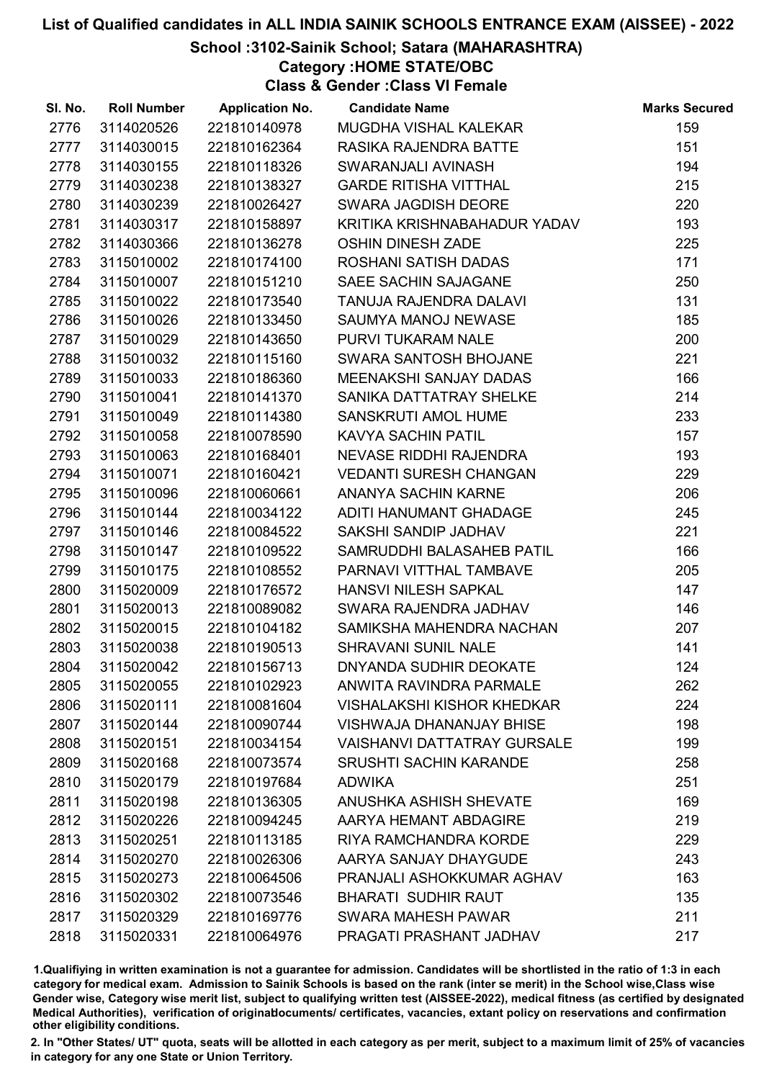# School :3102-Sainik School; Satara (MAHARASHTRA)

Category :HOME STATE/OBC

Class & Gender :Class VI Female

| SI. No. | <b>Roll Number</b> | <b>Application No.</b> | <b>Candidate Name</b>              | <b>Marks Secured</b> |
|---------|--------------------|------------------------|------------------------------------|----------------------|
| 2776    | 3114020526         | 221810140978           | MUGDHA VISHAL KALEKAR              | 159                  |
| 2777    | 3114030015         | 221810162364           | RASIKA RAJENDRA BATTE              | 151                  |
| 2778    | 3114030155         | 221810118326           | SWARANJALI AVINASH                 | 194                  |
| 2779    | 3114030238         | 221810138327           | <b>GARDE RITISHA VITTHAL</b>       | 215                  |
| 2780    | 3114030239         | 221810026427           | SWARA JAGDISH DEORE                | 220                  |
| 2781    | 3114030317         | 221810158897           | KRITIKA KRISHNABAHADUR YADAV       | 193                  |
| 2782    | 3114030366         | 221810136278           | <b>OSHIN DINESH ZADE</b>           | 225                  |
| 2783    | 3115010002         | 221810174100           | ROSHANI SATISH DADAS               | 171                  |
| 2784    | 3115010007         | 221810151210           | SAEE SACHIN SAJAGANE               | 250                  |
| 2785    | 3115010022         | 221810173540           | TANUJA RAJENDRA DALAVI             | 131                  |
| 2786    | 3115010026         | 221810133450           | SAUMYA MANOJ NEWASE                | 185                  |
| 2787    | 3115010029         | 221810143650           | PURVI TUKARAM NALE                 | 200                  |
| 2788    | 3115010032         | 221810115160           | SWARA SANTOSH BHOJANE              | 221                  |
| 2789    | 3115010033         | 221810186360           | MEENAKSHI SANJAY DADAS             | 166                  |
| 2790    | 3115010041         | 221810141370           | SANIKA DATTATRAY SHELKE            | 214                  |
| 2791    | 3115010049         | 221810114380           | SANSKRUTI AMOL HUME                | 233                  |
| 2792    | 3115010058         | 221810078590           | KAVYA SACHIN PATIL                 | 157                  |
| 2793    | 3115010063         | 221810168401           | NEVASE RIDDHI RAJENDRA             | 193                  |
| 2794    | 3115010071         | 221810160421           | <b>VEDANTI SURESH CHANGAN</b>      | 229                  |
| 2795    | 3115010096         | 221810060661           | ANANYA SACHIN KARNE                | 206                  |
| 2796    | 3115010144         | 221810034122           | ADITI HANUMANT GHADAGE             | 245                  |
| 2797    | 3115010146         | 221810084522           | SAKSHI SANDIP JADHAV               | 221                  |
| 2798    | 3115010147         | 221810109522           | SAMRUDDHI BALASAHEB PATIL          | 166                  |
| 2799    | 3115010175         | 221810108552           | PARNAVI VITTHAL TAMBAVE            | 205                  |
| 2800    | 3115020009         | 221810176572           | HANSVI NILESH SAPKAL               | 147                  |
| 2801    | 3115020013         | 221810089082           | SWARA RAJENDRA JADHAV              | 146                  |
| 2802    | 3115020015         | 221810104182           | SAMIKSHA MAHENDRA NACHAN           | 207                  |
| 2803    | 3115020038         | 221810190513           | <b>SHRAVANI SUNIL NALE</b>         | 141                  |
| 2804    | 3115020042         | 221810156713           | <b>DNYANDA SUDHIR DEOKATE</b>      | 124                  |
| 2805    | 3115020055         | 221810102923           | ANWITA RAVINDRA PARMALE            | 262                  |
| 2806    | 3115020111         | 221810081604           | <b>VISHALAKSHI KISHOR KHEDKAR</b>  | 224                  |
| 2807    | 3115020144         | 221810090744           | <b>VISHWAJA DHANANJAY BHISE</b>    | 198                  |
| 2808    | 3115020151         | 221810034154           | <b>VAISHANVI DATTATRAY GURSALE</b> | 199                  |
| 2809    | 3115020168         | 221810073574           | <b>SRUSHTI SACHIN KARANDE</b>      | 258                  |
| 2810    | 3115020179         | 221810197684           | <b>ADWIKA</b>                      | 251                  |
| 2811    | 3115020198         | 221810136305           | ANUSHKA ASHISH SHEVATE             | 169                  |
| 2812    | 3115020226         | 221810094245           | AARYA HEMANT ABDAGIRE              | 219                  |
| 2813    | 3115020251         | 221810113185           | RIYA RAMCHANDRA KORDE              | 229                  |
| 2814    | 3115020270         | 221810026306           | AARYA SANJAY DHAYGUDE              | 243                  |
| 2815    | 3115020273         | 221810064506           | PRANJALI ASHOKKUMAR AGHAV          | 163                  |
| 2816    | 3115020302         | 221810073546           | <b>BHARATI SUDHIR RAUT</b>         | 135                  |
| 2817    | 3115020329         | 221810169776           | SWARA MAHESH PAWAR                 | 211                  |
| 2818    | 3115020331         | 221810064976           | PRAGATI PRASHANT JADHAV            | 217                  |

1.Qualifiying in written examination is not a guarantee for admission. Candidates will be shortlisted in the ratio of 1:3 in each category for medical exam. Admission to Sainik Schools is based on the rank (inter se merit) in the School wise,Class wise Gender wise, Category wise merit list, subject to qualifying written test (AISSEE-2022), medical fitness (as certified by designated Medical Authorities), verification of originablocuments/ certificates, vacancies, extant policy on reservations and confirmation other eligibility conditions.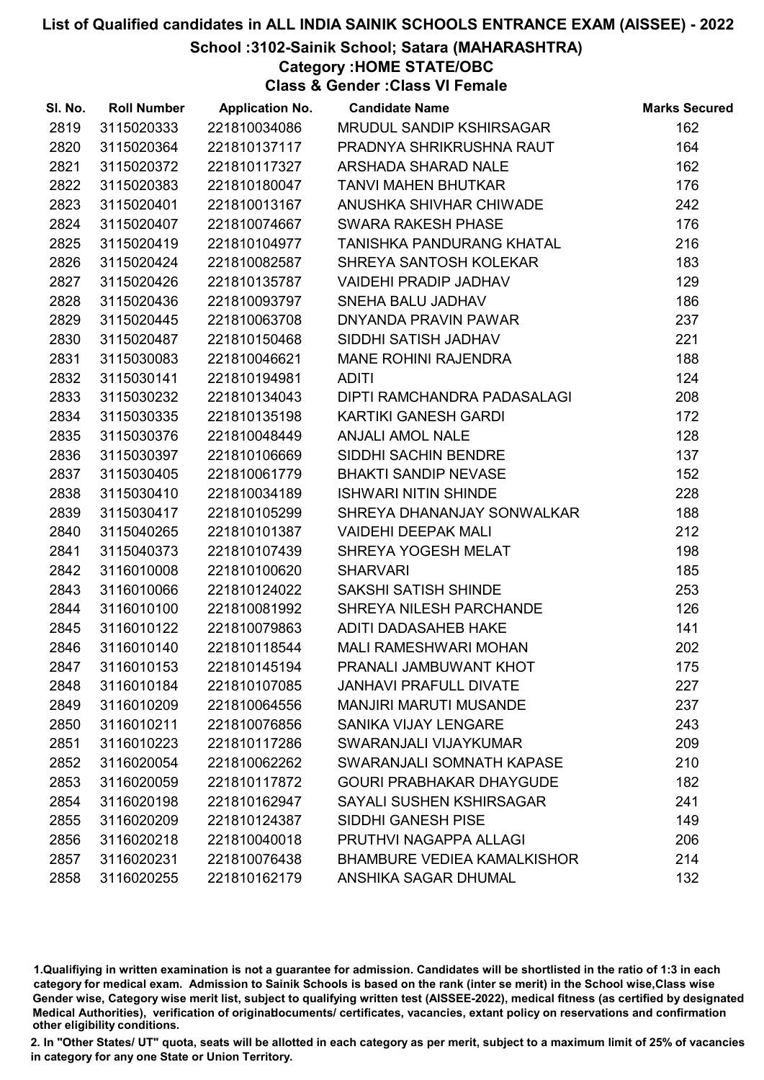# School :3102-Sainik School; Satara (MAHARASHTRA)

Category :HOME STATE/OBC

Class & Gender :Class VI Female

| SI. No. | <b>Roll Number</b> | <b>Application No.</b> | <b>Candidate Name</b>              | <b>Marks Secured</b> |
|---------|--------------------|------------------------|------------------------------------|----------------------|
| 2819    | 3115020333         | 221810034086           | MRUDUL SANDIP KSHIRSAGAR           | 162                  |
| 2820    | 3115020364         | 221810137117           | PRADNYA SHRIKRUSHNA RAUT           | 164                  |
| 2821    | 3115020372         | 221810117327           | ARSHADA SHARAD NALE                | 162                  |
| 2822    | 3115020383         | 221810180047           | <b>TANVI MAHEN BHUTKAR</b>         | 176                  |
| 2823    | 3115020401         | 221810013167           | ANUSHKA SHIVHAR CHIWADE            | 242                  |
| 2824    | 3115020407         | 221810074667           | <b>SWARA RAKESH PHASE</b>          | 176                  |
| 2825    | 3115020419         | 221810104977           | TANISHKA PANDURANG KHATAL          | 216                  |
| 2826    | 3115020424         | 221810082587           | SHREYA SANTOSH KOLEKAR             | 183                  |
| 2827    | 3115020426         | 221810135787           | <b>VAIDEHI PRADIP JADHAV</b>       | 129                  |
| 2828    | 3115020436         | 221810093797           | SNEHA BALU JADHAV                  | 186                  |
| 2829    | 3115020445         | 221810063708           | DNYANDA PRAVIN PAWAR               | 237                  |
| 2830    | 3115020487         | 221810150468           | SIDDHI SATISH JADHAV               | 221                  |
| 2831    | 3115030083         | 221810046621           | <b>MANE ROHINI RAJENDRA</b>        | 188                  |
| 2832    | 3115030141         | 221810194981           | <b>ADITI</b>                       | 124                  |
| 2833    | 3115030232         | 221810134043           | DIPTI RAMCHANDRA PADASALAGI        | 208                  |
| 2834    | 3115030335         | 221810135198           | <b>KARTIKI GANESH GARDI</b>        | 172                  |
| 2835    | 3115030376         | 221810048449           | <b>ANJALI AMOL NALE</b>            | 128                  |
| 2836    | 3115030397         | 221810106669           | SIDDHI SACHIN BENDRE               | 137                  |
| 2837    | 3115030405         | 221810061779           | <b>BHAKTI SANDIP NEVASE</b>        | 152                  |
| 2838    | 3115030410         | 221810034189           | <b>ISHWARI NITIN SHINDE</b>        | 228                  |
| 2839    | 3115030417         | 221810105299           | SHREYA DHANANJAY SONWALKAR         | 188                  |
| 2840    | 3115040265         | 221810101387           | <b>VAIDEHI DEEPAK MALI</b>         | 212                  |
| 2841    | 3115040373         | 221810107439           | SHREYA YOGESH MELAT                | 198                  |
| 2842    | 3116010008         | 221810100620           | <b>SHARVARI</b>                    | 185                  |
| 2843    | 3116010066         | 221810124022           | SAKSHI SATISH SHINDE               | 253                  |
| 2844    | 3116010100         | 221810081992           | SHREYA NILESH PARCHANDE            | 126                  |
| 2845    | 3116010122         | 221810079863           | ADITI DADASAHEB HAKE               | 141                  |
| 2846    | 3116010140         | 221810118544           | <b>MALI RAMESHWARI MOHAN</b>       | 202                  |
| 2847    | 3116010153         | 221810145194           | PRANALI JAMBUWANT KHOT             | 175                  |
| 2848    | 3116010184         | 221810107085           | <b>JANHAVI PRAFULL DIVATE</b>      | 227                  |
| 2849    | 3116010209         | 221810064556           | <b>MANJIRI MARUTI MUSANDE</b>      | 237                  |
| 2850    | 3116010211         | 221810076856           | <b>SANIKA VIJAY LENGARE</b>        | 243                  |
| 2851    | 3116010223         | 221810117286           | SWARANJALI VIJAYKUMAR              | 209                  |
| 2852    | 3116020054         | 221810062262           | SWARANJALI SOMNATH KAPASE          | 210                  |
| 2853    | 3116020059         | 221810117872           | <b>GOURI PRABHAKAR DHAYGUDE</b>    | 182                  |
| 2854    | 3116020198         | 221810162947           | SAYALI SUSHEN KSHIRSAGAR           | 241                  |
| 2855    | 3116020209         | 221810124387           | SIDDHI GANESH PISE                 | 149                  |
| 2856    | 3116020218         | 221810040018           | PRUTHVI NAGAPPA ALLAGI             | 206                  |
| 2857    | 3116020231         | 221810076438           | <b>BHAMBURE VEDIEA KAMALKISHOR</b> | 214                  |
| 2858    | 3116020255         | 221810162179           | ANSHIKA SAGAR DHUMAL               | 132                  |

1.Qualifiying in written examination is not a guarantee for admission. Candidates will be shortlisted in the ratio of 1:3 in each category for medical exam. Admission to Sainik Schools is based on the rank (inter se merit) in the School wise,Class wise Gender wise, Category wise merit list, subject to qualifying written test (AISSEE-2022), medical fitness (as certified by designated Medical Authorities), verification of originablocuments/ certificates, vacancies, extant policy on reservations and confirmation other eligibility conditions.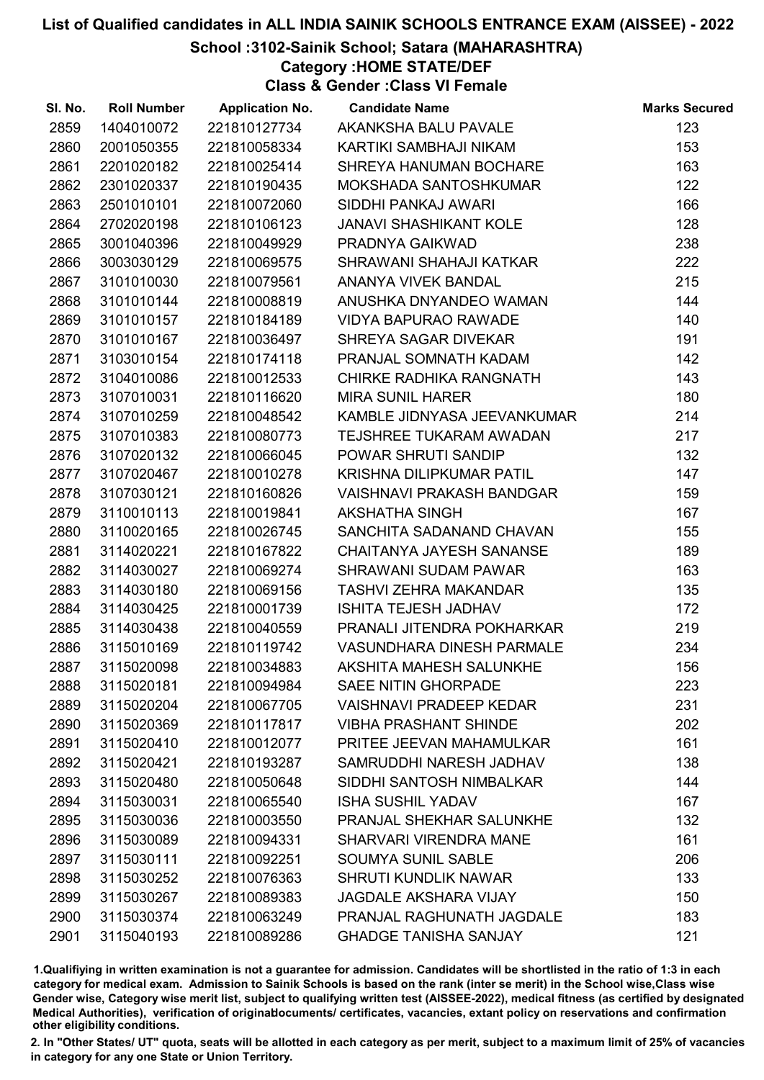# School :3102-Sainik School; Satara (MAHARASHTRA)

Category :HOME STATE/DEF

Class & Gender :Class VI Female

| SI. No. | <b>Roll Number</b> | <b>Application No.</b> | <b>Candidate Name</b>            | <b>Marks Secured</b> |
|---------|--------------------|------------------------|----------------------------------|----------------------|
| 2859    | 1404010072         | 221810127734           | AKANKSHA BALU PAVALE             | 123                  |
| 2860    | 2001050355         | 221810058334           | KARTIKI SAMBHAJI NIKAM           | 153                  |
| 2861    | 2201020182         | 221810025414           | SHREYA HANUMAN BOCHARE           | 163                  |
| 2862    | 2301020337         | 221810190435           | MOKSHADA SANTOSHKUMAR            | 122                  |
| 2863    | 2501010101         | 221810072060           | SIDDHI PANKAJ AWARI              | 166                  |
| 2864    | 2702020198         | 221810106123           | <b>JANAVI SHASHIKANT KOLE</b>    | 128                  |
| 2865    | 3001040396         | 221810049929           | PRADNYA GAIKWAD                  | 238                  |
| 2866    | 3003030129         | 221810069575           | SHRAWANI SHAHAJI KATKAR          | 222                  |
| 2867    | 3101010030         | 221810079561           | ANANYA VIVEK BANDAL              | 215                  |
| 2868    | 3101010144         | 221810008819           | ANUSHKA DNYANDEO WAMAN           | 144                  |
| 2869    | 3101010157         | 221810184189           | <b>VIDYA BAPURAO RAWADE</b>      | 140                  |
| 2870    | 3101010167         | 221810036497           | SHREYA SAGAR DIVEKAR             | 191                  |
| 2871    | 3103010154         | 221810174118           | PRANJAL SOMNATH KADAM            | 142                  |
| 2872    | 3104010086         | 221810012533           | CHIRKE RADHIKA RANGNATH          | 143                  |
| 2873    | 3107010031         | 221810116620           | <b>MIRA SUNIL HARER</b>          | 180                  |
| 2874    | 3107010259         | 221810048542           | KAMBLE JIDNYASA JEEVANKUMAR      | 214                  |
| 2875    | 3107010383         | 221810080773           | TEJSHREE TUKARAM AWADAN          | 217                  |
| 2876    | 3107020132         | 221810066045           | POWAR SHRUTI SANDIP              | 132                  |
| 2877    | 3107020467         | 221810010278           | <b>KRISHNA DILIPKUMAR PATIL</b>  | 147                  |
| 2878    | 3107030121         | 221810160826           | <b>VAISHNAVI PRAKASH BANDGAR</b> | 159                  |
| 2879    | 3110010113         | 221810019841           | AKSHATHA SINGH                   | 167                  |
| 2880    | 3110020165         | 221810026745           | SANCHITA SADANAND CHAVAN         | 155                  |
| 2881    | 3114020221         | 221810167822           | <b>CHAITANYA JAYESH SANANSE</b>  | 189                  |
| 2882    | 3114030027         | 221810069274           | <b>SHRAWANI SUDAM PAWAR</b>      | 163                  |
| 2883    | 3114030180         | 221810069156           | <b>TASHVI ZEHRA MAKANDAR</b>     | 135                  |
| 2884    | 3114030425         | 221810001739           | <b>ISHITA TEJESH JADHAV</b>      | 172                  |
| 2885    | 3114030438         | 221810040559           | PRANALI JITENDRA POKHARKAR       | 219                  |
| 2886    | 3115010169         | 221810119742           | <b>VASUNDHARA DINESH PARMALE</b> | 234                  |
| 2887    | 3115020098         | 221810034883           | AKSHITA MAHESH SALUNKHE          | 156                  |
| 2888    | 3115020181         | 221810094984           | <b>SAEE NITIN GHORPADE</b>       | 223                  |
| 2889    | 3115020204         | 221810067705           | <b>VAISHNAVI PRADEEP KEDAR</b>   | 231                  |
| 2890    | 3115020369         | 221810117817           | <b>VIBHA PRASHANT SHINDE</b>     | 202                  |
| 2891    | 3115020410         | 221810012077           | PRITEE JEEVAN MAHAMULKAR         | 161                  |
| 2892    | 3115020421         | 221810193287           | SAMRUDDHI NARESH JADHAV          | 138                  |
| 2893    | 3115020480         | 221810050648           | SIDDHI SANTOSH NIMBALKAR         | 144                  |
| 2894    | 3115030031         | 221810065540           | <b>ISHA SUSHIL YADAV</b>         | 167                  |
| 2895    | 3115030036         | 221810003550           | PRANJAL SHEKHAR SALUNKHE         | 132                  |
| 2896    | 3115030089         | 221810094331           | <b>SHARVARI VIRENDRA MANE</b>    | 161                  |
| 2897    | 3115030111         | 221810092251           | <b>SOUMYA SUNIL SABLE</b>        | 206                  |
| 2898    | 3115030252         | 221810076363           | <b>SHRUTI KUNDLIK NAWAR</b>      | 133                  |
| 2899    | 3115030267         | 221810089383           | <b>JAGDALE AKSHARA VIJAY</b>     | 150                  |
| 2900    | 3115030374         | 221810063249           | PRANJAL RAGHUNATH JAGDALE        | 183                  |
| 2901    | 3115040193         | 221810089286           | <b>GHADGE TANISHA SANJAY</b>     | 121                  |

1.Qualifiying in written examination is not a guarantee for admission. Candidates will be shortlisted in the ratio of 1:3 in each category for medical exam. Admission to Sainik Schools is based on the rank (inter se merit) in the School wise,Class wise Gender wise, Category wise merit list, subject to qualifying written test (AISSEE-2022), medical fitness (as certified by designated Medical Authorities), verification of originablocuments/ certificates, vacancies, extant policy on reservations and confirmation other eligibility conditions.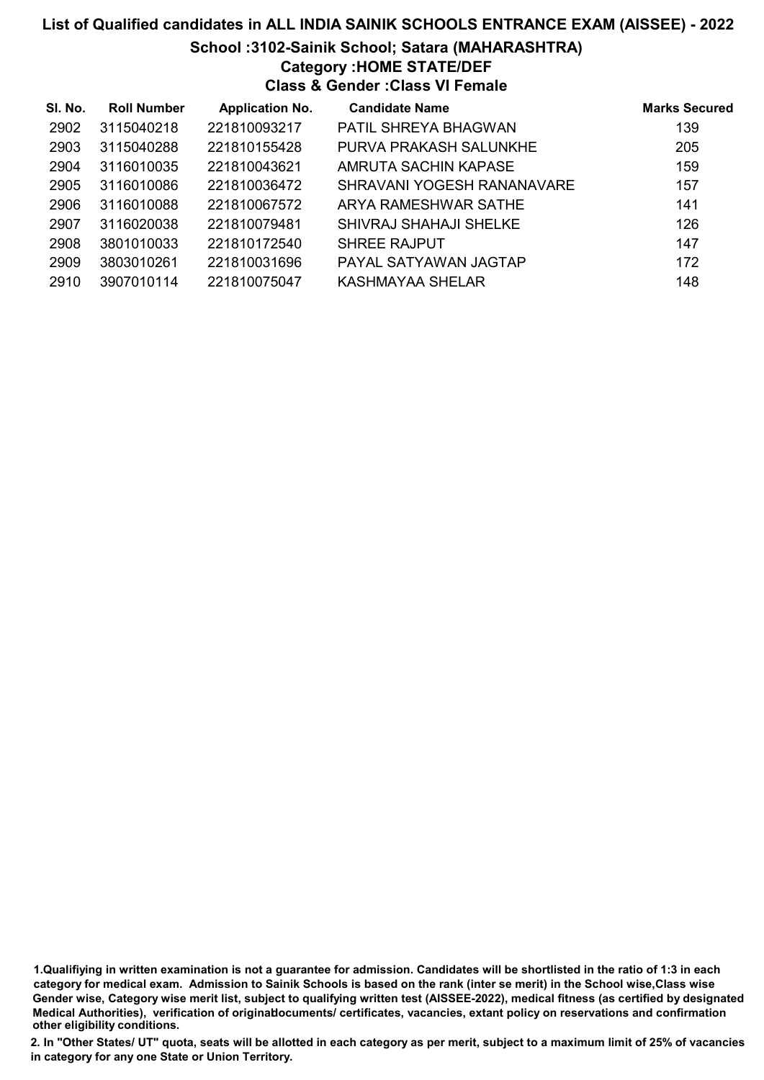# School :3102-Sainik School; Satara (MAHARASHTRA)

Category :HOME STATE/DEF

Class & Gender :Class VI Female

| SI. No. | <b>Roll Number</b> | <b>Application No.</b> | <b>Candidate Name</b>         | <b>Marks Secured</b> |
|---------|--------------------|------------------------|-------------------------------|----------------------|
| 2902    | 3115040218         | 221810093217           | PATIL SHREYA BHAGWAN          | 139                  |
| 2903    | 3115040288         | 221810155428           | PURVA PRAKASH SALUNKHE        | 205                  |
| 2904    | 3116010035         | 221810043621           | AMRUTA SACHIN KAPASE          | 159                  |
| 2905    | 3116010086         | 221810036472           | SHRAVANI YOGESH RANANAVARE    | 157                  |
| 2906    | 3116010088         | 221810067572           | ARYA RAMESHWAR SATHE          | 141                  |
| 2907    | 3116020038         | 221810079481           | <b>SHIVRAJ SHAHAJI SHELKE</b> | 126                  |
| 2908    | 3801010033         | 221810172540           | <b>SHREE RAJPUT</b>           | 147                  |
| 2909    | 3803010261         | 221810031696           | PAYAL SATYAWAN JAGTAP         | 172                  |
| 2910    | 3907010114         | 221810075047           | KASHMAYAA SHELAR              | 148                  |

1.Qualifiying in written examination is not a guarantee for admission. Candidates will be shortlisted in the ratio of 1:3 in each category for medical exam. Admission to Sainik Schools is based on the rank (inter se merit) in the School wise,Class wise Gender wise, Category wise merit list, subject to qualifying written test (AISSEE-2022), medical fitness (as certified by designated Medical Authorities), verification of originablocuments/ certificates, vacancies, extant policy on reservations and confirmation other eligibility conditions.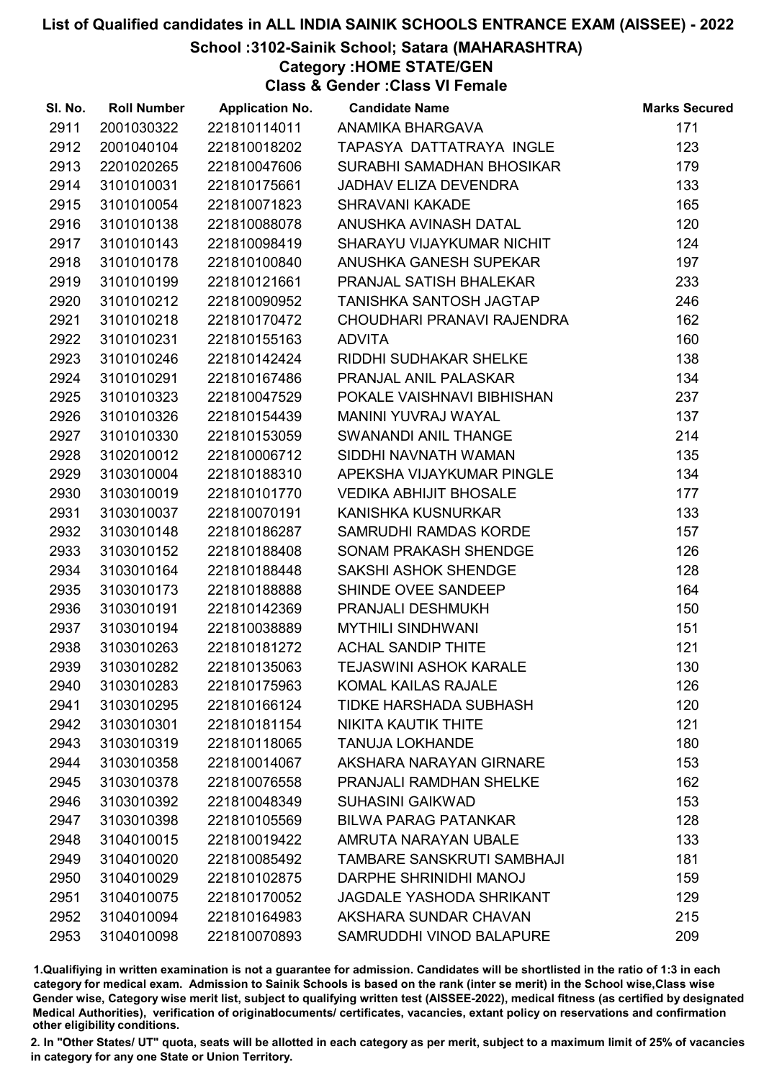# School :3102-Sainik School; Satara (MAHARASHTRA)

Category :HOME STATE/GEN

Class & Gender :Class VI Female

| SI. No. | <b>Roll Number</b> | <b>Application No.</b> | <b>Candidate Name</b>           | <b>Marks Secured</b> |
|---------|--------------------|------------------------|---------------------------------|----------------------|
| 2911    | 2001030322         | 221810114011           | ANAMIKA BHARGAVA                | 171                  |
| 2912    | 2001040104         | 221810018202           | TAPASYA DATTATRAYA INGLE        | 123                  |
| 2913    | 2201020265         | 221810047606           | SURABHI SAMADHAN BHOSIKAR       | 179                  |
| 2914    | 3101010031         | 221810175661           | <b>JADHAV ELIZA DEVENDRA</b>    | 133                  |
| 2915    | 3101010054         | 221810071823           | <b>SHRAVANI KAKADE</b>          | 165                  |
| 2916    | 3101010138         | 221810088078           | ANUSHKA AVINASH DATAL           | 120                  |
| 2917    | 3101010143         | 221810098419           | SHARAYU VIJAYKUMAR NICHIT       | 124                  |
| 2918    | 3101010178         | 221810100840           | ANUSHKA GANESH SUPEKAR          | 197                  |
| 2919    | 3101010199         | 221810121661           | PRANJAL SATISH BHALEKAR         | 233                  |
| 2920    | 3101010212         | 221810090952           | TANISHKA SANTOSH JAGTAP         | 246                  |
| 2921    | 3101010218         | 221810170472           | CHOUDHARI PRANAVI RAJENDRA      | 162                  |
| 2922    | 3101010231         | 221810155163           | <b>ADVITA</b>                   | 160                  |
| 2923    | 3101010246         | 221810142424           | RIDDHI SUDHAKAR SHELKE          | 138                  |
| 2924    | 3101010291         | 221810167486           | <b>PRANJAL ANIL PALASKAR</b>    | 134                  |
| 2925    | 3101010323         | 221810047529           | POKALE VAISHNAVI BIBHISHAN      | 237                  |
| 2926    | 3101010326         | 221810154439           | <b>MANINI YUVRAJ WAYAL</b>      | 137                  |
| 2927    | 3101010330         | 221810153059           | SWANANDI ANIL THANGE            | 214                  |
| 2928    | 3102010012         | 221810006712           | SIDDHI NAVNATH WAMAN            | 135                  |
| 2929    | 3103010004         | 221810188310           | APEKSHA VIJAYKUMAR PINGLE       | 134                  |
| 2930    | 3103010019         | 221810101770           | <b>VEDIKA ABHIJIT BHOSALE</b>   | 177                  |
| 2931    | 3103010037         | 221810070191           | KANISHKA KUSNURKAR              | 133                  |
| 2932    | 3103010148         | 221810186287           | SAMRUDHI RAMDAS KORDE           | 157                  |
| 2933    | 3103010152         | 221810188408           | <b>SONAM PRAKASH SHENDGE</b>    | 126                  |
| 2934    | 3103010164         | 221810188448           | SAKSHI ASHOK SHENDGE            | 128                  |
| 2935    | 3103010173         | 221810188888           | SHINDE OVEE SANDEEP             | 164                  |
| 2936    | 3103010191         | 221810142369           | PRANJALI DESHMUKH               | 150                  |
| 2937    | 3103010194         | 221810038889           | <b>MYTHILI SINDHWANI</b>        | 151                  |
| 2938    | 3103010263         | 221810181272           | <b>ACHAL SANDIP THITE</b>       | 121                  |
| 2939    | 3103010282         | 221810135063           | <b>TEJASWINI ASHOK KARALE</b>   | 130                  |
| 2940    | 3103010283         | 221810175963           | <b>KOMAL KAILAS RAJALE</b>      | 126                  |
| 2941    | 3103010295         | 221810166124           | <b>TIDKE HARSHADA SUBHASH</b>   | 120                  |
| 2942    | 3103010301         | 221810181154           | NIKITA KAUTIK THITE             | 121                  |
| 2943    | 3103010319         | 221810118065           | <b>TANUJA LOKHANDE</b>          | 180                  |
| 2944    | 3103010358         | 221810014067           | AKSHARA NARAYAN GIRNARE         | 153                  |
| 2945    | 3103010378         | 221810076558           | PRANJALI RAMDHAN SHELKE         | 162                  |
| 2946    | 3103010392         | 221810048349           | <b>SUHASINI GAIKWAD</b>         | 153                  |
| 2947    | 3103010398         | 221810105569           | <b>BILWA PARAG PATANKAR</b>     | 128                  |
| 2948    | 3104010015         | 221810019422           | AMRUTA NARAYAN UBALE            | 133                  |
| 2949    | 3104010020         | 221810085492           | TAMBARE SANSKRUTI SAMBHAJI      | 181                  |
| 2950    | 3104010029         | 221810102875           | DARPHE SHRINIDHI MANOJ          | 159                  |
| 2951    | 3104010075         | 221810170052           | <b>JAGDALE YASHODA SHRIKANT</b> | 129                  |
| 2952    | 3104010094         | 221810164983           | AKSHARA SUNDAR CHAVAN           | 215                  |
| 2953    | 3104010098         | 221810070893           | SAMRUDDHI VINOD BALAPURE        | 209                  |

1.Qualifiying in written examination is not a guarantee for admission. Candidates will be shortlisted in the ratio of 1:3 in each category for medical exam. Admission to Sainik Schools is based on the rank (inter se merit) in the School wise,Class wise Gender wise, Category wise merit list, subject to qualifying written test (AISSEE-2022), medical fitness (as certified by designated Medical Authorities), verification of originablocuments/ certificates, vacancies, extant policy on reservations and confirmation other eligibility conditions.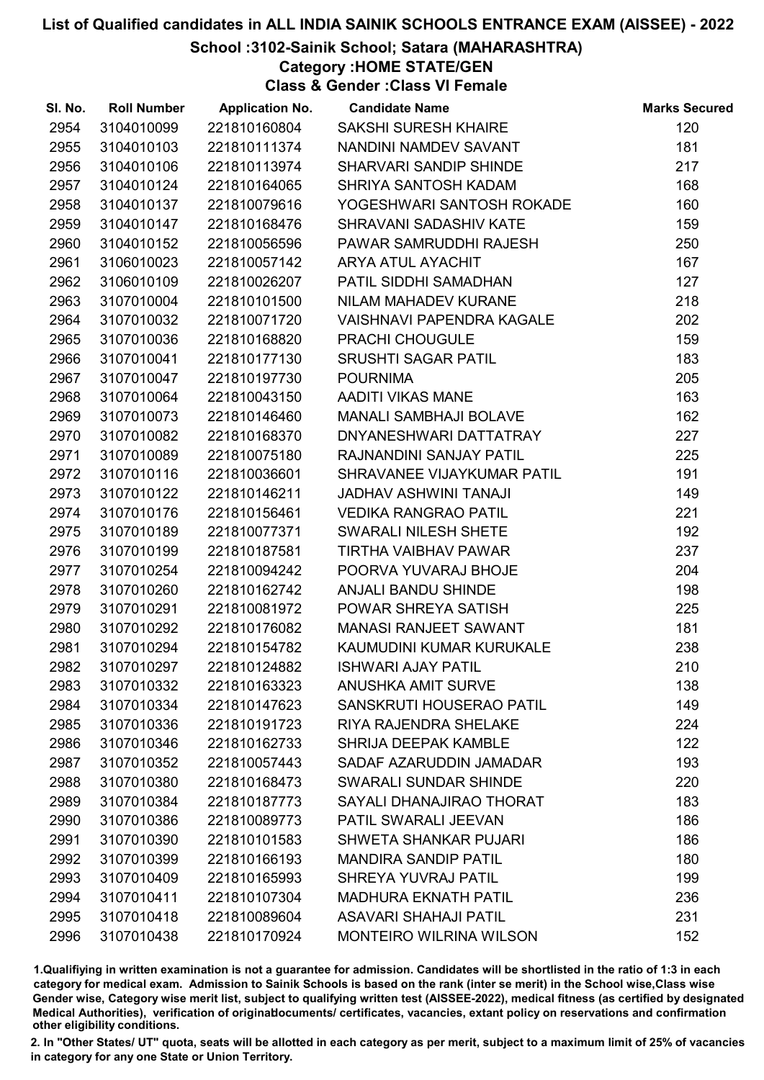# School :3102-Sainik School; Satara (MAHARASHTRA)

Category :HOME STATE/GEN

Class & Gender :Class VI Female

| SI. No. | <b>Roll Number</b> | <b>Application No.</b> | <b>Candidate Name</b>            | <b>Marks Secured</b> |
|---------|--------------------|------------------------|----------------------------------|----------------------|
| 2954    | 3104010099         | 221810160804           | <b>SAKSHI SURESH KHAIRE</b>      | 120                  |
| 2955    | 3104010103         | 221810111374           | NANDINI NAMDEV SAVANT            | 181                  |
| 2956    | 3104010106         | 221810113974           | SHARVARI SANDIP SHINDE           | 217                  |
| 2957    | 3104010124         | 221810164065           | SHRIYA SANTOSH KADAM             | 168                  |
| 2958    | 3104010137         | 221810079616           | YOGESHWARI SANTOSH ROKADE        | 160                  |
| 2959    | 3104010147         | 221810168476           | SHRAVANI SADASHIV KATE           | 159                  |
| 2960    | 3104010152         | 221810056596           | PAWAR SAMRUDDHI RAJESH           | 250                  |
| 2961    | 3106010023         | 221810057142           | <b>ARYA ATUL AYACHIT</b>         | 167                  |
| 2962    | 3106010109         | 221810026207           | PATIL SIDDHI SAMADHAN            | 127                  |
| 2963    | 3107010004         | 221810101500           | NILAM MAHADEV KURANE             | 218                  |
| 2964    | 3107010032         | 221810071720           | <b>VAISHNAVI PAPENDRA KAGALE</b> | 202                  |
| 2965    | 3107010036         | 221810168820           | <b>PRACHI CHOUGULE</b>           | 159                  |
| 2966    | 3107010041         | 221810177130           | <b>SRUSHTI SAGAR PATIL</b>       | 183                  |
| 2967    | 3107010047         | 221810197730           | <b>POURNIMA</b>                  | 205                  |
| 2968    | 3107010064         | 221810043150           | AADITI VIKAS MANE                | 163                  |
| 2969    | 3107010073         | 221810146460           | MANALI SAMBHAJI BOLAVE           | 162                  |
| 2970    | 3107010082         | 221810168370           | DNYANESHWARI DATTATRAY           | 227                  |
| 2971    | 3107010089         | 221810075180           | RAJNANDINI SANJAY PATIL          | 225                  |
| 2972    | 3107010116         | 221810036601           | SHRAVANEE VIJAYKUMAR PATIL       | 191                  |
| 2973    | 3107010122         | 221810146211           | <b>JADHAV ASHWINI TANAJI</b>     | 149                  |
| 2974    | 3107010176         | 221810156461           | <b>VEDIKA RANGRAO PATIL</b>      | 221                  |
| 2975    | 3107010189         | 221810077371           | SWARALI NILESH SHETE             | 192                  |
| 2976    | 3107010199         | 221810187581           | <b>TIRTHA VAIBHAV PAWAR</b>      | 237                  |
| 2977    | 3107010254         | 221810094242           | POORVA YUVARAJ BHOJE             | 204                  |
| 2978    | 3107010260         | 221810162742           | ANJALI BANDU SHINDE              | 198                  |
| 2979    | 3107010291         | 221810081972           | POWAR SHREYA SATISH              | 225                  |
| 2980    | 3107010292         | 221810176082           | <b>MANASI RANJEET SAWANT</b>     | 181                  |
| 2981    | 3107010294         | 221810154782           | KAUMUDINI KUMAR KURUKALE         | 238                  |
| 2982    | 3107010297         | 221810124882           | <b>ISHWARI AJAY PATIL</b>        | 210                  |
| 2983    | 3107010332         | 221810163323           | <b>ANUSHKA AMIT SURVE</b>        | 138                  |
| 2984    | 3107010334         | 221810147623           | SANSKRUTI HOUSERAO PATIL         | 149                  |
| 2985    | 3107010336         | 221810191723           | RIYA RAJENDRA SHELAKE            | 224                  |
| 2986    | 3107010346         | 221810162733           | <b>SHRIJA DEEPAK KAMBLE</b>      | 122                  |
| 2987    | 3107010352         | 221810057443           | SADAF AZARUDDIN JAMADAR          | 193                  |
| 2988    | 3107010380         | 221810168473           | SWARALI SUNDAR SHINDE            | 220                  |
| 2989    | 3107010384         | 221810187773           | SAYALI DHANAJIRAO THORAT         | 183                  |
| 2990    | 3107010386         | 221810089773           | PATIL SWARALI JEEVAN             | 186                  |
| 2991    | 3107010390         | 221810101583           | <b>SHWETA SHANKAR PUJARI</b>     | 186                  |
| 2992    | 3107010399         | 221810166193           | <b>MANDIRA SANDIP PATIL</b>      | 180                  |
| 2993    | 3107010409         | 221810165993           | <b>SHREYA YUVRAJ PATIL</b>       | 199                  |
| 2994    | 3107010411         | 221810107304           | <b>MADHURA EKNATH PATIL</b>      | 236                  |
| 2995    | 3107010418         | 221810089604           | <b>ASAVARI SHAHAJI PATIL</b>     | 231                  |
| 2996    | 3107010438         | 221810170924           | <b>MONTEIRO WILRINA WILSON</b>   | 152                  |

1.Qualifiying in written examination is not a guarantee for admission. Candidates will be shortlisted in the ratio of 1:3 in each category for medical exam. Admission to Sainik Schools is based on the rank (inter se merit) in the School wise,Class wise Gender wise, Category wise merit list, subject to qualifying written test (AISSEE-2022), medical fitness (as certified by designated Medical Authorities), verification of originablocuments/ certificates, vacancies, extant policy on reservations and confirmation other eligibility conditions.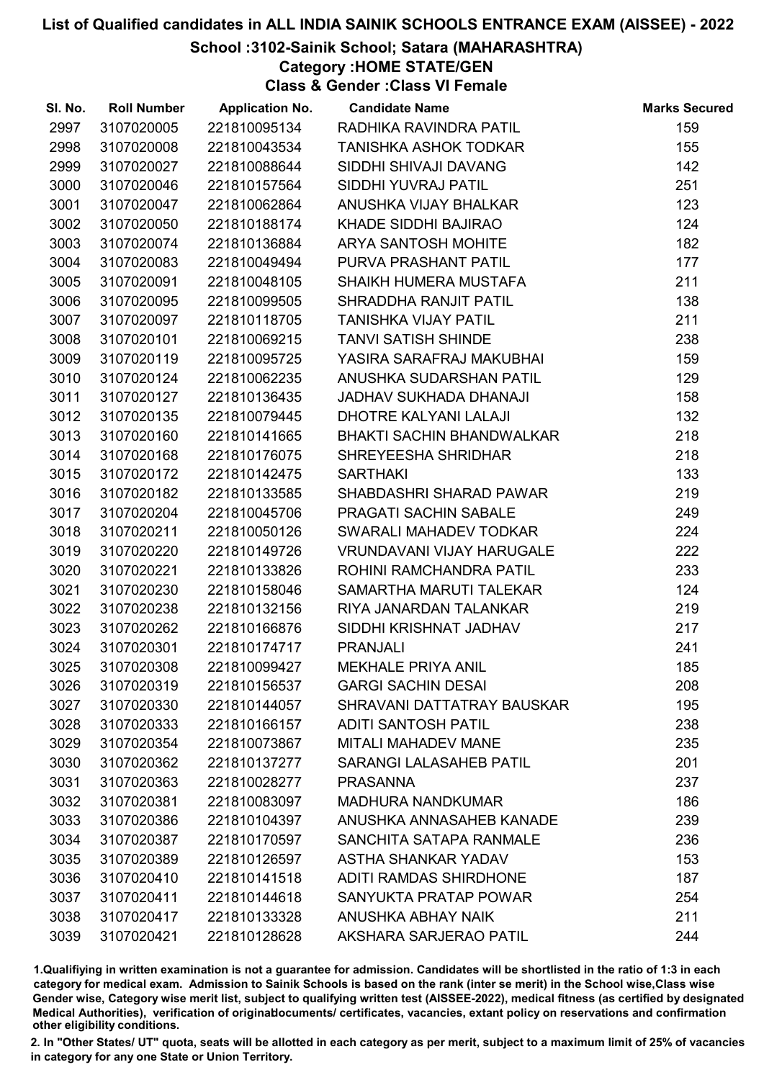# School :3102-Sainik School; Satara (MAHARASHTRA)

Category :HOME STATE/GEN

Class & Gender :Class VI Female

| SI. No. | <b>Roll Number</b> | <b>Application No.</b> | <b>Candidate Name</b>            | <b>Marks Secured</b> |
|---------|--------------------|------------------------|----------------------------------|----------------------|
| 2997    | 3107020005         | 221810095134           | RADHIKA RAVINDRA PATIL           | 159                  |
| 2998    | 3107020008         | 221810043534           | <b>TANISHKA ASHOK TODKAR</b>     | 155                  |
| 2999    | 3107020027         | 221810088644           | SIDDHI SHIVAJI DAVANG            | 142                  |
| 3000    | 3107020046         | 221810157564           | SIDDHI YUVRAJ PATIL              | 251                  |
| 3001    | 3107020047         | 221810062864           | ANUSHKA VIJAY BHALKAR            | 123                  |
| 3002    | 3107020050         | 221810188174           | <b>KHADE SIDDHI BAJIRAO</b>      | 124                  |
| 3003    | 3107020074         | 221810136884           | <b>ARYA SANTOSH MOHITE</b>       | 182                  |
| 3004    | 3107020083         | 221810049494           | PURVA PRASHANT PATIL             | 177                  |
| 3005    | 3107020091         | 221810048105           | SHAIKH HUMERA MUSTAFA            | 211                  |
| 3006    | 3107020095         | 221810099505           | SHRADDHA RANJIT PATIL            | 138                  |
| 3007    | 3107020097         | 221810118705           | <b>TANISHKA VIJAY PATIL</b>      | 211                  |
| 3008    | 3107020101         | 221810069215           | <b>TANVI SATISH SHINDE</b>       | 238                  |
| 3009    | 3107020119         | 221810095725           | YASIRA SARAFRAJ MAKUBHAI         | 159                  |
| 3010    | 3107020124         | 221810062235           | ANUSHKA SUDARSHAN PATIL          | 129                  |
| 3011    | 3107020127         | 221810136435           | <b>JADHAV SUKHADA DHANAJI</b>    | 158                  |
| 3012    | 3107020135         | 221810079445           | <b>DHOTRE KALYANI LALAJI</b>     | 132                  |
| 3013    | 3107020160         | 221810141665           | <b>BHAKTI SACHIN BHANDWALKAR</b> | 218                  |
| 3014    | 3107020168         | 221810176075           | SHREYEESHA SHRIDHAR              | 218                  |
| 3015    | 3107020172         | 221810142475           | <b>SARTHAKI</b>                  | 133                  |
| 3016    | 3107020182         | 221810133585           | SHABDASHRI SHARAD PAWAR          | 219                  |
| 3017    | 3107020204         | 221810045706           | PRAGATI SACHIN SABALE            | 249                  |
| 3018    | 3107020211         | 221810050126           | <b>SWARALI MAHADEV TODKAR</b>    | 224                  |
| 3019    | 3107020220         | 221810149726           | <b>VRUNDAVANI VIJAY HARUGALE</b> | 222                  |
| 3020    | 3107020221         | 221810133826           | ROHINI RAMCHANDRA PATIL          | 233                  |
| 3021    | 3107020230         | 221810158046           | SAMARTHA MARUTI TALEKAR          | 124                  |
| 3022    | 3107020238         | 221810132156           | RIYA JANARDAN TALANKAR           | 219                  |
| 3023    | 3107020262         | 221810166876           | SIDDHI KRISHNAT JADHAV           | 217                  |
| 3024    | 3107020301         | 221810174717           | <b>PRANJALI</b>                  | 241                  |
| 3025    | 3107020308         | 221810099427           | <b>MEKHALE PRIYA ANIL</b>        | 185                  |
| 3026    | 3107020319         | 221810156537           | <b>GARGI SACHIN DESAI</b>        | 208                  |
| 3027    | 3107020330         | 221810144057           | SHRAVANI DATTATRAY BAUSKAR       | 195                  |
| 3028    | 3107020333         | 221810166157           | <b>ADITI SANTOSH PATIL</b>       | 238                  |
| 3029    | 3107020354         | 221810073867           | <b>MITALI MAHADEV MANE</b>       | 235                  |
| 3030    | 3107020362         | 221810137277           | <b>SARANGI LALASAHEB PATIL</b>   | 201                  |
| 3031    | 3107020363         | 221810028277           | <b>PRASANNA</b>                  | 237                  |
| 3032    | 3107020381         | 221810083097           | <b>MADHURA NANDKUMAR</b>         | 186                  |
| 3033    | 3107020386         | 221810104397           | ANUSHKA ANNASAHEB KANADE         | 239                  |
| 3034    | 3107020387         | 221810170597           | SANCHITA SATAPA RANMALE          | 236                  |
| 3035    | 3107020389         | 221810126597           | <b>ASTHA SHANKAR YADAV</b>       | 153                  |
| 3036    | 3107020410         | 221810141518           | <b>ADITI RAMDAS SHIRDHONE</b>    | 187                  |
| 3037    | 3107020411         | 221810144618           | SANYUKTA PRATAP POWAR            | 254                  |
| 3038    | 3107020417         | 221810133328           | ANUSHKA ABHAY NAIK               | 211                  |
| 3039    | 3107020421         | 221810128628           | AKSHARA SARJERAO PATIL           | 244                  |

1.Qualifiying in written examination is not a guarantee for admission. Candidates will be shortlisted in the ratio of 1:3 in each category for medical exam. Admission to Sainik Schools is based on the rank (inter se merit) in the School wise,Class wise Gender wise, Category wise merit list, subject to qualifying written test (AISSEE-2022), medical fitness (as certified by designated Medical Authorities), verification of originablocuments/ certificates, vacancies, extant policy on reservations and confirmation other eligibility conditions.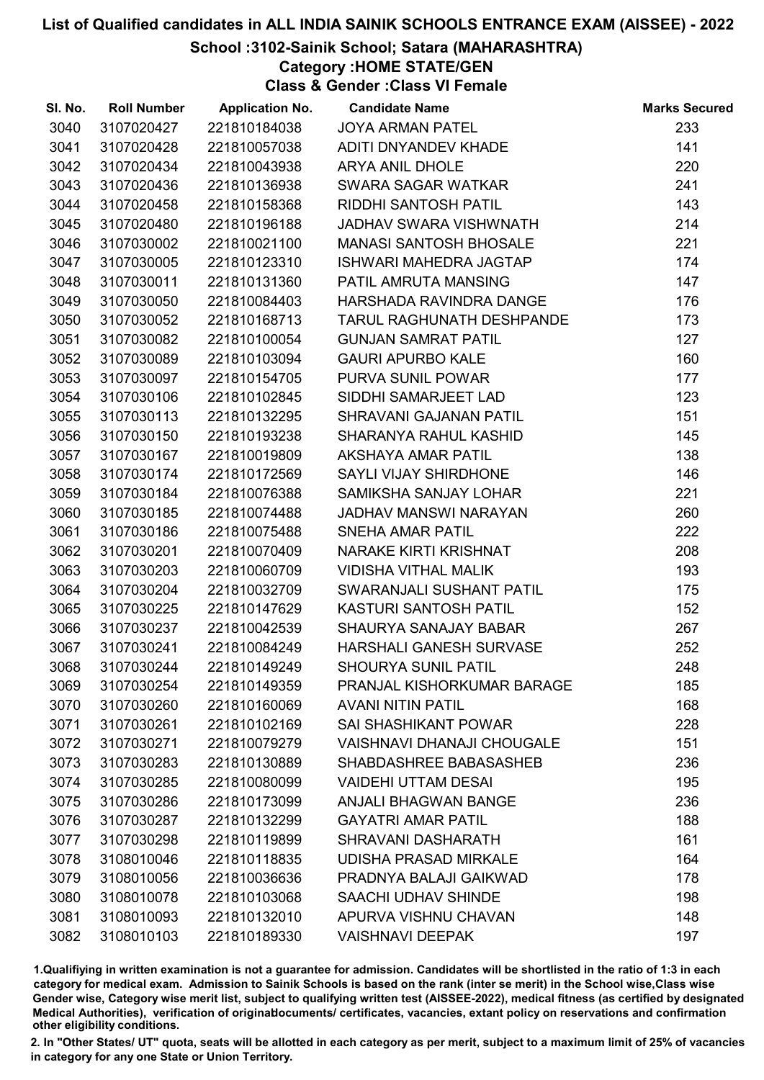# School :3102-Sainik School; Satara (MAHARASHTRA)

Category :HOME STATE/GEN

Class & Gender :Class VI Female

| SI. No. | <b>Roll Number</b> | <b>Application No.</b> | <b>Candidate Name</b>             | <b>Marks Secured</b> |
|---------|--------------------|------------------------|-----------------------------------|----------------------|
| 3040    | 3107020427         | 221810184038           | <b>JOYA ARMAN PATEL</b>           | 233                  |
| 3041    | 3107020428         | 221810057038           | ADITI DNYANDEV KHADE              | 141                  |
| 3042    | 3107020434         | 221810043938           | <b>ARYA ANIL DHOLE</b>            | 220                  |
| 3043    | 3107020436         | 221810136938           | SWARA SAGAR WATKAR                | 241                  |
| 3044    | 3107020458         | 221810158368           | RIDDHI SANTOSH PATIL              | 143                  |
| 3045    | 3107020480         | 221810196188           | JADHAV SWARA VISHWNATH            | 214                  |
| 3046    | 3107030002         | 221810021100           | <b>MANASI SANTOSH BHOSALE</b>     | 221                  |
| 3047    | 3107030005         | 221810123310           | <b>ISHWARI MAHEDRA JAGTAP</b>     | 174                  |
| 3048    | 3107030011         | 221810131360           | PATIL AMRUTA MANSING              | 147                  |
| 3049    | 3107030050         | 221810084403           | HARSHADA RAVINDRA DANGE           | 176                  |
| 3050    | 3107030052         | 221810168713           | <b>TARUL RAGHUNATH DESHPANDE</b>  | 173                  |
| 3051    | 3107030082         | 221810100054           | <b>GUNJAN SAMRAT PATIL</b>        | 127                  |
| 3052    | 3107030089         | 221810103094           | <b>GAURI APURBO KALE</b>          | 160                  |
| 3053    | 3107030097         | 221810154705           | PURVA SUNIL POWAR                 | 177                  |
| 3054    | 3107030106         | 221810102845           | SIDDHI SAMARJEET LAD              | 123                  |
| 3055    | 3107030113         | 221810132295           | SHRAVANI GAJANAN PATIL            | 151                  |
| 3056    | 3107030150         | 221810193238           | SHARANYA RAHUL KASHID             | 145                  |
| 3057    | 3107030167         | 221810019809           | <b>AKSHAYA AMAR PATIL</b>         | 138                  |
| 3058    | 3107030174         | 221810172569           | SAYLI VIJAY SHIRDHONE             | 146                  |
| 3059    | 3107030184         | 221810076388           | SAMIKSHA SANJAY LOHAR             | 221                  |
| 3060    | 3107030185         | 221810074488           | JADHAV MANSWI NARAYAN             | 260                  |
| 3061    | 3107030186         | 221810075488           | <b>SNEHA AMAR PATIL</b>           | 222                  |
| 3062    | 3107030201         | 221810070409           | NARAKE KIRTI KRISHNAT             | 208                  |
| 3063    | 3107030203         | 221810060709           | <b>VIDISHA VITHAL MALIK</b>       | 193                  |
| 3064    | 3107030204         | 221810032709           | SWARANJALI SUSHANT PATIL          | 175                  |
| 3065    | 3107030225         | 221810147629           | <b>KASTURI SANTOSH PATIL</b>      | 152                  |
| 3066    | 3107030237         | 221810042539           | SHAURYA SANAJAY BABAR             | 267                  |
| 3067    | 3107030241         | 221810084249           | HARSHALI GANESH SURVASE           | 252                  |
| 3068    | 3107030244         | 221810149249           | <b>SHOURYA SUNIL PATIL</b>        | 248                  |
| 3069    | 3107030254         | 221810149359           | PRANJAL KISHORKUMAR BARAGE        | 185                  |
| 3070    | 3107030260         | 221810160069           | <b>AVANI NITIN PATIL</b>          | 168                  |
| 3071    | 3107030261         | 221810102169           | <b>SAI SHASHIKANT POWAR</b>       | 228                  |
| 3072    | 3107030271         | 221810079279           | <b>VAISHNAVI DHANAJI CHOUGALE</b> | 151                  |
| 3073    | 3107030283         | 221810130889           | SHABDASHREE BABASASHEB            | 236                  |
| 3074    | 3107030285         | 221810080099           | <b>VAIDEHI UTTAM DESAI</b>        | 195                  |
| 3075    | 3107030286         | 221810173099           | <b>ANJALI BHAGWAN BANGE</b>       | 236                  |
| 3076    | 3107030287         | 221810132299           | <b>GAYATRI AMAR PATIL</b>         | 188                  |
| 3077    | 3107030298         | 221810119899           | <b>SHRAVANI DASHARATH</b>         | 161                  |
| 3078    | 3108010046         | 221810118835           | <b>UDISHA PRASAD MIRKALE</b>      | 164                  |
| 3079    | 3108010056         | 221810036636           | PRADNYA BALAJI GAIKWAD            | 178                  |
| 3080    | 3108010078         | 221810103068           | SAACHI UDHAV SHINDE               | 198                  |
| 3081    | 3108010093         | 221810132010           | APURVA VISHNU CHAVAN              | 148                  |
| 3082    | 3108010103         | 221810189330           | <b>VAISHNAVI DEEPAK</b>           | 197                  |

1.Qualifiying in written examination is not a guarantee for admission. Candidates will be shortlisted in the ratio of 1:3 in each category for medical exam. Admission to Sainik Schools is based on the rank (inter se merit) in the School wise,Class wise Gender wise, Category wise merit list, subject to qualifying written test (AISSEE-2022), medical fitness (as certified by designated Medical Authorities), verification of originablocuments/ certificates, vacancies, extant policy on reservations and confirmation other eligibility conditions.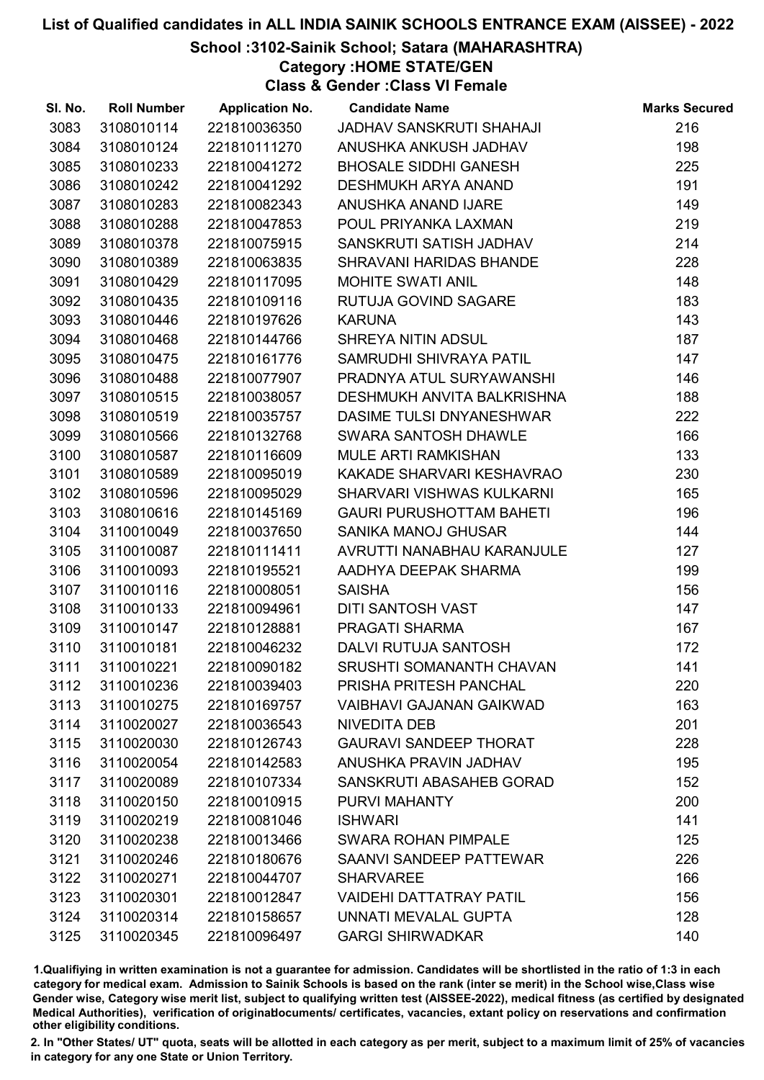## School :3102-Sainik School; Satara (MAHARASHTRA)

Category :HOME STATE/GEN

Class & Gender :Class VI Female

| SI. No. | <b>Roll Number</b> | <b>Application No.</b> | <b>Candidate Name</b>           | <b>Marks Secured</b> |
|---------|--------------------|------------------------|---------------------------------|----------------------|
| 3083    | 3108010114         | 221810036350           | JADHAV SANSKRUTI SHAHAJI        | 216                  |
| 3084    | 3108010124         | 221810111270           | ANUSHKA ANKUSH JADHAV           | 198                  |
| 3085    | 3108010233         | 221810041272           | <b>BHOSALE SIDDHI GANESH</b>    | 225                  |
| 3086    | 3108010242         | 221810041292           | <b>DESHMUKH ARYA ANAND</b>      | 191                  |
| 3087    | 3108010283         | 221810082343           | ANUSHKA ANAND IJARE             | 149                  |
| 3088    | 3108010288         | 221810047853           | POUL PRIYANKA LAXMAN            | 219                  |
| 3089    | 3108010378         | 221810075915           | SANSKRUTI SATISH JADHAV         | 214                  |
| 3090    | 3108010389         | 221810063835           | SHRAVANI HARIDAS BHANDE         | 228                  |
| 3091    | 3108010429         | 221810117095           | <b>MOHITE SWATI ANIL</b>        | 148                  |
| 3092    | 3108010435         | 221810109116           | RUTUJA GOVIND SAGARE            | 183                  |
| 3093    | 3108010446         | 221810197626           | <b>KARUNA</b>                   | 143                  |
| 3094    | 3108010468         | 221810144766           | SHREYA NITIN ADSUL              | 187                  |
| 3095    | 3108010475         | 221810161776           | SAMRUDHI SHIVRAYA PATIL         | 147                  |
| 3096    | 3108010488         | 221810077907           | PRADNYA ATUL SURYAWANSHI        | 146                  |
| 3097    | 3108010515         | 221810038057           | DESHMUKH ANVITA BALKRISHNA      | 188                  |
| 3098    | 3108010519         | 221810035757           | DASIME TULSI DNYANESHWAR        | 222                  |
| 3099    | 3108010566         | 221810132768           | SWARA SANTOSH DHAWLE            | 166                  |
| 3100    | 3108010587         | 221810116609           | <b>MULE ARTI RAMKISHAN</b>      | 133                  |
| 3101    | 3108010589         | 221810095019           | KAKADE SHARVARI KESHAVRAO       | 230                  |
| 3102    | 3108010596         | 221810095029           | SHARVARI VISHWAS KULKARNI       | 165                  |
| 3103    | 3108010616         | 221810145169           | <b>GAURI PURUSHOTTAM BAHETI</b> | 196                  |
| 3104    | 3110010049         | 221810037650           | <b>SANIKA MANOJ GHUSAR</b>      | 144                  |
| 3105    | 3110010087         | 221810111411           | AVRUTTI NANABHAU KARANJULE      | 127                  |
| 3106    | 3110010093         | 221810195521           | AADHYA DEEPAK SHARMA            | 199                  |
| 3107    | 3110010116         | 221810008051           | <b>SAISHA</b>                   | 156                  |
| 3108    | 3110010133         | 221810094961           | DITI SANTOSH VAST               | 147                  |
| 3109    | 3110010147         | 221810128881           | PRAGATI SHARMA                  | 167                  |
| 3110    | 3110010181         | 221810046232           | DALVI RUTUJA SANTOSH            | 172                  |
| 3111    | 3110010221         | 221810090182           | SRUSHTI SOMANANTH CHAVAN        | 141                  |
| 3112    | 3110010236         | 221810039403           | PRISHA PRITESH PANCHAL          | 220                  |
| 3113    | 3110010275         | 221810169757           | <b>VAIBHAVI GAJANAN GAIKWAD</b> | 163                  |
| 3114    | 3110020027         | 221810036543           | NIVEDITA DEB                    | 201                  |
| 3115    | 3110020030         | 221810126743           | <b>GAURAVI SANDEEP THORAT</b>   | 228                  |
| 3116    | 3110020054         | 221810142583           | ANUSHKA PRAVIN JADHAV           | 195                  |
| 3117    | 3110020089         | 221810107334           | SANSKRUTI ABASAHEB GORAD        | 152                  |
| 3118    | 3110020150         | 221810010915           | PURVI MAHANTY                   | 200                  |
| 3119    | 3110020219         | 221810081046           | <b>ISHWARI</b>                  | 141                  |
| 3120    | 3110020238         | 221810013466           | <b>SWARA ROHAN PIMPALE</b>      | 125                  |
| 3121    | 3110020246         | 221810180676           | SAANVI SANDEEP PATTEWAR         | 226                  |
| 3122    | 3110020271         | 221810044707           | <b>SHARVAREE</b>                | 166                  |
| 3123    | 3110020301         | 221810012847           | <b>VAIDEHI DATTATRAY PATIL</b>  | 156                  |
| 3124    | 3110020314         | 221810158657           | UNNATI MEVALAL GUPTA            | 128                  |
| 3125    | 3110020345         | 221810096497           | <b>GARGI SHIRWADKAR</b>         | 140                  |

1.Qualifiying in written examination is not a guarantee for admission. Candidates will be shortlisted in the ratio of 1:3 in each category for medical exam. Admission to Sainik Schools is based on the rank (inter se merit) in the School wise,Class wise Gender wise, Category wise merit list, subject to qualifying written test (AISSEE-2022), medical fitness (as certified by designated Medical Authorities), verification of originablocuments/ certificates, vacancies, extant policy on reservations and confirmation other eligibility conditions.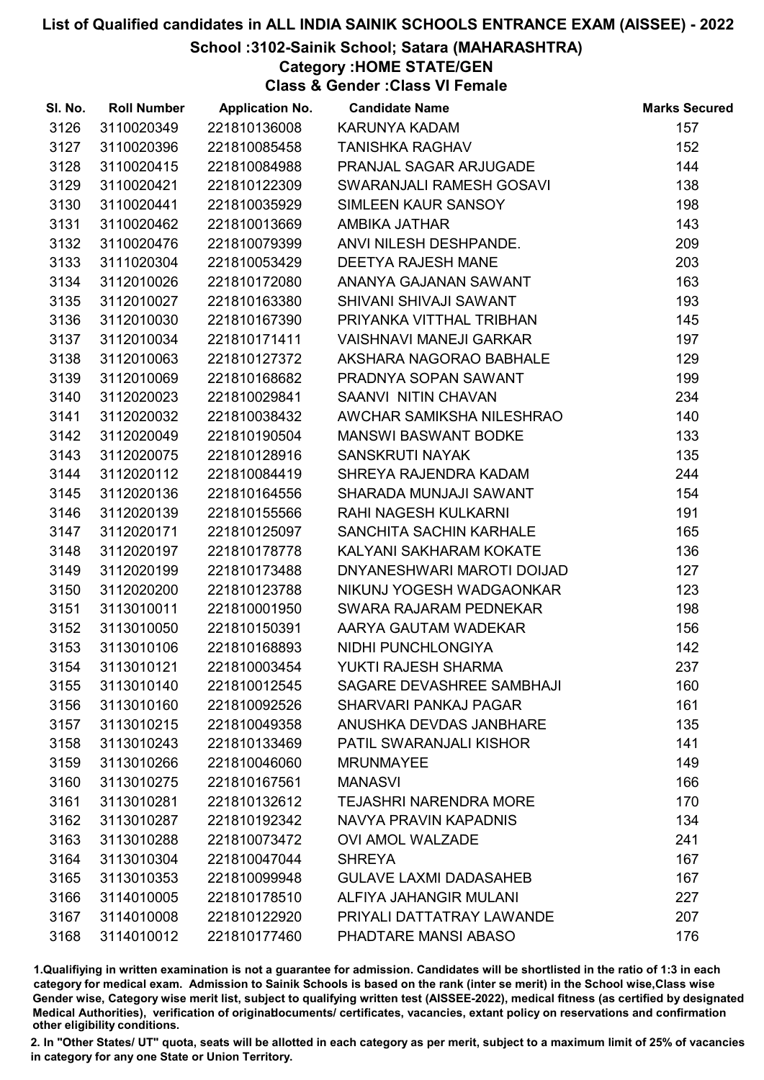# School :3102-Sainik School; Satara (MAHARASHTRA)

Category :HOME STATE/GEN

Class & Gender :Class VI Female

| SI. No. | <b>Roll Number</b> | <b>Application No.</b> | <b>Candidate Name</b>          | <b>Marks Secured</b> |
|---------|--------------------|------------------------|--------------------------------|----------------------|
| 3126    | 3110020349         | 221810136008           | <b>KARUNYA KADAM</b>           | 157                  |
| 3127    | 3110020396         | 221810085458           | <b>TANISHKA RAGHAV</b>         | 152                  |
| 3128    | 3110020415         | 221810084988           | PRANJAL SAGAR ARJUGADE         | 144                  |
| 3129    | 3110020421         | 221810122309           | SWARANJALI RAMESH GOSAVI       | 138                  |
| 3130    | 3110020441         | 221810035929           | SIMLEEN KAUR SANSOY            | 198                  |
| 3131    | 3110020462         | 221810013669           | AMBIKA JATHAR                  | 143                  |
| 3132    | 3110020476         | 221810079399           | ANVI NILESH DESHPANDE.         | 209                  |
| 3133    | 3111020304         | 221810053429           | <b>DEETYA RAJESH MANE</b>      | 203                  |
| 3134    | 3112010026         | 221810172080           | ANANYA GAJANAN SAWANT          | 163                  |
| 3135    | 3112010027         | 221810163380           | SHIVANI SHIVAJI SAWANT         | 193                  |
| 3136    | 3112010030         | 221810167390           | PRIYANKA VITTHAL TRIBHAN       | 145                  |
| 3137    | 3112010034         | 221810171411           | <b>VAISHNAVI MANEJI GARKAR</b> | 197                  |
| 3138    | 3112010063         | 221810127372           | AKSHARA NAGORAO BABHALE        | 129                  |
| 3139    | 3112010069         | 221810168682           | PRADNYA SOPAN SAWANT           | 199                  |
| 3140    | 3112020023         | 221810029841           | SAANVI NITIN CHAVAN            | 234                  |
| 3141    | 3112020032         | 221810038432           | AWCHAR SAMIKSHA NILESHRAO      | 140                  |
| 3142    | 3112020049         | 221810190504           | <b>MANSWI BASWANT BODKE</b>    | 133                  |
| 3143    | 3112020075         | 221810128916           | <b>SANSKRUTI NAYAK</b>         | 135                  |
| 3144    | 3112020112         | 221810084419           | SHREYA RAJENDRA KADAM          | 244                  |
| 3145    | 3112020136         | 221810164556           | SHARADA MUNJAJI SAWANT         | 154                  |
| 3146    | 3112020139         | 221810155566           | RAHI NAGESH KULKARNI           | 191                  |
| 3147    | 3112020171         | 221810125097           | SANCHITA SACHIN KARHALE        | 165                  |
| 3148    | 3112020197         | 221810178778           | KALYANI SAKHARAM KOKATE        | 136                  |
| 3149    | 3112020199         | 221810173488           | DNYANESHWARI MAROTI DOIJAD     | 127                  |
| 3150    | 3112020200         | 221810123788           | NIKUNJ YOGESH WADGAONKAR       | 123                  |
| 3151    | 3113010011         | 221810001950           | SWARA RAJARAM PEDNEKAR         | 198                  |
| 3152    | 3113010050         | 221810150391           | AARYA GAUTAM WADEKAR           | 156                  |
| 3153    | 3113010106         | 221810168893           | NIDHI PUNCHLONGIYA             | 142                  |
| 3154    | 3113010121         | 221810003454           | YUKTI RAJESH SHARMA            | 237                  |
| 3155    | 3113010140         | 221810012545           | SAGARE DEVASHREE SAMBHAJI      | 160                  |
| 3156    | 3113010160         | 221810092526           | <b>SHARVARI PANKAJ PAGAR</b>   | 161                  |
| 3157    | 3113010215         | 221810049358           | ANUSHKA DEVDAS JANBHARE        | 135                  |
| 3158    | 3113010243         | 221810133469           | <b>PATIL SWARANJALI KISHOR</b> | 141                  |
| 3159    | 3113010266         | 221810046060           | <b>MRUNMAYEE</b>               | 149                  |
| 3160    | 3113010275         | 221810167561           | <b>MANASVI</b>                 | 166                  |
| 3161    | 3113010281         | 221810132612           | <b>TEJASHRI NARENDRA MORE</b>  | 170                  |
| 3162    | 3113010287         | 221810192342           | NAVYA PRAVIN KAPADNIS          | 134                  |
| 3163    | 3113010288         | 221810073472           | <b>OVI AMOL WALZADE</b>        | 241                  |
| 3164    | 3113010304         | 221810047044           | <b>SHREYA</b>                  | 167                  |
| 3165    | 3113010353         | 221810099948           | <b>GULAVE LAXMI DADASAHEB</b>  | 167                  |
| 3166    | 3114010005         | 221810178510           | ALFIYA JAHANGIR MULANI         | 227                  |
| 3167    | 3114010008         | 221810122920           | PRIYALI DATTATRAY LAWANDE      | 207                  |
| 3168    | 3114010012         | 221810177460           | PHADTARE MANSI ABASO           | 176                  |

1.Qualifiying in written examination is not a guarantee for admission. Candidates will be shortlisted in the ratio of 1:3 in each category for medical exam. Admission to Sainik Schools is based on the rank (inter se merit) in the School wise,Class wise Gender wise, Category wise merit list, subject to qualifying written test (AISSEE-2022), medical fitness (as certified by designated Medical Authorities), verification of originablocuments/ certificates, vacancies, extant policy on reservations and confirmation other eligibility conditions.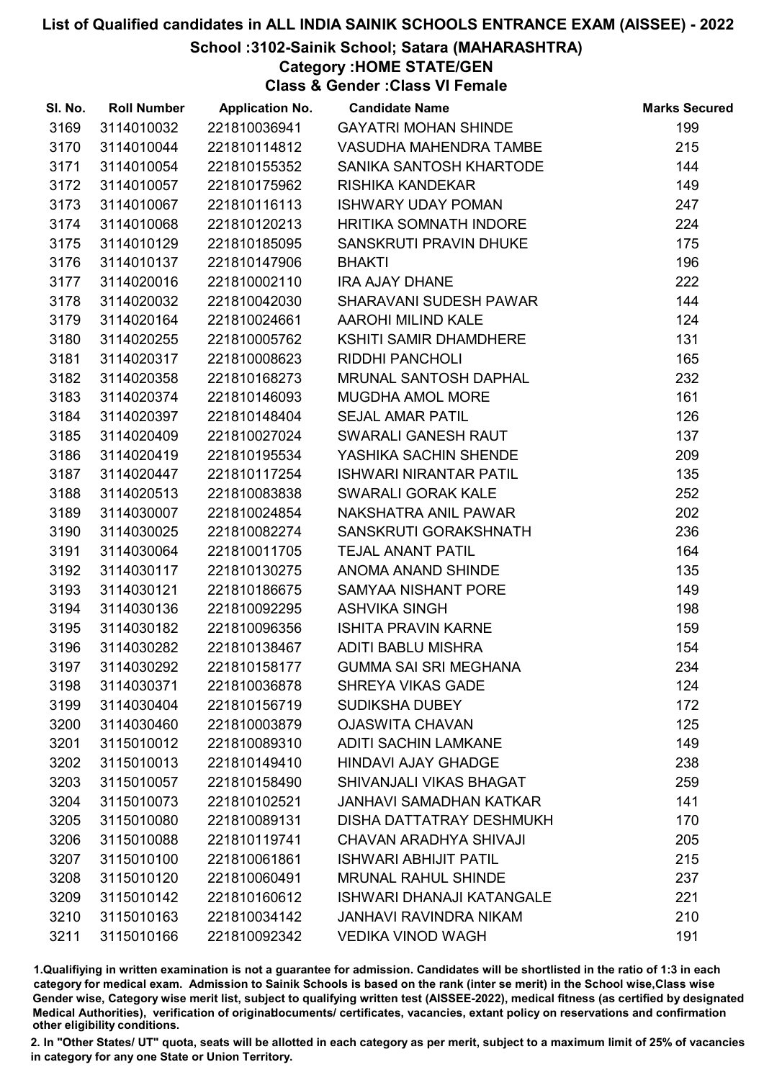# School :3102-Sainik School; Satara (MAHARASHTRA)

Category :HOME STATE/GEN

Class & Gender :Class VI Female

| SI. No. | <b>Roll Number</b> | <b>Application No.</b> | <b>Candidate Name</b>            | <b>Marks Secured</b> |
|---------|--------------------|------------------------|----------------------------------|----------------------|
| 3169    | 3114010032         | 221810036941           | <b>GAYATRI MOHAN SHINDE</b>      | 199                  |
| 3170    | 3114010044         | 221810114812           | VASUDHA MAHENDRA TAMBE           | 215                  |
| 3171    | 3114010054         | 221810155352           | SANIKA SANTOSH KHARTODE          | 144                  |
| 3172    | 3114010057         | 221810175962           | RISHIKA KANDEKAR                 | 149                  |
| 3173    | 3114010067         | 221810116113           | <b>ISHWARY UDAY POMAN</b>        | 247                  |
| 3174    | 3114010068         | 221810120213           | HRITIKA SOMNATH INDORE           | 224                  |
| 3175    | 3114010129         | 221810185095           | SANSKRUTI PRAVIN DHUKE           | 175                  |
| 3176    | 3114010137         | 221810147906           | <b>BHAKTI</b>                    | 196                  |
| 3177    | 3114020016         | 221810002110           | <b>IRA AJAY DHANE</b>            | 222                  |
| 3178    | 3114020032         | 221810042030           | <b>SHARAVANI SUDESH PAWAR</b>    | 144                  |
| 3179    | 3114020164         | 221810024661           | <b>AAROHI MILIND KALE</b>        | 124                  |
| 3180    | 3114020255         | 221810005762           | KSHITI SAMIR DHAMDHERE           | 131                  |
| 3181    | 3114020317         | 221810008623           | RIDDHI PANCHOLI                  | 165                  |
| 3182    | 3114020358         | 221810168273           | MRUNAL SANTOSH DAPHAL            | 232                  |
| 3183    | 3114020374         | 221810146093           | <b>MUGDHA AMOL MORE</b>          | 161                  |
| 3184    | 3114020397         | 221810148404           | <b>SEJAL AMAR PATIL</b>          | 126                  |
| 3185    | 3114020409         | 221810027024           | SWARALI GANESH RAUT              | 137                  |
| 3186    | 3114020419         | 221810195534           | YASHIKA SACHIN SHENDE            | 209                  |
| 3187    | 3114020447         | 221810117254           | <b>ISHWARI NIRANTAR PATIL</b>    | 135                  |
| 3188    | 3114020513         | 221810083838           | SWARALI GORAK KALE               | 252                  |
| 3189    | 3114030007         | 221810024854           | NAKSHATRA ANIL PAWAR             | 202                  |
| 3190    | 3114030025         | 221810082274           | SANSKRUTI GORAKSHNATH            | 236                  |
| 3191    | 3114030064         | 221810011705           | <b>TEJAL ANANT PATIL</b>         | 164                  |
| 3192    | 3114030117         | 221810130275           | ANOMA ANAND SHINDE               | 135                  |
| 3193    | 3114030121         | 221810186675           | SAMYAA NISHANT PORE              | 149                  |
| 3194    | 3114030136         | 221810092295           | <b>ASHVIKA SINGH</b>             | 198                  |
| 3195    | 3114030182         | 221810096356           | <b>ISHITA PRAVIN KARNE</b>       | 159                  |
| 3196    | 3114030282         | 221810138467           | <b>ADITI BABLU MISHRA</b>        | 154                  |
| 3197    | 3114030292         | 221810158177           | <b>GUMMA SAI SRI MEGHANA</b>     | 234                  |
| 3198    | 3114030371         | 221810036878           | <b>SHREYA VIKAS GADE</b>         | 124                  |
| 3199    | 3114030404         | 221810156719           | <b>SUDIKSHA DUBEY</b>            | 172                  |
| 3200    | 3114030460         | 221810003879           | <b>OJASWITA CHAVAN</b>           | 125                  |
| 3201    | 3115010012         | 221810089310           | <b>ADITI SACHIN LAMKANE</b>      | 149                  |
| 3202    | 3115010013         | 221810149410           | <b>HINDAVI AJAY GHADGE</b>       | 238                  |
| 3203    | 3115010057         | 221810158490           | SHIVANJALI VIKAS BHAGAT          | 259                  |
| 3204    | 3115010073         | 221810102521           | <b>JANHAVI SAMADHAN KATKAR</b>   | 141                  |
| 3205    | 3115010080         | 221810089131           | <b>DISHA DATTATRAY DESHMUKH</b>  | 170                  |
| 3206    | 3115010088         | 221810119741           | CHAVAN ARADHYA SHIVAJI           | 205                  |
| 3207    | 3115010100         | 221810061861           | <b>ISHWARI ABHIJIT PATIL</b>     | 215                  |
| 3208    | 3115010120         | 221810060491           | <b>MRUNAL RAHUL SHINDE</b>       | 237                  |
| 3209    | 3115010142         | 221810160612           | <b>ISHWARI DHANAJI KATANGALE</b> | 221                  |
| 3210    | 3115010163         | 221810034142           | <b>JANHAVI RAVINDRA NIKAM</b>    | 210                  |
| 3211    | 3115010166         | 221810092342           | <b>VEDIKA VINOD WAGH</b>         | 191                  |

1.Qualifiying in written examination is not a guarantee for admission. Candidates will be shortlisted in the ratio of 1:3 in each category for medical exam. Admission to Sainik Schools is based on the rank (inter se merit) in the School wise,Class wise Gender wise, Category wise merit list, subject to qualifying written test (AISSEE-2022), medical fitness (as certified by designated Medical Authorities), verification of originablocuments/ certificates, vacancies, extant policy on reservations and confirmation other eligibility conditions.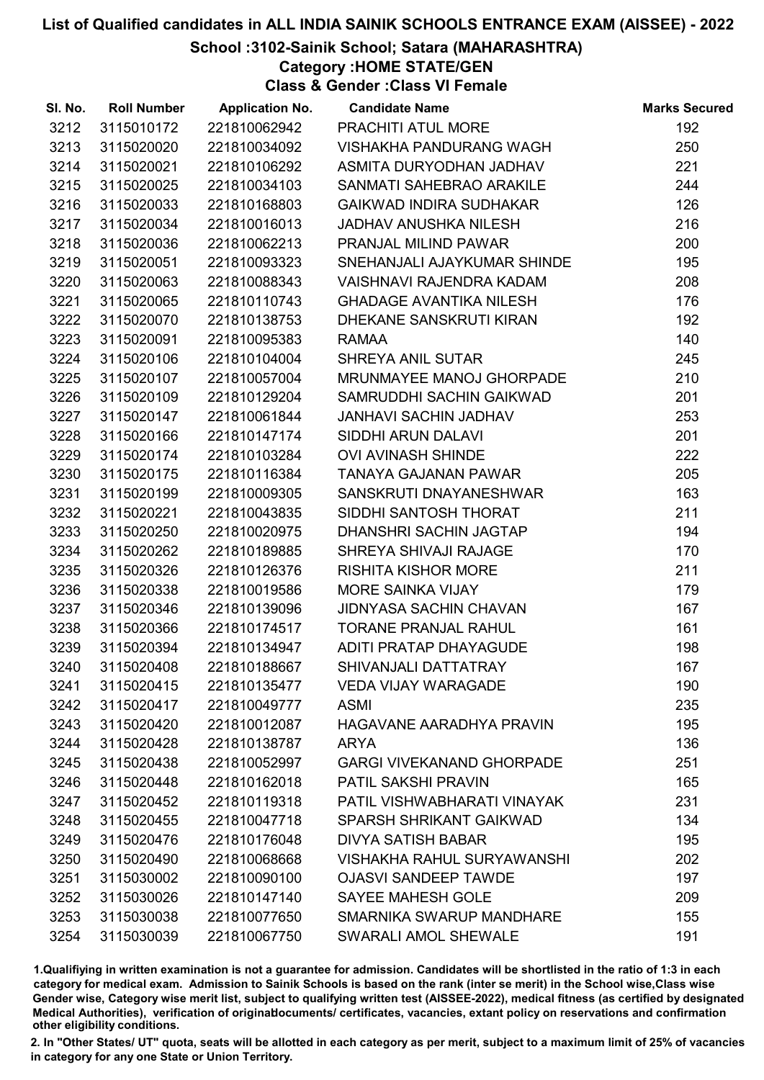# School :3102-Sainik School; Satara (MAHARASHTRA)

Category :HOME STATE/GEN

Class & Gender :Class VI Female

| SI. No. | <b>Roll Number</b> | <b>Application No.</b> | <b>Candidate Name</b>             | <b>Marks Secured</b> |
|---------|--------------------|------------------------|-----------------------------------|----------------------|
| 3212    | 3115010172         | 221810062942           | PRACHITI ATUL MORE                | 192                  |
| 3213    | 3115020020         | 221810034092           | VISHAKHA PANDURANG WAGH           | 250                  |
| 3214    | 3115020021         | 221810106292           | ASMITA DURYODHAN JADHAV           | 221                  |
| 3215    | 3115020025         | 221810034103           | SANMATI SAHEBRAO ARAKILE          | 244                  |
| 3216    | 3115020033         | 221810168803           | <b>GAIKWAD INDIRA SUDHAKAR</b>    | 126                  |
| 3217    | 3115020034         | 221810016013           | <b>JADHAV ANUSHKA NILESH</b>      | 216                  |
| 3218    | 3115020036         | 221810062213           | PRANJAL MILIND PAWAR              | 200                  |
| 3219    | 3115020051         | 221810093323           | SNEHANJALI AJAYKUMAR SHINDE       | 195                  |
| 3220    | 3115020063         | 221810088343           | <b>VAISHNAVI RAJENDRA KADAM</b>   | 208                  |
| 3221    | 3115020065         | 221810110743           | <b>GHADAGE AVANTIKA NILESH</b>    | 176                  |
| 3222    | 3115020070         | 221810138753           | DHEKANE SANSKRUTI KIRAN           | 192                  |
| 3223    | 3115020091         | 221810095383           | <b>RAMAA</b>                      | 140                  |
| 3224    | 3115020106         | 221810104004           | <b>SHREYA ANIL SUTAR</b>          | 245                  |
| 3225    | 3115020107         | 221810057004           | MRUNMAYEE MANOJ GHORPADE          | 210                  |
| 3226    | 3115020109         | 221810129204           | SAMRUDDHI SACHIN GAIKWAD          | 201                  |
| 3227    | 3115020147         | 221810061844           | <b>JANHAVI SACHIN JADHAV</b>      | 253                  |
| 3228    | 3115020166         | 221810147174           | SIDDHI ARUN DALAVI                | 201                  |
| 3229    | 3115020174         | 221810103284           | <b>OVI AVINASH SHINDE</b>         | 222                  |
| 3230    | 3115020175         | 221810116384           | TANAYA GAJANAN PAWAR              | 205                  |
| 3231    | 3115020199         | 221810009305           | SANSKRUTI DNAYANESHWAR            | 163                  |
| 3232    | 3115020221         | 221810043835           | SIDDHI SANTOSH THORAT             | 211                  |
| 3233    | 3115020250         | 221810020975           | DHANSHRI SACHIN JAGTAP            | 194                  |
| 3234    | 3115020262         | 221810189885           | SHREYA SHIVAJI RAJAGE             | 170                  |
| 3235    | 3115020326         | 221810126376           | <b>RISHITA KISHOR MORE</b>        | 211                  |
| 3236    | 3115020338         | 221810019586           | <b>MORE SAINKA VIJAY</b>          | 179                  |
| 3237    | 3115020346         | 221810139096           | <b>JIDNYASA SACHIN CHAVAN</b>     | 167                  |
| 3238    | 3115020366         | 221810174517           | <b>TORANE PRANJAL RAHUL</b>       | 161                  |
| 3239    | 3115020394         | 221810134947           | ADITI PRATAP DHAYAGUDE            | 198                  |
| 3240    | 3115020408         | 221810188667           | SHIVANJALI DATTATRAY              | 167                  |
| 3241    | 3115020415         | 221810135477           | <b>VEDA VIJAY WARAGADE</b>        | 190                  |
| 3242    | 3115020417         | 221810049777           | <b>ASMI</b>                       | 235                  |
| 3243    | 3115020420         | 221810012087           | HAGAVANE AARADHYA PRAVIN          | 195                  |
| 3244    | 3115020428         | 221810138787           | <b>ARYA</b>                       | 136                  |
| 3245    | 3115020438         | 221810052997           | <b>GARGI VIVEKANAND GHORPADE</b>  | 251                  |
| 3246    | 3115020448         | 221810162018           | PATIL SAKSHI PRAVIN               | 165                  |
| 3247    | 3115020452         | 221810119318           | PATIL VISHWABHARATI VINAYAK       | 231                  |
| 3248    | 3115020455         | 221810047718           | SPARSH SHRIKANT GAIKWAD           | 134                  |
| 3249    | 3115020476         | 221810176048           | <b>DIVYA SATISH BABAR</b>         | 195                  |
| 3250    | 3115020490         | 221810068668           | <b>VISHAKHA RAHUL SURYAWANSHI</b> | 202                  |
| 3251    | 3115030002         | 221810090100           | <b>OJASVI SANDEEP TAWDE</b>       | 197                  |
| 3252    | 3115030026         | 221810147140           | <b>SAYEE MAHESH GOLE</b>          | 209                  |
| 3253    | 3115030038         | 221810077650           | SMARNIKA SWARUP MANDHARE          | 155                  |
| 3254    | 3115030039         | 221810067750           | <b>SWARALI AMOL SHEWALE</b>       | 191                  |

1.Qualifiying in written examination is not a guarantee for admission. Candidates will be shortlisted in the ratio of 1:3 in each category for medical exam. Admission to Sainik Schools is based on the rank (inter se merit) in the School wise,Class wise Gender wise, Category wise merit list, subject to qualifying written test (AISSEE-2022), medical fitness (as certified by designated Medical Authorities), verification of originablocuments/ certificates, vacancies, extant policy on reservations and confirmation other eligibility conditions.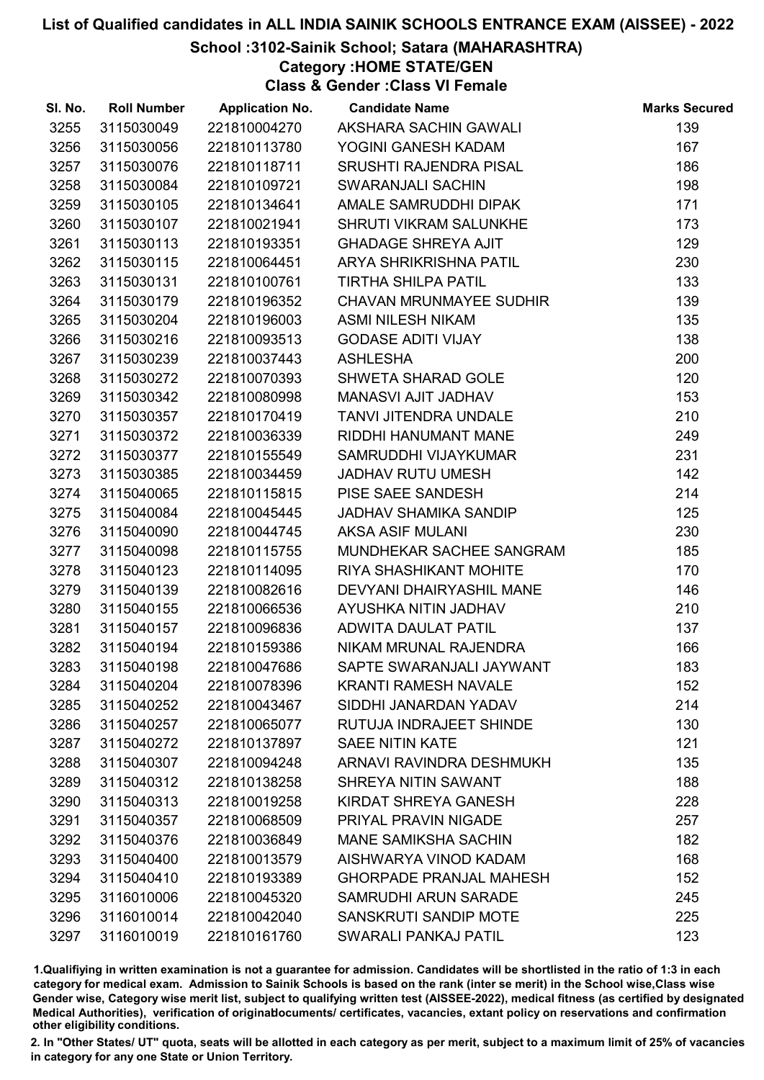# School :3102-Sainik School; Satara (MAHARASHTRA)

Category :HOME STATE/GEN

Class & Gender :Class VI Female

| SI. No. | <b>Roll Number</b> | <b>Application No.</b> | <b>Candidate Name</b>          | <b>Marks Secured</b> |
|---------|--------------------|------------------------|--------------------------------|----------------------|
| 3255    | 3115030049         | 221810004270           | AKSHARA SACHIN GAWALI          | 139                  |
| 3256    | 3115030056         | 221810113780           | YOGINI GANESH KADAM            | 167                  |
| 3257    | 3115030076         | 221810118711           | <b>SRUSHTI RAJENDRA PISAL</b>  | 186                  |
| 3258    | 3115030084         | 221810109721           | <b>SWARANJALI SACHIN</b>       | 198                  |
| 3259    | 3115030105         | 221810134641           | AMALE SAMRUDDHI DIPAK          | 171                  |
| 3260    | 3115030107         | 221810021941           | SHRUTI VIKRAM SALUNKHE         | 173                  |
| 3261    | 3115030113         | 221810193351           | <b>GHADAGE SHREYA AJIT</b>     | 129                  |
| 3262    | 3115030115         | 221810064451           | ARYA SHRIKRISHNA PATIL         | 230                  |
| 3263    | 3115030131         | 221810100761           | <b>TIRTHA SHILPA PATIL</b>     | 133                  |
| 3264    | 3115030179         | 221810196352           | <b>CHAVAN MRUNMAYEE SUDHIR</b> | 139                  |
| 3265    | 3115030204         | 221810196003           | <b>ASMI NILESH NIKAM</b>       | 135                  |
| 3266    | 3115030216         | 221810093513           | <b>GODASE ADITI VIJAY</b>      | 138                  |
| 3267    | 3115030239         | 221810037443           | <b>ASHLESHA</b>                | 200                  |
| 3268    | 3115030272         | 221810070393           | SHWETA SHARAD GOLE             | 120                  |
| 3269    | 3115030342         | 221810080998           | MANASVI AJIT JADHAV            | 153                  |
| 3270    | 3115030357         | 221810170419           | <b>TANVI JITENDRA UNDALE</b>   | 210                  |
| 3271    | 3115030372         | 221810036339           | RIDDHI HANUMANT MANE           | 249                  |
| 3272    | 3115030377         | 221810155549           | SAMRUDDHI VIJAYKUMAR           | 231                  |
| 3273    | 3115030385         | 221810034459           | <b>JADHAV RUTU UMESH</b>       | 142                  |
| 3274    | 3115040065         | 221810115815           | PISE SAEE SANDESH              | 214                  |
| 3275    | 3115040084         | 221810045445           | JADHAV SHAMIKA SANDIP          | 125                  |
| 3276    | 3115040090         | 221810044745           | <b>AKSA ASIF MULANI</b>        | 230                  |
| 3277    | 3115040098         | 221810115755           | MUNDHEKAR SACHEE SANGRAM       | 185                  |
| 3278    | 3115040123         | 221810114095           | <b>RIYA SHASHIKANT MOHITE</b>  | 170                  |
| 3279    | 3115040139         | 221810082616           | DEVYANI DHAIRYASHIL MANE       | 146                  |
| 3280    | 3115040155         | 221810066536           | AYUSHKA NITIN JADHAV           | 210                  |
| 3281    | 3115040157         | 221810096836           | <b>ADWITA DAULAT PATIL</b>     | 137                  |
| 3282    | 3115040194         | 221810159386           | NIKAM MRUNAL RAJENDRA          | 166                  |
| 3283    | 3115040198         | 221810047686           | SAPTE SWARANJALI JAYWANT       | 183                  |
| 3284    | 3115040204         | 221810078396           | <b>KRANTI RAMESH NAVALE</b>    | 152                  |
| 3285    | 3115040252         | 221810043467           | SIDDHI JANARDAN YADAV          | 214                  |
| 3286    | 3115040257         | 221810065077           | RUTUJA INDRAJEET SHINDE        | 130                  |
| 3287    | 3115040272         | 221810137897           | <b>SAEE NITIN KATE</b>         | 121                  |
| 3288    | 3115040307         | 221810094248           | ARNAVI RAVINDRA DESHMUKH       | 135                  |
| 3289    | 3115040312         | 221810138258           | SHREYA NITIN SAWANT            | 188                  |
| 3290    | 3115040313         | 221810019258           | KIRDAT SHREYA GANESH           | 228                  |
| 3291    | 3115040357         | 221810068509           | PRIYAL PRAVIN NIGADE           | 257                  |
| 3292    | 3115040376         | 221810036849           | <b>MANE SAMIKSHA SACHIN</b>    | 182                  |
| 3293    | 3115040400         | 221810013579           | AISHWARYA VINOD KADAM          | 168                  |
| 3294    | 3115040410         | 221810193389           | <b>GHORPADE PRANJAL MAHESH</b> | 152                  |
| 3295    | 3116010006         | 221810045320           | <b>SAMRUDHI ARUN SARADE</b>    | 245                  |
| 3296    | 3116010014         | 221810042040           | SANSKRUTI SANDIP MOTE          | 225                  |
| 3297    | 3116010019         | 221810161760           | <b>SWARALI PANKAJ PATIL</b>    | 123                  |

1.Qualifiying in written examination is not a guarantee for admission. Candidates will be shortlisted in the ratio of 1:3 in each category for medical exam. Admission to Sainik Schools is based on the rank (inter se merit) in the School wise,Class wise Gender wise, Category wise merit list, subject to qualifying written test (AISSEE-2022), medical fitness (as certified by designated Medical Authorities), verification of originablocuments/ certificates, vacancies, extant policy on reservations and confirmation other eligibility conditions.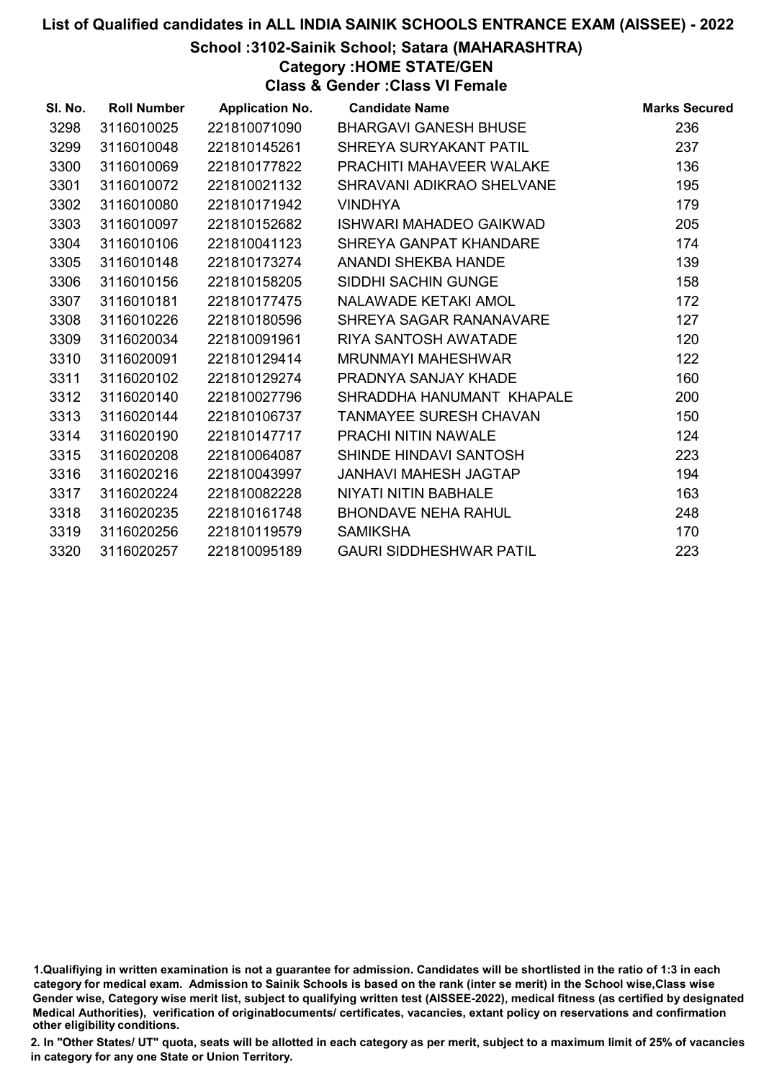# School :3102-Sainik School; Satara (MAHARASHTRA)

Category :HOME STATE/GEN

Class & Gender :Class VI Female

| SI. No. | <b>Roll Number</b> | <b>Application No.</b> | <b>Candidate Name</b>          | <b>Marks Secured</b> |
|---------|--------------------|------------------------|--------------------------------|----------------------|
| 3298    | 3116010025         | 221810071090           | <b>BHARGAVI GANESH BHUSE</b>   | 236                  |
| 3299    | 3116010048         | 221810145261           | SHREYA SURYAKANT PATIL         | 237                  |
| 3300    | 3116010069         | 221810177822           | PRACHITI MAHAVEER WALAKE       | 136                  |
| 3301    | 3116010072         | 221810021132           | SHRAVANI ADIKRAO SHELVANE      | 195                  |
| 3302    | 3116010080         | 221810171942           | <b>VINDHYA</b>                 | 179                  |
| 3303    | 3116010097         | 221810152682           | ISHWARI MAHADEO GAIKWAD        | 205                  |
| 3304    | 3116010106         | 221810041123           | SHREYA GANPAT KHANDARE         | 174                  |
| 3305    | 3116010148         | 221810173274           | <b>ANANDI SHEKBA HANDE</b>     | 139                  |
| 3306    | 3116010156         | 221810158205           | SIDDHI SACHIN GUNGE            | 158                  |
| 3307    | 3116010181         | 221810177475           | NALAWADE KETAKI AMOL           | 172                  |
| 3308    | 3116010226         | 221810180596           | SHREYA SAGAR RANANAVARE        | 127                  |
| 3309    | 3116020034         | 221810091961           | RIYA SANTOSH AWATADE           | 120                  |
| 3310    | 3116020091         | 221810129414           | <b>MRUNMAYI MAHESHWAR</b>      | 122                  |
| 3311    | 3116020102         | 221810129274           | PRADNYA SANJAY KHADE           | 160                  |
| 3312    | 3116020140         | 221810027796           | SHRADDHA HANUMANT KHAPALE      | 200                  |
| 3313    | 3116020144         | 221810106737           | <b>TANMAYEE SURESH CHAVAN</b>  | 150                  |
| 3314    | 3116020190         | 221810147717           | PRACHI NITIN NAWALE            | 124                  |
| 3315    | 3116020208         | 221810064087           | SHINDE HINDAVI SANTOSH         | 223                  |
| 3316    | 3116020216         | 221810043997           | <b>JANHAVI MAHESH JAGTAP</b>   | 194                  |
| 3317    | 3116020224         | 221810082228           | NIYATI NITIN BABHALE           | 163                  |
| 3318    | 3116020235         | 221810161748           | <b>BHONDAVE NEHA RAHUL</b>     | 248                  |
| 3319    | 3116020256         | 221810119579           | <b>SAMIKSHA</b>                | 170                  |
| 3320    | 3116020257         | 221810095189           | <b>GAURI SIDDHESHWAR PATIL</b> | 223                  |

<sup>1.</sup>Qualifiying in written examination is not a guarantee for admission. Candidates will be shortlisted in the ratio of 1:3 in each category for medical exam. Admission to Sainik Schools is based on the rank (inter se merit) in the School wise,Class wise Gender wise, Category wise merit list, subject to qualifying written test (AISSEE-2022), medical fitness (as certified by designated Medical Authorities), verification of originablocuments/ certificates, vacancies, extant policy on reservations and confirmation other eligibility conditions.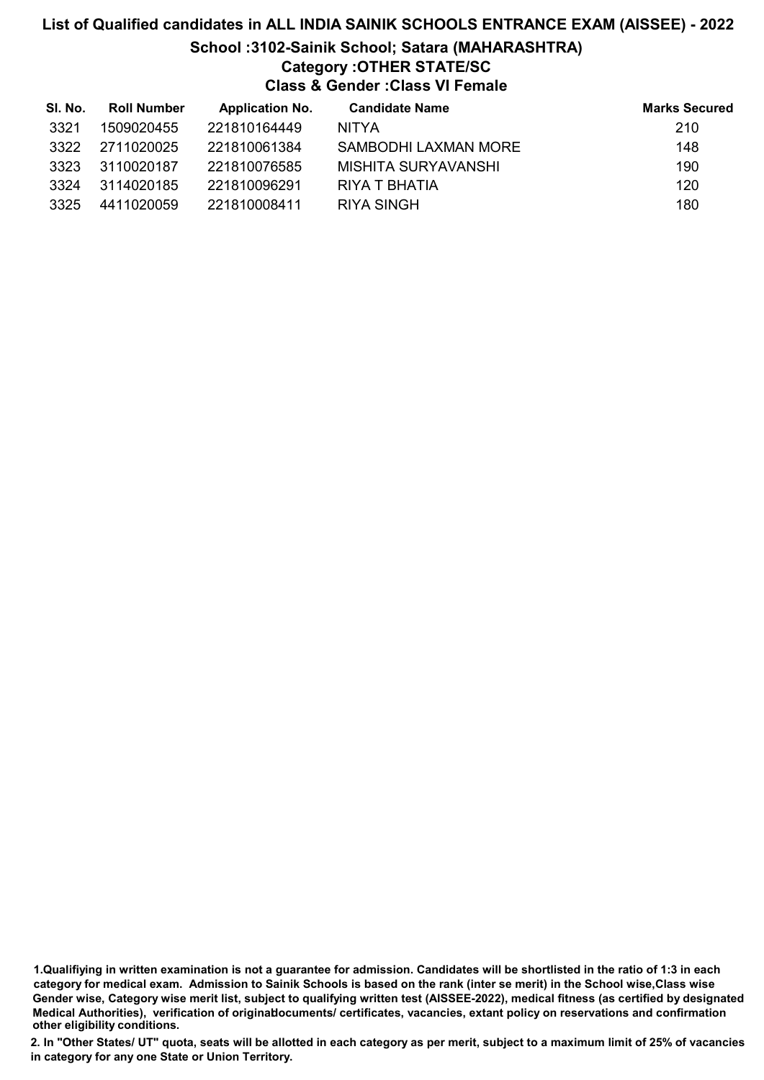# List of Qualified candidates in ALL INDIA SAINIK SCHOOLS ENTRANCE EXAM (AISSEE) - 2022 School :3102-Sainik School; Satara (MAHARASHTRA) Category :OTHER STATE/SC Class & Gender :Class VI Female

| SI. No. | <b>Roll Number</b> | <b>Application No.</b> | <b>Candidate Name</b> | <b>Marks Secured</b> |
|---------|--------------------|------------------------|-----------------------|----------------------|
| 3321    | 1509020455         | 221810164449           | <b>NITYA</b>          | 210                  |
| 3322    | 2711020025         | 221810061384           | SAMBODHI LAXMAN MORE  | 148                  |
| 3323    | 3110020187         | 221810076585           | MISHITA SURYAVANSHI   | 190                  |
| 3324    | 3114020185         | 221810096291           | RIYA T BHATIA         | 120                  |
| 3325    | 4411020059         | 221810008411           | RIYA SINGH            | 180                  |

<sup>1.</sup>Qualifiying in written examination is not a guarantee for admission. Candidates will be shortlisted in the ratio of 1:3 in each category for medical exam. Admission to Sainik Schools is based on the rank (inter se merit) in the School wise,Class wise Gender wise, Category wise merit list, subject to qualifying written test (AISSEE-2022), medical fitness (as certified by designated Medical Authorities), verification of originablocuments/ certificates, vacancies, extant policy on reservations and confirmation other eligibility conditions.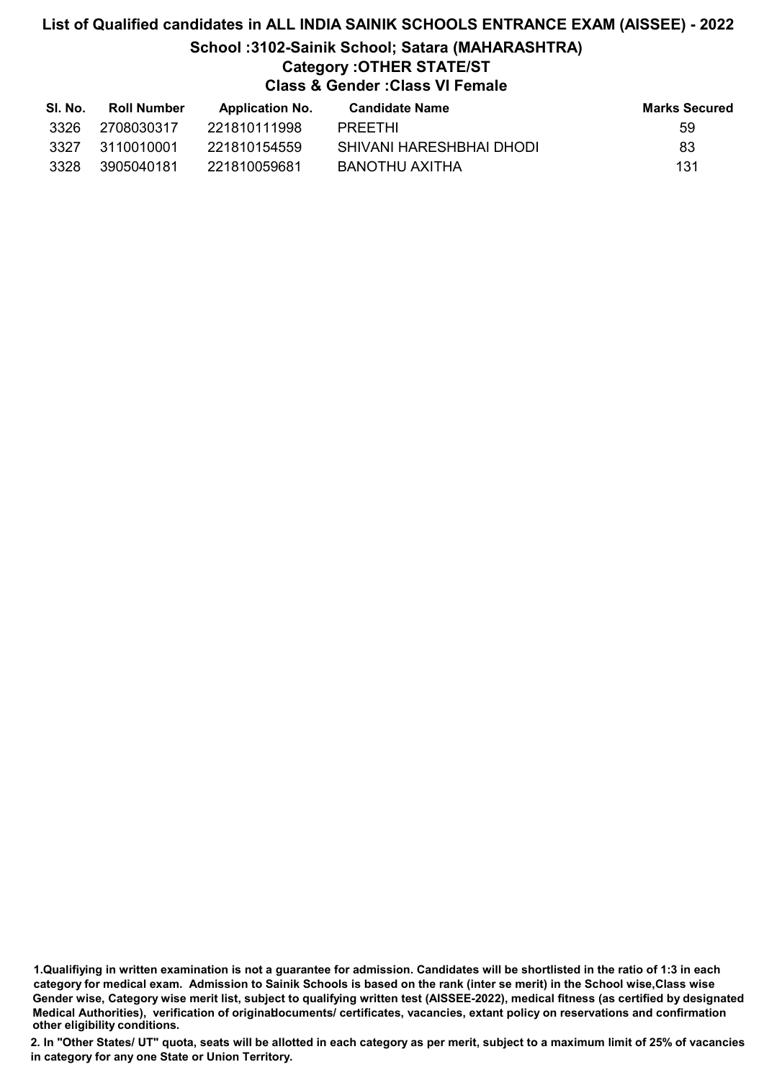# List of Qualified candidates in ALL INDIA SAINIK SCHOOLS ENTRANCE EXAM (AISSEE) - 2022 School :3102-Sainik School; Satara (MAHARASHTRA) Category :OTHER STATE/ST Class & Gender :Class VI Female

| SI. No. | Roll Number | <b>Application No.</b> | <b>Candidate Name</b>    | <b>Marks Secured</b> |
|---------|-------------|------------------------|--------------------------|----------------------|
| 3326    | 2708030317  | 221810111998           | PRFFTHI                  | 59                   |
| 3327    | 3110010001  | 221810154559           | SHIVANI HARESHBHAI DHODI | 83                   |
| 3328    | 3905040181  | 221810059681           | BANOTHU AXITHA           | 131                  |

1.Qualifiying in written examination is not a guarantee for admission. Candidates will be shortlisted in the ratio of 1:3 in each category for medical exam. Admission to Sainik Schools is based on the rank (inter se merit) in the School wise,Class wise Gender wise, Category wise merit list, subject to qualifying written test (AISSEE-2022), medical fitness (as certified by designated Medical Authorities), verification of originablocuments/ certificates, vacancies, extant policy on reservations and confirmation other eligibility conditions.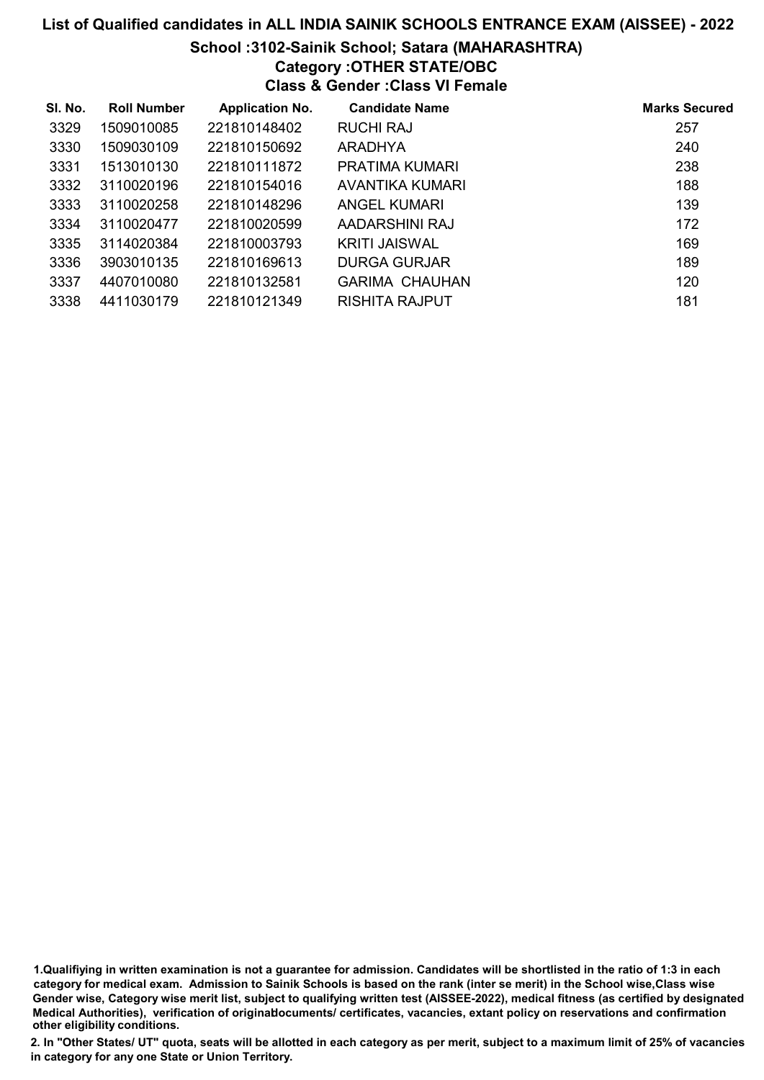# School :3102-Sainik School; Satara (MAHARASHTRA)

# Category :OTHER STATE/OBC

Class & Gender :Class VI Female

| SI. No. | <b>Roll Number</b> | <b>Application No.</b> | <b>Candidate Name</b> | <b>Marks Secured</b> |
|---------|--------------------|------------------------|-----------------------|----------------------|
| 3329    | 1509010085         | 221810148402           | RUCHI RAJ             | 257                  |
| 3330    | 1509030109         | 221810150692           | ARADHYA               | 240                  |
| 3331    | 1513010130         | 221810111872           | PRATIMA KUMARI        | 238                  |
| 3332    | 3110020196         | 221810154016           | AVANTIKA KUMARI       | 188                  |
| 3333    | 3110020258         | 221810148296           | ANGEL KUMARI          | 139                  |
| 3334    | 3110020477         | 221810020599           | AADARSHINI RAJ        | 172                  |
| 3335    | 3114020384         | 221810003793           | <b>KRITI JAISWAL</b>  | 169                  |
| 3336    | 3903010135         | 221810169613           | <b>DURGA GURJAR</b>   | 189                  |
| 3337    | 4407010080         | 221810132581           | <b>GARIMA CHAUHAN</b> | 120                  |
| 3338    | 4411030179         | 221810121349           | RISHITA RAJPUT        | 181                  |

1.Qualifiying in written examination is not a guarantee for admission. Candidates will be shortlisted in the ratio of 1:3 in each category for medical exam. Admission to Sainik Schools is based on the rank (inter se merit) in the School wise,Class wise Gender wise, Category wise merit list, subject to qualifying written test (AISSEE-2022), medical fitness (as certified by designated Medical Authorities), verification of originablocuments/ certificates, vacancies, extant policy on reservations and confirmation other eligibility conditions.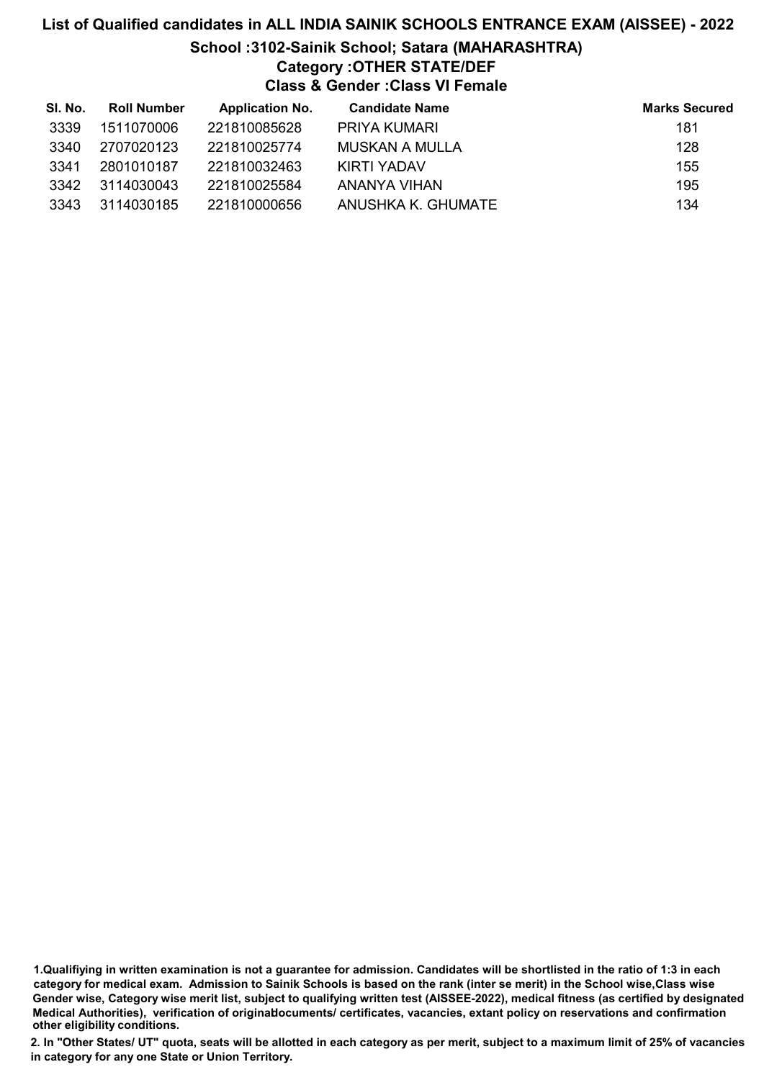# List of Qualified candidates in ALL INDIA SAINIK SCHOOLS ENTRANCE EXAM (AISSEE) - 2022 School :3102-Sainik School; Satara (MAHARASHTRA) Category :OTHER STATE/DEF Class & Gender :Class VI Female

| SI. No. | <b>Roll Number</b> | <b>Application No.</b> | <b>Candidate Name</b> | <b>Marks Secured</b> |
|---------|--------------------|------------------------|-----------------------|----------------------|
| 3339    | 1511070006         | 221810085628           | PRIYA KUMARI          | 181                  |
| 3340    | 2707020123         | 221810025774           | MUSKAN A MULLA        | 128                  |
| 3341    | 2801010187         | 221810032463           | KIRTI YADAV           | 155                  |
| 3342    | 3114030043         | 221810025584           | ANANYA VIHAN          | 195                  |
| 3343    | 3114030185         | 221810000656           | ANUSHKA K. GHUMATE    | 134                  |

<sup>1.</sup>Qualifiying in written examination is not a guarantee for admission. Candidates will be shortlisted in the ratio of 1:3 in each category for medical exam. Admission to Sainik Schools is based on the rank (inter se merit) in the School wise,Class wise Gender wise, Category wise merit list, subject to qualifying written test (AISSEE-2022), medical fitness (as certified by designated Medical Authorities), verification of originablocuments/ certificates, vacancies, extant policy on reservations and confirmation other eligibility conditions.